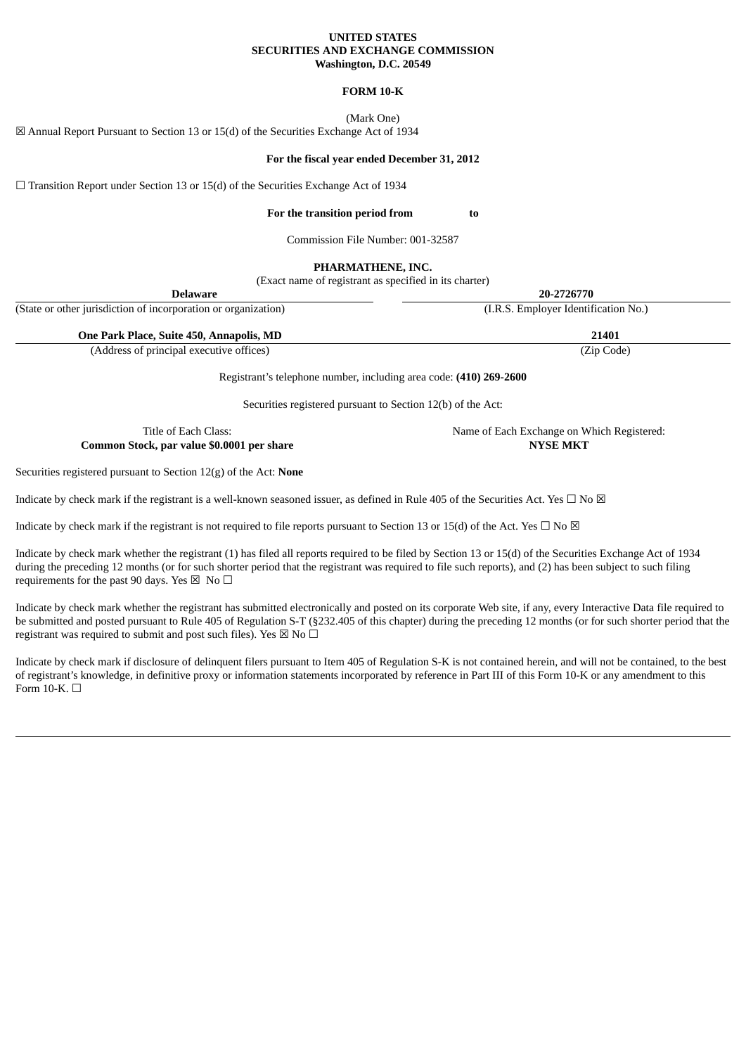#### **UNITED STATES SECURITIES AND EXCHANGE COMMISSION Washington, D.C. 20549**

## **FORM 10-K**

(Mark One)

 $\boxtimes$  Annual Report Pursuant to Section 13 or 15(d) of the Securities Exchange Act of 1934

# **For the fiscal year ended December 31, 2012**

 $\Box$  Transition Report under Section 13 or 15(d) of the Securities Exchange Act of 1934

### **For the transition period from to**

Commission File Number: 001-32587

**PHARMATHENE, INC.**

(Exact name of registrant as specified in its charter)

| Delaware                                                           | 20-2726770                           |  |
|--------------------------------------------------------------------|--------------------------------------|--|
| (State or other jurisdiction of incorporation or organization)     | (I.R.S. Employer Identification No.) |  |
| One Park Place, Suite 450, Annapolis, MD                           | 21401                                |  |
| (Address of principal executive offices)                           | (Zip Code)                           |  |
| Registrant's telephone number, including area code: (410) 269-2600 |                                      |  |

Securities registered pursuant to Section 12(b) of the Act:

Title of Each Class: Name of Each Exchange on Which Registered: **Common Stock, par value \$0.0001 per share NYSE MKT**

Securities registered pursuant to Section 12(g) of the Act: **None**

Indicate by check mark if the registrant is a well-known seasoned issuer, as defined in Rule 405 of the Securities Act. Yes  $\Box$  No  $\boxtimes$ 

Indicate by check mark if the registrant is not required to file reports pursuant to Section 13 or 15(d) of the Act. Yes  $\Box$  No  $\boxtimes$ 

Indicate by check mark whether the registrant (1) has filed all reports required to be filed by Section 13 or 15(d) of the Securities Exchange Act of 1934 during the preceding 12 months (or for such shorter period that the registrant was required to file such reports), and (2) has been subject to such filing requirements for the past 90 days. Yes  $\boxtimes$  No  $\Box$ 

Indicate by check mark whether the registrant has submitted electronically and posted on its corporate Web site, if any, every Interactive Data file required to be submitted and posted pursuant to Rule 405 of Regulation S-T (§232.405 of this chapter) during the preceding 12 months (or for such shorter period that the registrant was required to submit and post such files). Yes  $\boxtimes$  No  $\Box$ 

Indicate by check mark if disclosure of delinquent filers pursuant to Item 405 of Regulation S-K is not contained herein, and will not be contained, to the best of registrant's knowledge, in definitive proxy or information statements incorporated by reference in Part III of this Form 10-K or any amendment to this Form 10-K.  $\square$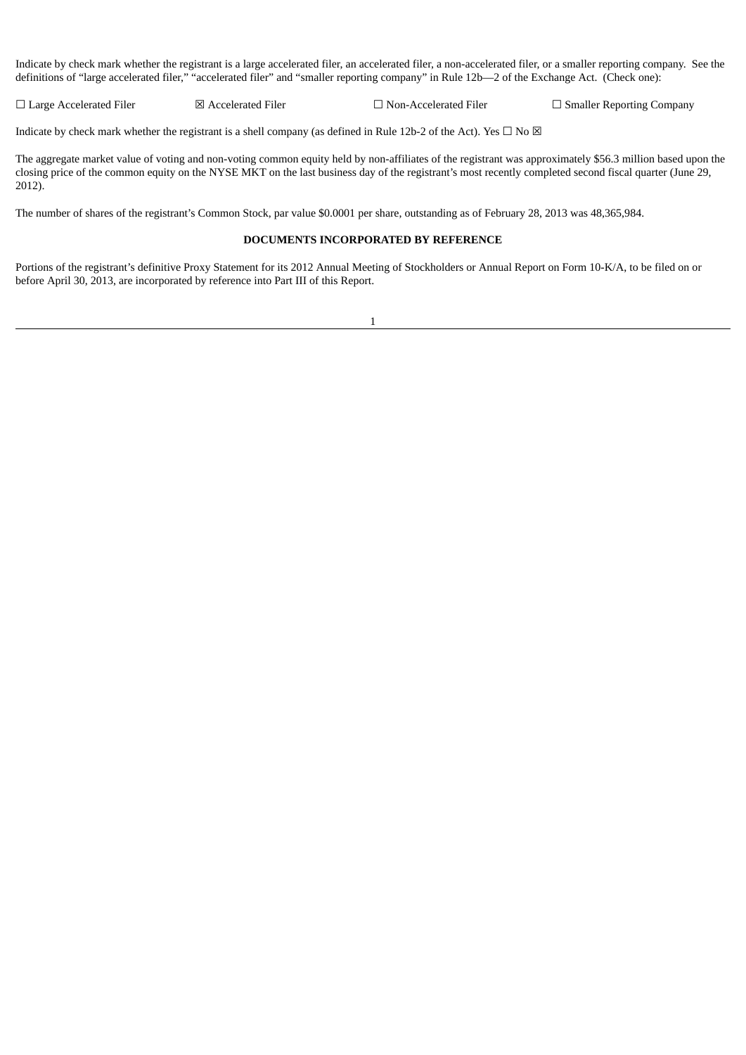Indicate by check mark whether the registrant is a large accelerated filer, an accelerated filer, a non-accelerated filer, or a smaller reporting company. See the definitions of "large accelerated filer," "accelerated filer" and "smaller reporting company" in Rule 12b—2 of the Exchange Act. (Check one):

☐ Large Accelerated Filer ☒ Accelerated Filer ☐ Non-Accelerated Filer ☐ Smaller Reporting Company

Indicate by check mark whether the registrant is a shell company (as defined in Rule 12b-2 of the Act). Yes  $\Box$  No  $\boxtimes$ 

The aggregate market value of voting and non-voting common equity held by non-affiliates of the registrant was approximately \$56.3 million based upon the closing price of the common equity on the NYSE MKT on the last business day of the registrant's most recently completed second fiscal quarter (June 29, 2012).

The number of shares of the registrant's Common Stock, par value \$0.0001 per share, outstanding as of February 28, 2013 was 48,365,984.

# **DOCUMENTS INCORPORATED BY REFERENCE**

Portions of the registrant's definitive Proxy Statement for its 2012 Annual Meeting of Stockholders or Annual Report on Form 10-K/A, to be filed on or before April 30, 2013, are incorporated by reference into Part III of this Report.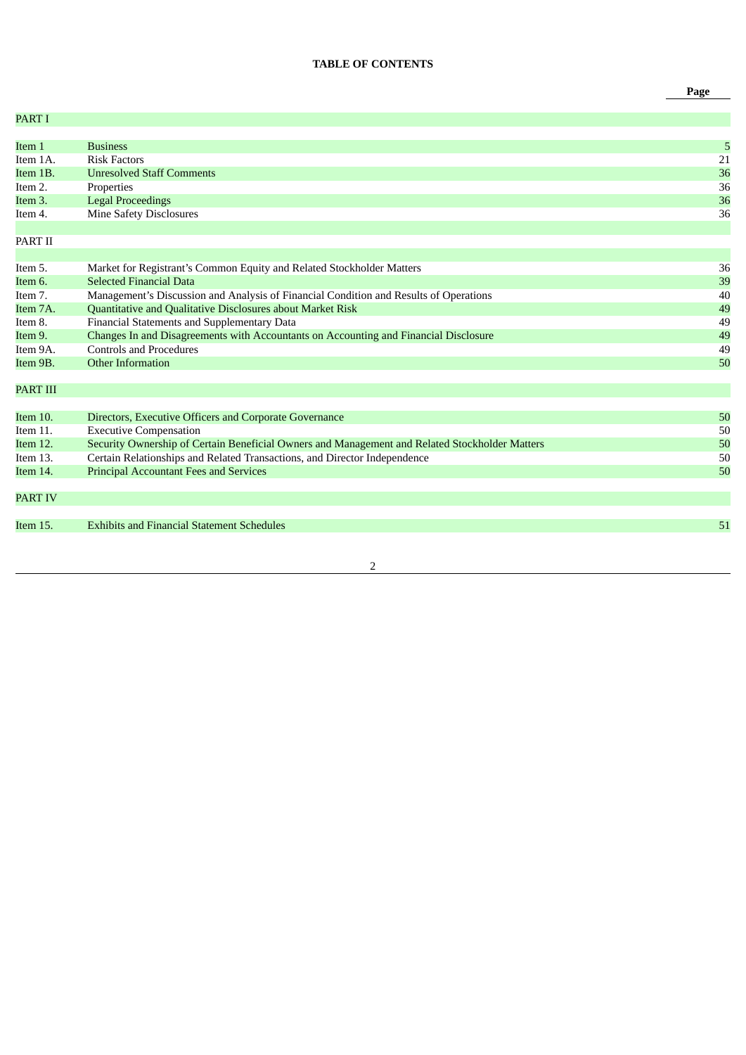# **TABLE OF CONTENTS**

| PART I         |                                                                                                |    |
|----------------|------------------------------------------------------------------------------------------------|----|
|                |                                                                                                |    |
| Item 1         | <b>Business</b>                                                                                | 5  |
| Item 1A.       | <b>Risk Factors</b>                                                                            | 21 |
| Item 1B.       | <b>Unresolved Staff Comments</b>                                                               | 36 |
| Item 2.        | Properties                                                                                     | 36 |
| Item 3.        | <b>Legal Proceedings</b>                                                                       | 36 |
| Item 4.        | <b>Mine Safety Disclosures</b>                                                                 | 36 |
|                |                                                                                                |    |
| PART II        |                                                                                                |    |
|                |                                                                                                |    |
| Item 5.        | Market for Registrant's Common Equity and Related Stockholder Matters                          | 36 |
| Item 6.        | <b>Selected Financial Data</b>                                                                 | 39 |
| Item 7.        | Management's Discussion and Analysis of Financial Condition and Results of Operations          | 40 |
| Item 7A.       | Quantitative and Qualitative Disclosures about Market Risk                                     | 49 |
| Item 8.        | Financial Statements and Supplementary Data                                                    | 49 |
| Item 9.        | Changes In and Disagreements with Accountants on Accounting and Financial Disclosure           | 49 |
| Item 9A.       | <b>Controls and Procedures</b>                                                                 | 49 |
| Item 9B.       | <b>Other Information</b>                                                                       | 50 |
|                |                                                                                                |    |
| PART III       |                                                                                                |    |
|                |                                                                                                |    |
| Item 10.       | Directors, Executive Officers and Corporate Governance                                         | 50 |
| Item 11.       | <b>Executive Compensation</b>                                                                  | 50 |
| Item 12.       | Security Ownership of Certain Beneficial Owners and Management and Related Stockholder Matters | 50 |
| Item 13.       | Certain Relationships and Related Transactions, and Director Independence                      | 50 |
| Item 14.       | <b>Principal Accountant Fees and Services</b>                                                  | 50 |
|                |                                                                                                |    |
| <b>PART IV</b> |                                                                                                |    |
|                |                                                                                                |    |
| Item 15.       | <b>Exhibits and Financial Statement Schedules</b>                                              | 51 |
|                |                                                                                                |    |
|                |                                                                                                |    |

<u>2 денесите на селото на 2 денесите на селото на 2 денесите на селото на 2 денесите на селото на 2 денесите на</u>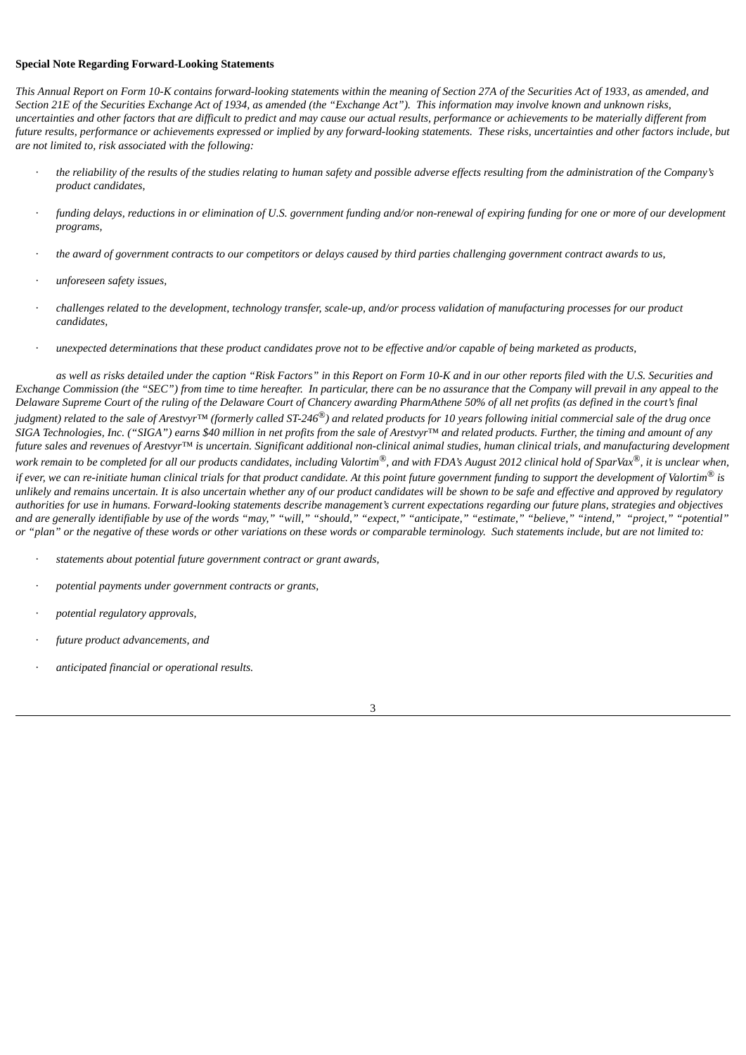## **Special Note Regarding Forward-Looking Statements**

This Annual Report on Form 10-K contains forward-looking statements within the meaning of Section 27A of the Securities Act of 1933, as amended, and Section 21E of the Securities Exchange Act of 1934, as amended (the "Exchange Act"). This information may involve known and unknown risks, uncertainties and other factors that are difficult to predict and may cause our actual results, performance or achievements to be materially different from future results, performance or achievements expressed or implied by any forward-looking statements. These risks, uncertainties and other factors include, but *are not limited to, risk associated with the following:*

- the reliability of the results of the studies relating to human safety and possible adverse effects resulting from the administration of the Company's *product candidates,*
- funding delays, reductions in or elimination of U.S. government funding and/or non-renewal of expiring funding for one or more of our development *programs,*
- the award of government contracts to our competitors or delays caused by third parties challenging government contract awards to us,
- · *unforeseen safety issues,*
- challenges related to the development, technology transfer, scale-up, and/or process validation of manufacturing processes for our product *candidates,*
- unexpected determinations that these product candidates prove not to be effective and/or capable of being marketed as products,

as well as risks detailed under the caption "Risk Factors" in this Report on Form 10-K and in our other reports filed with the U.S. Securities and Exchange Commission (the "SEC") from time to time hereafter. In particular, there can be no assurance that the Company will prevail in any appeal to the Delaware Supreme Court of the ruling of the Delaware Court of Chancery awarding PharmAthene 50% of all net profits (as defined in the court's final judament) related to the sale of Arestyyr<sup>TM</sup> (formerly called ST-246<sup>®</sup>) and related products for 10 years following initial commercial sale of the drug once SIGA Technologies, Inc. ("SIGA") earns \$40 million in net profits from the sale of Arestvyr™ and related products. Further, the timing and amount of any future sales and revenues of Arestvyr™ is uncertain. Significant additional non-clinical animal studies, human clinical trials, and manufacturing development work remain to be completed for all our products candidates, including Valortim®, and with FDA's August 2012 clinical hold of SparVax®, it is unclear when, if ever, we can re-initiate human clinical trials for that product candidate. At this point future government funding to support the development of Valortim® is unlikely and remains uncertain. It is also uncertain whether any of our product candidates will be shown to be safe and effective and approved by regulatory authorities for use in humans. Forward-looking statements describe management's current expectations regarding our future plans, strategies and objectives and are generally identifiable by use of the words "may," "will," "should," "expect," "anticipate," "estimate," "believe," "intend," "project," "potential" or "plan" or the negative of these words or other variations on these words or comparable terminology. Such statements include, but are not limited to:

- · *statements about potential future government contract or grant awards,*
- · *potential payments under government contracts or grants,*
- · *potential regulatory approvals,*
- · *future product advancements, and*
- · *anticipated financial or operational results.*

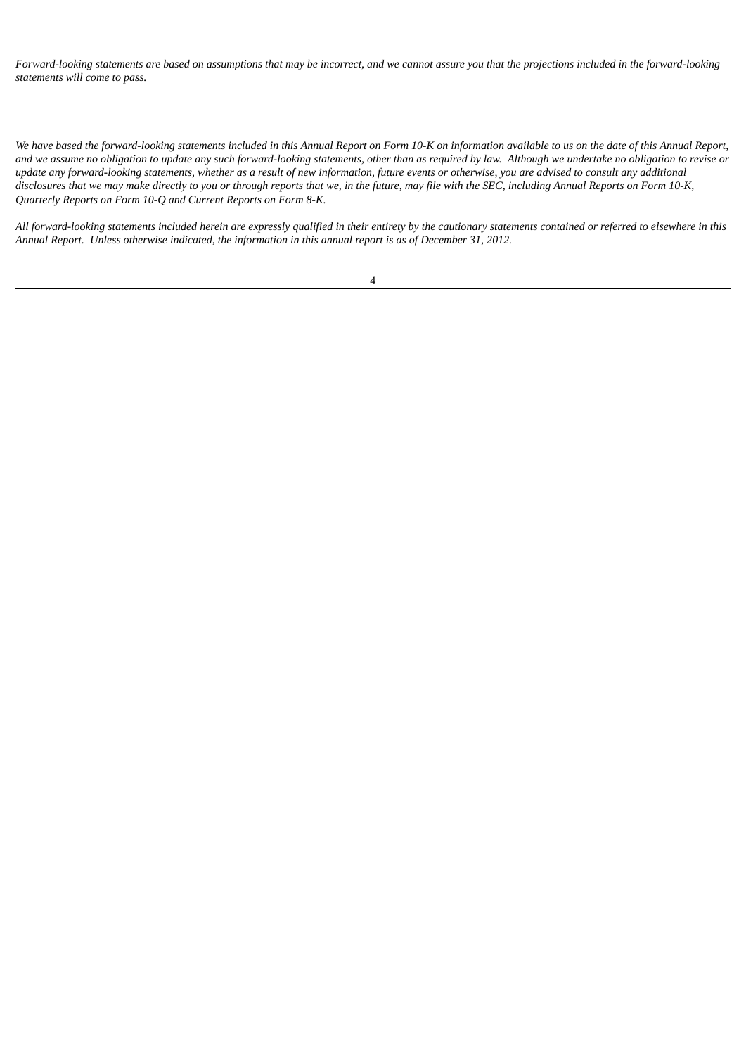Forward-looking statements are based on assumptions that may be incorrect, and we cannot assure you that the projections included in the forward-looking *statements will come to pass.*

We have based the forward-looking statements included in this Annual Report on Form 10-K on information available to us on the date of this Annual Report, and we assume no obligation to update any such forward-looking statements, other than as required by law. Although we undertake no obligation to revise or update any forward-looking statements, whether as a result of new information, future events or otherwise, you are advised to consult any additional disclosures that we may make directly to you or through reports that we, in the future, may file with the SEC, including Annual Reports on Form 10-K, *Quarterly Reports on Form 10-Q and Current Reports on Form 8-K.*

All forward-looking statements included herein are expressly qualified in their entirety by the cautionary statements contained or referred to elsewhere in this Annual Report. Unless otherwise indicated, the information in this annual report is as of December 31, 2012.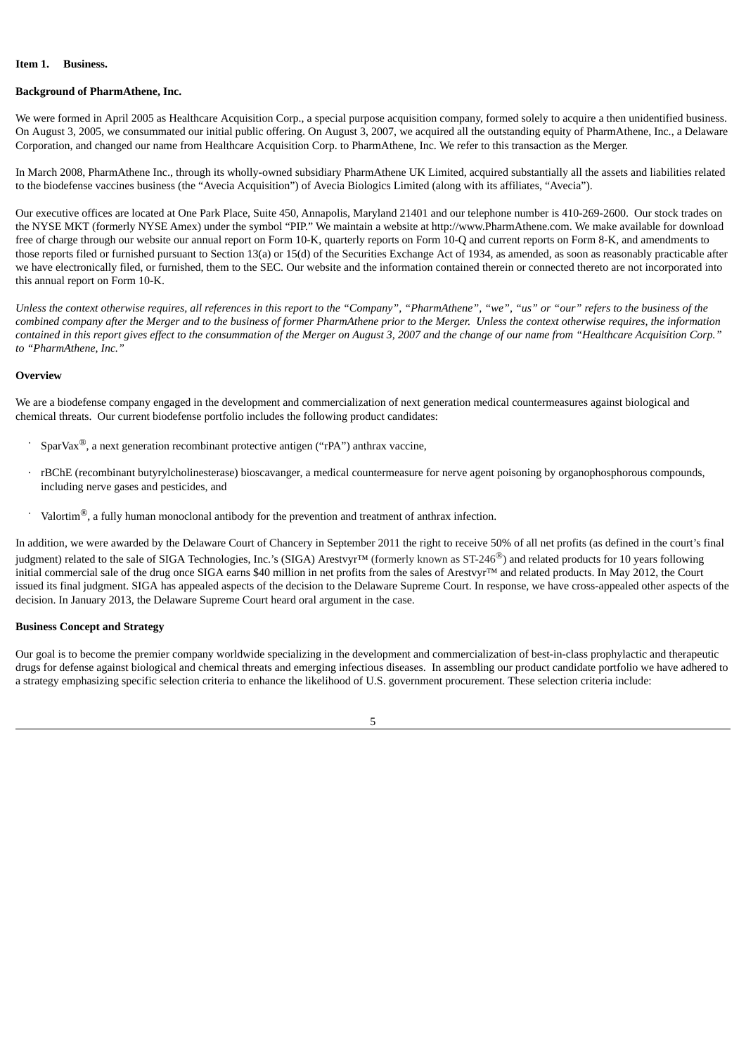### **Item 1. Business.**

### **Background of PharmAthene, Inc.**

We were formed in April 2005 as Healthcare Acquisition Corp., a special purpose acquisition company, formed solely to acquire a then unidentified business. On August 3, 2005, we consummated our initial public offering. On August 3, 2007, we acquired all the outstanding equity of PharmAthene, Inc., a Delaware Corporation, and changed our name from Healthcare Acquisition Corp. to PharmAthene, Inc. We refer to this transaction as the Merger.

In March 2008, PharmAthene Inc., through its wholly-owned subsidiary PharmAthene UK Limited, acquired substantially all the assets and liabilities related to the biodefense vaccines business (the "Avecia Acquisition") of Avecia Biologics Limited (along with its affiliates, "Avecia").

Our executive offices are located at One Park Place, Suite 450, Annapolis, Maryland 21401 and our telephone number is 410-269-2600. Our stock trades on the NYSE MKT (formerly NYSE Amex) under the symbol "PIP." We maintain a website at http://www.PharmAthene.com. We make available for download free of charge through our website our annual report on Form 10-K, quarterly reports on Form 10-Q and current reports on Form 8-K, and amendments to those reports filed or furnished pursuant to Section 13(a) or 15(d) of the Securities Exchange Act of 1934, as amended, as soon as reasonably practicable after we have electronically filed, or furnished, them to the SEC. Our website and the information contained therein or connected thereto are not incorporated into this annual report on Form 10-K.

Unless the context otherwise requires, all references in this report to the "Company", "PharmAthene", "we", "us" or "our" refers to the business of the combined company after the Merger and to the business of former PharmAthene prior to the Merger. Unless the context otherwise requires, the information contained in this report gives effect to the consummation of the Merger on August 3, 2007 and the change of our name from "Healthcare Acquisition Corp." *to "PharmAthene, Inc."*

## **Overview**

We are a biodefense company engaged in the development and commercialization of next generation medical countermeasures against biological and chemical threats. Our current biodefense portfolio includes the following product candidates:

- SparVax<sup>®</sup>, a next generation recombinant protective antigen ("rPA") anthrax vaccine,
- · rBChE (recombinant butyrylcholinesterase) bioscavanger, a medical countermeasure for nerve agent poisoning by organophosphorous compounds, including nerve gases and pesticides, and
- Valortim<sup>®</sup>, a fully human monoclonal antibody for the prevention and treatment of anthrax infection.

In addition, we were awarded by the Delaware Court of Chancery in September 2011 the right to receive 50% of all net profits (as defined in the court's final judgment) related to the sale of SIGA Technologies, Inc.'s (SIGA) Arestvyr™ (formerly known as ST-246®) and related products for 10 years following initial commercial sale of the drug once SIGA earns \$40 million in net profits from the sales of Arestvyr™ and related products. In May 2012, the Court issued its final judgment. SIGA has appealed aspects of the decision to the Delaware Supreme Court. In response, we have cross-appealed other aspects of the decision. In January 2013, the Delaware Supreme Court heard oral argument in the case.

# **Business Concept and Strategy**

Our goal is to become the premier company worldwide specializing in the development and commercialization of best-in-class prophylactic and therapeutic drugs for defense against biological and chemical threats and emerging infectious diseases. In assembling our product candidate portfolio we have adhered to a strategy emphasizing specific selection criteria to enhance the likelihood of U.S. government procurement. These selection criteria include:

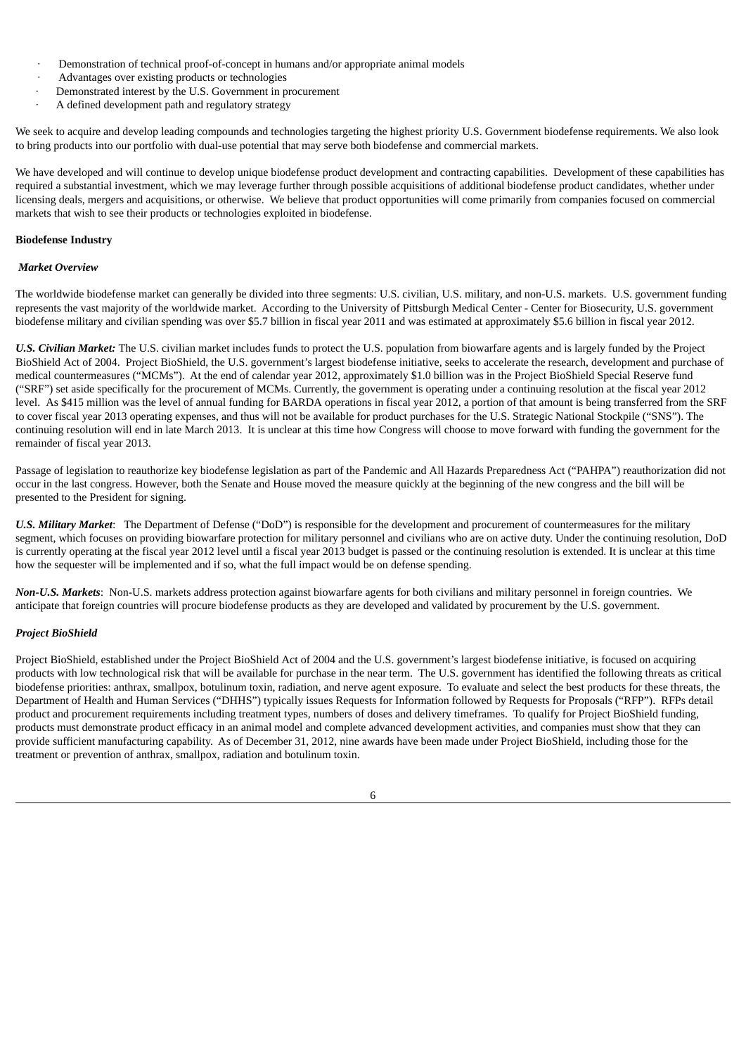- · Demonstration of technical proof-of-concept in humans and/or appropriate animal models
- · Advantages over existing products or technologies
- · Demonstrated interest by the U.S. Government in procurement
- A defined development path and regulatory strategy

We seek to acquire and develop leading compounds and technologies targeting the highest priority U.S. Government biodefense requirements. We also look to bring products into our portfolio with dual-use potential that may serve both biodefense and commercial markets.

We have developed and will continue to develop unique biodefense product development and contracting capabilities. Development of these capabilities has required a substantial investment, which we may leverage further through possible acquisitions of additional biodefense product candidates, whether under licensing deals, mergers and acquisitions, or otherwise. We believe that product opportunities will come primarily from companies focused on commercial markets that wish to see their products or technologies exploited in biodefense.

### **Biodefense Industry**

# *Market Overview*

The worldwide biodefense market can generally be divided into three segments: U.S. civilian, U.S. military, and non-U.S. markets. U.S. government funding represents the vast majority of the worldwide market. According to the University of Pittsburgh Medical Center - Center for Biosecurity, U.S. government biodefense military and civilian spending was over \$5.7 billion in fiscal year 2011 and was estimated at approximately \$5.6 billion in fiscal year 2012.

*U.S. Civilian Market:* The U.S. civilian market includes funds to protect the U.S. population from biowarfare agents and is largely funded by the Project BioShield Act of 2004. Project BioShield, the U.S. government's largest biodefense initiative, seeks to accelerate the research, development and purchase of medical countermeasures ("MCMs"). At the end of calendar year 2012, approximately \$1.0 billion was in the Project BioShield Special Reserve fund ("SRF") set aside specifically for the procurement of MCMs. Currently, the government is operating under a continuing resolution at the fiscal year 2012 level. As \$415 million was the level of annual funding for BARDA operations in fiscal year 2012, a portion of that amount is being transferred from the SRF to cover fiscal year 2013 operating expenses, and thus will not be available for product purchases for the U.S. Strategic National Stockpile ("SNS"). The continuing resolution will end in late March 2013. It is unclear at this time how Congress will choose to move forward with funding the government for the remainder of fiscal year 2013.

Passage of legislation to reauthorize key biodefense legislation as part of the Pandemic and All Hazards Preparedness Act ("PAHPA") reauthorization did not occur in the last congress. However, both the Senate and House moved the measure quickly at the beginning of the new congress and the bill will be presented to the President for signing.

*U.S. Military Market*: The Department of Defense ("DoD") is responsible for the development and procurement of countermeasures for the military segment, which focuses on providing biowarfare protection for military personnel and civilians who are on active duty. Under the continuing resolution, DoD is currently operating at the fiscal year 2012 level until a fiscal year 2013 budget is passed or the continuing resolution is extended. It is unclear at this time how the sequester will be implemented and if so, what the full impact would be on defense spending.

*Non-U.S. Markets*: Non-U.S. markets address protection against biowarfare agents for both civilians and military personnel in foreign countries. We anticipate that foreign countries will procure biodefense products as they are developed and validated by procurement by the U.S. government.

# *Project BioShield*

Project BioShield, established under the Project BioShield Act of 2004 and the U.S. government's largest biodefense initiative, is focused on acquiring products with low technological risk that will be available for purchase in the near term. The U.S. government has identified the following threats as critical biodefense priorities: anthrax, smallpox, botulinum toxin, radiation, and nerve agent exposure. To evaluate and select the best products for these threats, the Department of Health and Human Services ("DHHS") typically issues Requests for Information followed by Requests for Proposals ("RFP"). RFPs detail product and procurement requirements including treatment types, numbers of doses and delivery timeframes. To qualify for Project BioShield funding, products must demonstrate product efficacy in an animal model and complete advanced development activities, and companies must show that they can provide sufficient manufacturing capability. As of December 31, 2012, nine awards have been made under Project BioShield, including those for the treatment or prevention of anthrax, smallpox, radiation and botulinum toxin.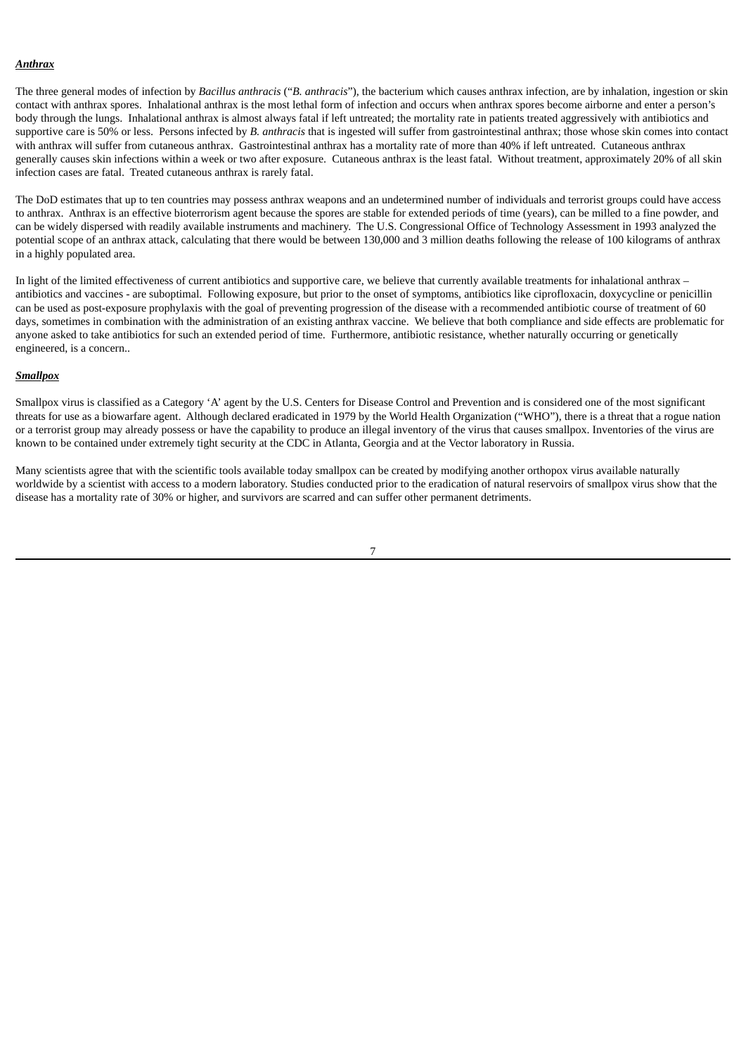# *Anthrax*

The three general modes of infection by *Bacillus anthracis* ("*B. anthracis*"), the bacterium which causes anthrax infection, are by inhalation, ingestion or skin contact with anthrax spores. Inhalational anthrax is the most lethal form of infection and occurs when anthrax spores become airborne and enter a person's body through the lungs. Inhalational anthrax is almost always fatal if left untreated; the mortality rate in patients treated aggressively with antibiotics and supportive care is 50% or less. Persons infected by *B. anthracis* that is ingested will suffer from gastrointestinal anthrax; those whose skin comes into contact with anthrax will suffer from cutaneous anthrax. Gastrointestinal anthrax has a mortality rate of more than 40% if left untreated. Cutaneous anthrax generally causes skin infections within a week or two after exposure. Cutaneous anthrax is the least fatal. Without treatment, approximately 20% of all skin infection cases are fatal. Treated cutaneous anthrax is rarely fatal.

The DoD estimates that up to ten countries may possess anthrax weapons and an undetermined number of individuals and terrorist groups could have access to anthrax. Anthrax is an effective bioterrorism agent because the spores are stable for extended periods of time (years), can be milled to a fine powder, and can be widely dispersed with readily available instruments and machinery. The U.S. Congressional Office of Technology Assessment in 1993 analyzed the potential scope of an anthrax attack, calculating that there would be between 130,000 and 3 million deaths following the release of 100 kilograms of anthrax in a highly populated area.

In light of the limited effectiveness of current antibiotics and supportive care, we believe that currently available treatments for inhalational anthrax – antibiotics and vaccines - are suboptimal. Following exposure, but prior to the onset of symptoms, antibiotics like ciprofloxacin, doxycycline or penicillin can be used as post-exposure prophylaxis with the goal of preventing progression of the disease with a recommended antibiotic course of treatment of 60 days, sometimes in combination with the administration of an existing anthrax vaccine. We believe that both compliance and side effects are problematic for anyone asked to take antibiotics for such an extended period of time. Furthermore, antibiotic resistance, whether naturally occurring or genetically engineered, is a concern..

## *Smallpox*

Smallpox virus is classified as a Category 'A' agent by the U.S. Centers for Disease Control and Prevention and is considered one of the most significant threats for use as a biowarfare agent. Although declared eradicated in 1979 by the World Health Organization ("WHO"), there is a threat that a rogue nation or a terrorist group may already possess or have the capability to produce an illegal inventory of the virus that causes smallpox. Inventories of the virus are known to be contained under extremely tight security at the CDC in Atlanta, Georgia and at the Vector laboratory in Russia.

Many scientists agree that with the scientific tools available today smallpox can be created by modifying another orthopox virus available naturally worldwide by a scientist with access to a modern laboratory. Studies conducted prior to the eradication of natural reservoirs of smallpox virus show that the disease has a mortality rate of 30% or higher, and survivors are scarred and can suffer other permanent detriments.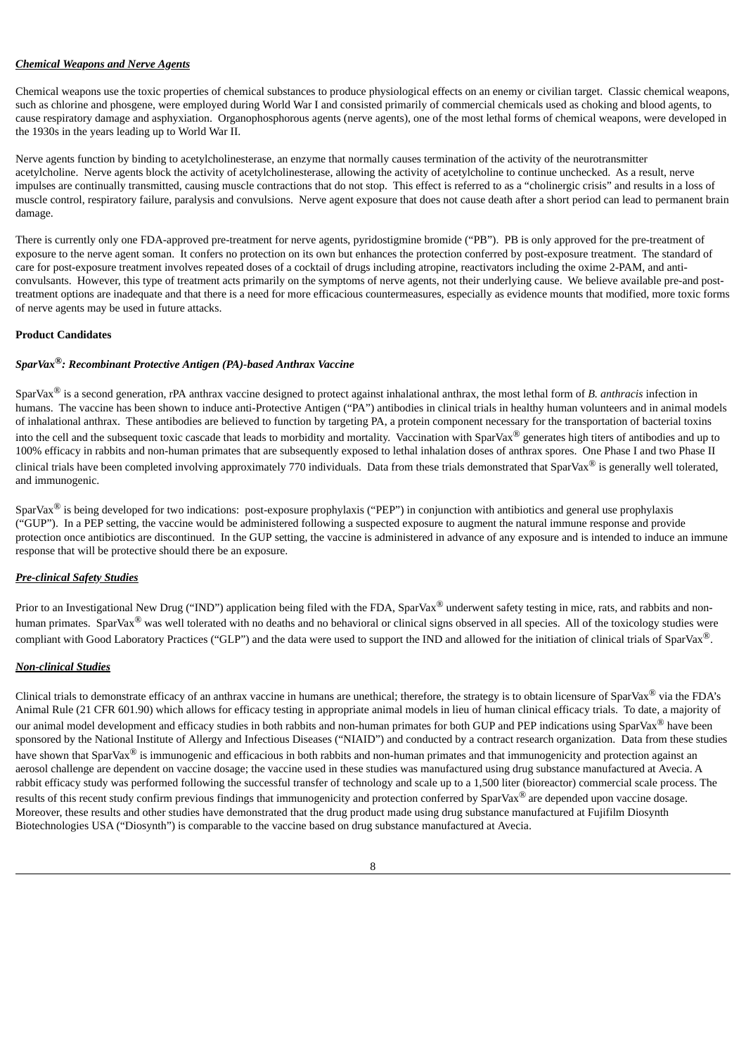# *Chemical Weapons and Nerve Agents*

Chemical weapons use the toxic properties of chemical substances to produce physiological effects on an enemy or civilian target. Classic chemical weapons, such as chlorine and phosgene, were employed during World War I and consisted primarily of commercial chemicals used as choking and blood agents, to cause respiratory damage and asphyxiation. Organophosphorous agents (nerve agents), one of the most lethal forms of chemical weapons, were developed in the 1930s in the years leading up to World War II.

Nerve agents function by binding to acetylcholinesterase, an enzyme that normally causes termination of the activity of the neurotransmitter acetylcholine. Nerve agents block the activity of acetylcholinesterase, allowing the activity of acetylcholine to continue unchecked. As a result, nerve impulses are continually transmitted, causing muscle contractions that do not stop. This effect is referred to as a "cholinergic crisis" and results in a loss of muscle control, respiratory failure, paralysis and convulsions. Nerve agent exposure that does not cause death after a short period can lead to permanent brain damage.

There is currently only one FDA-approved pre-treatment for nerve agents, pyridostigmine bromide ("PB"). PB is only approved for the pre-treatment of exposure to the nerve agent soman. It confers no protection on its own but enhances the protection conferred by post-exposure treatment. The standard of care for post-exposure treatment involves repeated doses of a cocktail of drugs including atropine, reactivators including the oxime 2-PAM, and anticonvulsants. However, this type of treatment acts primarily on the symptoms of nerve agents, not their underlying cause. We believe available pre-and posttreatment options are inadequate and that there is a need for more efficacious countermeasures, especially as evidence mounts that modified, more toxic forms of nerve agents may be used in future attacks.

# **Product Candidates**

# *SparVax®: Recombinant Protective Antigen (PA)-based Anthrax Vaccine*

SparVax® is a second generation, rPA anthrax vaccine designed to protect against inhalational anthrax, the most lethal form of *B. anthracis* infection in humans. The vaccine has been shown to induce anti-Protective Antigen ("PA") antibodies in clinical trials in healthy human volunteers and in animal models of inhalational anthrax. These antibodies are believed to function by targeting PA, a protein component necessary for the transportation of bacterial toxins into the cell and the subsequent toxic cascade that leads to morbidity and mortality. Vaccination with SparVax® generates high titers of antibodies and up to 100% efficacy in rabbits and non-human primates that are subsequently exposed to lethal inhalation doses of anthrax spores. One Phase I and two Phase II clinical trials have been completed involving approximately 770 individuals. Data from these trials demonstrated that SparVax<sup>®</sup> is generally well tolerated, and immunogenic.

SparVax<sup>®</sup> is being developed for two indications: post-exposure prophylaxis ("PEP") in conjunction with antibiotics and general use prophylaxis ("GUP"). In a PEP setting, the vaccine would be administered following a suspected exposure to augment the natural immune response and provide protection once antibiotics are discontinued. In the GUP setting, the vaccine is administered in advance of any exposure and is intended to induce an immune response that will be protective should there be an exposure.

# *Pre-clinical Safety Studies*

Prior to an Investigational New Drug ("IND") application being filed with the FDA, SparVax® underwent safety testing in mice, rats, and rabbits and nonhuman primates. SparVax<sup>®</sup> was well tolerated with no deaths and no behavioral or clinical signs observed in all species. All of the toxicology studies were compliant with Good Laboratory Practices ("GLP") and the data were used to support the IND and allowed for the initiation of clinical trials of SparVax<sup>®</sup>.

#### *Non-clinical Studies*

Clinical trials to demonstrate efficacy of an anthrax vaccine in humans are unethical; therefore, the strategy is to obtain licensure of SparVax<sup>®</sup> via the FDA's Animal Rule (21 CFR 601.90) which allows for efficacy testing in appropriate animal models in lieu of human clinical efficacy trials. To date, a majority of our animal model development and efficacy studies in both rabbits and non-human primates for both GUP and PEP indications using SparVax<sup>®</sup> have been sponsored by the National Institute of Allergy and Infectious Diseases ("NIAID") and conducted by a contract research organization. Data from these studies have shown that SparVax<sup>®</sup> is immunogenic and efficacious in both rabbits and non-human primates and that immunogenicity and protection against an aerosol challenge are dependent on vaccine dosage; the vaccine used in these studies was manufactured using drug substance manufactured at Avecia. A rabbit efficacy study was performed following the successful transfer of technology and scale up to a 1,500 liter (bioreactor) commercial scale process. The results of this recent study confirm previous findings that immunogenicity and protection conferred by SparVax<sup>®</sup> are depended upon vaccine dosage. Moreover, these results and other studies have demonstrated that the drug product made using drug substance manufactured at Fujifilm Diosynth Biotechnologies USA ("Diosynth") is comparable to the vaccine based on drug substance manufactured at Avecia.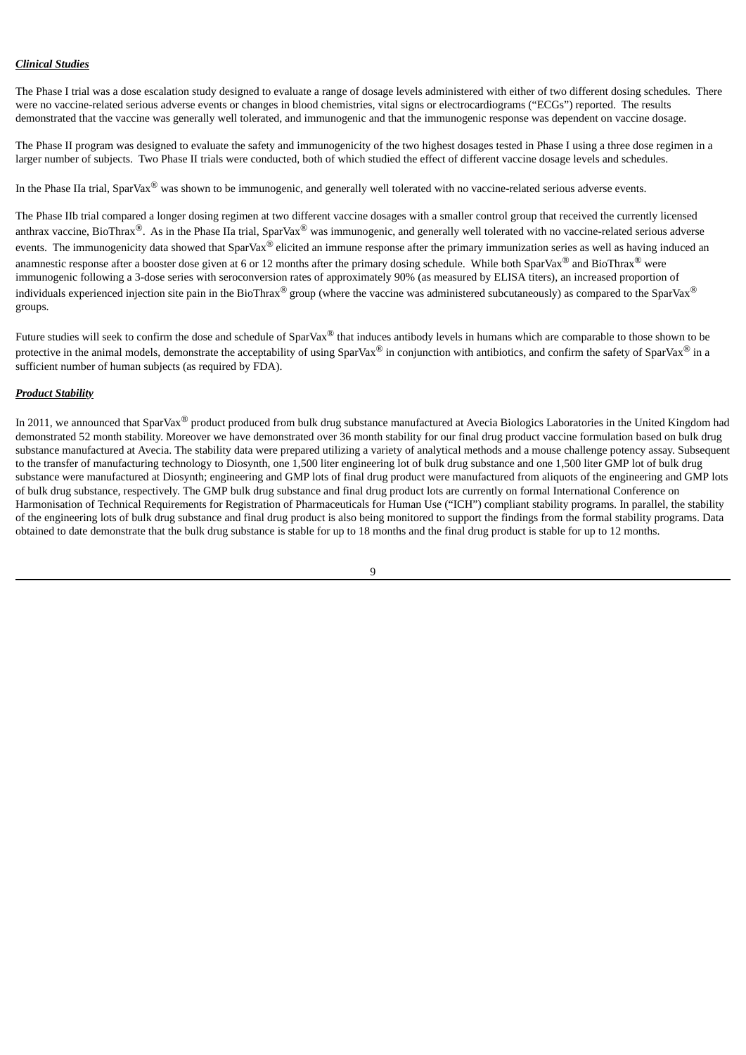# *Clinical Studies*

The Phase I trial was a dose escalation study designed to evaluate a range of dosage levels administered with either of two different dosing schedules. There were no vaccine-related serious adverse events or changes in blood chemistries, vital signs or electrocardiograms ("ECGs") reported. The results demonstrated that the vaccine was generally well tolerated, and immunogenic and that the immunogenic response was dependent on vaccine dosage.

The Phase II program was designed to evaluate the safety and immunogenicity of the two highest dosages tested in Phase I using a three dose regimen in a larger number of subjects. Two Phase II trials were conducted, both of which studied the effect of different vaccine dosage levels and schedules.

In the Phase IIa trial, SparVax<sup>®</sup> was shown to be immunogenic, and generally well tolerated with no vaccine-related serious adverse events.

The Phase IIb trial compared a longer dosing regimen at two different vaccine dosages with a smaller control group that received the currently licensed anthrax vaccine, BioThrax®. As in the Phase IIa trial, SparVax<sup>®</sup> was immunogenic, and generally well tolerated with no vaccine-related serious adverse events. The immunogenicity data showed that SparVax<sup>®</sup> elicited an immune response after the primary immunization series as well as having induced an anamnestic response after a booster dose given at 6 or 12 months after the primary dosing schedule. While both SparVax<sup>®</sup> and BioThrax<sup>®</sup> were immunogenic following a 3-dose series with seroconversion rates of approximately 90% (as measured by ELISA titers), an increased proportion of individuals experienced injection site pain in the BioThrax<sup>®</sup> group (where the vaccine was administered subcutaneously) as compared to the SparVax<sup>®</sup> groups.

Future studies will seek to confirm the dose and schedule of SparVax<sup>®</sup> that induces antibody levels in humans which are comparable to those shown to be protective in the animal models, demonstrate the acceptability of using SparVax<sup>®</sup> in conjunction with antibiotics, and confirm the safety of SparVax<sup>®</sup> in a sufficient number of human subjects (as required by FDA).

### *Product Stability*

In 2011, we announced that SparVax<sup>®</sup> product produced from bulk drug substance manufactured at Avecia Biologics Laboratories in the United Kingdom had demonstrated 52 month stability. Moreover we have demonstrated over 36 month stability for our final drug product vaccine formulation based on bulk drug substance manufactured at Avecia. The stability data were prepared utilizing a variety of analytical methods and a mouse challenge potency assay. Subsequent to the transfer of manufacturing technology to Diosynth, one 1,500 liter engineering lot of bulk drug substance and one 1,500 liter GMP lot of bulk drug substance were manufactured at Diosynth; engineering and GMP lots of final drug product were manufactured from aliquots of the engineering and GMP lots of bulk drug substance, respectively. The GMP bulk drug substance and final drug product lots are currently on formal International Conference on Harmonisation of Technical Requirements for Registration of Pharmaceuticals for Human Use ("ICH") compliant stability programs. In parallel, the stability of the engineering lots of bulk drug substance and final drug product is also being monitored to support the findings from the formal stability programs. Data obtained to date demonstrate that the bulk drug substance is stable for up to 18 months and the final drug product is stable for up to 12 months.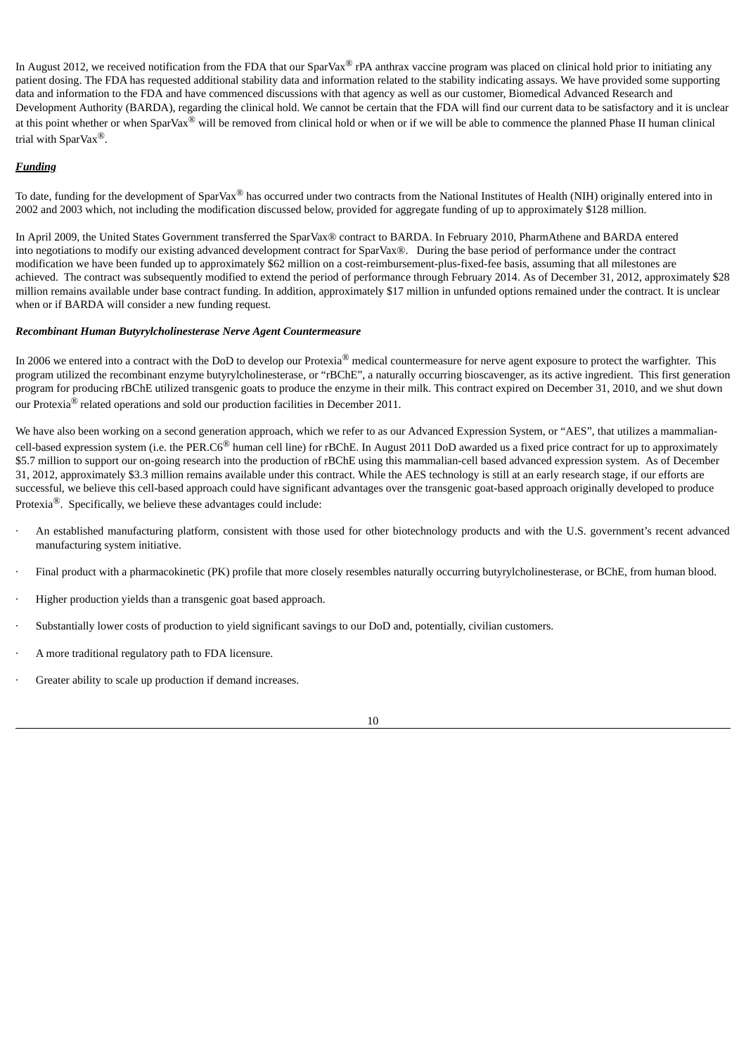In August 2012, we received notification from the FDA that our SparVax<sup>®</sup> rPA anthrax vaccine program was placed on clinical hold prior to initiating any patient dosing. The FDA has requested additional stability data and information related to the stability indicating assays. We have provided some supporting data and information to the FDA and have commenced discussions with that agency as well as our customer, Biomedical Advanced Research and Development Authority (BARDA), regarding the clinical hold. We cannot be certain that the FDA will find our current data to be satisfactory and it is unclear at this point whether or when SparVax<sup>®</sup> will be removed from clinical hold or when or if we will be able to commence the planned Phase II human clinical trial with SparVax®.

# *Funding*

To date, funding for the development of SparVax<sup>®</sup> has occurred under two contracts from the National Institutes of Health (NIH) originally entered into in 2002 and 2003 which, not including the modification discussed below, provided for aggregate funding of up to approximately \$128 million.

In April 2009, the United States Government transferred the SparVax® contract to BARDA. In February 2010, PharmAthene and BARDA entered into negotiations to modify our existing advanced development contract for SparVax®. During the base period of performance under the contract modification we have been funded up to approximately \$62 million on a cost-reimbursement-plus-fixed-fee basis, assuming that all milestones are achieved. The contract was subsequently modified to extend the period of performance through February 2014. As of December 31, 2012, approximately \$28 million remains available under base contract funding. In addition, approximately \$17 million in unfunded options remained under the contract. It is unclear when or if BARDA will consider a new funding request.

# *Recombinant Human Butyrylcholinesterase Nerve Agent Countermeasure*

In 2006 we entered into a contract with the DoD to develop our Protexia® medical countermeasure for nerve agent exposure to protect the warfighter. This program utilized the recombinant enzyme butyrylcholinesterase, or "rBChE", a naturally occurring bioscavenger, as its active ingredient. This first generation program for producing rBChE utilized transgenic goats to produce the enzyme in their milk. This contract expired on December 31, 2010, and we shut down our Protexia® related operations and sold our production facilities in December 2011.

We have also been working on a second generation approach, which we refer to as our Advanced Expression System, or "AES", that utilizes a mammaliancell-based expression system (i.e. the PER.C6® human cell line) for rBChE. In August 2011 DoD awarded us a fixed price contract for up to approximately \$5.7 million to support our on-going research into the production of rBChE using this mammalian-cell based advanced expression system. As of December 31, 2012, approximately \$3.3 million remains available under this contract. While the AES technology is still at an early research stage, if our efforts are successful, we believe this cell-based approach could have significant advantages over the transgenic goat-based approach originally developed to produce Protexia®. Specifically, we believe these advantages could include:

- · An established manufacturing platform, consistent with those used for other biotechnology products and with the U.S. government's recent advanced manufacturing system initiative.
- Final product with a pharmacokinetic (PK) profile that more closely resembles naturally occurring butyrylcholinesterase, or BChE, from human blood.
- Higher production yields than a transgenic goat based approach.
- Substantially lower costs of production to yield significant savings to our DoD and, potentially, civilian customers.
- · A more traditional regulatory path to FDA licensure.
- Greater ability to scale up production if demand increases.

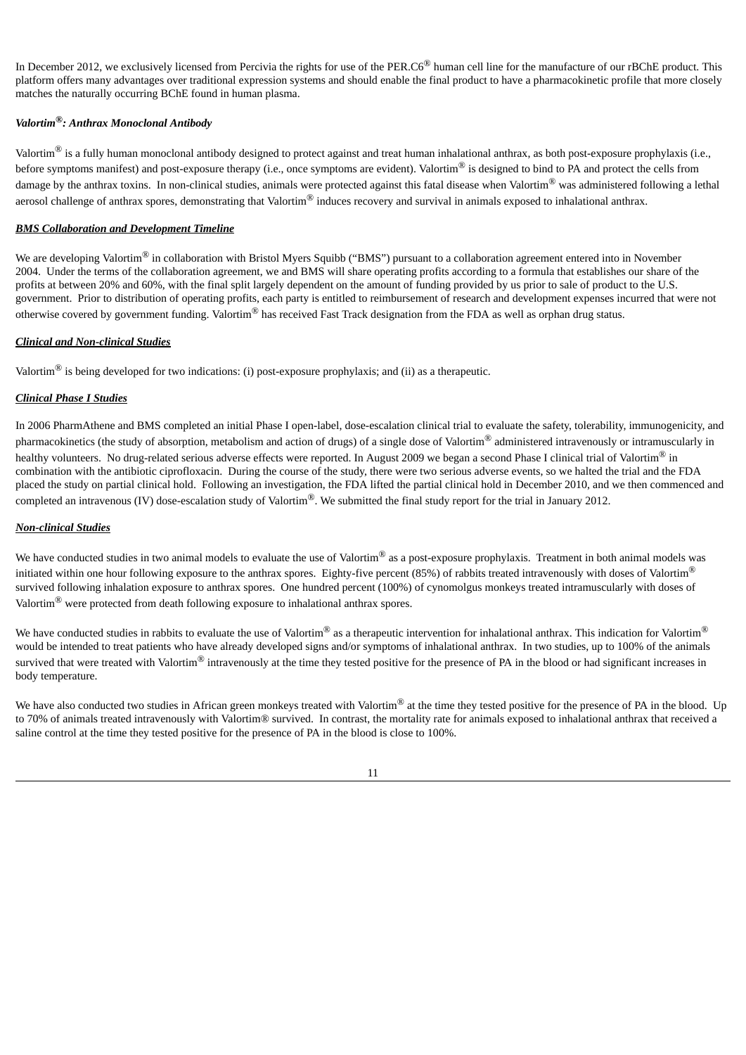In December 2012, we exclusively licensed from Percivia the rights for use of the PER.C6<sup>®</sup> human cell line for the manufacture of our rBChE product. This platform offers many advantages over traditional expression systems and should enable the final product to have a pharmacokinetic profile that more closely matches the naturally occurring BChE found in human plasma.

# *Valortim®: Anthrax Monoclonal Antibody*

Valortim<sup>®</sup> is a fully human monoclonal antibody designed to protect against and treat human inhalational anthrax, as both post-exposure prophylaxis (i.e., before symptoms manifest) and post-exposure therapy (i.e., once symptoms are evident). Valortim<sup>®</sup> is designed to bind to PA and protect the cells from damage by the anthrax toxins. In non-clinical studies, animals were protected against this fatal disease when Valortim<sup>®</sup> was administered following a lethal aerosol challenge of anthrax spores, demonstrating that Valortim<sup>®</sup> induces recovery and survival in animals exposed to inhalational anthrax.

# *BMS Collaboration and Development Timeline*

We are developing Valortim<sup>®</sup> in collaboration with Bristol Myers Squibb ("BMS") pursuant to a collaboration agreement entered into in November 2004. Under the terms of the collaboration agreement, we and BMS will share operating profits according to a formula that establishes our share of the profits at between 20% and 60%, with the final split largely dependent on the amount of funding provided by us prior to sale of product to the U.S. government. Prior to distribution of operating profits, each party is entitled to reimbursement of research and development expenses incurred that were not otherwise covered by government funding. Valortim® has received Fast Track designation from the FDA as well as orphan drug status.

# *Clinical and Non-clinical Studies*

Valortim<sup>®</sup> is being developed for two indications: (i) post-exposure prophylaxis; and (ii) as a therapeutic.

# *Clinical Phase I Studies*

In 2006 PharmAthene and BMS completed an initial Phase I open-label, dose-escalation clinical trial to evaluate the safety, tolerability, immunogenicity, and pharmacokinetics (the study of absorption, metabolism and action of drugs) of a single dose of Valortim® administered intravenously or intramuscularly in healthy volunteers. No drug-related serious adverse effects were reported. In August 2009 we began a second Phase I clinical trial of Valortim<sup>®</sup> in combination with the antibiotic ciprofloxacin. During the course of the study, there were two serious adverse events, so we halted the trial and the FDA placed the study on partial clinical hold. Following an investigation, the FDA lifted the partial clinical hold in December 2010, and we then commenced and completed an intravenous (IV) dose-escalation study of Valortim<sup>®</sup>. We submitted the final study report for the trial in January 2012.

# *Non-clinical Studies*

We have conducted studies in two animal models to evaluate the use of Valortim<sup>®</sup> as a post-exposure prophylaxis. Treatment in both animal models was initiated within one hour following exposure to the anthrax spores. Eighty-five percent (85%) of rabbits treated intravenously with doses of Valortim<sup>®</sup> survived following inhalation exposure to anthrax spores. One hundred percent (100%) of cynomolgus monkeys treated intramuscularly with doses of Valortim® were protected from death following exposure to inhalational anthrax spores.

We have conducted studies in rabbits to evaluate the use of Valortim<sup>®</sup> as a therapeutic intervention for inhalational anthrax. This indication for Valortim<sup>®</sup> would be intended to treat patients who have already developed signs and/or symptoms of inhalational anthrax. In two studies, up to 100% of the animals survived that were treated with Valortim<sup>®</sup> intravenously at the time they tested positive for the presence of PA in the blood or had significant increases in body temperature.

We have also conducted two studies in African green monkeys treated with Valortim<sup>®</sup> at the time they tested positive for the presence of PA in the blood. Up to 70% of animals treated intravenously with Valortim® survived. In contrast, the mortality rate for animals exposed to inhalational anthrax that received a saline control at the time they tested positive for the presence of PA in the blood is close to 100%.

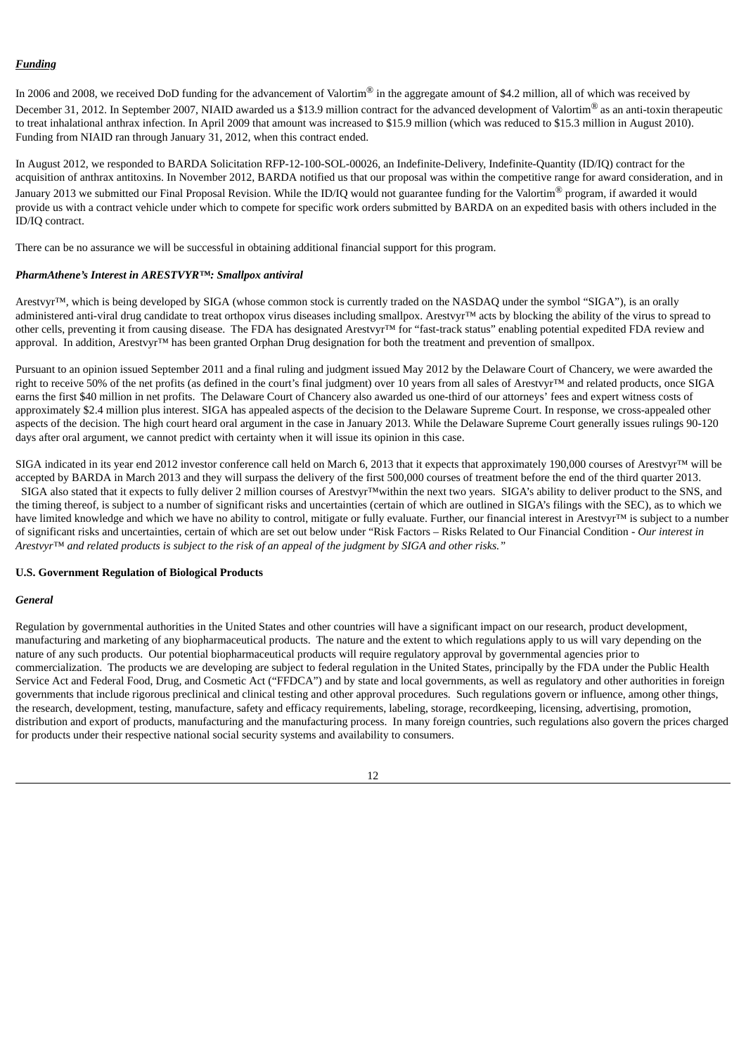# *Funding*

In 2006 and 2008, we received DoD funding for the advancement of Valortim<sup>®</sup> in the aggregate amount of \$4.2 million, all of which was received by December 31, 2012. In September 2007, NIAID awarded us a \$13.9 million contract for the advanced development of Valortim<sup>®</sup> as an anti-toxin therapeutic to treat inhalational anthrax infection. In April 2009 that amount was increased to \$15.9 million (which was reduced to \$15.3 million in August 2010). Funding from NIAID ran through January 31, 2012, when this contract ended.

In August 2012, we responded to BARDA Solicitation RFP-12-100-SOL-00026, an Indefinite-Delivery, Indefinite-Quantity (ID/IQ) contract for the acquisition of anthrax antitoxins. In November 2012, BARDA notified us that our proposal was within the competitive range for award consideration, and in January 2013 we submitted our Final Proposal Revision. While the ID/IQ would not guarantee funding for the Valortim<sup>®</sup> program, if awarded it would provide us with a contract vehicle under which to compete for specific work orders submitted by BARDA on an expedited basis with others included in the ID/IQ contract.

There can be no assurance we will be successful in obtaining additional financial support for this program.

#### *PharmAthene's Interest in ARESTVYR™: Smallpox antiviral*

Arestvyr™, which is being developed by SIGA (whose common stock is currently traded on the NASDAQ under the symbol "SIGA"), is an orally administered anti-viral drug candidate to treat orthopox virus diseases including smallpox. Arestvyr™ acts by blocking the ability of the virus to spread to other cells, preventing it from causing disease. The FDA has designated Arestvyr™ for "fast-track status" enabling potential expedited FDA review and approval. In addition, Arestvyr™ has been granted Orphan Drug designation for both the treatment and prevention of smallpox.

Pursuant to an opinion issued September 2011 and a final ruling and judgment issued May 2012 by the Delaware Court of Chancery, we were awarded the right to receive 50% of the net profits (as defined in the court's final judgment) over 10 years from all sales of Arestvyr™ and related products, once SIGA earns the first \$40 million in net profits. The Delaware Court of Chancery also awarded us one-third of our attorneys' fees and expert witness costs of approximately \$2.4 million plus interest. SIGA has appealed aspects of the decision to the Delaware Supreme Court. In response, we cross-appealed other aspects of the decision. The high court heard oral argument in the case in January 2013. While the Delaware Supreme Court generally issues rulings 90-120 days after oral argument, we cannot predict with certainty when it will issue its opinion in this case.

SIGA indicated in its year end 2012 investor conference call held on March 6, 2013 that it expects that approximately 190,000 courses of Arestvyr™ will be accepted by BARDA in March 2013 and they will surpass the delivery of the first 500,000 courses of treatment before the end of the third quarter 2013. SIGA also stated that it expects to fully deliver 2 million courses of Arestvyr™within the next two years. SIGA's ability to deliver product to the SNS, and the timing thereof, is subject to a number of significant risks and uncertainties (certain of which are outlined in SIGA's filings with the SEC), as to which we have limited knowledge and which we have no ability to control, mitigate or fully evaluate. Further, our financial interest in Arestvyr™ is subject to a number of significant risks and uncertainties, certain of which are set out below under "Risk Factors – Risks Related to Our Financial Condition - *Our interest in*  $A$ restvyr $T^M$  and related products is subject to the risk of an appeal of the judament by SIGA and other risks."

## **U.S. Government Regulation of Biological Products**

#### *General*

Regulation by governmental authorities in the United States and other countries will have a significant impact on our research, product development, manufacturing and marketing of any biopharmaceutical products. The nature and the extent to which regulations apply to us will vary depending on the nature of any such products. Our potential biopharmaceutical products will require regulatory approval by governmental agencies prior to commercialization. The products we are developing are subject to federal regulation in the United States, principally by the FDA under the Public Health Service Act and Federal Food, Drug, and Cosmetic Act ("FFDCA") and by state and local governments, as well as regulatory and other authorities in foreign governments that include rigorous preclinical and clinical testing and other approval procedures. Such regulations govern or influence, among other things, the research, development, testing, manufacture, safety and efficacy requirements, labeling, storage, recordkeeping, licensing, advertising, promotion, distribution and export of products, manufacturing and the manufacturing process. In many foreign countries, such regulations also govern the prices charged for products under their respective national social security systems and availability to consumers.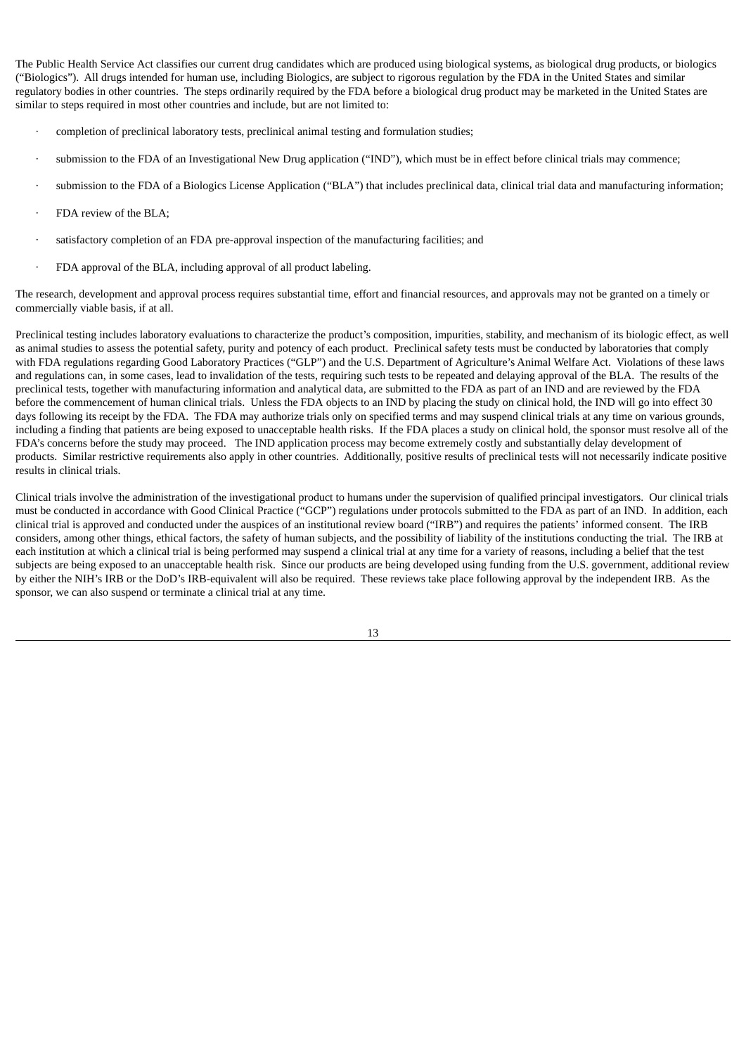The Public Health Service Act classifies our current drug candidates which are produced using biological systems, as biological drug products, or biologics ("Biologics"). All drugs intended for human use, including Biologics, are subject to rigorous regulation by the FDA in the United States and similar regulatory bodies in other countries. The steps ordinarily required by the FDA before a biological drug product may be marketed in the United States are similar to steps required in most other countries and include, but are not limited to:

- · completion of preclinical laboratory tests, preclinical animal testing and formulation studies;
- submission to the FDA of an Investigational New Drug application ("IND"), which must be in effect before clinical trials may commence;
- submission to the FDA of a Biologics License Application ("BLA") that includes preclinical data, clinical trial data and manufacturing information;
- · FDA review of the BLA;
- satisfactory completion of an FDA pre-approval inspection of the manufacturing facilities; and
- · FDA approval of the BLA, including approval of all product labeling.

The research, development and approval process requires substantial time, effort and financial resources, and approvals may not be granted on a timely or commercially viable basis, if at all.

Preclinical testing includes laboratory evaluations to characterize the product's composition, impurities, stability, and mechanism of its biologic effect, as well as animal studies to assess the potential safety, purity and potency of each product. Preclinical safety tests must be conducted by laboratories that comply with FDA regulations regarding Good Laboratory Practices ("GLP") and the U.S. Department of Agriculture's Animal Welfare Act. Violations of these laws and regulations can, in some cases, lead to invalidation of the tests, requiring such tests to be repeated and delaying approval of the BLA. The results of the preclinical tests, together with manufacturing information and analytical data, are submitted to the FDA as part of an IND and are reviewed by the FDA before the commencement of human clinical trials. Unless the FDA objects to an IND by placing the study on clinical hold, the IND will go into effect 30 days following its receipt by the FDA. The FDA may authorize trials only on specified terms and may suspend clinical trials at any time on various grounds, including a finding that patients are being exposed to unacceptable health risks. If the FDA places a study on clinical hold, the sponsor must resolve all of the FDA's concerns before the study may proceed. The IND application process may become extremely costly and substantially delay development of products. Similar restrictive requirements also apply in other countries. Additionally, positive results of preclinical tests will not necessarily indicate positive results in clinical trials.

Clinical trials involve the administration of the investigational product to humans under the supervision of qualified principal investigators. Our clinical trials must be conducted in accordance with Good Clinical Practice ("GCP") regulations under protocols submitted to the FDA as part of an IND. In addition, each clinical trial is approved and conducted under the auspices of an institutional review board ("IRB") and requires the patients' informed consent. The IRB considers, among other things, ethical factors, the safety of human subjects, and the possibility of liability of the institutions conducting the trial. The IRB at each institution at which a clinical trial is being performed may suspend a clinical trial at any time for a variety of reasons, including a belief that the test subjects are being exposed to an unacceptable health risk. Since our products are being developed using funding from the U.S. government, additional review by either the NIH's IRB or the DoD's IRB-equivalent will also be required. These reviews take place following approval by the independent IRB. As the sponsor, we can also suspend or terminate a clinical trial at any time.

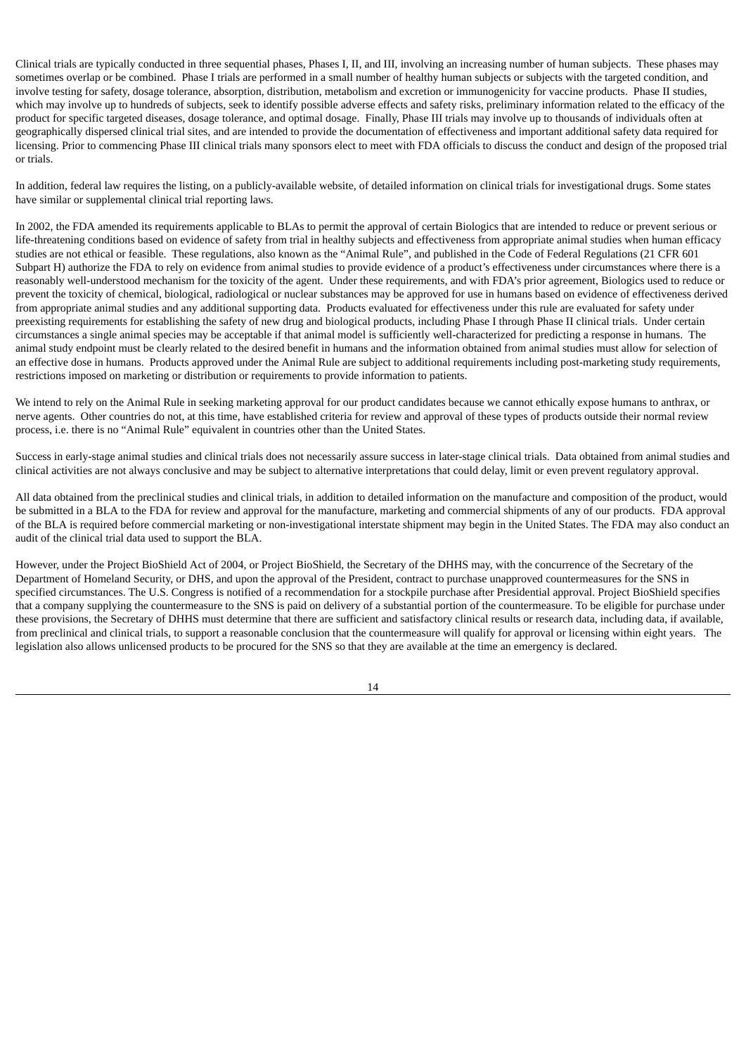Clinical trials are typically conducted in three sequential phases, Phases I, II, and III, involving an increasing number of human subjects. These phases may sometimes overlap or be combined. Phase I trials are performed in a small number of healthy human subjects or subjects with the targeted condition, and involve testing for safety, dosage tolerance, absorption, distribution, metabolism and excretion or immunogenicity for vaccine products. Phase II studies, which may involve up to hundreds of subjects, seek to identify possible adverse effects and safety risks, preliminary information related to the efficacy of the product for specific targeted diseases, dosage tolerance, and optimal dosage. Finally, Phase III trials may involve up to thousands of individuals often at geographically dispersed clinical trial sites, and are intended to provide the documentation of effectiveness and important additional safety data required for licensing. Prior to commencing Phase III clinical trials many sponsors elect to meet with FDA officials to discuss the conduct and design of the proposed trial or trials.

In addition, federal law requires the listing, on a publicly-available website, of detailed information on clinical trials for investigational drugs. Some states have similar or supplemental clinical trial reporting laws.

In 2002, the FDA amended its requirements applicable to BLAs to permit the approval of certain Biologics that are intended to reduce or prevent serious or life-threatening conditions based on evidence of safety from trial in healthy subjects and effectiveness from appropriate animal studies when human efficacy studies are not ethical or feasible. These regulations, also known as the "Animal Rule", and published in the Code of Federal Regulations (21 CFR 601 Subpart H) authorize the FDA to rely on evidence from animal studies to provide evidence of a product's effectiveness under circumstances where there is a reasonably well-understood mechanism for the toxicity of the agent. Under these requirements, and with FDA's prior agreement, Biologics used to reduce or prevent the toxicity of chemical, biological, radiological or nuclear substances may be approved for use in humans based on evidence of effectiveness derived from appropriate animal studies and any additional supporting data. Products evaluated for effectiveness under this rule are evaluated for safety under preexisting requirements for establishing the safety of new drug and biological products, including Phase I through Phase II clinical trials. Under certain circumstances a single animal species may be acceptable if that animal model is sufficiently well-characterized for predicting a response in humans. The animal study endpoint must be clearly related to the desired benefit in humans and the information obtained from animal studies must allow for selection of an effective dose in humans. Products approved under the Animal Rule are subject to additional requirements including post-marketing study requirements, restrictions imposed on marketing or distribution or requirements to provide information to patients.

We intend to rely on the Animal Rule in seeking marketing approval for our product candidates because we cannot ethically expose humans to anthrax, or nerve agents. Other countries do not, at this time, have established criteria for review and approval of these types of products outside their normal review process, i.e. there is no "Animal Rule" equivalent in countries other than the United States.

Success in early-stage animal studies and clinical trials does not necessarily assure success in later-stage clinical trials. Data obtained from animal studies and clinical activities are not always conclusive and may be subject to alternative interpretations that could delay, limit or even prevent regulatory approval.

All data obtained from the preclinical studies and clinical trials, in addition to detailed information on the manufacture and composition of the product, would be submitted in a BLA to the FDA for review and approval for the manufacture, marketing and commercial shipments of any of our products. FDA approval of the BLA is required before commercial marketing or non-investigational interstate shipment may begin in the United States. The FDA may also conduct an audit of the clinical trial data used to support the BLA.

However, under the Project BioShield Act of 2004, or Project BioShield, the Secretary of the DHHS may, with the concurrence of the Secretary of the Department of Homeland Security, or DHS, and upon the approval of the President, contract to purchase unapproved countermeasures for the SNS in specified circumstances. The U.S. Congress is notified of a recommendation for a stockpile purchase after Presidential approval. Project BioShield specifies that a company supplying the countermeasure to the SNS is paid on delivery of a substantial portion of the countermeasure. To be eligible for purchase under these provisions, the Secretary of DHHS must determine that there are sufficient and satisfactory clinical results or research data, including data, if available, from preclinical and clinical trials, to support a reasonable conclusion that the countermeasure will qualify for approval or licensing within eight years. The legislation also allows unlicensed products to be procured for the SNS so that they are available at the time an emergency is declared.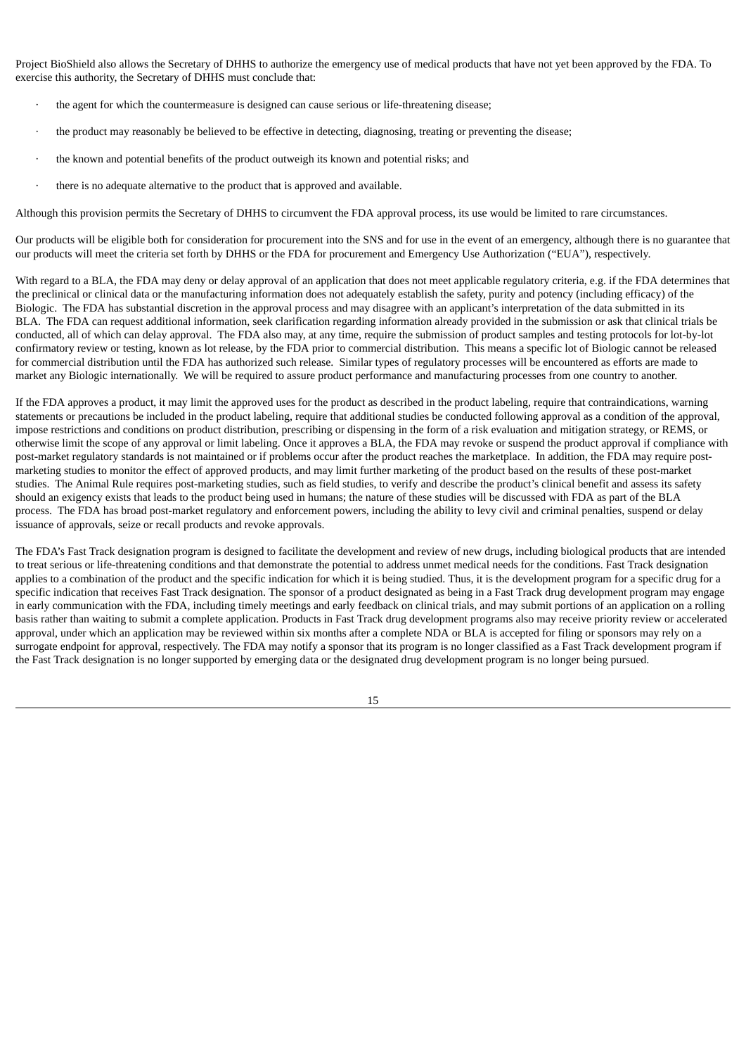Project BioShield also allows the Secretary of DHHS to authorize the emergency use of medical products that have not yet been approved by the FDA. To exercise this authority, the Secretary of DHHS must conclude that:

- · the agent for which the countermeasure is designed can cause serious or life-threatening disease;
- · the product may reasonably be believed to be effective in detecting, diagnosing, treating or preventing the disease;
- the known and potential benefits of the product outweigh its known and potential risks; and
- · there is no adequate alternative to the product that is approved and available.

Although this provision permits the Secretary of DHHS to circumvent the FDA approval process, its use would be limited to rare circumstances.

Our products will be eligible both for consideration for procurement into the SNS and for use in the event of an emergency, although there is no guarantee that our products will meet the criteria set forth by DHHS or the FDA for procurement and Emergency Use Authorization ("EUA"), respectively.

With regard to a BLA, the FDA may deny or delay approval of an application that does not meet applicable regulatory criteria, e.g. if the FDA determines that the preclinical or clinical data or the manufacturing information does not adequately establish the safety, purity and potency (including efficacy) of the Biologic. The FDA has substantial discretion in the approval process and may disagree with an applicant's interpretation of the data submitted in its BLA. The FDA can request additional information, seek clarification regarding information already provided in the submission or ask that clinical trials be conducted, all of which can delay approval. The FDA also may, at any time, require the submission of product samples and testing protocols for lot-by-lot confirmatory review or testing, known as lot release, by the FDA prior to commercial distribution. This means a specific lot of Biologic cannot be released for commercial distribution until the FDA has authorized such release. Similar types of regulatory processes will be encountered as efforts are made to market any Biologic internationally. We will be required to assure product performance and manufacturing processes from one country to another.

If the FDA approves a product, it may limit the approved uses for the product as described in the product labeling, require that contraindications, warning statements or precautions be included in the product labeling, require that additional studies be conducted following approval as a condition of the approval, impose restrictions and conditions on product distribution, prescribing or dispensing in the form of a risk evaluation and mitigation strategy, or REMS, or otherwise limit the scope of any approval or limit labeling. Once it approves a BLA, the FDA may revoke or suspend the product approval if compliance with post-market regulatory standards is not maintained or if problems occur after the product reaches the marketplace. In addition, the FDA may require postmarketing studies to monitor the effect of approved products, and may limit further marketing of the product based on the results of these post-market studies. The Animal Rule requires post-marketing studies, such as field studies, to verify and describe the product's clinical benefit and assess its safety should an exigency exists that leads to the product being used in humans; the nature of these studies will be discussed with FDA as part of the BLA process. The FDA has broad post-market regulatory and enforcement powers, including the ability to levy civil and criminal penalties, suspend or delay issuance of approvals, seize or recall products and revoke approvals.

The FDA's Fast Track designation program is designed to facilitate the development and review of new drugs, including biological products that are intended to treat serious or life-threatening conditions and that demonstrate the potential to address unmet medical needs for the conditions. Fast Track designation applies to a combination of the product and the specific indication for which it is being studied. Thus, it is the development program for a specific drug for a specific indication that receives Fast Track designation. The sponsor of a product designated as being in a Fast Track drug development program may engage in early communication with the FDA, including timely meetings and early feedback on clinical trials, and may submit portions of an application on a rolling basis rather than waiting to submit a complete application. Products in Fast Track drug development programs also may receive priority review or accelerated approval, under which an application may be reviewed within six months after a complete NDA or BLA is accepted for filing or sponsors may rely on a surrogate endpoint for approval, respectively. The FDA may notify a sponsor that its program is no longer classified as a Fast Track development program if the Fast Track designation is no longer supported by emerging data or the designated drug development program is no longer being pursued.

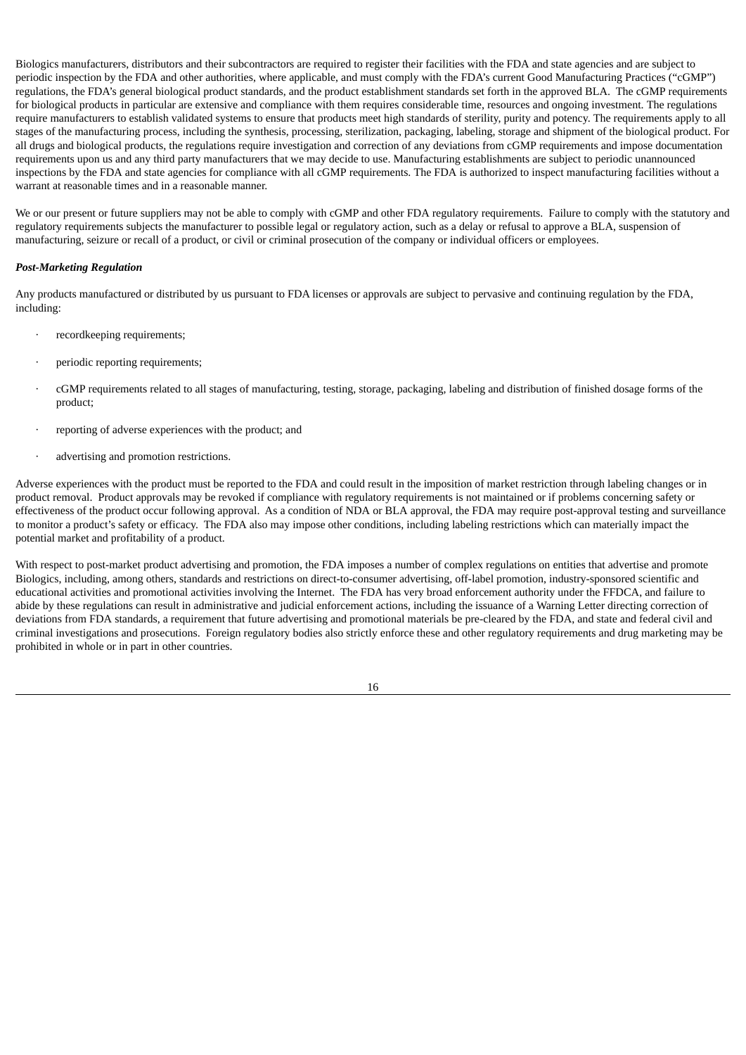Biologics manufacturers, distributors and their subcontractors are required to register their facilities with the FDA and state agencies and are subject to periodic inspection by the FDA and other authorities, where applicable, and must comply with the FDA's current Good Manufacturing Practices ("cGMP") regulations, the FDA's general biological product standards, and the product establishment standards set forth in the approved BLA. The cGMP requirements for biological products in particular are extensive and compliance with them requires considerable time, resources and ongoing investment. The regulations require manufacturers to establish validated systems to ensure that products meet high standards of sterility, purity and potency. The requirements apply to all stages of the manufacturing process, including the synthesis, processing, sterilization, packaging, labeling, storage and shipment of the biological product. For all drugs and biological products, the regulations require investigation and correction of any deviations from cGMP requirements and impose documentation requirements upon us and any third party manufacturers that we may decide to use. Manufacturing establishments are subject to periodic unannounced inspections by the FDA and state agencies for compliance with all cGMP requirements. The FDA is authorized to inspect manufacturing facilities without a warrant at reasonable times and in a reasonable manner.

We or our present or future suppliers may not be able to comply with cGMP and other FDA regulatory requirements. Failure to comply with the statutory and regulatory requirements subjects the manufacturer to possible legal or regulatory action, such as a delay or refusal to approve a BLA, suspension of manufacturing, seizure or recall of a product, or civil or criminal prosecution of the company or individual officers or employees.

# *Post-Marketing Regulation*

Any products manufactured or distributed by us pursuant to FDA licenses or approvals are subject to pervasive and continuing regulation by the FDA, including:

- · recordkeeping requirements;
- periodic reporting requirements;
- · cGMP requirements related to all stages of manufacturing, testing, storage, packaging, labeling and distribution of finished dosage forms of the product;
- reporting of adverse experiences with the product; and
- advertising and promotion restrictions.

Adverse experiences with the product must be reported to the FDA and could result in the imposition of market restriction through labeling changes or in product removal. Product approvals may be revoked if compliance with regulatory requirements is not maintained or if problems concerning safety or effectiveness of the product occur following approval. As a condition of NDA or BLA approval, the FDA may require post-approval testing and surveillance to monitor a product's safety or efficacy. The FDA also may impose other conditions, including labeling restrictions which can materially impact the potential market and profitability of a product.

With respect to post-market product advertising and promotion, the FDA imposes a number of complex regulations on entities that advertise and promote Biologics, including, among others, standards and restrictions on direct-to-consumer advertising, off-label promotion, industry-sponsored scientific and educational activities and promotional activities involving the Internet. The FDA has very broad enforcement authority under the FFDCA, and failure to abide by these regulations can result in administrative and judicial enforcement actions, including the issuance of a Warning Letter directing correction of deviations from FDA standards, a requirement that future advertising and promotional materials be pre-cleared by the FDA, and state and federal civil and criminal investigations and prosecutions. Foreign regulatory bodies also strictly enforce these and other regulatory requirements and drug marketing may be prohibited in whole or in part in other countries.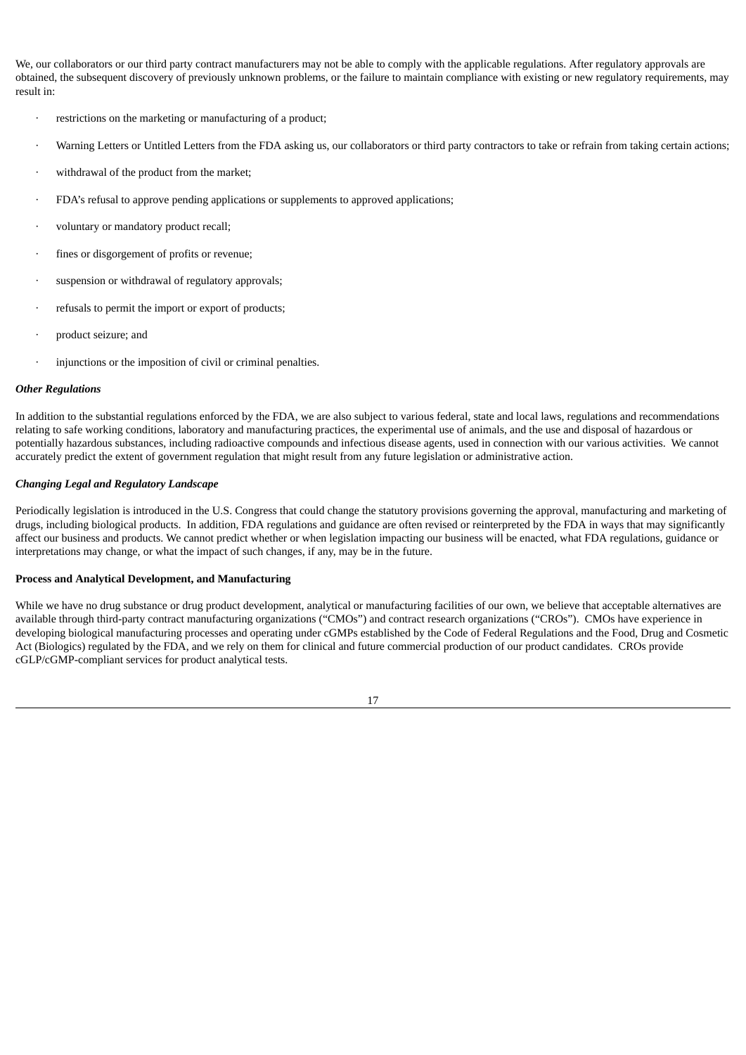We, our collaborators or our third party contract manufacturers may not be able to comply with the applicable regulations. After regulatory approvals are obtained, the subsequent discovery of previously unknown problems, or the failure to maintain compliance with existing or new regulatory requirements, may result in:

- restrictions on the marketing or manufacturing of a product;
- Warning Letters or Untitled Letters from the FDA asking us, our collaborators or third party contractors to take or refrain from taking certain actions;
- withdrawal of the product from the market;
- · FDA's refusal to approve pending applications or supplements to approved applications;
- voluntary or mandatory product recall;
- fines or disgorgement of profits or revenue;
- suspension or withdrawal of regulatory approvals;
- refusals to permit the import or export of products;
- product seizure; and
- injunctions or the imposition of civil or criminal penalties.

# *Other Regulations*

In addition to the substantial regulations enforced by the FDA, we are also subject to various federal, state and local laws, regulations and recommendations relating to safe working conditions, laboratory and manufacturing practices, the experimental use of animals, and the use and disposal of hazardous or potentially hazardous substances, including radioactive compounds and infectious disease agents, used in connection with our various activities. We cannot accurately predict the extent of government regulation that might result from any future legislation or administrative action.

# *Changing Legal and Regulatory Landscape*

Periodically legislation is introduced in the U.S. Congress that could change the statutory provisions governing the approval, manufacturing and marketing of drugs, including biological products. In addition, FDA regulations and guidance are often revised or reinterpreted by the FDA in ways that may significantly affect our business and products. We cannot predict whether or when legislation impacting our business will be enacted, what FDA regulations, guidance or interpretations may change, or what the impact of such changes, if any, may be in the future.

# **Process and Analytical Development, and Manufacturing**

While we have no drug substance or drug product development, analytical or manufacturing facilities of our own, we believe that acceptable alternatives are available through third-party contract manufacturing organizations ("CMOs") and contract research organizations ("CROs"). CMOs have experience in developing biological manufacturing processes and operating under cGMPs established by the Code of Federal Regulations and the Food, Drug and Cosmetic Act (Biologics) regulated by the FDA, and we rely on them for clinical and future commercial production of our product candidates. CROs provide cGLP/cGMP-compliant services for product analytical tests.

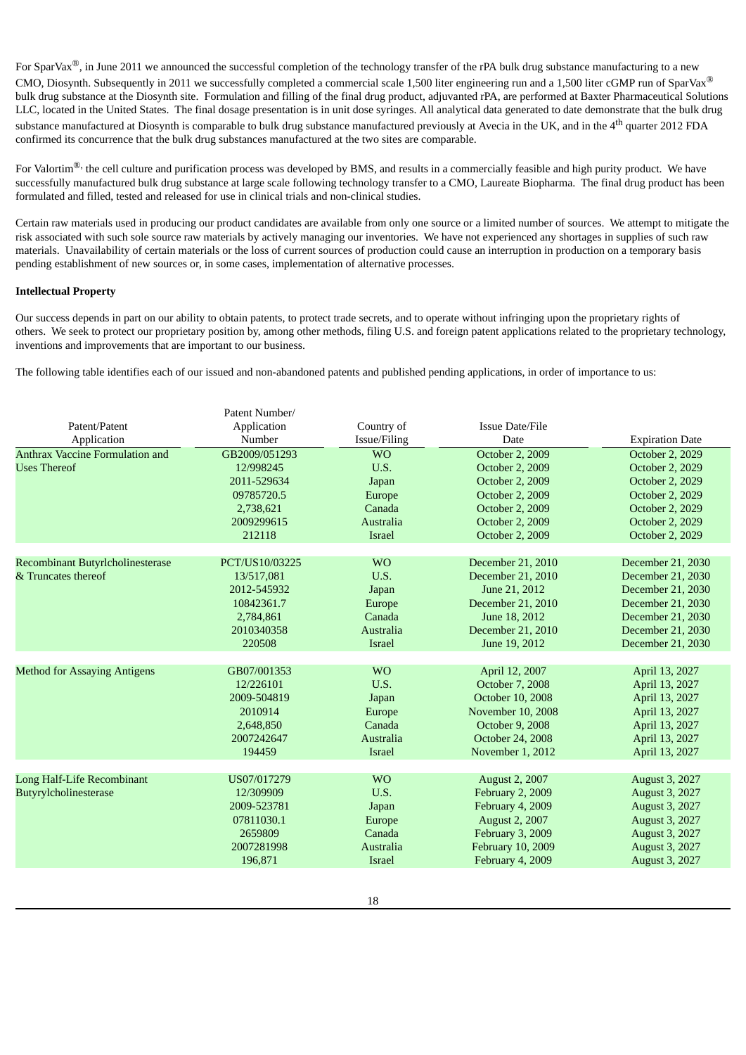For SparVax<sup>®</sup>, in June 2011 we announced the successful completion of the technology transfer of the rPA bulk drug substance manufacturing to a new CMO, Diosynth. Subsequently in 2011 we successfully completed a commercial scale 1,500 liter engineering run and a 1,500 liter cGMP run of SparVax<sup>®</sup> bulk drug substance at the Diosynth site. Formulation and filling of the final drug product, adjuvanted rPA, are performed at Baxter Pharmaceutical Solutions LLC, located in the United States. The final dosage presentation is in unit dose syringes. All analytical data generated to date demonstrate that the bulk drug substance manufactured at Diosynth is comparable to bulk drug substance manufactured previously at Avecia in the UK, and in the 4<sup>th</sup> quarter 2012 FDA confirmed its concurrence that the bulk drug substances manufactured at the two sites are comparable.

For Valortim<sup>®,</sup> the cell culture and purification process was developed by BMS, and results in a commercially feasible and high purity product. We have successfully manufactured bulk drug substance at large scale following technology transfer to a CMO, Laureate Biopharma. The final drug product has been formulated and filled, tested and released for use in clinical trials and non-clinical studies.

Certain raw materials used in producing our product candidates are available from only one source or a limited number of sources. We attempt to mitigate the risk associated with such sole source raw materials by actively managing our inventories. We have not experienced any shortages in supplies of such raw materials. Unavailability of certain materials or the loss of current sources of production could cause an interruption in production on a temporary basis pending establishment of new sources or, in some cases, implementation of alternative processes.

# **Intellectual Property**

Our success depends in part on our ability to obtain patents, to protect trade secrets, and to operate without infringing upon the proprietary rights of others. We seek to protect our proprietary position by, among other methods, filing U.S. and foreign patent applications related to the proprietary technology, inventions and improvements that are important to our business.

The following table identifies each of our issued and non-abandoned patents and published pending applications, in order of importance to us:

|                                         | Patent Number/ |                     |                        |                        |
|-----------------------------------------|----------------|---------------------|------------------------|------------------------|
| Patent/Patent                           | Application    | Country of          | <b>Issue Date/File</b> |                        |
| Application                             | Number         | Issue/Filing        | Date                   | <b>Expiration Date</b> |
| Anthrax Vaccine Formulation and         | GB2009/051293  | <b>WO</b>           | October 2, 2009        | October 2, 2029        |
| <b>Uses Thereof</b>                     | 12/998245      | U.S.                | October 2, 2009        | October 2, 2029        |
|                                         | 2011-529634    | Japan               | October 2, 2009        | October 2, 2029        |
|                                         | 09785720.5     | Europe              | October 2, 2009        | October 2, 2029        |
|                                         | 2,738,621      | Canada              | October 2, 2009        | October 2, 2029        |
|                                         | 2009299615     | Australia           | October 2, 2009        | October 2, 2029        |
|                                         | 212118         | <b>Israel</b>       | October 2, 2009        | October 2, 2029        |
|                                         |                |                     |                        |                        |
| <b>Recombinant Butyrlcholinesterase</b> | PCT/US10/03225 | <b>WO</b>           | December 21, 2010      | December 21, 2030      |
| & Truncates thereof                     | 13/517,081     | U.S.                | December 21, 2010      | December 21, 2030      |
|                                         | 2012-545932    | Japan               | June 21, 2012          | December 21, 2030      |
|                                         | 10842361.7     | Europe              | December 21, 2010      | December 21, 2030      |
|                                         | 2,784,861      | Canada<br>Australia | June 18, 2012          | December 21, 2030      |
|                                         | 2010340358     |                     | December 21, 2010      | December 21, 2030      |
|                                         | 220508         | <b>Israel</b>       | June 19, 2012          | December 21, 2030      |
| <b>Method for Assaying Antigens</b>     | GB07/001353    | <b>WO</b>           | April 12, 2007         | April 13, 2027         |
|                                         | 12/226101      | U.S.                | October 7, 2008        | April 13, 2027         |
|                                         | 2009-504819    | Japan               | October 10, 2008       | April 13, 2027         |
|                                         | 2010914        | Europe              | November 10, 2008      | April 13, 2027         |
|                                         | 2,648,850      | Canada              | October 9, 2008        | April 13, 2027         |
|                                         | 2007242647     | Australia           | October 24, 2008       | April 13, 2027         |
|                                         | 194459         | Israel              | November 1, 2012       | April 13, 2027         |
|                                         |                |                     |                        |                        |
| Long Half-Life Recombinant              | US07/017279    | <b>WO</b>           | <b>August 2, 2007</b>  | August 3, 2027         |
| Butyrylcholinesterase                   | 12/309909      | U.S.                | February 2, 2009       | August 3, 2027         |
|                                         | 2009-523781    | Japan               | February 4, 2009       | August 3, 2027         |
|                                         | 07811030.1     | Europe              | August 2, 2007         | August 3, 2027         |
|                                         | 2659809        | Canada              | February 3, 2009       | August 3, 2027         |
|                                         | 2007281998     | Australia           | February 10, 2009      | August 3, 2027         |
|                                         | 196,871        | <b>Israel</b>       | February 4, 2009       | August 3, 2027         |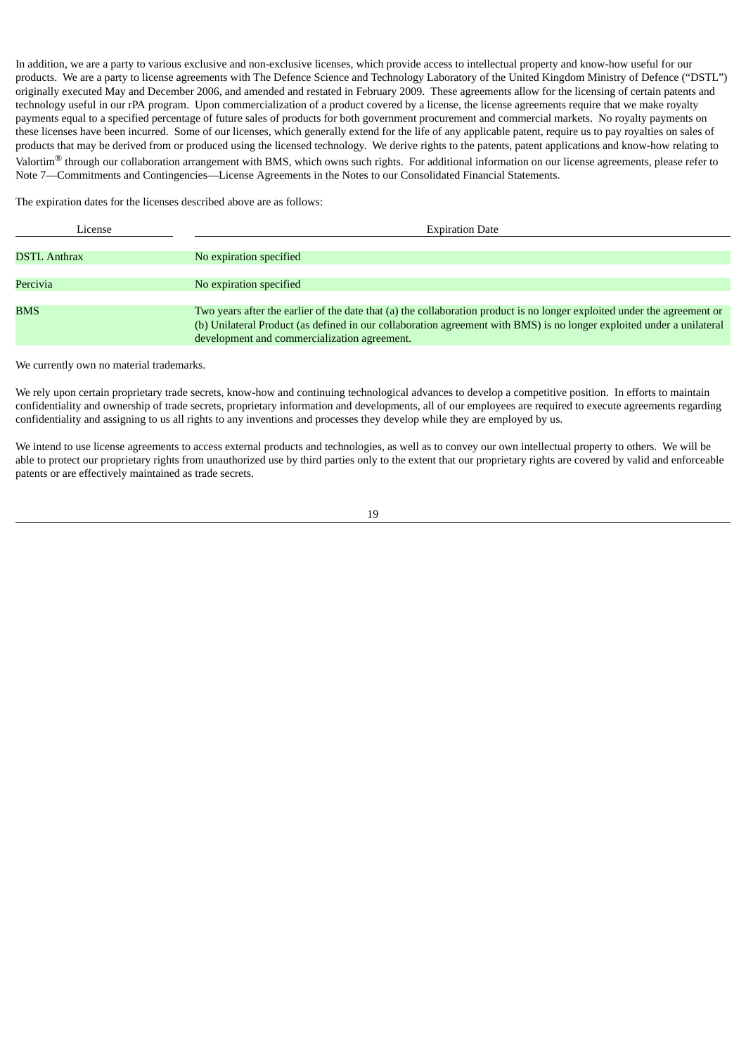In addition, we are a party to various exclusive and non-exclusive licenses, which provide access to intellectual property and know-how useful for our products. We are a party to license agreements with The Defence Science and Technology Laboratory of the United Kingdom Ministry of Defence ("DSTL") originally executed May and December 2006, and amended and restated in February 2009. These agreements allow for the licensing of certain patents and technology useful in our rPA program. Upon commercialization of a product covered by a license, the license agreements require that we make royalty payments equal to a specified percentage of future sales of products for both government procurement and commercial markets. No royalty payments on these licenses have been incurred. Some of our licenses, which generally extend for the life of any applicable patent, require us to pay royalties on sales of products that may be derived from or produced using the licensed technology. We derive rights to the patents, patent applications and know-how relating to Valortim® through our collaboration arrangement with BMS, which owns such rights. For additional information on our license agreements, please refer to Note 7—Commitments and Contingencies—License Agreements in the Notes to our Consolidated Financial Statements.

The expiration dates for the licenses described above are as follows:

| License             | <b>Expiration Date</b>                                                                                                                                                                                                                                                                            |  |  |
|---------------------|---------------------------------------------------------------------------------------------------------------------------------------------------------------------------------------------------------------------------------------------------------------------------------------------------|--|--|
|                     |                                                                                                                                                                                                                                                                                                   |  |  |
| <b>DSTL Anthrax</b> | No expiration specified                                                                                                                                                                                                                                                                           |  |  |
| Percivia            | No expiration specified                                                                                                                                                                                                                                                                           |  |  |
|                     |                                                                                                                                                                                                                                                                                                   |  |  |
| <b>BMS</b>          | Two years after the earlier of the date that (a) the collaboration product is no longer exploited under the agreement or<br>(b) Unilateral Product (as defined in our collaboration agreement with BMS) is no longer exploited under a unilateral<br>development and commercialization agreement. |  |  |

We currently own no material trademarks.

We rely upon certain proprietary trade secrets, know-how and continuing technological advances to develop a competitive position. In efforts to maintain confidentiality and ownership of trade secrets, proprietary information and developments, all of our employees are required to execute agreements regarding confidentiality and assigning to us all rights to any inventions and processes they develop while they are employed by us.

We intend to use license agreements to access external products and technologies, as well as to convey our own intellectual property to others. We will be able to protect our proprietary rights from unauthorized use by third parties only to the extent that our proprietary rights are covered by valid and enforceable patents or are effectively maintained as trade secrets.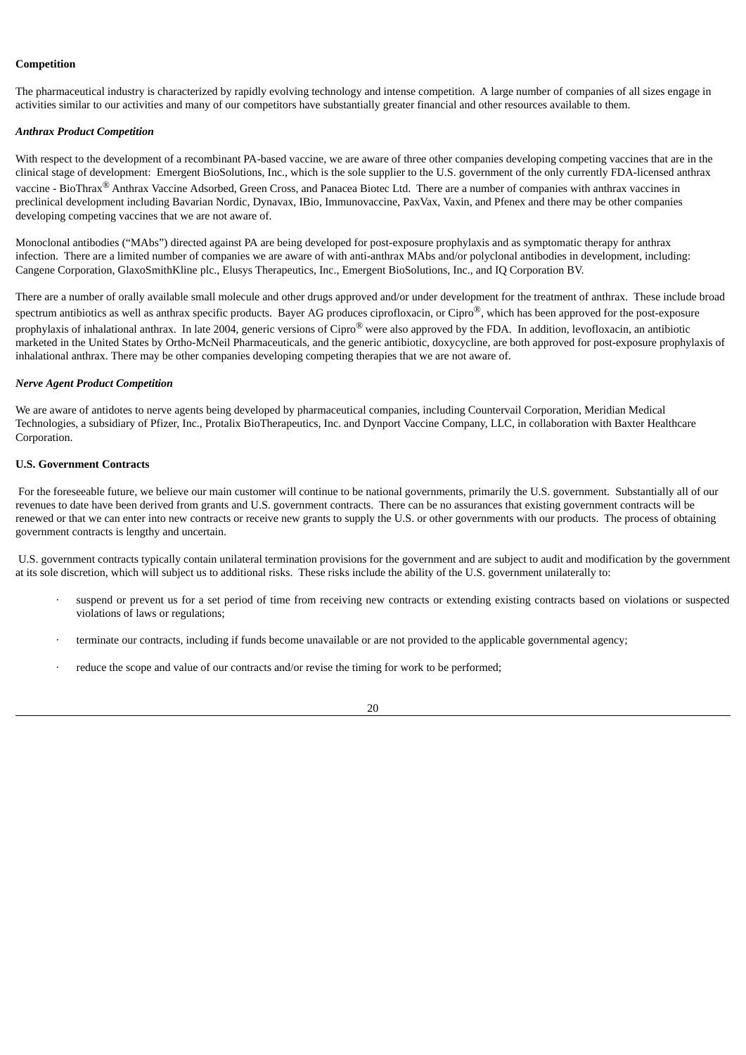### **Competition**

The pharmaceutical industry is characterized by rapidly evolving technology and intense competition. A large number of companies of all sizes engage in activities similar to our activities and many of our competitors have substantially greater financial and other resources available to them.

# *Anthrax Product Competition*

With respect to the development of a recombinant PA-based vaccine, we are aware of three other companies developing competing vaccines that are in the clinical stage of development: Emergent BioSolutions, Inc., which is the sole supplier to the U.S. government of the only currently FDA-licensed anthrax vaccine - BioThrax® Anthrax Vaccine Adsorbed, Green Cross, and Panacea Biotec Ltd. There are a number of companies with anthrax vaccines in preclinical development including Bavarian Nordic, Dynavax, IBio, Immunovaccine, PaxVax, Vaxin, and Pfenex and there may be other companies developing competing vaccines that we are not aware of.

Monoclonal antibodies ("MAbs") directed against PA are being developed for post-exposure prophylaxis and as symptomatic therapy for anthrax infection. There are a limited number of companies we are aware of with anti-anthrax MAbs and/or polyclonal antibodies in development, including: Cangene Corporation, GlaxoSmithKline plc., Elusys Therapeutics, Inc., Emergent BioSolutions, Inc., and IQ Corporation BV.

There are a number of orally available small molecule and other drugs approved and/or under development for the treatment of anthrax. These include broad spectrum antibiotics as well as anthrax specific products. Bayer AG produces ciprofloxacin, or Cipro®, which has been approved for the post-exposure prophylaxis of inhalational anthrax. In late 2004, generic versions of Cipro® were also approved by the FDA. In addition, levofloxacin, an antibiotic marketed in the United States by Ortho-McNeil Pharmaceuticals, and the generic antibiotic, doxycycline, are both approved for post-exposure prophylaxis of inhalational anthrax. There may be other companies developing competing therapies that we are not aware of.

### *Nerve Agent Product Competition*

We are aware of antidotes to nerve agents being developed by pharmaceutical companies, including Countervail Corporation, Meridian Medical Technologies, a subsidiary of Pfizer, Inc., Protalix BioTherapeutics, Inc. and Dynport Vaccine Company, LLC, in collaboration with Baxter Healthcare Corporation.

# **U.S. Government Contracts**

For the foreseeable future, we believe our main customer will continue to be national governments, primarily the U.S. government. Substantially all of our revenues to date have been derived from grants and U.S. government contracts. There can be no assurances that existing government contracts will be renewed or that we can enter into new contracts or receive new grants to supply the U.S. or other governments with our products. The process of obtaining government contracts is lengthy and uncertain.

U.S. government contracts typically contain unilateral termination provisions for the government and are subject to audit and modification by the government at its sole discretion, which will subject us to additional risks. These risks include the ability of the U.S. government unilaterally to:

- suspend or prevent us for a set period of time from receiving new contracts or extending existing contracts based on violations or suspected violations of laws or regulations;
- · terminate our contracts, including if funds become unavailable or are not provided to the applicable governmental agency;
- reduce the scope and value of our contracts and/or revise the timing for work to be performed;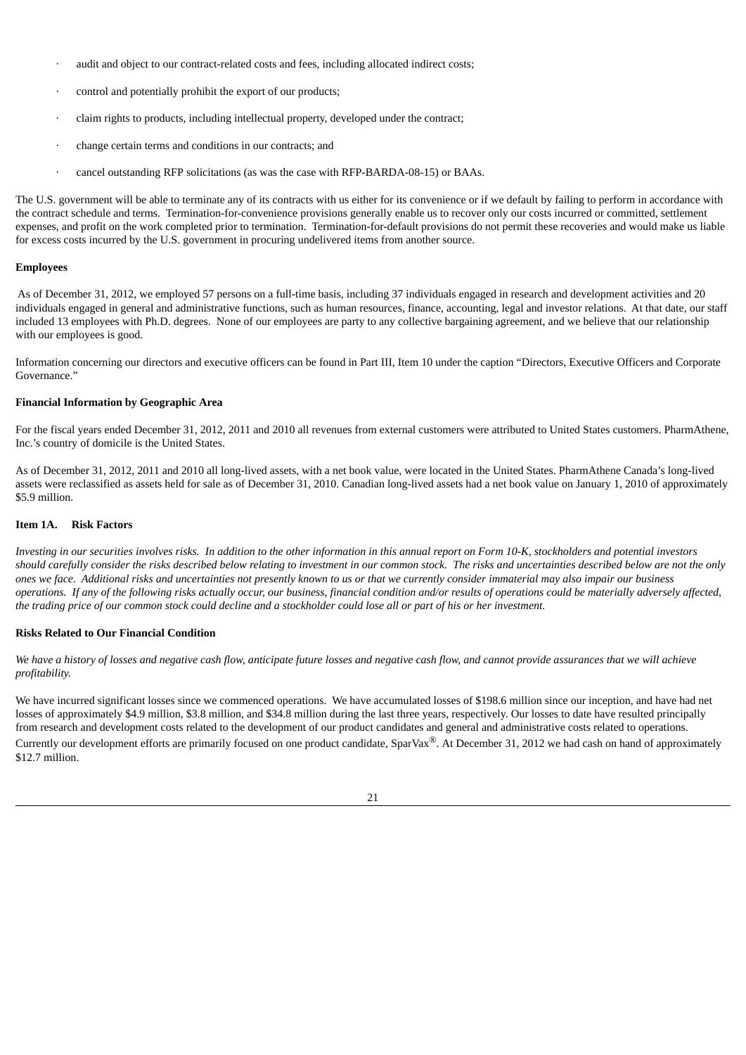- audit and object to our contract-related costs and fees, including allocated indirect costs;
- control and potentially prohibit the export of our products;
- · claim rights to products, including intellectual property, developed under the contract;
- · change certain terms and conditions in our contracts; and
- · cancel outstanding RFP solicitations (as was the case with RFP-BARDA-08-15) or BAAs.

The U.S. government will be able to terminate any of its contracts with us either for its convenience or if we default by failing to perform in accordance with the contract schedule and terms. Termination-for-convenience provisions generally enable us to recover only our costs incurred or committed, settlement expenses, and profit on the work completed prior to termination. Termination-for-default provisions do not permit these recoveries and would make us liable for excess costs incurred by the U.S. government in procuring undelivered items from another source.

## **Employees**

As of December 31, 2012, we employed 57 persons on a full-time basis, including 37 individuals engaged in research and development activities and 20 individuals engaged in general and administrative functions, such as human resources, finance, accounting, legal and investor relations. At that date, our staff included 13 employees with Ph.D. degrees. None of our employees are party to any collective bargaining agreement, and we believe that our relationship with our employees is good.

Information concerning our directors and executive officers can be found in Part III, Item 10 under the caption "Directors, Executive Officers and Corporate Governance."

### **Financial Information by Geographic Area**

For the fiscal years ended December 31, 2012, 2011 and 2010 all revenues from external customers were attributed to United States customers. PharmAthene, Inc.'s country of domicile is the United States.

As of December 31, 2012, 2011 and 2010 all long-lived assets, with a net book value, were located in the United States. PharmAthene Canada's long-lived assets were reclassified as assets held for sale as of December 31, 2010. Canadian long-lived assets had a net book value on January 1, 2010 of approximately \$5.9 million.

## **Item 1A. Risk Factors**

Investing in our securities involves risks. In addition to the other information in this annual report on Form 10-K, stockholders and potential investors should carefully consider the risks described below relating to investment in our common stock. The risks and uncertainties described below are not the only ones we face. Additional risks and uncertainties not presently known to us or that we currently consider immaterial may also impair our business operations. If any of the following risks actually occur, our business, financial condition and/or results of operations could be materially adversely affected, the trading price of our common stock could decline and a stockholder could lose all or part of his or her investment.

#### **Risks Related to Our Financial Condition**

We have a history of losses and negative cash flow, anticipate future losses and negative cash flow, and cannot provide assurances that we will achieve *profitability.*

We have incurred significant losses since we commenced operations. We have accumulated losses of \$198.6 million since our inception, and have had net losses of approximately \$4.9 million, \$3.8 million, and \$34.8 million during the last three years, respectively. Our losses to date have resulted principally from research and development costs related to the development of our product candidates and general and administrative costs related to operations. Currently our development efforts are primarily focused on one product candidate, SparVax®. At December 31, 2012 we had cash on hand of approximately \$12.7 million.

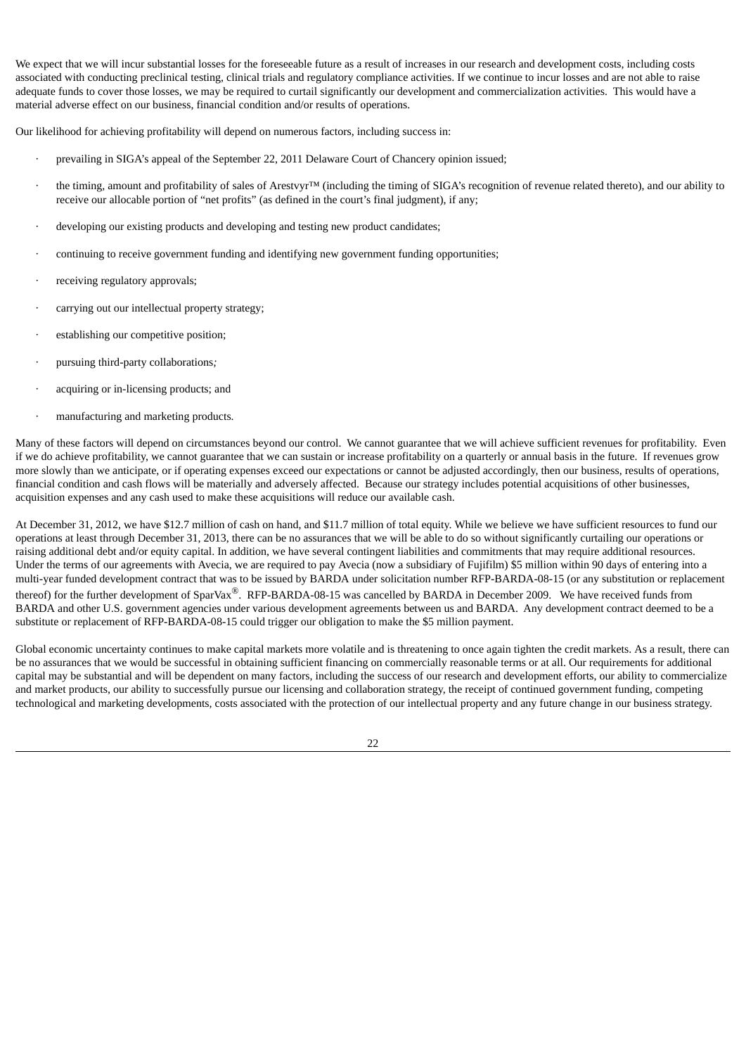We expect that we will incur substantial losses for the foreseeable future as a result of increases in our research and development costs, including costs associated with conducting preclinical testing, clinical trials and regulatory compliance activities. If we continue to incur losses and are not able to raise adequate funds to cover those losses, we may be required to curtail significantly our development and commercialization activities. This would have a material adverse effect on our business, financial condition and/or results of operations.

Our likelihood for achieving profitability will depend on numerous factors, including success in:

- · prevailing in SIGA's appeal of the September 22, 2011 Delaware Court of Chancery opinion issued;
- the timing, amount and profitability of sales of Arestvyr™ (including the timing of SIGA's recognition of revenue related thereto), and our ability to receive our allocable portion of "net profits" (as defined in the court's final judgment), if any;
- developing our existing products and developing and testing new product candidates;
- · continuing to receive government funding and identifying new government funding opportunities;
- receiving regulatory approvals;
- carrying out our intellectual property strategy;
- establishing our competitive position;
- · pursuing third-party collaborations*;*
- acquiring or in-licensing products; and
- manufacturing and marketing products.

Many of these factors will depend on circumstances beyond our control. We cannot guarantee that we will achieve sufficient revenues for profitability. Even if we do achieve profitability, we cannot guarantee that we can sustain or increase profitability on a quarterly or annual basis in the future. If revenues grow more slowly than we anticipate, or if operating expenses exceed our expectations or cannot be adjusted accordingly, then our business, results of operations, financial condition and cash flows will be materially and adversely affected. Because our strategy includes potential acquisitions of other businesses, acquisition expenses and any cash used to make these acquisitions will reduce our available cash.

At December 31, 2012, we have \$12.7 million of cash on hand, and \$11.7 million of total equity. While we believe we have sufficient resources to fund our operations at least through December 31, 2013, there can be no assurances that we will be able to do so without significantly curtailing our operations or raising additional debt and/or equity capital. In addition, we have several contingent liabilities and commitments that may require additional resources. Under the terms of our agreements with Avecia, we are required to pay Avecia (now a subsidiary of Fujifilm) \$5 million within 90 days of entering into a multi-year funded development contract that was to be issued by BARDA under solicitation number RFP-BARDA-08-15 (or any substitution or replacement thereof) for the further development of SparVax<sup>®</sup>. RFP-BARDA-08-15 was cancelled by BARDA in December 2009. We have received funds from BARDA and other U.S. government agencies under various development agreements between us and BARDA. Any development contract deemed to be a substitute or replacement of RFP-BARDA-08-15 could trigger our obligation to make the \$5 million payment.

Global economic uncertainty continues to make capital markets more volatile and is threatening to once again tighten the credit markets. As a result, there can be no assurances that we would be successful in obtaining sufficient financing on commercially reasonable terms or at all. Our requirements for additional capital may be substantial and will be dependent on many factors, including the success of our research and development efforts, our ability to commercialize and market products, our ability to successfully pursue our licensing and collaboration strategy, the receipt of continued government funding, competing technological and marketing developments, costs associated with the protection of our intellectual property and any future change in our business strategy.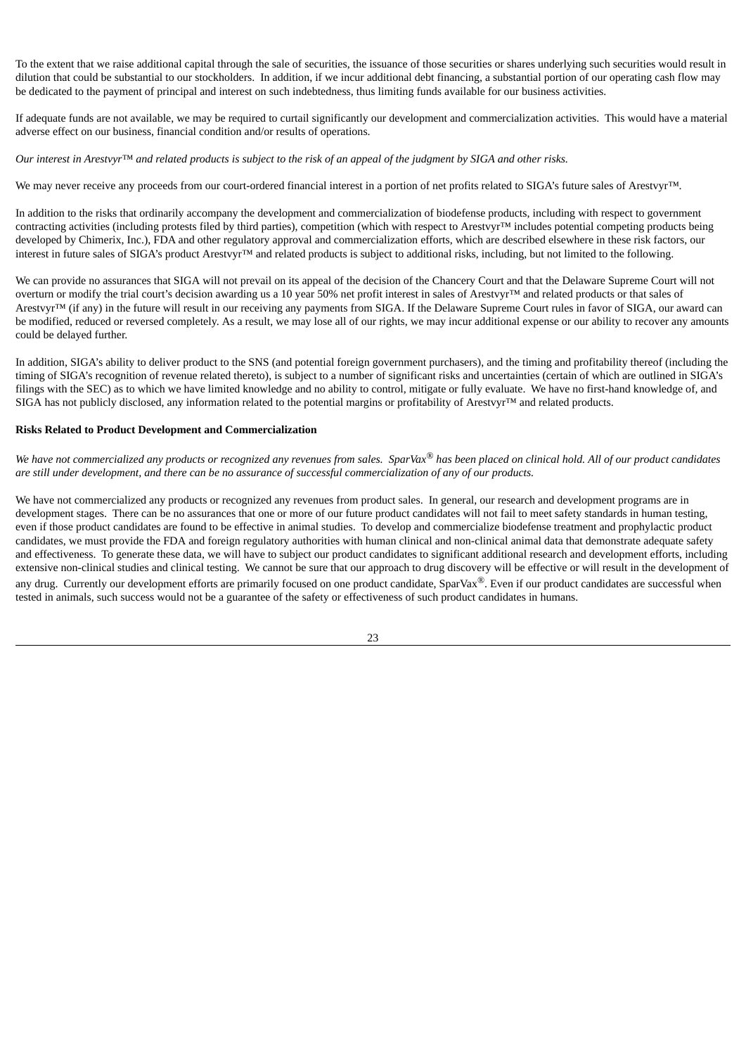To the extent that we raise additional capital through the sale of securities, the issuance of those securities or shares underlying such securities would result in dilution that could be substantial to our stockholders. In addition, if we incur additional debt financing, a substantial portion of our operating cash flow may be dedicated to the payment of principal and interest on such indebtedness, thus limiting funds available for our business activities.

If adequate funds are not available, we may be required to curtail significantly our development and commercialization activities. This would have a material adverse effect on our business, financial condition and/or results of operations.

Our interest in Arestvyr<sup>TM</sup> and related products is subject to the risk of an appeal of the judgment by SIGA and other risks.

We may never receive any proceeds from our court-ordered financial interest in a portion of net profits related to SIGA's future sales of Arestvyr*™*.

In addition to the risks that ordinarily accompany the development and commercialization of biodefense products, including with respect to government contracting activities (including protests filed by third parties), competition (which with respect to Arestyy $T^M$  includes potential competing products being developed by Chimerix, Inc.), FDA and other regulatory approval and commercialization efforts, which are described elsewhere in these risk factors, our interest in future sales of SIGA's product Arestvyr™ and related products is subject to additional risks, including, but not limited to the following.

We can provide no assurances that SIGA will not prevail on its appeal of the decision of the Chancery Court and that the Delaware Supreme Court will not overturn or modify the trial court's decision awarding us a 10 year 50% net profit interest in sales of Arestvyr™ and related products or that sales of Arestvyr<sup>™</sup> (if any) in the future will result in our receiving any payments from SIGA. If the Delaware Supreme Court rules in favor of SIGA, our award can be modified, reduced or reversed completely. As a result, we may lose all of our rights, we may incur additional expense or our ability to recover any amounts could be delayed further.

In addition, SIGA's ability to deliver product to the SNS (and potential foreign government purchasers), and the timing and profitability thereof (including the timing of SIGA's recognition of revenue related thereto), is subject to a number of significant risks and uncertainties (certain of which are outlined in SIGA's filings with the SEC) as to which we have limited knowledge and no ability to control, mitigate or fully evaluate. We have no first-hand knowledge of, and SIGA has not publicly disclosed, any information related to the potential margins or profitability of Arestvyr™ and related products.

#### **Risks Related to Product Development and Commercialization**

We have not commercialized any products or recognized any revenues from sales. SparVax<sup>®</sup> has been placed on clinical hold. All of our product candidates are still under development, and there can be no assurance of successful commercialization of any of our products.

We have not commercialized any products or recognized any revenues from product sales. In general, our research and development programs are in development stages. There can be no assurances that one or more of our future product candidates will not fail to meet safety standards in human testing, even if those product candidates are found to be effective in animal studies. To develop and commercialize biodefense treatment and prophylactic product candidates, we must provide the FDA and foreign regulatory authorities with human clinical and non-clinical animal data that demonstrate adequate safety and effectiveness. To generate these data, we will have to subject our product candidates to significant additional research and development efforts, including extensive non-clinical studies and clinical testing. We cannot be sure that our approach to drug discovery will be effective or will result in the development of any drug. Currently our development efforts are primarily focused on one product candidate, SparVax®. Even if our product candidates are successful when tested in animals, such success would not be a guarantee of the safety or effectiveness of such product candidates in humans.

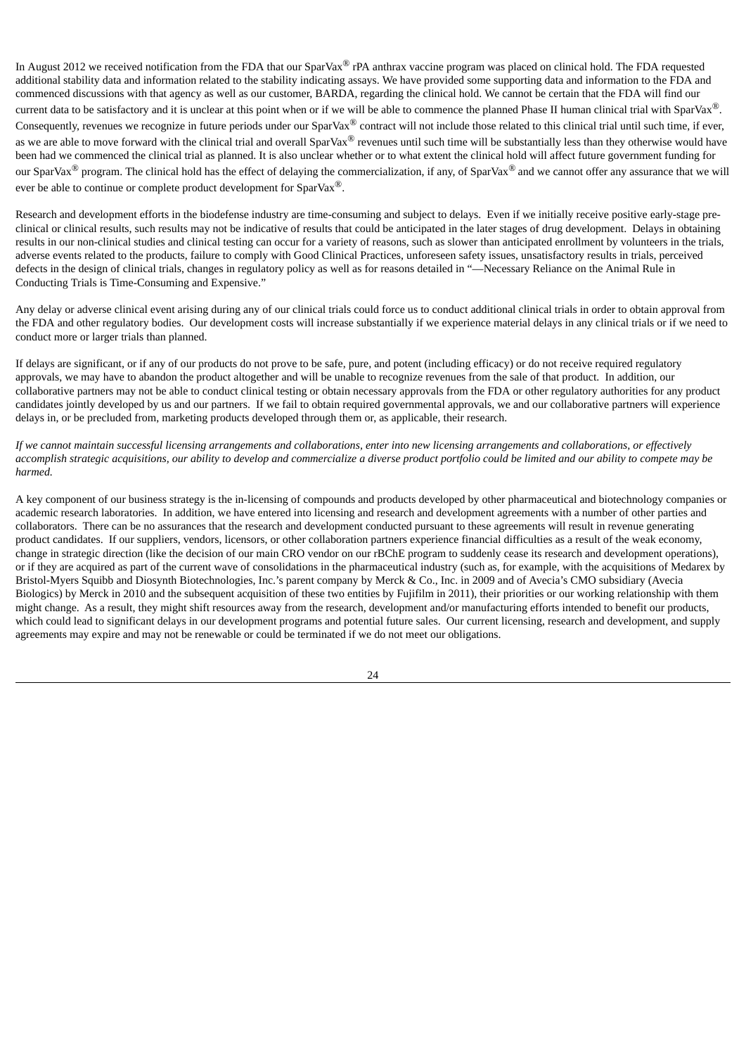In August 2012 we received notification from the FDA that our SparVax® rPA anthrax vaccine program was placed on clinical hold. The FDA requested additional stability data and information related to the stability indicating assays. We have provided some supporting data and information to the FDA and commenced discussions with that agency as well as our customer, BARDA, regarding the clinical hold. We cannot be certain that the FDA will find our current data to be satisfactory and it is unclear at this point when or if we will be able to commence the planned Phase II human clinical trial with SparVax<sup>®</sup>. Consequently, revenues we recognize in future periods under our SparVax<sup>®</sup> contract will not include those related to this clinical trial until such time, if ever, as we are able to move forward with the clinical trial and overall SparVax<sup>®</sup> revenues until such time will be substantially less than they otherwise would have been had we commenced the clinical trial as planned. It is also unclear whether or to what extent the clinical hold will affect future government funding for our SparVax<sup>®</sup> program. The clinical hold has the effect of delaying the commercialization, if any, of SparVax<sup>®</sup> and we cannot offer any assurance that we will ever be able to continue or complete product development for SparVax<sup>®</sup>.

Research and development efforts in the biodefense industry are time-consuming and subject to delays. Even if we initially receive positive early-stage preclinical or clinical results, such results may not be indicative of results that could be anticipated in the later stages of drug development. Delays in obtaining results in our non-clinical studies and clinical testing can occur for a variety of reasons, such as slower than anticipated enrollment by volunteers in the trials, adverse events related to the products, failure to comply with Good Clinical Practices, unforeseen safety issues, unsatisfactory results in trials, perceived defects in the design of clinical trials, changes in regulatory policy as well as for reasons detailed in "—Necessary Reliance on the Animal Rule in Conducting Trials is Time-Consuming and Expensive."

Any delay or adverse clinical event arising during any of our clinical trials could force us to conduct additional clinical trials in order to obtain approval from the FDA and other regulatory bodies. Our development costs will increase substantially if we experience material delays in any clinical trials or if we need to conduct more or larger trials than planned.

If delays are significant, or if any of our products do not prove to be safe, pure, and potent (including efficacy) or do not receive required regulatory approvals, we may have to abandon the product altogether and will be unable to recognize revenues from the sale of that product. In addition, our collaborative partners may not be able to conduct clinical testing or obtain necessary approvals from the FDA or other regulatory authorities for any product candidates jointly developed by us and our partners. If we fail to obtain required governmental approvals, we and our collaborative partners will experience delays in, or be precluded from, marketing products developed through them or, as applicable, their research.

If we cannot maintain successful licensing arrangements and collaborations, enter into new licensing arrangements and collaborations, or effectively accomplish strategic acquisitions, our ability to develop and commercialize a diverse product portfolio could be limited and our ability to compete may be *harmed.*

A key component of our business strategy is the in-licensing of compounds and products developed by other pharmaceutical and biotechnology companies or academic research laboratories. In addition, we have entered into licensing and research and development agreements with a number of other parties and collaborators. There can be no assurances that the research and development conducted pursuant to these agreements will result in revenue generating product candidates. If our suppliers, vendors, licensors, or other collaboration partners experience financial difficulties as a result of the weak economy, change in strategic direction (like the decision of our main CRO vendor on our rBChE program to suddenly cease its research and development operations), or if they are acquired as part of the current wave of consolidations in the pharmaceutical industry (such as, for example, with the acquisitions of Medarex by Bristol-Myers Squibb and Diosynth Biotechnologies, Inc.'s parent company by Merck & Co., Inc. in 2009 and of Avecia's CMO subsidiary (Avecia Biologics) by Merck in 2010 and the subsequent acquisition of these two entities by Fujifilm in 2011), their priorities or our working relationship with them might change. As a result, they might shift resources away from the research, development and/or manufacturing efforts intended to benefit our products, which could lead to significant delays in our development programs and potential future sales. Our current licensing, research and development, and supply agreements may expire and may not be renewable or could be terminated if we do not meet our obligations.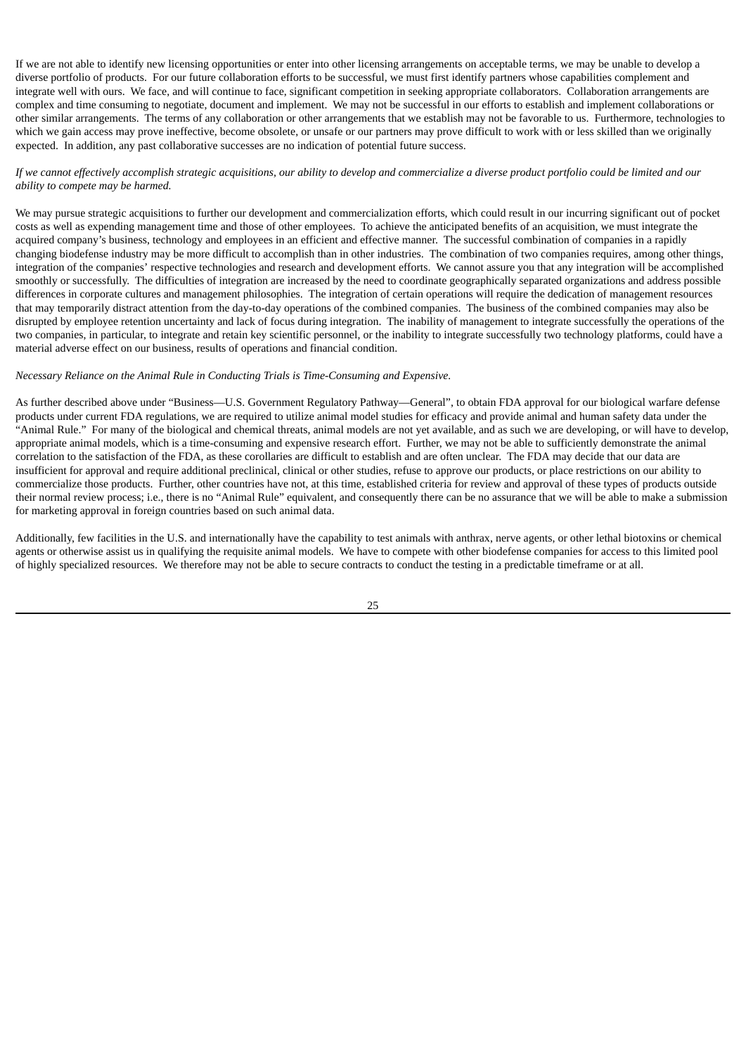If we are not able to identify new licensing opportunities or enter into other licensing arrangements on acceptable terms, we may be unable to develop a diverse portfolio of products. For our future collaboration efforts to be successful, we must first identify partners whose capabilities complement and integrate well with ours. We face, and will continue to face, significant competition in seeking appropriate collaborators. Collaboration arrangements are complex and time consuming to negotiate, document and implement. We may not be successful in our efforts to establish and implement collaborations or other similar arrangements. The terms of any collaboration or other arrangements that we establish may not be favorable to us. Furthermore, technologies to which we gain access may prove ineffective, become obsolete, or unsafe or our partners may prove difficult to work with or less skilled than we originally expected. In addition, any past collaborative successes are no indication of potential future success.

# If we cannot effectively accomplish strategic acquisitions, our ability to develop and commercialize a diverse product portfolio could be limited and our *ability to compete may be harmed.*

We may pursue strategic acquisitions to further our development and commercialization efforts, which could result in our incurring significant out of pocket costs as well as expending management time and those of other employees. To achieve the anticipated benefits of an acquisition, we must integrate the acquired company's business, technology and employees in an efficient and effective manner. The successful combination of companies in a rapidly changing biodefense industry may be more difficult to accomplish than in other industries. The combination of two companies requires, among other things, integration of the companies' respective technologies and research and development efforts. We cannot assure you that any integration will be accomplished smoothly or successfully. The difficulties of integration are increased by the need to coordinate geographically separated organizations and address possible differences in corporate cultures and management philosophies. The integration of certain operations will require the dedication of management resources that may temporarily distract attention from the day-to-day operations of the combined companies. The business of the combined companies may also be disrupted by employee retention uncertainty and lack of focus during integration. The inability of management to integrate successfully the operations of the two companies, in particular, to integrate and retain key scientific personnel, or the inability to integrate successfully two technology platforms, could have a material adverse effect on our business, results of operations and financial condition.

### *Necessary Reliance on the Animal Rule in Conducting Trials is Time-Consuming and Expensive.*

As further described above under "Business—U.S. Government Regulatory Pathway—General", to obtain FDA approval for our biological warfare defense products under current FDA regulations, we are required to utilize animal model studies for efficacy and provide animal and human safety data under the "Animal Rule." For many of the biological and chemical threats, animal models are not yet available, and as such we are developing, or will have to develop, appropriate animal models, which is a time-consuming and expensive research effort. Further, we may not be able to sufficiently demonstrate the animal correlation to the satisfaction of the FDA, as these corollaries are difficult to establish and are often unclear. The FDA may decide that our data are insufficient for approval and require additional preclinical, clinical or other studies, refuse to approve our products, or place restrictions on our ability to commercialize those products. Further, other countries have not, at this time, established criteria for review and approval of these types of products outside their normal review process; i.e., there is no "Animal Rule" equivalent, and consequently there can be no assurance that we will be able to make a submission for marketing approval in foreign countries based on such animal data.

Additionally, few facilities in the U.S. and internationally have the capability to test animals with anthrax, nerve agents, or other lethal biotoxins or chemical agents or otherwise assist us in qualifying the requisite animal models. We have to compete with other biodefense companies for access to this limited pool of highly specialized resources. We therefore may not be able to secure contracts to conduct the testing in a predictable timeframe or at all.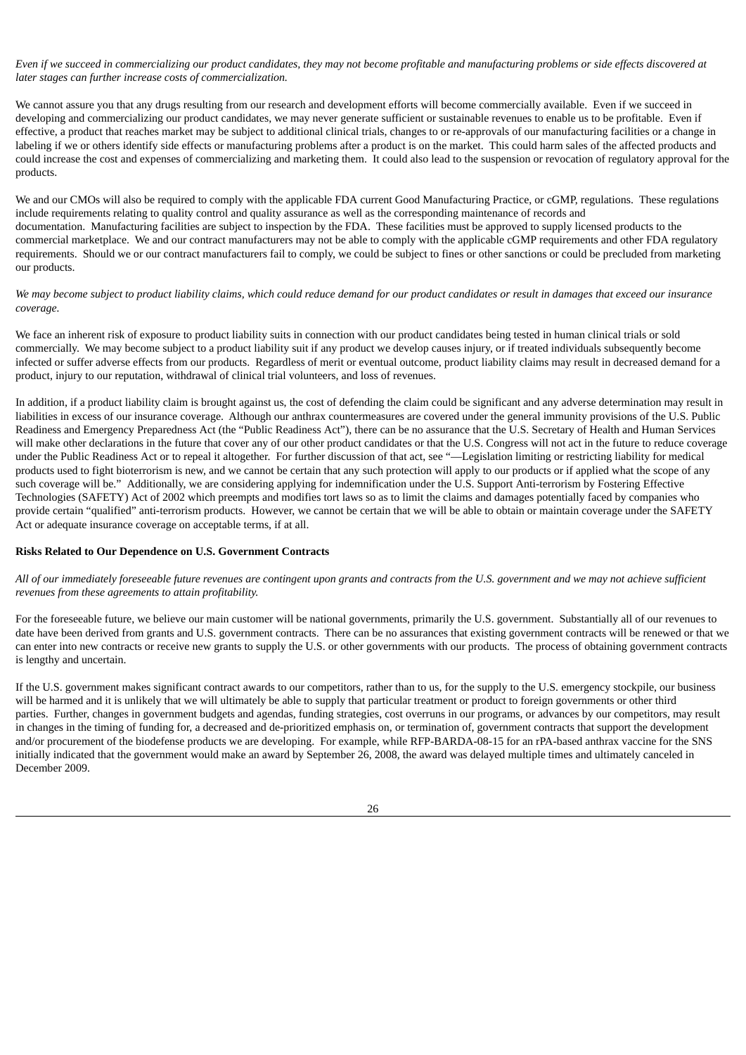Even if we succeed in commercializing our product candidates, they may not become profitable and manufacturing problems or side effects discovered at *later stages can further increase costs of commercialization.*

We cannot assure you that any drugs resulting from our research and development efforts will become commercially available. Even if we succeed in developing and commercializing our product candidates, we may never generate sufficient or sustainable revenues to enable us to be profitable. Even if effective, a product that reaches market may be subject to additional clinical trials, changes to or re-approvals of our manufacturing facilities or a change in labeling if we or others identify side effects or manufacturing problems after a product is on the market. This could harm sales of the affected products and could increase the cost and expenses of commercializing and marketing them. It could also lead to the suspension or revocation of regulatory approval for the products.

We and our CMOs will also be required to comply with the applicable FDA current Good Manufacturing Practice, or cGMP, regulations. These regulations include requirements relating to quality control and quality assurance as well as the corresponding maintenance of records and documentation. Manufacturing facilities are subject to inspection by the FDA. These facilities must be approved to supply licensed products to the commercial marketplace. We and our contract manufacturers may not be able to comply with the applicable cGMP requirements and other FDA regulatory requirements. Should we or our contract manufacturers fail to comply, we could be subject to fines or other sanctions or could be precluded from marketing our products.

## We may become subject to product liability claims, which could reduce demand for our product candidates or result in damages that exceed our insurance *coverage.*

We face an inherent risk of exposure to product liability suits in connection with our product candidates being tested in human clinical trials or sold commercially. We may become subject to a product liability suit if any product we develop causes injury, or if treated individuals subsequently become infected or suffer adverse effects from our products. Regardless of merit or eventual outcome, product liability claims may result in decreased demand for a product, injury to our reputation, withdrawal of clinical trial volunteers, and loss of revenues.

In addition, if a product liability claim is brought against us, the cost of defending the claim could be significant and any adverse determination may result in liabilities in excess of our insurance coverage. Although our anthrax countermeasures are covered under the general immunity provisions of the U.S. Public Readiness and Emergency Preparedness Act (the "Public Readiness Act"), there can be no assurance that the U.S. Secretary of Health and Human Services will make other declarations in the future that cover any of our other product candidates or that the U.S. Congress will not act in the future to reduce coverage under the Public Readiness Act or to repeal it altogether. For further discussion of that act, see "—Legislation limiting or restricting liability for medical products used to fight bioterrorism is new, and we cannot be certain that any such protection will apply to our products or if applied what the scope of any such coverage will be." Additionally, we are considering applying for indemnification under the U.S. Support Anti-terrorism by Fostering Effective Technologies (SAFETY) Act of 2002 which preempts and modifies tort laws so as to limit the claims and damages potentially faced by companies who provide certain "qualified" anti-terrorism products. However, we cannot be certain that we will be able to obtain or maintain coverage under the SAFETY Act or adequate insurance coverage on acceptable terms, if at all.

# **Risks Related to Our Dependence on U.S. Government Contracts**

All of our immediately foreseeable future revenues are contingent upon grants and contracts from the U.S. government and we may not achieve sufficient *revenues from these agreements to attain profitability.*

For the foreseeable future, we believe our main customer will be national governments, primarily the U.S. government. Substantially all of our revenues to date have been derived from grants and U.S. government contracts. There can be no assurances that existing government contracts will be renewed or that we can enter into new contracts or receive new grants to supply the U.S. or other governments with our products. The process of obtaining government contracts is lengthy and uncertain.

If the U.S. government makes significant contract awards to our competitors, rather than to us, for the supply to the U.S. emergency stockpile, our business will be harmed and it is unlikely that we will ultimately be able to supply that particular treatment or product to foreign governments or other third parties. Further, changes in government budgets and agendas, funding strategies, cost overruns in our programs, or advances by our competitors, may result in changes in the timing of funding for, a decreased and de-prioritized emphasis on, or termination of, government contracts that support the development and/or procurement of the biodefense products we are developing. For example, while RFP-BARDA-08-15 for an rPA-based anthrax vaccine for the SNS initially indicated that the government would make an award by September 26, 2008, the award was delayed multiple times and ultimately canceled in December 2009.

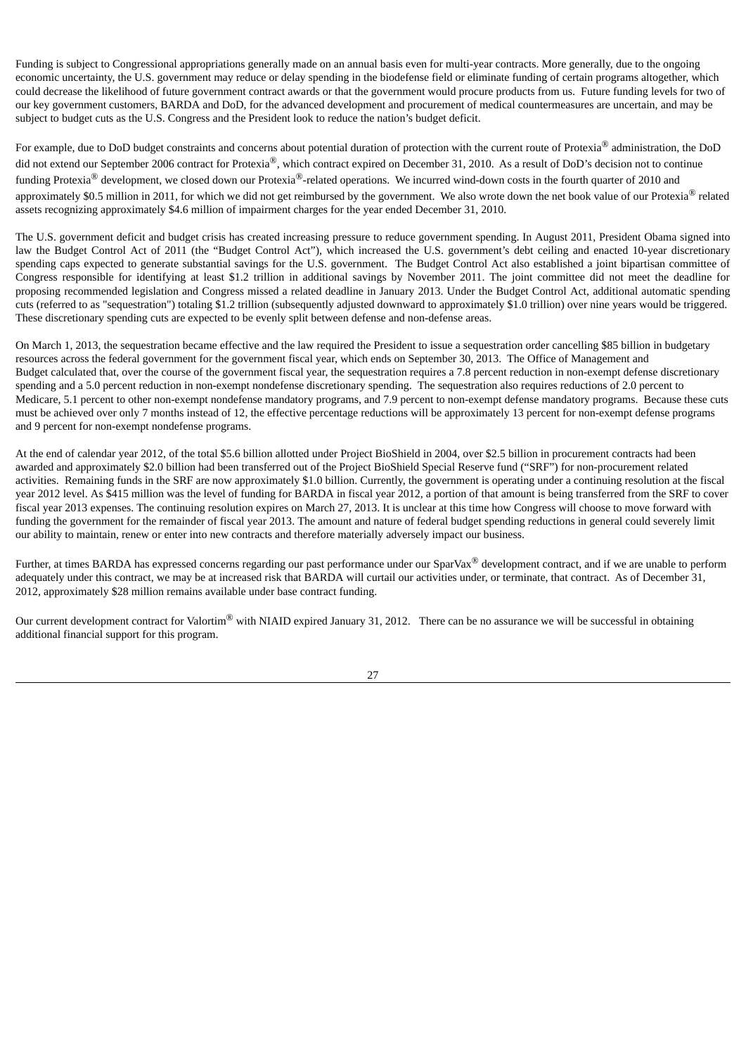Funding is subject to Congressional appropriations generally made on an annual basis even for multi-year contracts. More generally, due to the ongoing economic uncertainty, the U.S. government may reduce or delay spending in the biodefense field or eliminate funding of certain programs altogether, which could decrease the likelihood of future government contract awards or that the government would procure products from us. Future funding levels for two of our key government customers, BARDA and DoD, for the advanced development and procurement of medical countermeasures are uncertain, and may be subject to budget cuts as the U.S. Congress and the President look to reduce the nation's budget deficit.

For example, due to DoD budget constraints and concerns about potential duration of protection with the current route of Protexia<sup>®</sup> administration, the DoD did not extend our September 2006 contract for Protexia®, which contract expired on December 31, 2010. As a result of DoD's decision not to continue funding Protexia<sup>®</sup> development, we closed down our Protexia®-related operations. We incurred wind-down costs in the fourth quarter of 2010 and approximately \$0.5 million in 2011, for which we did not get reimbursed by the government. We also wrote down the net book value of our Protexia<sup>®</sup> related assets recognizing approximately \$4.6 million of impairment charges for the year ended December 31, 2010.

The U.S. government deficit and budget crisis has created increasing pressure to reduce government spending. In August 2011, President Obama signed into law the Budget Control Act of 2011 (the "Budget Control Act"), which increased the U.S. government's debt ceiling and enacted 10-year discretionary spending caps expected to generate substantial savings for the U.S. government. The Budget Control Act also established a joint bipartisan committee of Congress responsible for identifying at least \$1.2 trillion in additional savings by November 2011. The joint committee did not meet the deadline for proposing recommended legislation and Congress missed a related deadline in January 2013. Under the Budget Control Act, additional automatic spending cuts (referred to as "sequestration") totaling \$1.2 trillion (subsequently adjusted downward to approximately \$1.0 trillion) over nine years would be triggered. These discretionary spending cuts are expected to be evenly split between defense and non-defense areas.

On March 1, 2013, the sequestration became effective and the law required the President to issue a sequestration order cancelling \$85 billion in budgetary resources across the federal government for the government fiscal year, which ends on September 30, 2013. The Office of Management and Budget calculated that, over the course of the government fiscal year, the sequestration requires a 7.8 percent reduction in non-exempt defense discretionary spending and a 5.0 percent reduction in non-exempt nondefense discretionary spending. The sequestration also requires reductions of 2.0 percent to Medicare, 5.1 percent to other non-exempt nondefense mandatory programs, and 7.9 percent to non-exempt defense mandatory programs. Because these cuts must be achieved over only 7 months instead of 12, the effective percentage reductions will be approximately 13 percent for non-exempt defense programs and 9 percent for non-exempt nondefense programs.

At the end of calendar year 2012, of the total \$5.6 billion allotted under Project BioShield in 2004, over \$2.5 billion in procurement contracts had been awarded and approximately \$2.0 billion had been transferred out of the Project BioShield Special Reserve fund ("SRF") for non-procurement related activities. Remaining funds in the SRF are now approximately \$1.0 billion. Currently, the government is operating under a continuing resolution at the fiscal year 2012 level. As \$415 million was the level of funding for BARDA in fiscal year 2012, a portion of that amount is being transferred from the SRF to cover fiscal year 2013 expenses. The continuing resolution expires on March 27, 2013. It is unclear at this time how Congress will choose to move forward with funding the government for the remainder of fiscal year 2013. The amount and nature of federal budget spending reductions in general could severely limit our ability to maintain, renew or enter into new contracts and therefore materially adversely impact our business.

Further, at times BARDA has expressed concerns regarding our past performance under our SparVax<sup>®</sup> development contract, and if we are unable to perform adequately under this contract, we may be at increased risk that BARDA will curtail our activities under, or terminate, that contract. As of December 31, 2012, approximately \$28 million remains available under base contract funding.

Our current development contract for Valortim® with NIAID expired January 31, 2012. There can be no assurance we will be successful in obtaining additional financial support for this program.

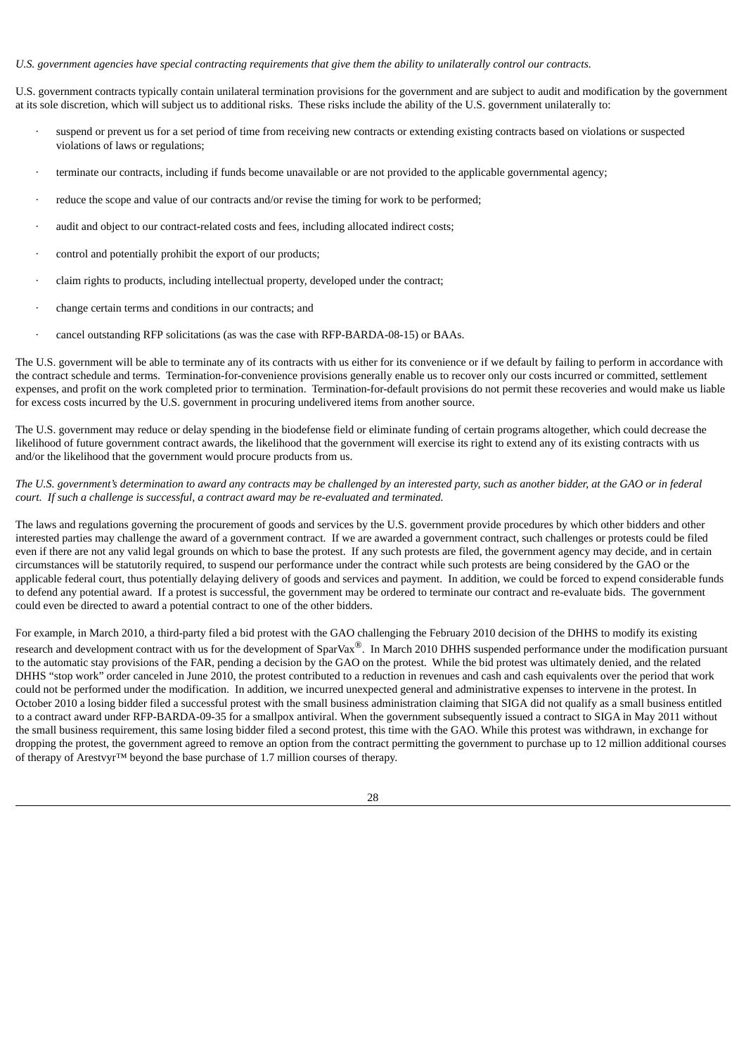## U.S. government gaencies have special contracting requirements that give them the ability to unilaterally control our contracts.

U.S. government contracts typically contain unilateral termination provisions for the government and are subject to audit and modification by the government at its sole discretion, which will subject us to additional risks. These risks include the ability of the U.S. government unilaterally to:

- · suspend or prevent us for a set period of time from receiving new contracts or extending existing contracts based on violations or suspected violations of laws or regulations;
- · terminate our contracts, including if funds become unavailable or are not provided to the applicable governmental agency;
- reduce the scope and value of our contracts and/or revise the timing for work to be performed;
- audit and object to our contract-related costs and fees, including allocated indirect costs;
- control and potentially prohibit the export of our products;
- · claim rights to products, including intellectual property, developed under the contract;
- change certain terms and conditions in our contracts; and
- cancel outstanding RFP solicitations (as was the case with RFP-BARDA-08-15) or BAAs.

The U.S. government will be able to terminate any of its contracts with us either for its convenience or if we default by failing to perform in accordance with the contract schedule and terms. Termination-for-convenience provisions generally enable us to recover only our costs incurred or committed, settlement expenses, and profit on the work completed prior to termination. Termination-for-default provisions do not permit these recoveries and would make us liable for excess costs incurred by the U.S. government in procuring undelivered items from another source.

The U.S. government may reduce or delay spending in the biodefense field or eliminate funding of certain programs altogether, which could decrease the likelihood of future government contract awards, the likelihood that the government will exercise its right to extend any of its existing contracts with us and/or the likelihood that the government would procure products from us.

The U.S. government's determination to award any contracts may be challenged by an interested party, such as another bidder, at the GAO or in federal *court. If such a challenge is successful, a contract award may be re-evaluated and terminated.*

The laws and regulations governing the procurement of goods and services by the U.S. government provide procedures by which other bidders and other interested parties may challenge the award of a government contract. If we are awarded a government contract, such challenges or protests could be filed even if there are not any valid legal grounds on which to base the protest. If any such protests are filed, the government agency may decide, and in certain circumstances will be statutorily required, to suspend our performance under the contract while such protests are being considered by the GAO or the applicable federal court, thus potentially delaying delivery of goods and services and payment. In addition, we could be forced to expend considerable funds to defend any potential award. If a protest is successful, the government may be ordered to terminate our contract and re-evaluate bids. The government could even be directed to award a potential contract to one of the other bidders.

For example, in March 2010, a third-party filed a bid protest with the GAO challenging the February 2010 decision of the DHHS to modify its existing research and development contract with us for the development of SparVax®. In March 2010 DHHS suspended performance under the modification pursuant to the automatic stay provisions of the FAR, pending a decision by the GAO on the protest. While the bid protest was ultimately denied, and the related DHHS "stop work" order canceled in June 2010, the protest contributed to a reduction in revenues and cash and cash equivalents over the period that work could not be performed under the modification. In addition, we incurred unexpected general and administrative expenses to intervene in the protest. In October 2010 a losing bidder filed a successful protest with the small business administration claiming that SIGA did not qualify as a small business entitled to a contract award under RFP-BARDA-09-35 for a smallpox antiviral. When the government subsequently issued a contract to SIGA in May 2011 without the small business requirement, this same losing bidder filed a second protest, this time with the GAO. While this protest was withdrawn, in exchange for dropping the protest, the government agreed to remove an option from the contract permitting the government to purchase up to 12 million additional courses of therapy of Arestvyr™ beyond the base purchase of 1.7 million courses of therapy.

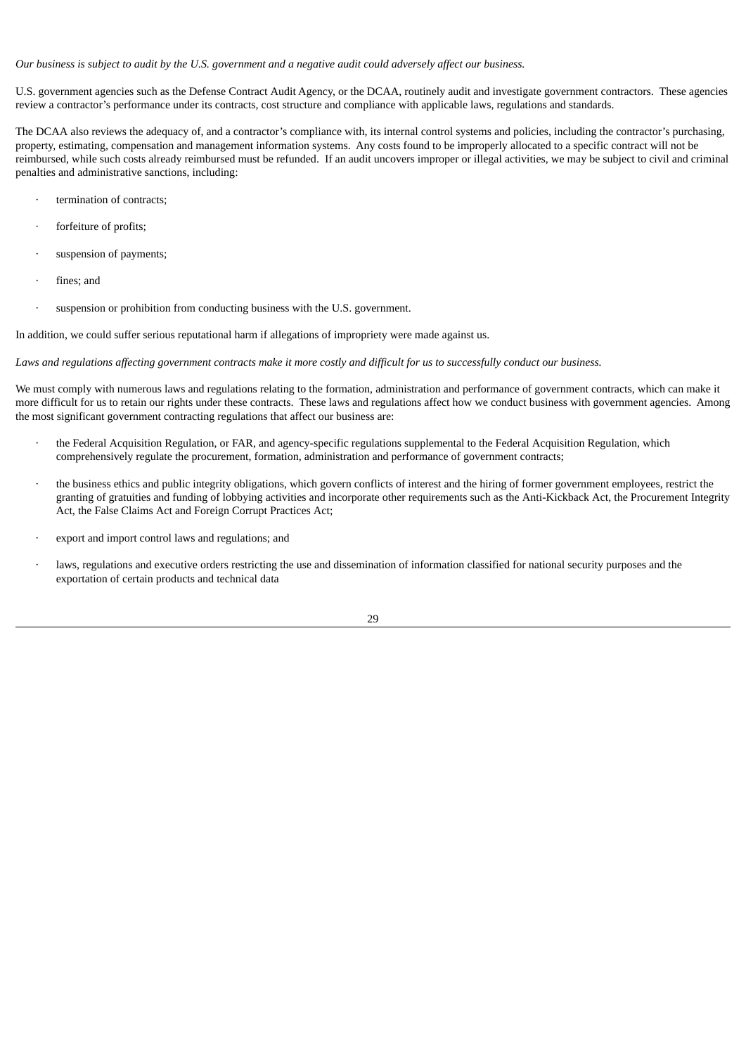Our business is subject to audit by the U.S. aovernment and a neaative audit could adversely affect our business.

U.S. government agencies such as the Defense Contract Audit Agency, or the DCAA, routinely audit and investigate government contractors. These agencies review a contractor's performance under its contracts, cost structure and compliance with applicable laws, regulations and standards.

The DCAA also reviews the adequacy of, and a contractor's compliance with, its internal control systems and policies, including the contractor's purchasing, property, estimating, compensation and management information systems. Any costs found to be improperly allocated to a specific contract will not be reimbursed, while such costs already reimbursed must be refunded. If an audit uncovers improper or illegal activities, we may be subject to civil and criminal penalties and administrative sanctions, including:

- termination of contracts;
- forfeiture of profits;
- suspension of payments;
- fines; and
- suspension or prohibition from conducting business with the U.S. government.

In addition, we could suffer serious reputational harm if allegations of impropriety were made against us.

Laws and requlations affecting government contracts make it more costly and difficult for us to successfully conduct our business.

We must comply with numerous laws and regulations relating to the formation, administration and performance of government contracts, which can make it more difficult for us to retain our rights under these contracts. These laws and regulations affect how we conduct business with government agencies. Among the most significant government contracting regulations that affect our business are:

- · the Federal Acquisition Regulation, or FAR, and agency-specific regulations supplemental to the Federal Acquisition Regulation, which comprehensively regulate the procurement, formation, administration and performance of government contracts;
- the business ethics and public integrity obligations, which govern conflicts of interest and the hiring of former government employees, restrict the granting of gratuities and funding of lobbying activities and incorporate other requirements such as the Anti-Kickback Act, the Procurement Integrity Act, the False Claims Act and Foreign Corrupt Practices Act;
- export and import control laws and regulations; and
- laws, regulations and executive orders restricting the use and dissemination of information classified for national security purposes and the exportation of certain products and technical data

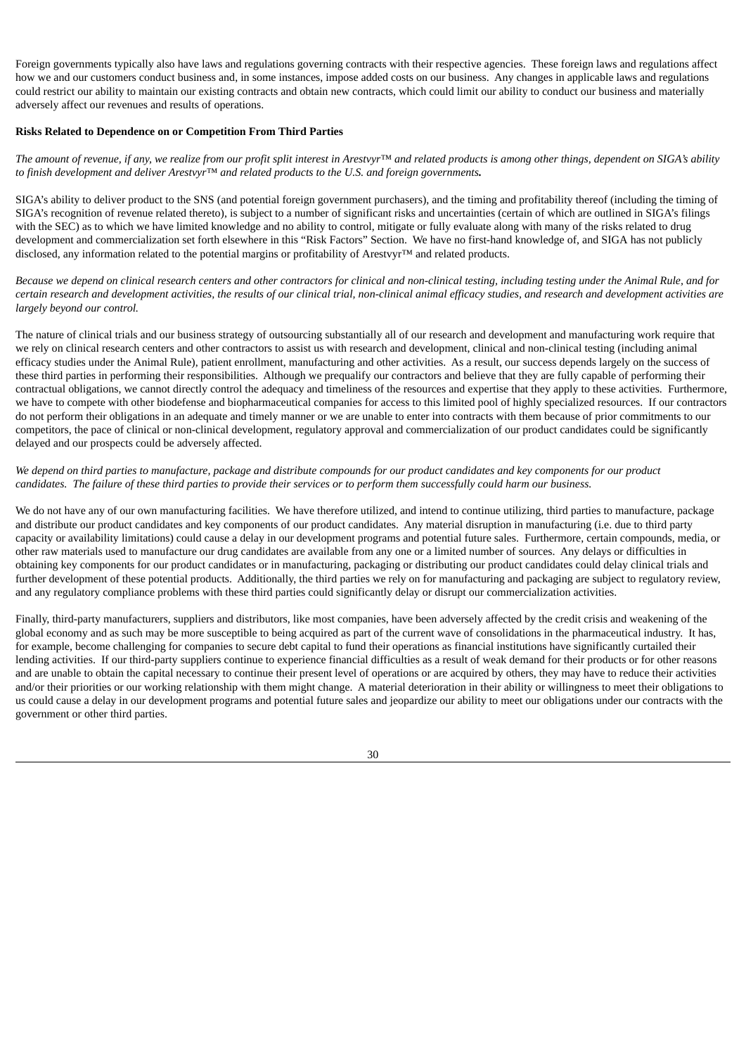Foreign governments typically also have laws and regulations governing contracts with their respective agencies. These foreign laws and regulations affect how we and our customers conduct business and, in some instances, impose added costs on our business. Any changes in applicable laws and regulations could restrict our ability to maintain our existing contracts and obtain new contracts, which could limit our ability to conduct our business and materially adversely affect our revenues and results of operations.

## **Risks Related to Dependence on or Competition From Third Parties**

The amount of revenue, if any, we realize from our profit split interest in Arestyyr™ and related products is among other things, dependent on SIGA's ability *to finish development and deliver Arestvyr™ and related products to the U.S. and foreign governments.*

SIGA's ability to deliver product to the SNS (and potential foreign government purchasers), and the timing and profitability thereof (including the timing of SIGA's recognition of revenue related thereto), is subject to a number of significant risks and uncertainties (certain of which are outlined in SIGA's filings with the SEC) as to which we have limited knowledge and no ability to control, mitigate or fully evaluate along with many of the risks related to drug development and commercialization set forth elsewhere in this "Risk Factors" Section. We have no first-hand knowledge of, and SIGA has not publicly disclosed, any information related to the potential margins or profitability of Arestvyr™ and related products.

Because we depend on clinical research centers and other contractors for clinical and non-clinical testing, including testing under the Animal Rule, and for certain research and development activities, the results of our clinical trial, non-clinical animal efficacy studies, and research and development activities are *largely beyond our control.*

The nature of clinical trials and our business strategy of outsourcing substantially all of our research and development and manufacturing work require that we rely on clinical research centers and other contractors to assist us with research and development, clinical and non-clinical testing (including animal efficacy studies under the Animal Rule), patient enrollment, manufacturing and other activities. As a result, our success depends largely on the success of these third parties in performing their responsibilities. Although we prequalify our contractors and believe that they are fully capable of performing their contractual obligations, we cannot directly control the adequacy and timeliness of the resources and expertise that they apply to these activities. Furthermore, we have to compete with other biodefense and biopharmaceutical companies for access to this limited pool of highly specialized resources. If our contractors do not perform their obligations in an adequate and timely manner or we are unable to enter into contracts with them because of prior commitments to our competitors, the pace of clinical or non-clinical development, regulatory approval and commercialization of our product candidates could be significantly delayed and our prospects could be adversely affected.

We depend on third parties to manufacture, package and distribute compounds for our product candidates and key components for our product candidates. The failure of these third parties to provide their services or to perform them successfully could harm our business.

We do not have any of our own manufacturing facilities. We have therefore utilized, and intend to continue utilizing, third parties to manufacture, package and distribute our product candidates and key components of our product candidates. Any material disruption in manufacturing (i.e. due to third party capacity or availability limitations) could cause a delay in our development programs and potential future sales. Furthermore, certain compounds, media, or other raw materials used to manufacture our drug candidates are available from any one or a limited number of sources. Any delays or difficulties in obtaining key components for our product candidates or in manufacturing, packaging or distributing our product candidates could delay clinical trials and further development of these potential products. Additionally, the third parties we rely on for manufacturing and packaging are subject to regulatory review, and any regulatory compliance problems with these third parties could significantly delay or disrupt our commercialization activities.

Finally, third-party manufacturers, suppliers and distributors, like most companies, have been adversely affected by the credit crisis and weakening of the global economy and as such may be more susceptible to being acquired as part of the current wave of consolidations in the pharmaceutical industry. It has, for example, become challenging for companies to secure debt capital to fund their operations as financial institutions have significantly curtailed their lending activities. If our third-party suppliers continue to experience financial difficulties as a result of weak demand for their products or for other reasons and are unable to obtain the capital necessary to continue their present level of operations or are acquired by others, they may have to reduce their activities and/or their priorities or our working relationship with them might change. A material deterioration in their ability or willingness to meet their obligations to us could cause a delay in our development programs and potential future sales and jeopardize our ability to meet our obligations under our contracts with the government or other third parties.

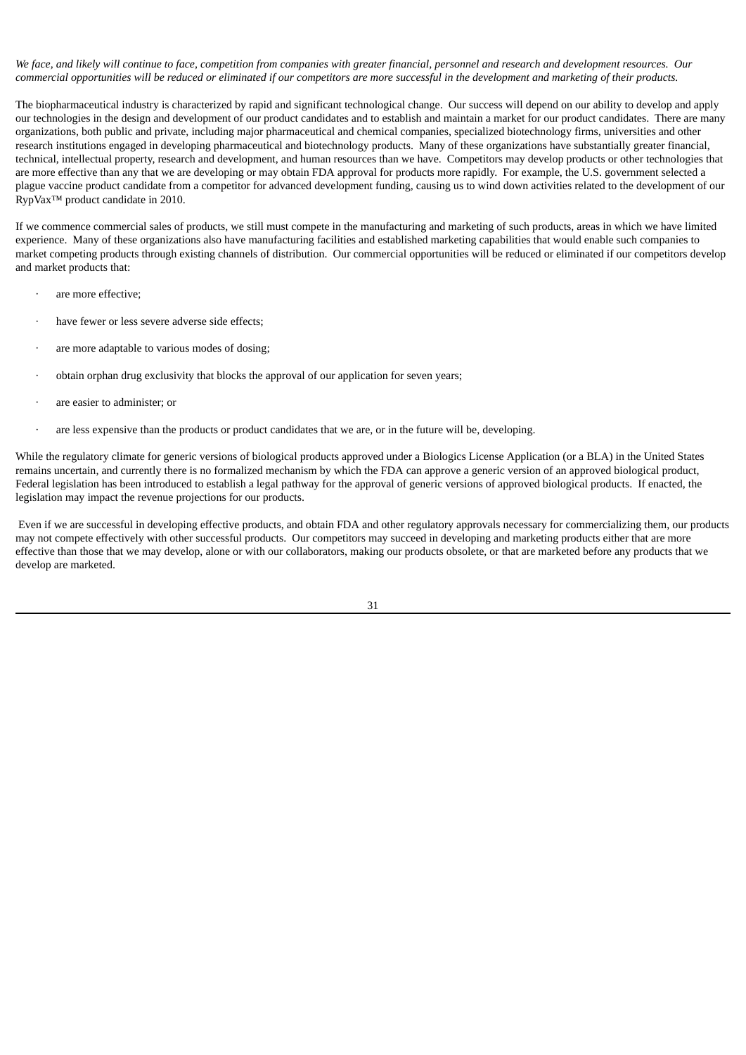We face, and likely will continue to face, competition from companies with areater financial, personnel and research and development resources. Our commercial opportunities will be reduced or eliminated if our competitors are more successful in the development and marketing of their products.

The biopharmaceutical industry is characterized by rapid and significant technological change. Our success will depend on our ability to develop and apply our technologies in the design and development of our product candidates and to establish and maintain a market for our product candidates. There are many organizations, both public and private, including major pharmaceutical and chemical companies, specialized biotechnology firms, universities and other research institutions engaged in developing pharmaceutical and biotechnology products. Many of these organizations have substantially greater financial, technical, intellectual property, research and development, and human resources than we have. Competitors may develop products or other technologies that are more effective than any that we are developing or may obtain FDA approval for products more rapidly. For example, the U.S. government selected a plague vaccine product candidate from a competitor for advanced development funding, causing us to wind down activities related to the development of our RypVax™ product candidate in 2010.

If we commence commercial sales of products, we still must compete in the manufacturing and marketing of such products, areas in which we have limited experience. Many of these organizations also have manufacturing facilities and established marketing capabilities that would enable such companies to market competing products through existing channels of distribution. Our commercial opportunities will be reduced or eliminated if our competitors develop and market products that:

- are more effective:
- have fewer or less severe adverse side effects;
- are more adaptable to various modes of dosing;
- obtain orphan drug exclusivity that blocks the approval of our application for seven years;
- are easier to administer; or
- are less expensive than the products or product candidates that we are, or in the future will be, developing.

While the regulatory climate for generic versions of biological products approved under a Biologics License Application (or a BLA) in the United States remains uncertain, and currently there is no formalized mechanism by which the FDA can approve a generic version of an approved biological product, Federal legislation has been introduced to establish a legal pathway for the approval of generic versions of approved biological products. If enacted, the legislation may impact the revenue projections for our products.

Even if we are successful in developing effective products, and obtain FDA and other regulatory approvals necessary for commercializing them, our products may not compete effectively with other successful products. Our competitors may succeed in developing and marketing products either that are more effective than those that we may develop, alone or with our collaborators, making our products obsolete, or that are marketed before any products that we develop are marketed.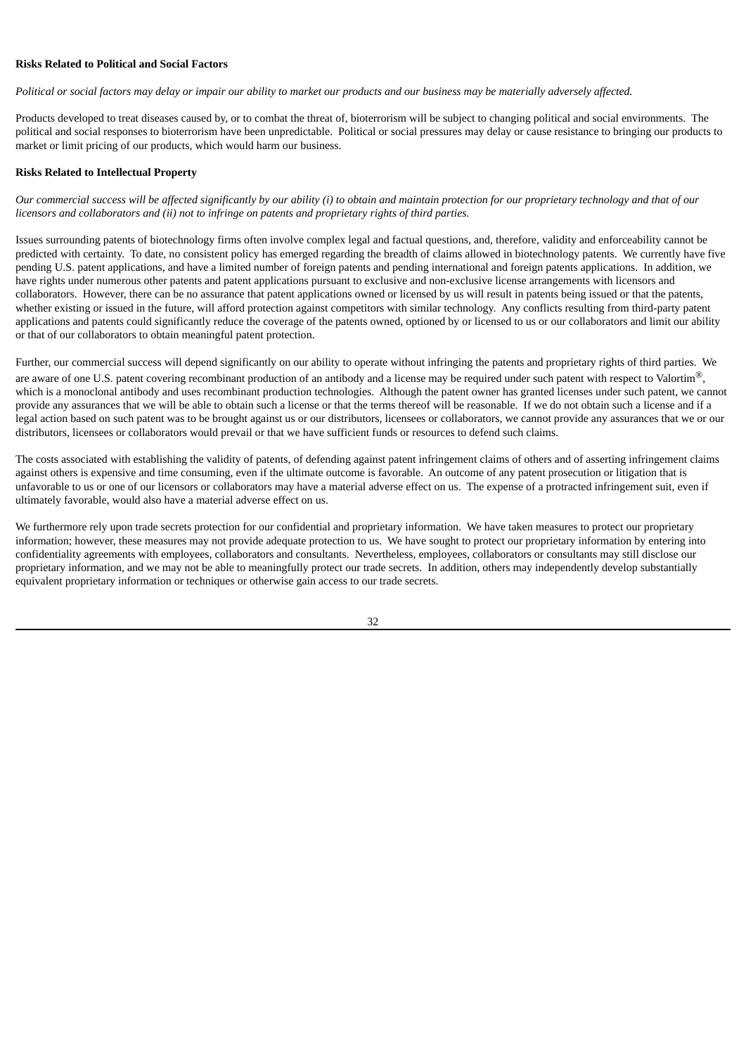### **Risks Related to Political and Social Factors**

Political or social factors may delay or impair our ability to market our products and our business may be materially adversely affected.

Products developed to treat diseases caused by, or to combat the threat of, bioterrorism will be subject to changing political and social environments. The political and social responses to bioterrorism have been unpredictable. Political or social pressures may delay or cause resistance to bringing our products to market or limit pricing of our products, which would harm our business.

## **Risks Related to Intellectual Property**

Our commercial success will be affected significantly by our ability (i) to obtain and maintain protection for our proprietary technology and that of our *licensors and collaborators and (ii) not to infringe on patents and proprietary rights of third parties.*

Issues surrounding patents of biotechnology firms often involve complex legal and factual questions, and, therefore, validity and enforceability cannot be predicted with certainty. To date, no consistent policy has emerged regarding the breadth of claims allowed in biotechnology patents. We currently have five pending U.S. patent applications, and have a limited number of foreign patents and pending international and foreign patents applications. In addition, we have rights under numerous other patents and patent applications pursuant to exclusive and non-exclusive license arrangements with licensors and collaborators. However, there can be no assurance that patent applications owned or licensed by us will result in patents being issued or that the patents, whether existing or issued in the future, will afford protection against competitors with similar technology. Any conflicts resulting from third-party patent applications and patents could significantly reduce the coverage of the patents owned, optioned by or licensed to us or our collaborators and limit our ability or that of our collaborators to obtain meaningful patent protection.

Further, our commercial success will depend significantly on our ability to operate without infringing the patents and proprietary rights of third parties. We

are aware of one U.S. patent covering recombinant production of an antibody and a license may be required under such patent with respect to Valortim<sup>®</sup>, which is a monoclonal antibody and uses recombinant production technologies. Although the patent owner has granted licenses under such patent, we cannot provide any assurances that we will be able to obtain such a license or that the terms thereof will be reasonable. If we do not obtain such a license and if a legal action based on such patent was to be brought against us or our distributors, licensees or collaborators, we cannot provide any assurances that we or our distributors, licensees or collaborators would prevail or that we have sufficient funds or resources to defend such claims.

The costs associated with establishing the validity of patents, of defending against patent infringement claims of others and of asserting infringement claims against others is expensive and time consuming, even if the ultimate outcome is favorable. An outcome of any patent prosecution or litigation that is unfavorable to us or one of our licensors or collaborators may have a material adverse effect on us. The expense of a protracted infringement suit, even if ultimately favorable, would also have a material adverse effect on us.

We furthermore rely upon trade secrets protection for our confidential and proprietary information. We have taken measures to protect our proprietary information; however, these measures may not provide adequate protection to us. We have sought to protect our proprietary information by entering into confidentiality agreements with employees, collaborators and consultants. Nevertheless, employees, collaborators or consultants may still disclose our proprietary information, and we may not be able to meaningfully protect our trade secrets. In addition, others may independently develop substantially equivalent proprietary information or techniques or otherwise gain access to our trade secrets.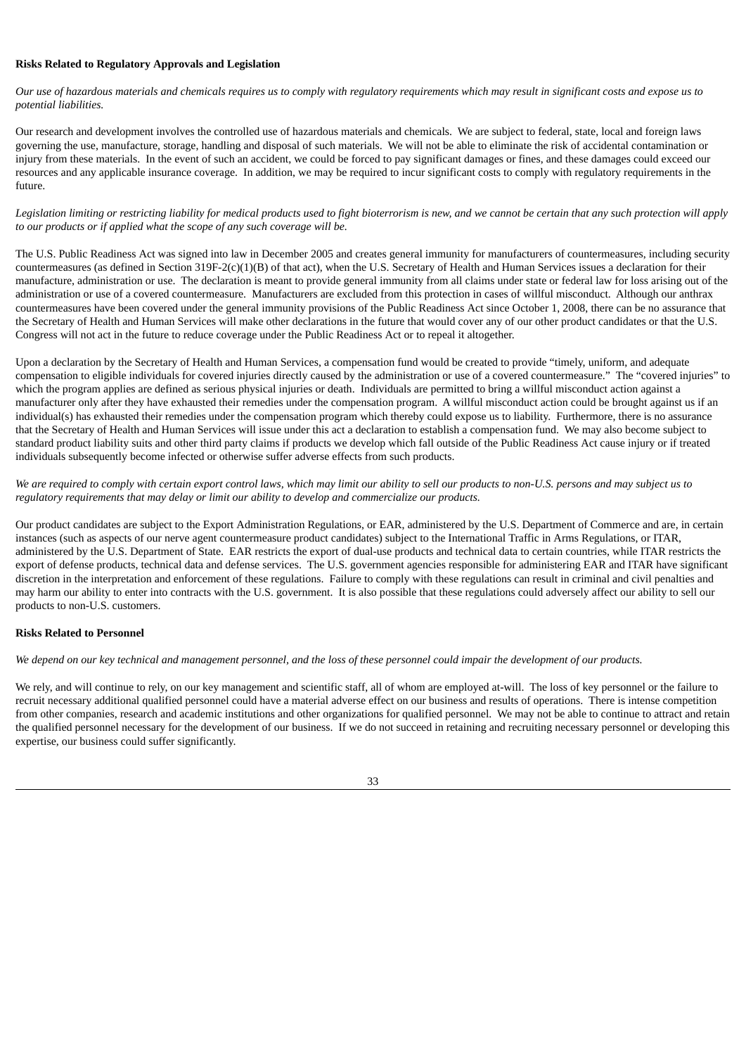## **Risks Related to Regulatory Approvals and Legislation**

Our use of hazardous materials and chemicals requires us to comply with requlatory requirements which may result in significant costs and expose us to *potential liabilities.*

Our research and development involves the controlled use of hazardous materials and chemicals. We are subject to federal, state, local and foreign laws governing the use, manufacture, storage, handling and disposal of such materials. We will not be able to eliminate the risk of accidental contamination or injury from these materials. In the event of such an accident, we could be forced to pay significant damages or fines, and these damages could exceed our resources and any applicable insurance coverage. In addition, we may be required to incur significant costs to comply with regulatory requirements in the future.

Legislation limiting or restricting liability for medical products used to fight bioterrorism is new, and we cannot be certain that any such protection will apply *to our products or if applied what the scope of any such coverage will be.*

The U.S. Public Readiness Act was signed into law in December 2005 and creates general immunity for manufacturers of countermeasures, including security countermeasures (as defined in Section 319F-2(c)(1)(B) of that act), when the U.S. Secretary of Health and Human Services issues a declaration for their manufacture, administration or use. The declaration is meant to provide general immunity from all claims under state or federal law for loss arising out of the administration or use of a covered countermeasure. Manufacturers are excluded from this protection in cases of willful misconduct. Although our anthrax countermeasures have been covered under the general immunity provisions of the Public Readiness Act since October 1, 2008, there can be no assurance that the Secretary of Health and Human Services will make other declarations in the future that would cover any of our other product candidates or that the U.S. Congress will not act in the future to reduce coverage under the Public Readiness Act or to repeal it altogether.

Upon a declaration by the Secretary of Health and Human Services, a compensation fund would be created to provide "timely, uniform, and adequate compensation to eligible individuals for covered injuries directly caused by the administration or use of a covered countermeasure." The "covered injuries" to which the program applies are defined as serious physical injuries or death. Individuals are permitted to bring a willful misconduct action against a manufacturer only after they have exhausted their remedies under the compensation program. A willful misconduct action could be brought against us if an individual(s) has exhausted their remedies under the compensation program which thereby could expose us to liability. Furthermore, there is no assurance that the Secretary of Health and Human Services will issue under this act a declaration to establish a compensation fund. We may also become subject to standard product liability suits and other third party claims if products we develop which fall outside of the Public Readiness Act cause injury or if treated individuals subsequently become infected or otherwise suffer adverse effects from such products.

We are required to comply with certain export control laws, which may limit our ability to sell our products to non-U.S. persons and may subject us to *regulatory requirements that may delay or limit our ability to develop and commercialize our products.*

Our product candidates are subject to the Export Administration Regulations, or EAR, administered by the U.S. Department of Commerce and are, in certain instances (such as aspects of our nerve agent countermeasure product candidates) subject to the International Traffic in Arms Regulations, or ITAR, administered by the U.S. Department of State. EAR restricts the export of dual-use products and technical data to certain countries, while ITAR restricts the export of defense products, technical data and defense services. The U.S. government agencies responsible for administering EAR and ITAR have significant discretion in the interpretation and enforcement of these regulations. Failure to comply with these regulations can result in criminal and civil penalties and may harm our ability to enter into contracts with the U.S. government. It is also possible that these regulations could adversely affect our ability to sell our products to non-U.S. customers.

# **Risks Related to Personnel**

We depend on our key technical and management personnel, and the loss of these personnel could impair the development of our products.

We rely, and will continue to rely, on our key management and scientific staff, all of whom are employed at-will. The loss of key personnel or the failure to recruit necessary additional qualified personnel could have a material adverse effect on our business and results of operations. There is intense competition from other companies, research and academic institutions and other organizations for qualified personnel. We may not be able to continue to attract and retain the qualified personnel necessary for the development of our business. If we do not succeed in retaining and recruiting necessary personnel or developing this expertise, our business could suffer significantly.

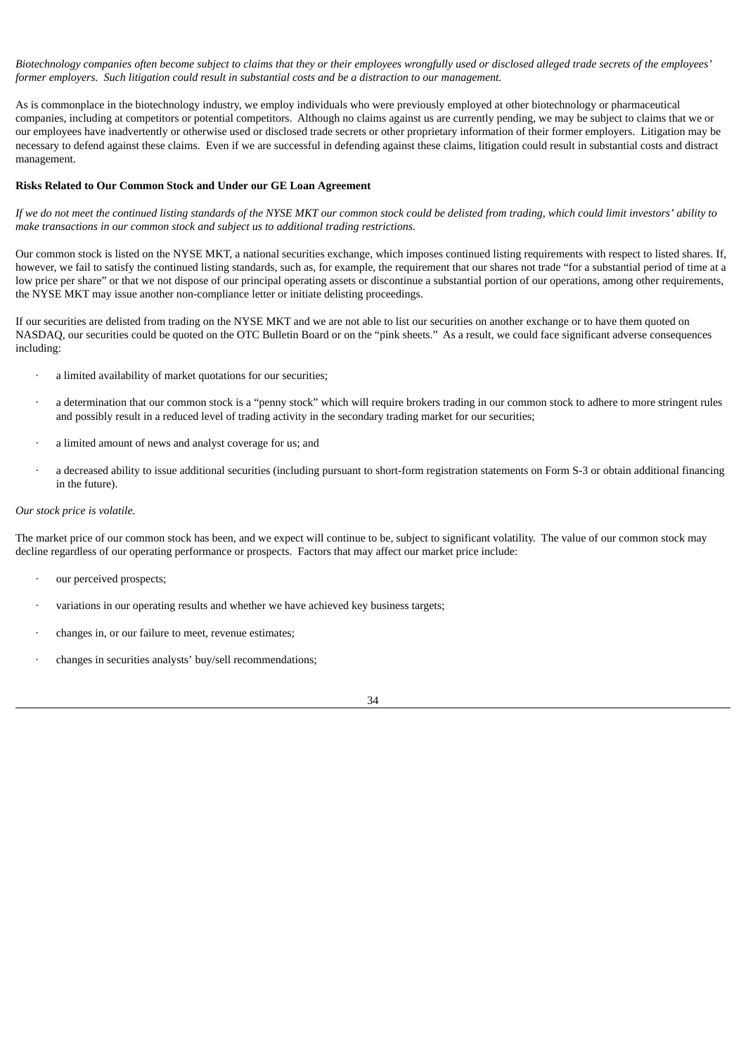Biotechnology companies often become subject to claims that they or their employees wrongfully used or disclosed alleged trade secrets of the employees' *former employers. Such litigation could result in substantial costs and be a distraction to our management.*

As is commonplace in the biotechnology industry, we employ individuals who were previously employed at other biotechnology or pharmaceutical companies, including at competitors or potential competitors. Although no claims against us are currently pending, we may be subject to claims that we or our employees have inadvertently or otherwise used or disclosed trade secrets or other proprietary information of their former employers. Litigation may be necessary to defend against these claims. Even if we are successful in defending against these claims, litigation could result in substantial costs and distract management.

## **Risks Related to Our Common Stock and Under our GE Loan Agreement**

If we do not meet the continued listing standards of the NYSE MKT our common stock could be delisted from trading, which could limit investors' ability to *make transactions in our common stock and subject us to additional trading restrictions.*

Our common stock is listed on the NYSE MKT, a national securities exchange, which imposes continued listing requirements with respect to listed shares. If, however, we fail to satisfy the continued listing standards, such as, for example, the requirement that our shares not trade "for a substantial period of time at a low price per share" or that we not dispose of our principal operating assets or discontinue a substantial portion of our operations, among other requirements, the NYSE MKT may issue another non-compliance letter or initiate delisting proceedings.

If our securities are delisted from trading on the NYSE MKT and we are not able to list our securities on another exchange or to have them quoted on NASDAQ, our securities could be quoted on the OTC Bulletin Board or on the "pink sheets." As a result, we could face significant adverse consequences including:

- a limited availability of market quotations for our securities;
- a determination that our common stock is a "penny stock" which will require brokers trading in our common stock to adhere to more stringent rules and possibly result in a reduced level of trading activity in the secondary trading market for our securities;
- a limited amount of news and analyst coverage for us; and
- a decreased ability to issue additional securities (including pursuant to short-form registration statements on Form S-3 or obtain additional financing in the future).

#### *Our stock price is volatile.*

The market price of our common stock has been, and we expect will continue to be, subject to significant volatility. The value of our common stock may decline regardless of our operating performance or prospects. Factors that may affect our market price include:

- our perceived prospects;
- variations in our operating results and whether we have achieved key business targets;
- · changes in, or our failure to meet, revenue estimates;
- · changes in securities analysts' buy/sell recommendations;

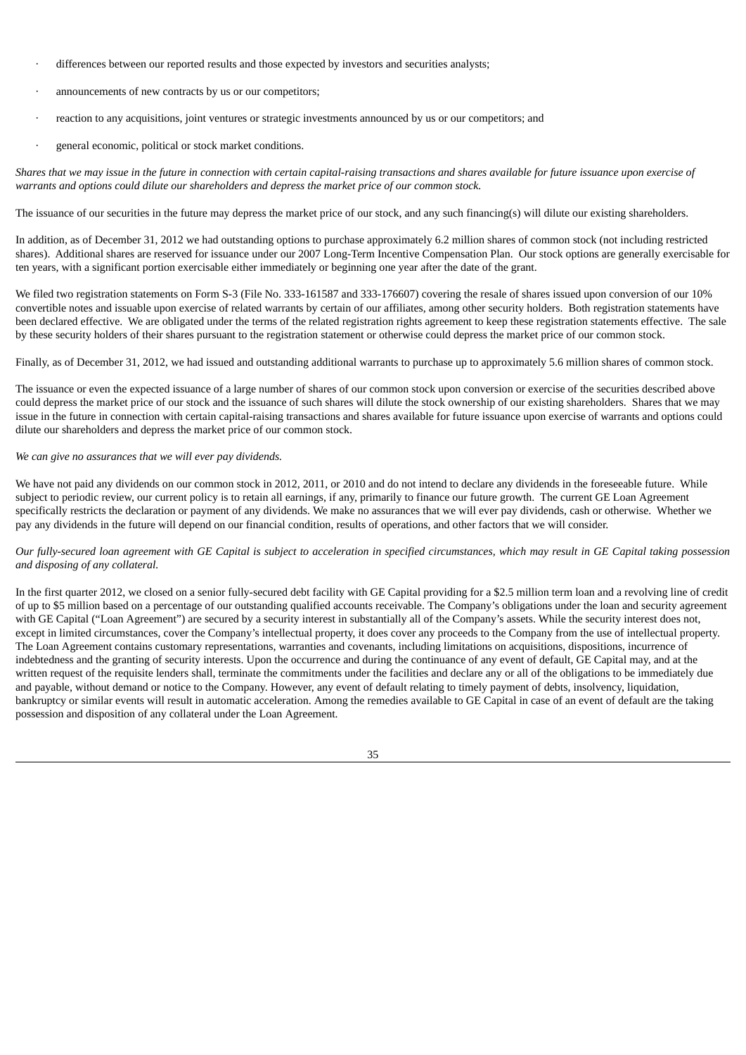- · differences between our reported results and those expected by investors and securities analysts;
- announcements of new contracts by us or our competitors;
- reaction to any acquisitions, joint ventures or strategic investments announced by us or our competitors; and
- general economic, political or stock market conditions.

Shares that we may issue in the future in connection with certain capital-raising transactions and shares available for future issuance upon exercise of *warrants and options could dilute our shareholders and depress the market price of our common stock.*

The issuance of our securities in the future may depress the market price of our stock, and any such financing(s) will dilute our existing shareholders.

In addition, as of December 31, 2012 we had outstanding options to purchase approximately 6.2 million shares of common stock (not including restricted shares). Additional shares are reserved for issuance under our 2007 Long-Term Incentive Compensation Plan. Our stock options are generally exercisable for ten years, with a significant portion exercisable either immediately or beginning one year after the date of the grant.

We filed two registration statements on Form S-3 (File No. 333-161587 and 333-176607) covering the resale of shares issued upon conversion of our 10% convertible notes and issuable upon exercise of related warrants by certain of our affiliates, among other security holders. Both registration statements have been declared effective. We are obligated under the terms of the related registration rights agreement to keep these registration statements effective. The sale by these security holders of their shares pursuant to the registration statement or otherwise could depress the market price of our common stock.

Finally, as of December 31, 2012, we had issued and outstanding additional warrants to purchase up to approximately 5.6 million shares of common stock.

The issuance or even the expected issuance of a large number of shares of our common stock upon conversion or exercise of the securities described above could depress the market price of our stock and the issuance of such shares will dilute the stock ownership of our existing shareholders. Shares that we may issue in the future in connection with certain capital-raising transactions and shares available for future issuance upon exercise of warrants and options could dilute our shareholders and depress the market price of our common stock.

# *We can give no assurances that we will ever pay dividends.*

We have not paid any dividends on our common stock in 2012, 2011, or 2010 and do not intend to declare any dividends in the foreseeable future. While subject to periodic review, our current policy is to retain all earnings, if any, primarily to finance our future growth. The current GE Loan Agreement specifically restricts the declaration or payment of any dividends. We make no assurances that we will ever pay dividends, cash or otherwise. Whether we pay any dividends in the future will depend on our financial condition, results of operations, and other factors that we will consider.

Our fully-secured loan agreement with GE Capital is subject to acceleration in specified circumstances, which may result in GE Capital taking possession *and disposing of any collateral.*

In the first quarter 2012, we closed on a senior fully-secured debt facility with GE Capital providing for a \$2.5 million term loan and a revolving line of credit of up to \$5 million based on a percentage of our outstanding qualified accounts receivable. The Company's obligations under the loan and security agreement with GE Capital ("Loan Agreement") are secured by a security interest in substantially all of the Company's assets. While the security interest does not, except in limited circumstances, cover the Company's intellectual property, it does cover any proceeds to the Company from the use of intellectual property. The Loan Agreement contains customary representations, warranties and covenants, including limitations on acquisitions, dispositions, incurrence of indebtedness and the granting of security interests. Upon the occurrence and during the continuance of any event of default, GE Capital may, and at the written request of the requisite lenders shall, terminate the commitments under the facilities and declare any or all of the obligations to be immediately due and payable, without demand or notice to the Company. However, any event of default relating to timely payment of debts, insolvency, liquidation, bankruptcy or similar events will result in automatic acceleration. Among the remedies available to GE Capital in case of an event of default are the taking possession and disposition of any collateral under the Loan Agreement.

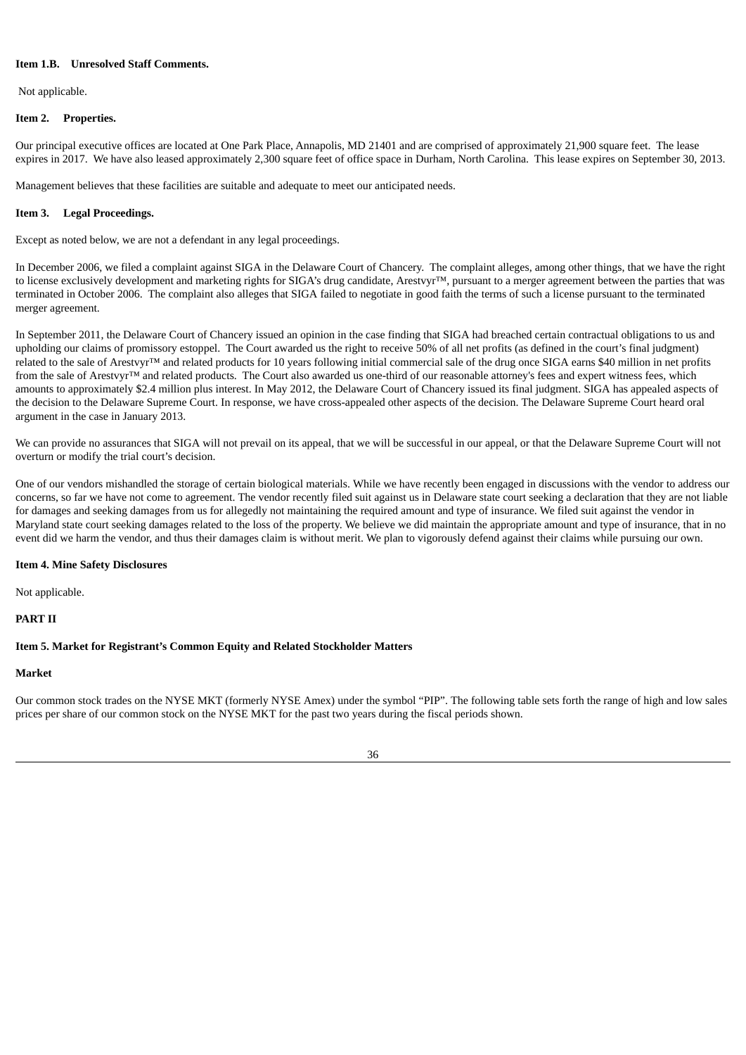# **Item 1.B. Unresolved Staff Comments.**

Not applicable.

### **Item 2. Properties.**

Our principal executive offices are located at One Park Place, Annapolis, MD 21401 and are comprised of approximately 21,900 square feet. The lease expires in 2017. We have also leased approximately 2,300 square feet of office space in Durham, North Carolina. This lease expires on September 30, 2013.

Management believes that these facilities are suitable and adequate to meet our anticipated needs.

#### **Item 3. Legal Proceedings.**

Except as noted below, we are not a defendant in any legal proceedings.

In December 2006, we filed a complaint against SIGA in the Delaware Court of Chancery. The complaint alleges, among other things, that we have the right to license exclusively development and marketing rights for SIGA's drug candidate, Arestvyr™, pursuant to a merger agreement between the parties that was terminated in October 2006. The complaint also alleges that SIGA failed to negotiate in good faith the terms of such a license pursuant to the terminated merger agreement.

In September 2011, the Delaware Court of Chancery issued an opinion in the case finding that SIGA had breached certain contractual obligations to us and upholding our claims of promissory estoppel. The Court awarded us the right to receive 50% of all net profits (as defined in the court's final judgment) related to the sale of Arestvyr™ and related products for 10 years following initial commercial sale of the drug once SIGA earns \$40 million in net profits from the sale of Arestvyr™ and related products. The Court also awarded us one-third of our reasonable attorney's fees and expert witness fees, which amounts to approximately \$2.4 million plus interest. In May 2012, the Delaware Court of Chancery issued its final judgment. SIGA has appealed aspects of the decision to the Delaware Supreme Court. In response, we have cross-appealed other aspects of the decision. The Delaware Supreme Court heard oral argument in the case in January 2013.

We can provide no assurances that SIGA will not prevail on its appeal, that we will be successful in our appeal, or that the Delaware Supreme Court will not overturn or modify the trial court's decision.

One of our vendors mishandled the storage of certain biological materials. While we have recently been engaged in discussions with the vendor to address our concerns, so far we have not come to agreement. The vendor recently filed suit against us in Delaware state court seeking a declaration that they are not liable for damages and seeking damages from us for allegedly not maintaining the required amount and type of insurance. We filed suit against the vendor in Maryland state court seeking damages related to the loss of the property. We believe we did maintain the appropriate amount and type of insurance, that in no event did we harm the vendor, and thus their damages claim is without merit. We plan to vigorously defend against their claims while pursuing our own.

# **Item 4. Mine Safety Disclosures**

Not applicable.

# **PART II**

# **Item 5. Market for Registrant's Common Equity and Related Stockholder Matters**

#### **Market**

Our common stock trades on the NYSE MKT (formerly NYSE Amex) under the symbol "PIP". The following table sets forth the range of high and low sales prices per share of our common stock on the NYSE MKT for the past two years during the fiscal periods shown.

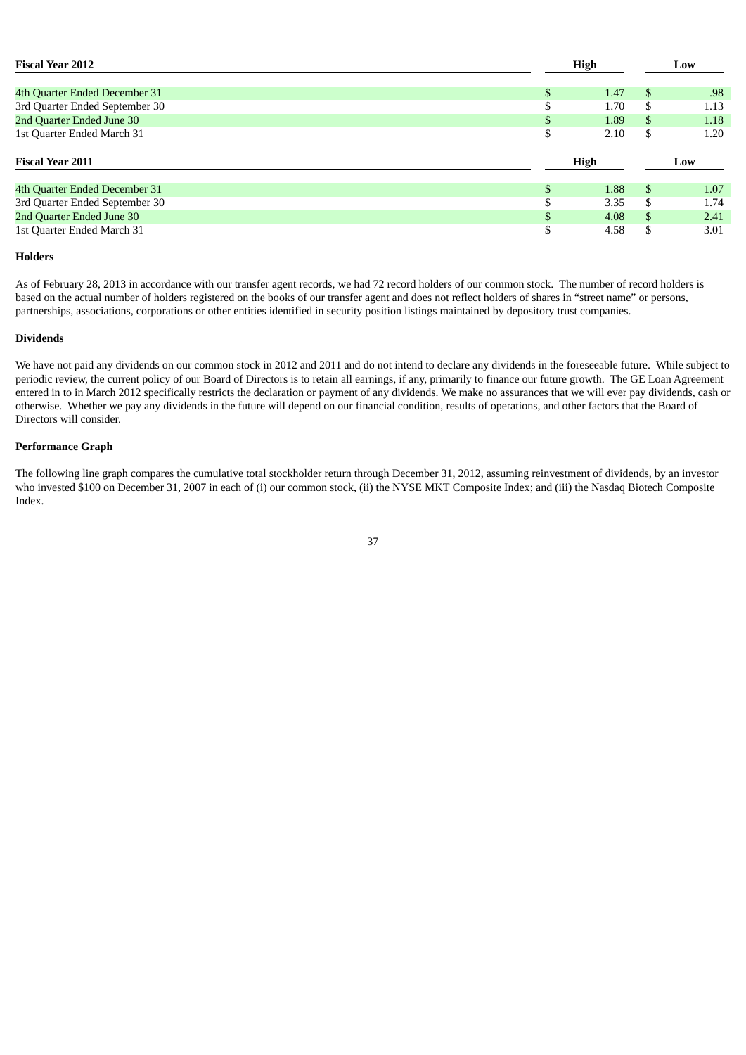| <b>Fiscal Year 2012</b>        |    | High        | Low          |      |  |
|--------------------------------|----|-------------|--------------|------|--|
|                                |    |             |              |      |  |
| 4th Quarter Ended December 31  | \$ | 1.47        | \$           | .98  |  |
| 3rd Quarter Ended September 30 |    | 1.70        | \$           | 1.13 |  |
| 2nd Quarter Ended June 30      | \$ | 1.89        | $\mathbb{S}$ | 1.18 |  |
| 1st Quarter Ended March 31     | S  | 2.10        | \$           | 1.20 |  |
| <b>Fiscal Year 2011</b>        |    | <b>High</b> |              | Low  |  |
| 4th Quarter Ended December 31  | \$ | 1.88        | \$           | 1.07 |  |
| 3rd Quarter Ended September 30 |    | 3.35        | S            | 1.74 |  |
| 2nd Quarter Ended June 30      | \$ | 4.08        | \$           | 2.41 |  |
| 1st Quarter Ended March 31     | \$ | 4.58        | \$           | 3.01 |  |

# **Holders**

As of February 28, 2013 in accordance with our transfer agent records, we had 72 record holders of our common stock. The number of record holders is based on the actual number of holders registered on the books of our transfer agent and does not reflect holders of shares in "street name" or persons, partnerships, associations, corporations or other entities identified in security position listings maintained by depository trust companies.

# **Dividends**

We have not paid any dividends on our common stock in 2012 and 2011 and do not intend to declare any dividends in the foreseeable future. While subject to periodic review, the current policy of our Board of Directors is to retain all earnings, if any, primarily to finance our future growth. The GE Loan Agreement entered in to in March 2012 specifically restricts the declaration or payment of any dividends. We make no assurances that we will ever pay dividends, cash or otherwise. Whether we pay any dividends in the future will depend on our financial condition, results of operations, and other factors that the Board of Directors will consider.

# **Performance Graph**

The following line graph compares the cumulative total stockholder return through December 31, 2012, assuming reinvestment of dividends, by an investor who invested \$100 on December 31, 2007 in each of (i) our common stock, (ii) the NYSE MKT Composite Index; and (iii) the Nasdaq Biotech Composite Index.

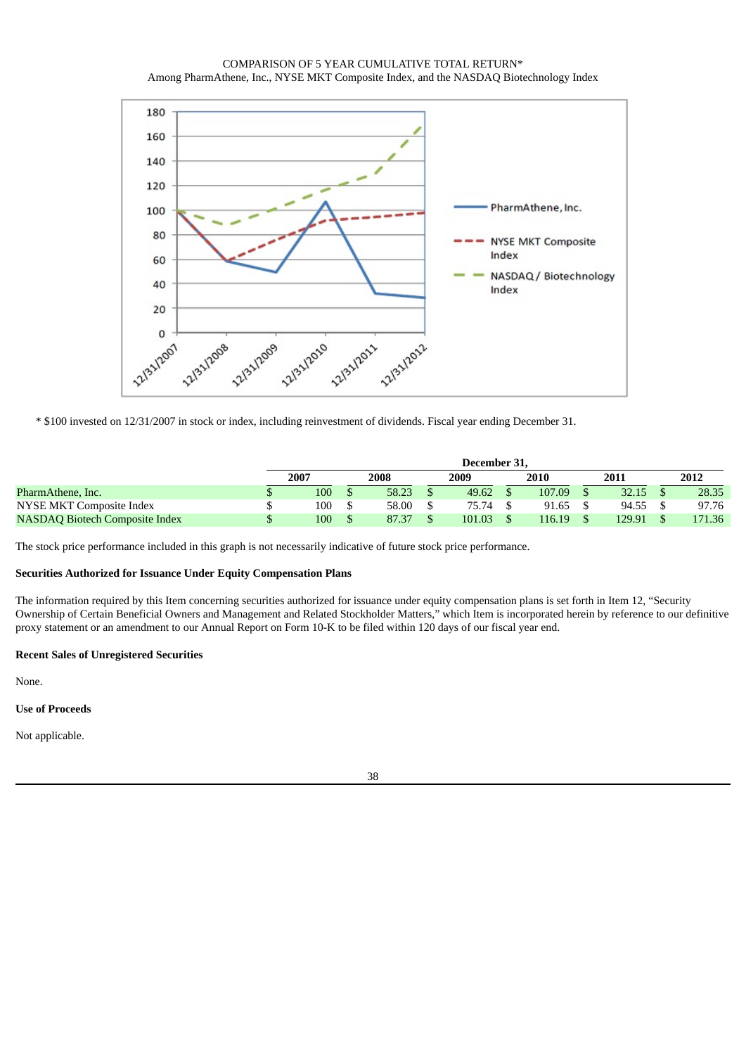# COMPARISON OF 5 YEAR CUMULATIVE TOTAL RETURN\* Among PharmAthene, Inc., NYSE MKT Composite Index, and the NASDAQ Biotechnology Index



\* \$100 invested on 12/31/2007 in stock or index, including reinvestment of dividends. Fiscal year ending December 31.

|                                       | December 31. |  |       |  |        |  |        |  |        |  |        |  |
|---------------------------------------|--------------|--|-------|--|--------|--|--------|--|--------|--|--------|--|
|                                       | 2007         |  | 2008  |  | 2009   |  | 2010   |  | 2011   |  | 2012   |  |
| PharmAthene, Inc.                     | 100          |  | 58.23 |  | 49.62  |  | 107.09 |  | 32.15  |  | 28.35  |  |
| NYSE MKT Composite Index              | 100          |  | 58.00 |  | 75.74  |  | 91.65  |  | 94.55  |  | 97.76  |  |
| <b>NASDAQ Biotech Composite Index</b> | 100          |  | 87.37 |  | 101.03 |  | 116.19 |  | 129.91 |  | 171.36 |  |

The stock price performance included in this graph is not necessarily indicative of future stock price performance.

# **Securities Authorized for Issuance Under Equity Compensation Plans**

The information required by this Item concerning securities authorized for issuance under equity compensation plans is set forth in Item 12, "Security Ownership of Certain Beneficial Owners and Management and Related Stockholder Matters," which Item is incorporated herein by reference to our definitive proxy statement or an amendment to our Annual Report on Form 10-K to be filed within 120 days of our fiscal year end.

# **Recent Sales of Unregistered Securities**

None.

# **Use of Proceeds**

Not applicable.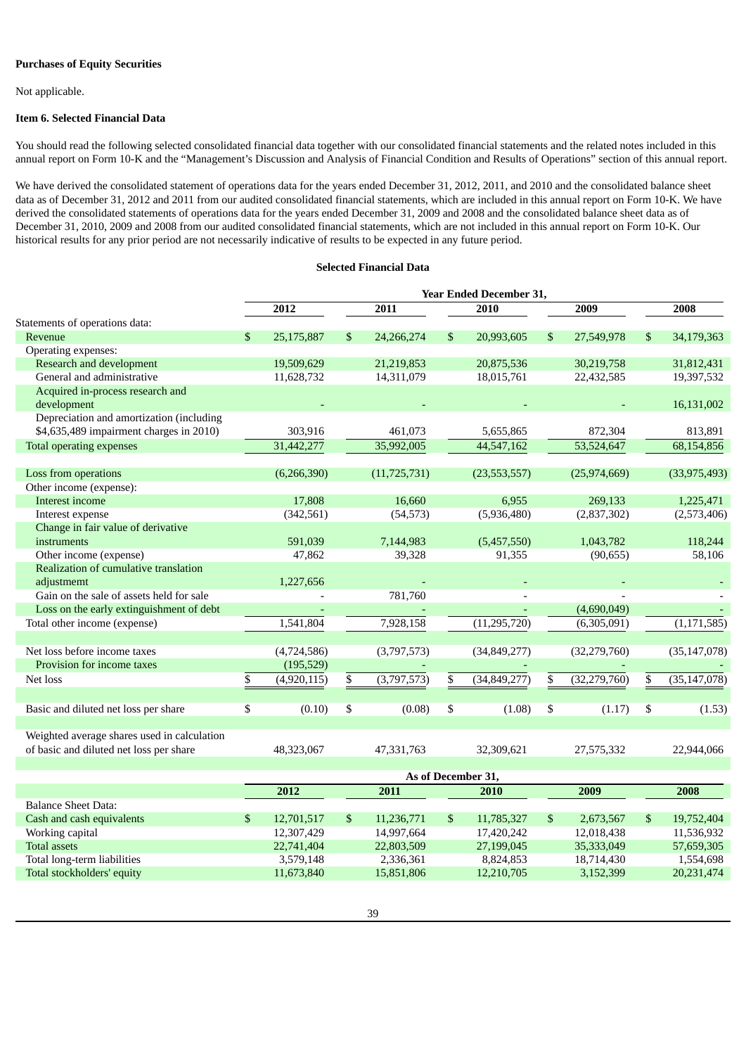# **Purchases of Equity Securities**

Not applicable.

### **Item 6. Selected Financial Data**

You should read the following selected consolidated financial data together with our consolidated financial statements and the related notes included in this annual report on Form 10-K and the "Management's Discussion and Analysis of Financial Condition and Results of Operations" section of this annual report.

We have derived the consolidated statement of operations data for the years ended December 31, 2012, 2011, and 2010 and the consolidated balance sheet data as of December 31, 2012 and 2011 from our audited consolidated financial statements, which are included in this annual report on Form 10-K. We have derived the consolidated statements of operations data for the years ended December 31, 2009 and 2008 and the consolidated balance sheet data as of December 31, 2010, 2009 and 2008 from our audited consolidated financial statements, which are not included in this annual report on Form 10-K. Our historical results for any prior period are not necessarily indicative of results to be expected in any future period.

# **Selected Financial Data**

|                                                 | Year Ended December 31, |             |    |                |    |                    |                 |                |                 |                |  |
|-------------------------------------------------|-------------------------|-------------|----|----------------|----|--------------------|-----------------|----------------|-----------------|----------------|--|
|                                                 |                         | 2012        |    | 2011           |    | 2010               |                 | 2009           |                 | 2008           |  |
| Statements of operations data:                  |                         |             |    |                |    |                    |                 |                |                 |                |  |
| Revenue                                         | \$                      | 25,175,887  | \$ | 24,266,274     | \$ | 20,993,605         | \$              | 27,549,978     | \$              | 34,179,363     |  |
| Operating expenses:                             |                         |             |    |                |    |                    |                 |                |                 |                |  |
| <b>Research and development</b>                 |                         | 19,509,629  |    | 21,219,853     |    | 20,875,536         |                 | 30,219,758     |                 | 31,812,431     |  |
| General and administrative                      |                         | 11,628,732  |    | 14,311,079     |    | 18,015,761         |                 | 22,432,585     |                 | 19,397,532     |  |
| Acquired in-process research and<br>development |                         |             |    |                |    |                    |                 |                |                 | 16,131,002     |  |
| Depreciation and amortization (including        |                         |             |    |                |    |                    |                 |                |                 |                |  |
| \$4,635,489 impairment charges in 2010)         |                         | 303,916     |    | 461,073        |    | 5,655,865          |                 | 872,304        |                 | 813,891        |  |
| <b>Total operating expenses</b>                 |                         | 31,442,277  |    | 35,992,005     |    | 44,547,162         |                 | 53,524,647     |                 | 68,154,856     |  |
|                                                 |                         |             |    |                |    |                    |                 |                |                 |                |  |
| Loss from operations                            |                         | (6,266,390) |    | (11, 725, 731) |    | (23,553,557)       |                 | (25, 974, 669) |                 | (33, 975, 493) |  |
| Other income (expense):                         |                         |             |    |                |    |                    |                 |                |                 |                |  |
| Interest income                                 |                         | 17,808      |    | 16,660         |    | 6,955              |                 | 269,133        |                 | 1,225,471      |  |
| Interest expense                                |                         | (342, 561)  |    | (54, 573)      |    | (5,936,480)        |                 | (2,837,302)    |                 | (2,573,406)    |  |
| Change in fair value of derivative              |                         |             |    |                |    |                    |                 |                |                 |                |  |
| instruments                                     |                         | 591,039     |    | 7,144,983      |    | (5,457,550)        |                 | 1,043,782      |                 | 118,244        |  |
| Other income (expense)                          |                         | 47,862      |    | 39,328         |    | 91,355             |                 | (90, 655)      |                 | 58,106         |  |
| Realization of cumulative translation           |                         |             |    |                |    |                    |                 |                |                 |                |  |
| adjustmemt                                      |                         | 1,227,656   |    |                |    |                    |                 |                |                 |                |  |
| Gain on the sale of assets held for sale        |                         |             |    | 781,760        |    |                    |                 |                |                 |                |  |
| Loss on the early extinguishment of debt        |                         |             |    |                |    |                    |                 | (4,690,049)    |                 |                |  |
| Total other income (expense)                    |                         | 1,541,804   |    | 7,928,158      |    | (11, 295, 720)     |                 | (6,305,091)    |                 | (1, 171, 585)  |  |
|                                                 |                         |             |    |                |    |                    |                 |                |                 |                |  |
| Net loss before income taxes                    |                         | (4,724,586) |    | (3,797,573)    |    | (34, 849, 277)     |                 | (32, 279, 760) |                 | (35, 147, 078) |  |
| Provision for income taxes                      |                         | (195, 529)  |    |                |    |                    |                 |                |                 |                |  |
| Net loss                                        | \$                      | (4,920,115) | \$ | (3,797,573)    | \$ | (34, 849, 277)     | $\overline{\$}$ | (32, 279, 760) | $\overline{\$}$ | (35, 147, 078) |  |
|                                                 |                         |             |    |                |    |                    |                 |                |                 |                |  |
| Basic and diluted net loss per share            | \$                      | (0.10)      | \$ | (0.08)         | \$ | (1.08)             | \$              | (1.17)         | \$              | (1.53)         |  |
| Weighted average shares used in calculation     |                         |             |    |                |    |                    |                 |                |                 |                |  |
| of basic and diluted net loss per share         |                         | 48,323,067  |    | 47,331,763     |    | 32,309,621         |                 | 27,575,332     |                 | 22,944,066     |  |
|                                                 |                         |             |    |                |    | As of December 31. |                 |                |                 |                |  |

|                             | As of December 31, |    |            |  |            |     |            |    |            |  |
|-----------------------------|--------------------|----|------------|--|------------|-----|------------|----|------------|--|
|                             | 2012               |    | 2011       |  | 2010       |     | 2009       |    | 2008       |  |
| Balance Sheet Data:         |                    |    |            |  |            |     |            |    |            |  |
| Cash and cash equivalents   | 12,701,517         | \$ | 11,236,771 |  | 11,785,327 | \$. | 2,673,567  | \$ | 19,752,404 |  |
| Working capital             | 12,307,429         |    | 14,997,664 |  | 17,420,242 |     | 12,018,438 |    | 11,536,932 |  |
| <b>Total assets</b>         | 22,741,404         |    | 22,803,509 |  | 27,199,045 |     | 35,333,049 |    | 57,659,305 |  |
| Total long-term liabilities | 3.579.148          |    | 2,336,361  |  | 8.824.853  |     | 18,714,430 |    | 1,554,698  |  |
| Total stockholders' equity  | 11,673,840         |    | 15,851,806 |  | 12,210,705 |     | 3,152,399  |    | 20,231,474 |  |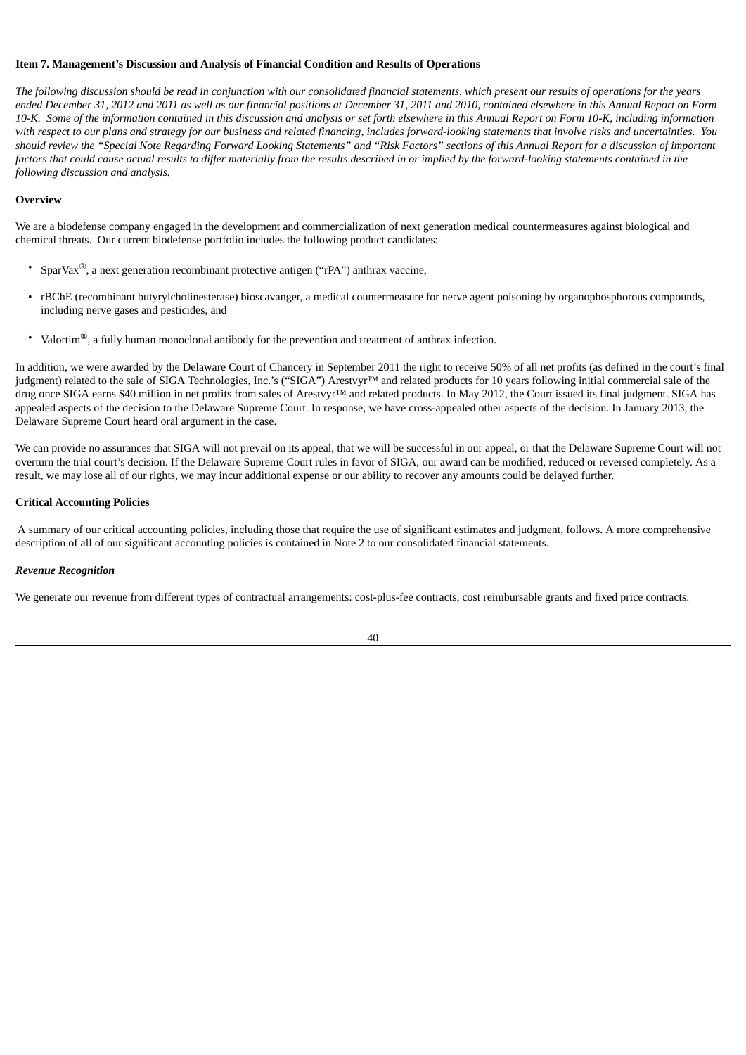#### **Item 7. Management's Discussion and Analysis of Financial Condition and Results of Operations**

The following discussion should be read in conjunction with our consolidated financial statements, which present our results of operations for the years ended December 31, 2012 and 2011 as well as our financial positions at December 31, 2011 and 2010, contained elsewhere in this Annual Report on Form 10-K. Some of the information contained in this discussion and analysis or set forth elsewhere in this Annual Report on Form 10-K, including information with respect to our plans and strategy for our business and related financing, includes forward-looking statements that involve risks and uncertainties. You should review the "Special Note Regarding Forward Looking Statements" and "Risk Factors" sections of this Annual Report for a discussion of important factors that could cause actual results to differ materially from the results described in or implied by the forward-looking statements contained in the *following discussion and analysis.*

#### **Overview**

We are a biodefense company engaged in the development and commercialization of next generation medical countermeasures against biological and chemical threats. Our current biodefense portfolio includes the following product candidates:

- SparVax $^{\circledR}$ , a next generation recombinant protective antigen ("rPA") anthrax vaccine,
- rBChE (recombinant butyrylcholinesterase) bioscavanger, a medical countermeasure for nerve agent poisoning by organophosphorous compounds, including nerve gases and pesticides, and
- Valortim®, a fully human monoclonal antibody for the prevention and treatment of anthrax infection.

In addition, we were awarded by the Delaware Court of Chancery in September 2011 the right to receive 50% of all net profits (as defined in the court's final judgment) related to the sale of SIGA Technologies, Inc.'s ("SIGA") Arestvyr™ and related products for 10 years following initial commercial sale of the drug once SIGA earns \$40 million in net profits from sales of Arestvyr™ and related products. In May 2012, the Court issued its final judgment. SIGA has appealed aspects of the decision to the Delaware Supreme Court. In response, we have cross-appealed other aspects of the decision. In January 2013, the Delaware Supreme Court heard oral argument in the case.

We can provide no assurances that SIGA will not prevail on its appeal, that we will be successful in our appeal, or that the Delaware Supreme Court will not overturn the trial court's decision. If the Delaware Supreme Court rules in favor of SIGA, our award can be modified, reduced or reversed completely. As a result, we may lose all of our rights, we may incur additional expense or our ability to recover any amounts could be delayed further.

#### **Critical Accounting Policies**

A summary of our critical accounting policies, including those that require the use of significant estimates and judgment, follows. A more comprehensive description of all of our significant accounting policies is contained in Note 2 to our consolidated financial statements.

#### *Revenue Recognition*

We generate our revenue from different types of contractual arrangements: cost-plus-fee contracts, cost reimbursable grants and fixed price contracts.

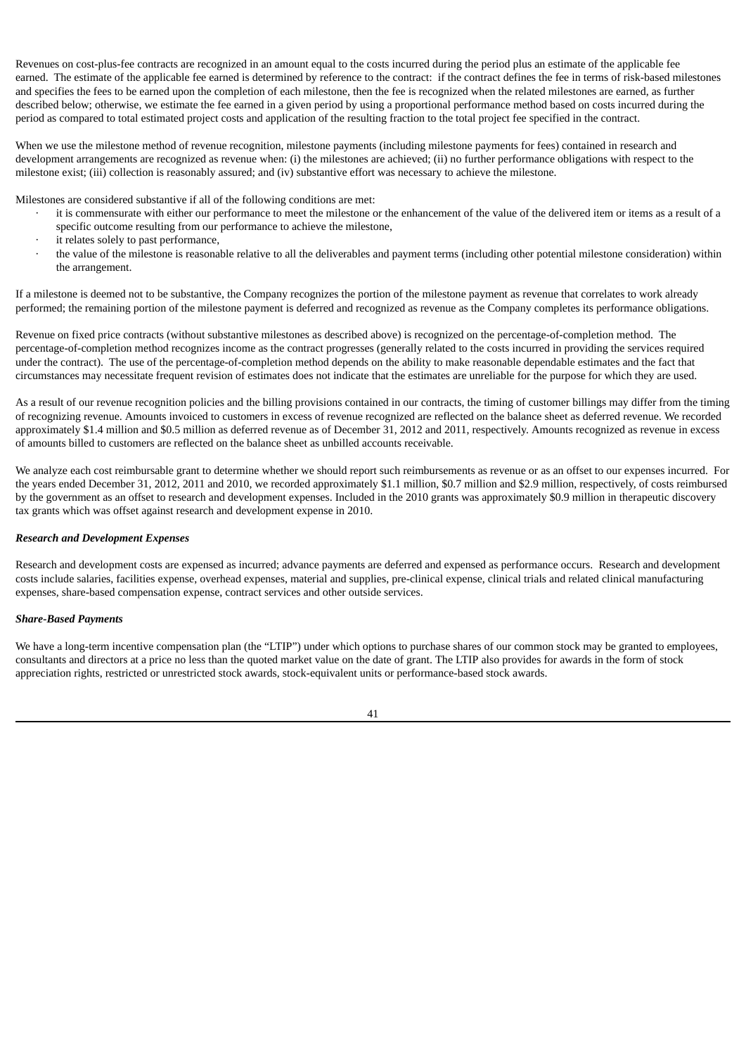Revenues on cost-plus-fee contracts are recognized in an amount equal to the costs incurred during the period plus an estimate of the applicable fee earned. The estimate of the applicable fee earned is determined by reference to the contract: if the contract defines the fee in terms of risk-based milestones and specifies the fees to be earned upon the completion of each milestone, then the fee is recognized when the related milestones are earned, as further described below; otherwise, we estimate the fee earned in a given period by using a proportional performance method based on costs incurred during the period as compared to total estimated project costs and application of the resulting fraction to the total project fee specified in the contract.

When we use the milestone method of revenue recognition, milestone payments (including milestone payments for fees) contained in research and development arrangements are recognized as revenue when: (i) the milestones are achieved; (ii) no further performance obligations with respect to the milestone exist; (iii) collection is reasonably assured; and (iv) substantive effort was necessary to achieve the milestone.

Milestones are considered substantive if all of the following conditions are met:

- it is commensurate with either our performance to meet the milestone or the enhancement of the value of the delivered item or items as a result of a specific outcome resulting from our performance to achieve the milestone,
- it relates solely to past performance,
- · the value of the milestone is reasonable relative to all the deliverables and payment terms (including other potential milestone consideration) within the arrangement.

If a milestone is deemed not to be substantive, the Company recognizes the portion of the milestone payment as revenue that correlates to work already performed; the remaining portion of the milestone payment is deferred and recognized as revenue as the Company completes its performance obligations.

Revenue on fixed price contracts (without substantive milestones as described above) is recognized on the percentage-of-completion method. The percentage-of-completion method recognizes income as the contract progresses (generally related to the costs incurred in providing the services required under the contract). The use of the percentage-of-completion method depends on the ability to make reasonable dependable estimates and the fact that circumstances may necessitate frequent revision of estimates does not indicate that the estimates are unreliable for the purpose for which they are used.

As a result of our revenue recognition policies and the billing provisions contained in our contracts, the timing of customer billings may differ from the timing of recognizing revenue. Amounts invoiced to customers in excess of revenue recognized are reflected on the balance sheet as deferred revenue. We recorded approximately \$1.4 million and \$0.5 million as deferred revenue as of December 31, 2012 and 2011, respectively. Amounts recognized as revenue in excess of amounts billed to customers are reflected on the balance sheet as unbilled accounts receivable.

We analyze each cost reimbursable grant to determine whether we should report such reimbursements as revenue or as an offset to our expenses incurred. For the years ended December 31, 2012, 2011 and 2010, we recorded approximately \$1.1 million, \$0.7 million and \$2.9 million, respectively, of costs reimbursed by the government as an offset to research and development expenses. Included in the 2010 grants was approximately \$0.9 million in therapeutic discovery tax grants which was offset against research and development expense in 2010.

# *Research and Development Expenses*

Research and development costs are expensed as incurred; advance payments are deferred and expensed as performance occurs. Research and development costs include salaries, facilities expense, overhead expenses, material and supplies, pre-clinical expense, clinical trials and related clinical manufacturing expenses, share-based compensation expense, contract services and other outside services.

# *Share-Based Payments*

We have a long-term incentive compensation plan (the "LTIP") under which options to purchase shares of our common stock may be granted to employees, consultants and directors at a price no less than the quoted market value on the date of grant. The LTIP also provides for awards in the form of stock appreciation rights, restricted or unrestricted stock awards, stock-equivalent units or performance-based stock awards.

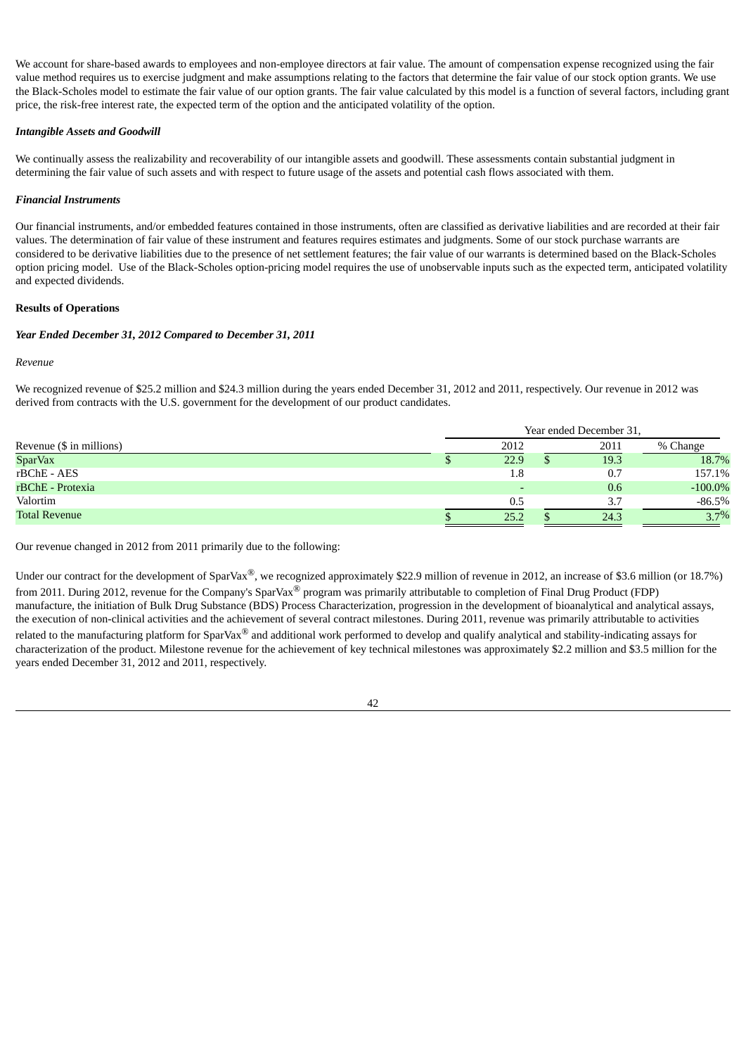We account for share-based awards to employees and non-employee directors at fair value. The amount of compensation expense recognized using the fair value method requires us to exercise judgment and make assumptions relating to the factors that determine the fair value of our stock option grants. We use the Black-Scholes model to estimate the fair value of our option grants. The fair value calculated by this model is a function of several factors, including grant price, the risk-free interest rate, the expected term of the option and the anticipated volatility of the option.

## *Intangible Assets and Goodwill*

We continually assess the realizability and recoverability of our intangible assets and goodwill. These assessments contain substantial judgment in determining the fair value of such assets and with respect to future usage of the assets and potential cash flows associated with them.

## *Financial Instruments*

Our financial instruments, and/or embedded features contained in those instruments, often are classified as derivative liabilities and are recorded at their fair values. The determination of fair value of these instrument and features requires estimates and judgments. Some of our stock purchase warrants are considered to be derivative liabilities due to the presence of net settlement features; the fair value of our warrants is determined based on the Black-Scholes option pricing model. Use of the Black-Scholes option-pricing model requires the use of unobservable inputs such as the expected term, anticipated volatility and expected dividends.

#### **Results of Operations**

# *Year Ended December 31, 2012 Compared to December 31, 2011*

*Revenue*

We recognized revenue of \$25.2 million and \$24.3 million during the years ended December 31, 2012 and 2011, respectively. Our revenue in 2012 was derived from contracts with the U.S. government for the development of our product candidates.

|                          | Year ended December 31, |      |  |      |            |  |  |  |  |  |
|--------------------------|-------------------------|------|--|------|------------|--|--|--|--|--|
| Revenue (\$ in millions) |                         | 2012 |  | 2011 | % Change   |  |  |  |  |  |
| <b>SparVax</b>           |                         | 22.9 |  | 19.3 | 18.7%      |  |  |  |  |  |
| rBChE - AES              |                         | 1.8  |  | 0.7  | 157.1%     |  |  |  |  |  |
| rBChE - Protexia         |                         |      |  | 0.6  | $-100.0\%$ |  |  |  |  |  |
| Valortim                 |                         | 0.5  |  | 3.7  | $-86.5%$   |  |  |  |  |  |
| <b>Total Revenue</b>     |                         | 25.2 |  | 24.3 | 3.7%       |  |  |  |  |  |

Our revenue changed in 2012 from 2011 primarily due to the following:

Under our contract for the development of SparVax<sup>®</sup>, we recognized approximately \$22.9 million of revenue in 2012, an increase of \$3.6 million (or 18.7%) from 2011. During 2012, revenue for the Company's SparVax® program was primarily attributable to completion of Final Drug Product (FDP) manufacture, the initiation of Bulk Drug Substance (BDS) Process Characterization, progression in the development of bioanalytical and analytical assays, the execution of non-clinical activities and the achievement of several contract milestones. During 2011, revenue was primarily attributable to activities related to the manufacturing platform for SparVax<sup>®</sup> and additional work performed to develop and qualify analytical and stability-indicating assays for characterization of the product. Milestone revenue for the achievement of key technical milestones was approximately \$2.2 million and \$3.5 million for the years ended December 31, 2012 and 2011, respectively.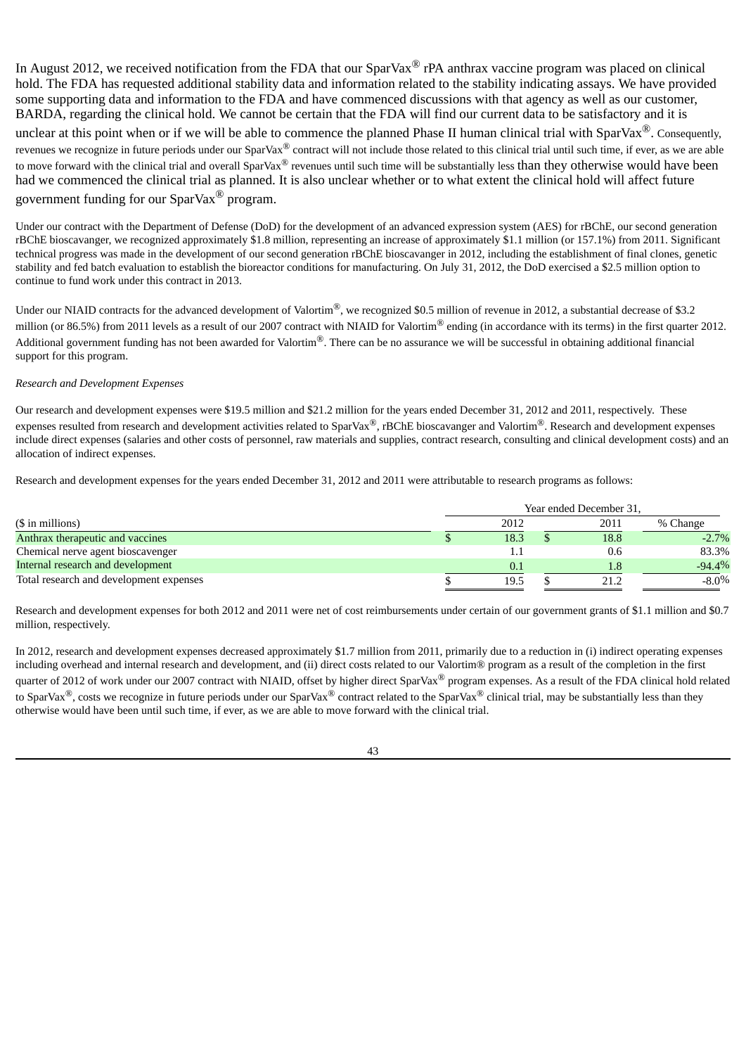In August 2012, we received notification from the FDA that our SparVax<sup>®</sup> rPA anthrax vaccine program was placed on clinical hold. The FDA has requested additional stability data and information related to the stability indicating assays. We have provided some supporting data and information to the FDA and have commenced discussions with that agency as well as our customer, BARDA, regarding the clinical hold. We cannot be certain that the FDA will find our current data to be satisfactory and it is unclear at this point when or if we will be able to commence the planned Phase II human clinical trial with SparVax<sup>®</sup>. Consequently, revenues we recognize in future periods under our SparVax<sup>®</sup> contract will not include those related to this clinical trial until such time, if ever, as we are able to move forward with the clinical trial and overall SparVax<sup>®</sup> revenues until such time will be substantially less than they otherwise would have been had we commenced the clinical trial as planned. It is also unclear whether or to what extent the clinical hold will affect future government funding for our SparVax $^{\circledR}$  program.

Under our contract with the Department of Defense (DoD) for the development of an advanced expression system (AES) for rBChE, our second generation rBChE bioscavanger, we recognized approximately \$1.8 million, representing an increase of approximately \$1.1 million (or 157.1%) from 2011. Significant technical progress was made in the development of our second generation rBChE bioscavanger in 2012, including the establishment of final clones, genetic stability and fed batch evaluation to establish the bioreactor conditions for manufacturing. On July 31, 2012, the DoD exercised a \$2.5 million option to continue to fund work under this contract in 2013.

Under our NIAID contracts for the advanced development of Valortim®, we recognized \$0.5 million of revenue in 2012, a substantial decrease of \$3.2 million (or 86.5%) from 2011 levels as a result of our 2007 contract with NIAID for Valortim<sup>®</sup> ending (in accordance with its terms) in the first quarter 2012. Additional government funding has not been awarded for Valortim®. There can be no assurance we will be successful in obtaining additional financial support for this program.

# *Research and Development Expenses*

Our research and development expenses were \$19.5 million and \$21.2 million for the years ended December 31, 2012 and 2011, respectively. These expenses resulted from research and development activities related to SparVax®, rBChE bioscavanger and Valortim®. Research and development expenses include direct expenses (salaries and other costs of personnel, raw materials and supplies, contract research, consulting and clinical development costs) and an allocation of indirect expenses.

Research and development expenses for the years ended December 31, 2012 and 2011 were attributable to research programs as follows:

|                                         | Year ended December 31, |      |  |      |          |  |  |  |  |  |
|-----------------------------------------|-------------------------|------|--|------|----------|--|--|--|--|--|
| $(S \in \mathbb{N})$ in millions)       |                         | 2012 |  | 2011 | % Change |  |  |  |  |  |
| Anthrax therapeutic and vaccines        |                         | 18.3 |  | 18.8 | $-2.7\%$ |  |  |  |  |  |
| Chemical nerve agent bioscavenger       |                         |      |  | 0.6  | 83.3%    |  |  |  |  |  |
| Internal research and development       |                         | 0.1  |  | 1.8  | $-94.4%$ |  |  |  |  |  |
| Total research and development expenses |                         | 19.5 |  | 21.2 | $-8.0\%$ |  |  |  |  |  |

Research and development expenses for both 2012 and 2011 were net of cost reimbursements under certain of our government grants of \$1.1 million and \$0.7 million, respectively.

In 2012, research and development expenses decreased approximately \$1.7 million from 2011, primarily due to a reduction in (i) indirect operating expenses including overhead and internal research and development, and (ii) direct costs related to our Valortim® program as a result of the completion in the first quarter of 2012 of work under our 2007 contract with NIAID, offset by higher direct SparVax<sup>®</sup> program expenses. As a result of the FDA clinical hold related to SparVax<sup>®</sup>, costs we recognize in future periods under our SparVax<sup>®</sup> contract related to the SparVax<sup>®</sup> clinical trial, may be substantially less than they otherwise would have been until such time, if ever, as we are able to move forward with the clinical trial.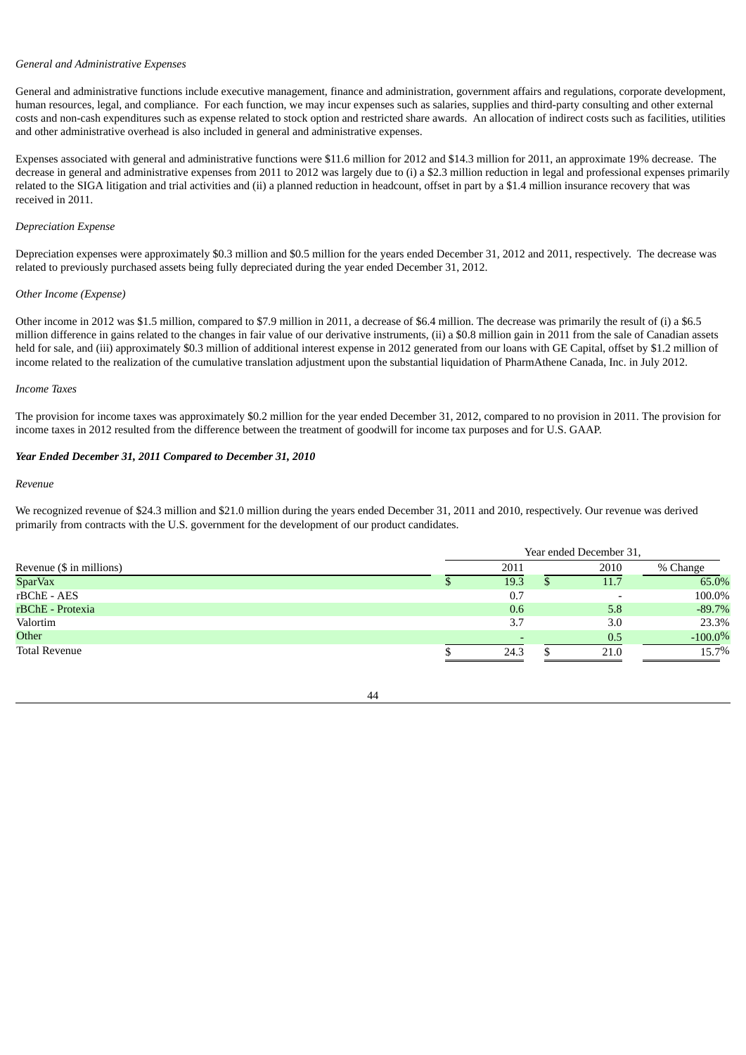#### *General and Administrative Expenses*

General and administrative functions include executive management, finance and administration, government affairs and regulations, corporate development, human resources, legal, and compliance. For each function, we may incur expenses such as salaries, supplies and third-party consulting and other external costs and non-cash expenditures such as expense related to stock option and restricted share awards. An allocation of indirect costs such as facilities, utilities and other administrative overhead is also included in general and administrative expenses.

Expenses associated with general and administrative functions were \$11.6 million for 2012 and \$14.3 million for 2011, an approximate 19% decrease. The decrease in general and administrative expenses from 2011 to 2012 was largely due to (i) a \$2.3 million reduction in legal and professional expenses primarily related to the SIGA litigation and trial activities and (ii) a planned reduction in headcount, offset in part by a \$1.4 million insurance recovery that was received in 2011.

#### *Depreciation Expense*

Depreciation expenses were approximately \$0.3 million and \$0.5 million for the years ended December 31, 2012 and 2011, respectively. The decrease was related to previously purchased assets being fully depreciated during the year ended December 31, 2012.

#### *Other Income (Expense)*

Other income in 2012 was \$1.5 million, compared to \$7.9 million in 2011, a decrease of \$6.4 million. The decrease was primarily the result of (i) a \$6.5 million difference in gains related to the changes in fair value of our derivative instruments, (ii) a \$0.8 million gain in 2011 from the sale of Canadian assets held for sale, and (iii) approximately \$0.3 million of additional interest expense in 2012 generated from our loans with GE Capital, offset by \$1.2 million of income related to the realization of the cumulative translation adjustment upon the substantial liquidation of PharmAthene Canada, Inc. in July 2012.

#### *Income Taxes*

The provision for income taxes was approximately \$0.2 million for the year ended December 31, 2012, compared to no provision in 2011. The provision for income taxes in 2012 resulted from the difference between the treatment of goodwill for income tax purposes and for U.S. GAAP.

#### *Year Ended December 31, 2011 Compared to December 31, 2010*

#### *Revenue*

We recognized revenue of \$24.3 million and \$21.0 million during the years ended December 31, 2011 and 2010, respectively. Our revenue was derived primarily from contracts with the U.S. government for the development of our product candidates.

|                          | Year ended December 31, |      |  |      |            |  |  |  |  |  |
|--------------------------|-------------------------|------|--|------|------------|--|--|--|--|--|
| Revenue (\$ in millions) |                         | 2011 |  | 2010 | % Change   |  |  |  |  |  |
| <b>SparVax</b>           |                         | 19.3 |  | 11.7 | 65.0%      |  |  |  |  |  |
| rBChE - AES              |                         | 0.7  |  |      | 100.0%     |  |  |  |  |  |
| rBChE - Protexia         |                         | 0.6  |  | 5.8  | $-89.7%$   |  |  |  |  |  |
| Valortim                 |                         | 3.7  |  | 3.0  | 23.3%      |  |  |  |  |  |
| Other                    |                         |      |  | 0.5  | $-100.0\%$ |  |  |  |  |  |
| <b>Total Revenue</b>     |                         | 24.3 |  | 21.0 | 15.7%      |  |  |  |  |  |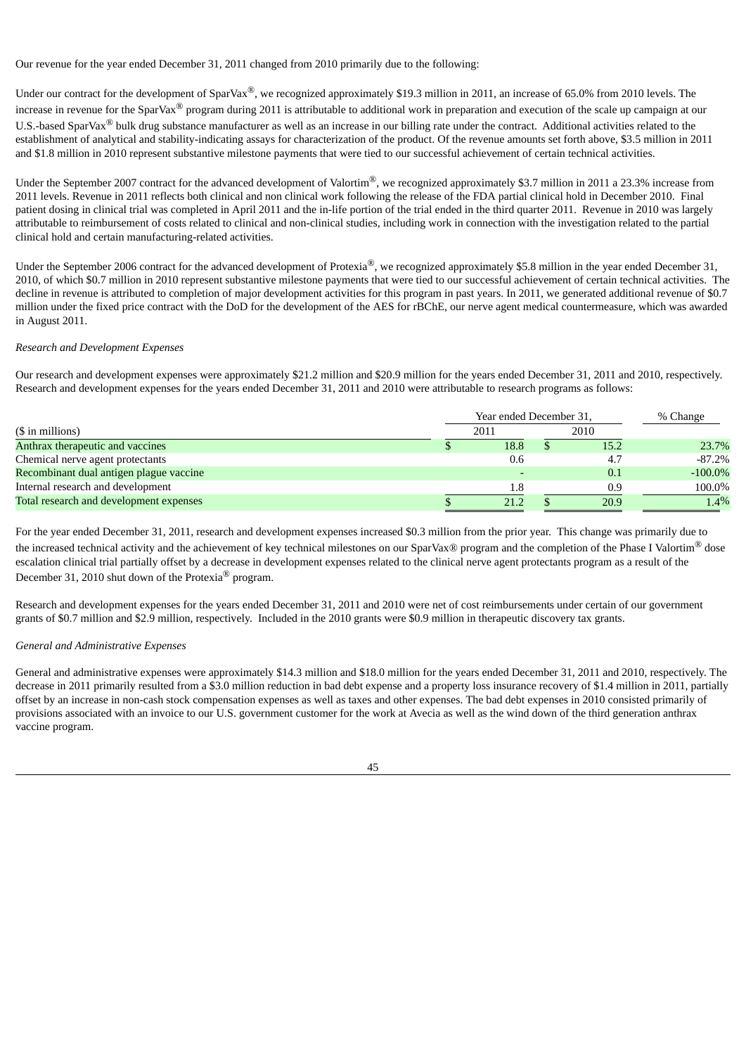Our revenue for the year ended December 31, 2011 changed from 2010 primarily due to the following:

Under our contract for the development of SparVax®, we recognized approximately \$19.3 million in 2011, an increase of 65.0% from 2010 levels. The increase in revenue for the SparVax<sup>®</sup> program during 2011 is attributable to additional work in preparation and execution of the scale up campaign at our U.S.-based SparVax® bulk drug substance manufacturer as well as an increase in our billing rate under the contract. Additional activities related to the establishment of analytical and stability-indicating assays for characterization of the product. Of the revenue amounts set forth above, \$3.5 million in 2011 and \$1.8 million in 2010 represent substantive milestone payments that were tied to our successful achievement of certain technical activities.

Under the September 2007 contract for the advanced development of Valortim®, we recognized approximately \$3.7 million in 2011 a 23.3% increase from 2011 levels. Revenue in 2011 reflects both clinical and non clinical work following the release of the FDA partial clinical hold in December 2010. Final patient dosing in clinical trial was completed in April 2011 and the in-life portion of the trial ended in the third quarter 2011. Revenue in 2010 was largely attributable to reimbursement of costs related to clinical and non-clinical studies, including work in connection with the investigation related to the partial clinical hold and certain manufacturing-related activities.

Under the September 2006 contract for the advanced development of Protexia®, we recognized approximately \$5.8 million in the year ended December 31, 2010, of which \$0.7 million in 2010 represent substantive milestone payments that were tied to our successful achievement of certain technical activities. The decline in revenue is attributed to completion of major development activities for this program in past years. In 2011, we generated additional revenue of \$0.7 million under the fixed price contract with the DoD for the development of the AES for rBChE, our nerve agent medical countermeasure, which was awarded in August 2011.

#### *Research and Development Expenses*

Our research and development expenses were approximately \$21.2 million and \$20.9 million for the years ended December 31, 2011 and 2010, respectively. Research and development expenses for the years ended December 31, 2011 and 2010 were attributable to research programs as follows:

|                                         |  | % Change |      |            |
|-----------------------------------------|--|----------|------|------------|
| $($$ in millions)                       |  | 2011     | 2010 |            |
| Anthrax therapeutic and vaccines        |  | 18.8     | 15.2 | 23.7%      |
| Chemical nerve agent protectants        |  | 0.6      | 4.7  | $-87.2\%$  |
| Recombinant dual antigen plague vaccine |  |          | 0.1  | $-100.0\%$ |
| Internal research and development       |  | 1.8      | 0.9  | 100.0%     |
| Total research and development expenses |  | 21.2     | 20.9 | $1.4\%$    |

For the year ended December 31, 2011, research and development expenses increased \$0.3 million from the prior year. This change was primarily due to the increased technical activity and the achievement of key technical milestones on our SparVax® program and the completion of the Phase I Valortim<sup>®</sup> dose escalation clinical trial partially offset by a decrease in development expenses related to the clinical nerve agent protectants program as a result of the December 31, 2010 shut down of the Protexia® program.

Research and development expenses for the years ended December 31, 2011 and 2010 were net of cost reimbursements under certain of our government grants of \$0.7 million and \$2.9 million, respectively. Included in the 2010 grants were \$0.9 million in therapeutic discovery tax grants.

#### *General and Administrative Expenses*

General and administrative expenses were approximately \$14.3 million and \$18.0 million for the years ended December 31, 2011 and 2010, respectively. The decrease in 2011 primarily resulted from a \$3.0 million reduction in bad debt expense and a property loss insurance recovery of \$1.4 million in 2011, partially offset by an increase in non-cash stock compensation expenses as well as taxes and other expenses. The bad debt expenses in 2010 consisted primarily of provisions associated with an invoice to our U.S. government customer for the work at Avecia as well as the wind down of the third generation anthrax vaccine program.

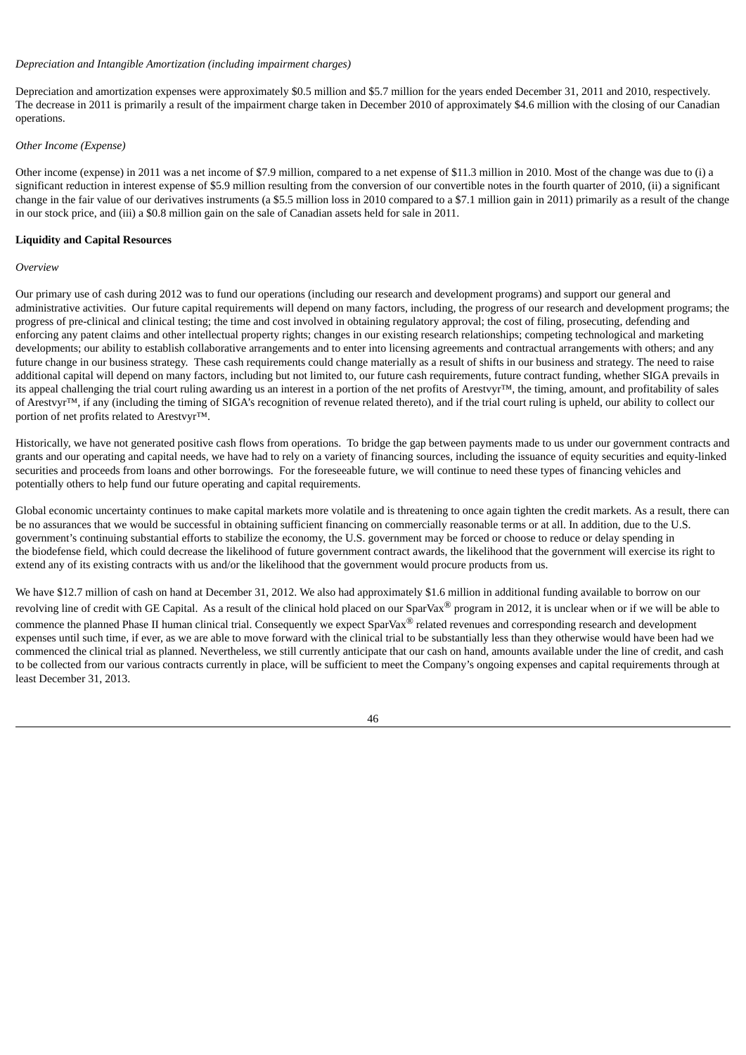## *Depreciation and Intangible Amortization (including impairment charges)*

Depreciation and amortization expenses were approximately \$0.5 million and \$5.7 million for the years ended December 31, 2011 and 2010, respectively. The decrease in 2011 is primarily a result of the impairment charge taken in December 2010 of approximately \$4.6 million with the closing of our Canadian operations.

# *Other Income (Expense)*

Other income (expense) in 2011 was a net income of \$7.9 million, compared to a net expense of \$11.3 million in 2010. Most of the change was due to (i) a significant reduction in interest expense of \$5.9 million resulting from the conversion of our convertible notes in the fourth quarter of 2010, (ii) a significant change in the fair value of our derivatives instruments (a \$5.5 million loss in 2010 compared to a \$7.1 million gain in 2011) primarily as a result of the change in our stock price, and (iii) a \$0.8 million gain on the sale of Canadian assets held for sale in 2011.

# **Liquidity and Capital Resources**

# *Overview*

Our primary use of cash during 2012 was to fund our operations (including our research and development programs) and support our general and administrative activities. Our future capital requirements will depend on many factors, including, the progress of our research and development programs; the progress of pre-clinical and clinical testing; the time and cost involved in obtaining regulatory approval; the cost of filing, prosecuting, defending and enforcing any patent claims and other intellectual property rights; changes in our existing research relationships; competing technological and marketing developments; our ability to establish collaborative arrangements and to enter into licensing agreements and contractual arrangements with others; and any future change in our business strategy. These cash requirements could change materially as a result of shifts in our business and strategy. The need to raise additional capital will depend on many factors, including but not limited to, our future cash requirements, future contract funding, whether SIGA prevails in its appeal challenging the trial court ruling awarding us an interest in a portion of the net profits of Arestvyr™, the timing, amount, and profitability of sales of Arestvyr™, if any (including the timing of SIGA's recognition of revenue related thereto), and if the trial court ruling is upheld, our ability to collect our portion of net profits related to Arestvyr™.

Historically, we have not generated positive cash flows from operations. To bridge the gap between payments made to us under our government contracts and grants and our operating and capital needs, we have had to rely on a variety of financing sources, including the issuance of equity securities and equity-linked securities and proceeds from loans and other borrowings. For the foreseeable future, we will continue to need these types of financing vehicles and potentially others to help fund our future operating and capital requirements.

Global economic uncertainty continues to make capital markets more volatile and is threatening to once again tighten the credit markets. As a result, there can be no assurances that we would be successful in obtaining sufficient financing on commercially reasonable terms or at all. In addition, due to the U.S. government's continuing substantial efforts to stabilize the economy, the U.S. government may be forced or choose to reduce or delay spending in the biodefense field, which could decrease the likelihood of future government contract awards, the likelihood that the government will exercise its right to extend any of its existing contracts with us and/or the likelihood that the government would procure products from us.

We have \$12.7 million of cash on hand at December 31, 2012. We also had approximately \$1.6 million in additional funding available to borrow on our revolving line of credit with GE Capital. As a result of the clinical hold placed on our SparVax® program in 2012, it is unclear when or if we will be able to commence the planned Phase II human clinical trial. Consequently we expect SparVax<sup>®</sup> related revenues and corresponding research and development expenses until such time, if ever, as we are able to move forward with the clinical trial to be substantially less than they otherwise would have been had we commenced the clinical trial as planned. Nevertheless, we still currently anticipate that our cash on hand, amounts available under the line of credit, and cash to be collected from our various contracts currently in place, will be sufficient to meet the Company's ongoing expenses and capital requirements through at least December 31, 2013.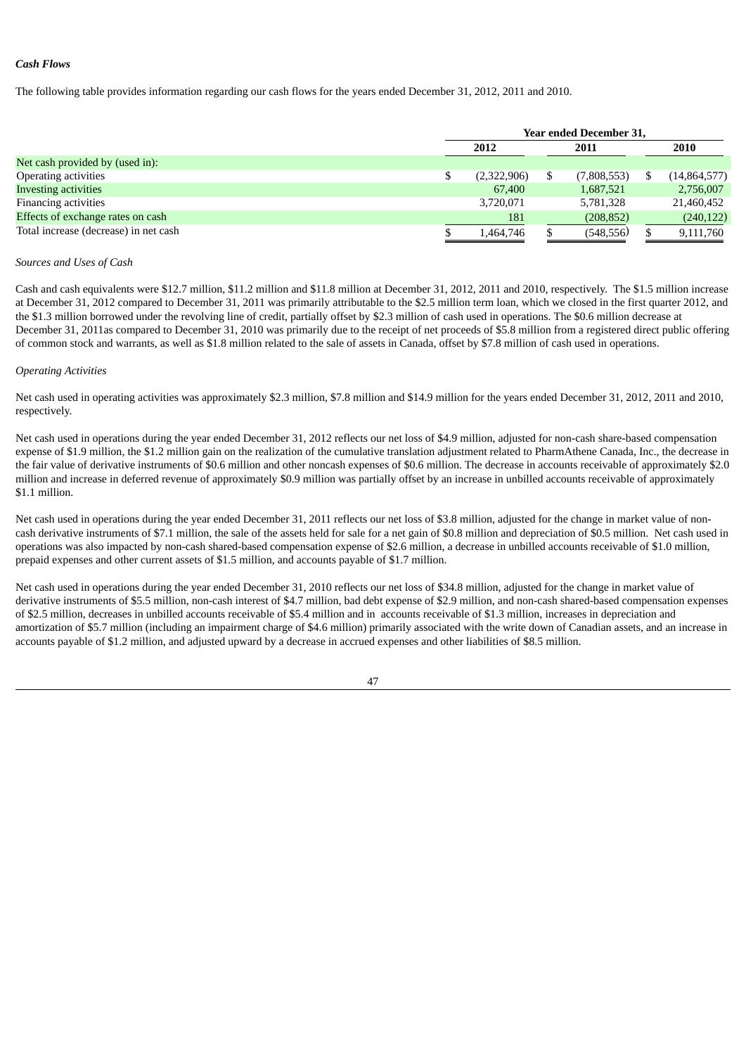# *Cash Flows*

The following table provides information regarding our cash flows for the years ended December 31, 2012, 2011 and 2010.

|                                       | <b>Year ended December 31,</b> |  |             |  |                |  |  |
|---------------------------------------|--------------------------------|--|-------------|--|----------------|--|--|
|                                       | 2012                           |  | 2011        |  | 2010           |  |  |
| Net cash provided by (used in):       |                                |  |             |  |                |  |  |
| Operating activities                  | (2,322,906)                    |  | (7,808,553) |  | (14, 864, 577) |  |  |
| <b>Investing activities</b>           | 67,400                         |  | 1,687,521   |  | 2,756,007      |  |  |
| <b>Financing activities</b>           | 3,720,071                      |  | 5,781,328   |  | 21,460,452     |  |  |
| Effects of exchange rates on cash     | 181                            |  | (208, 852)  |  | (240, 122)     |  |  |
| Total increase (decrease) in net cash | 1,464,746                      |  | (548, 556)  |  | 9,111,760      |  |  |

#### *Sources and Uses of Cash*

Cash and cash equivalents were \$12.7 million, \$11.2 million and \$11.8 million at December 31, 2012, 2011 and 2010, respectively. The \$1.5 million increase at December 31, 2012 compared to December 31, 2011 was primarily attributable to the \$2.5 million term loan, which we closed in the first quarter 2012, and the \$1.3 million borrowed under the revolving line of credit, partially offset by \$2.3 million of cash used in operations. The \$0.6 million decrease at December 31, 2011as compared to December 31, 2010 was primarily due to the receipt of net proceeds of \$5.8 million from a registered direct public offering of common stock and warrants, as well as \$1.8 million related to the sale of assets in Canada, offset by \$7.8 million of cash used in operations.

#### *Operating Activities*

Net cash used in operating activities was approximately \$2.3 million, \$7.8 million and \$14.9 million for the years ended December 31, 2012, 2011 and 2010, respectively.

Net cash used in operations during the year ended December 31, 2012 reflects our net loss of \$4.9 million, adjusted for non-cash share-based compensation expense of \$1.9 million, the \$1.2 million gain on the realization of the cumulative translation adjustment related to PharmAthene Canada, Inc., the decrease in the fair value of derivative instruments of \$0.6 million and other noncash expenses of \$0.6 million. The decrease in accounts receivable of approximately \$2.0 million and increase in deferred revenue of approximately \$0.9 million was partially offset by an increase in unbilled accounts receivable of approximately \$1.1 million.

Net cash used in operations during the year ended December 31, 2011 reflects our net loss of \$3.8 million, adjusted for the change in market value of noncash derivative instruments of \$7.1 million, the sale of the assets held for sale for a net gain of \$0.8 million and depreciation of \$0.5 million. Net cash used in operations was also impacted by non-cash shared-based compensation expense of \$2.6 million, a decrease in unbilled accounts receivable of \$1.0 million, prepaid expenses and other current assets of \$1.5 million, and accounts payable of \$1.7 million.

Net cash used in operations during the year ended December 31, 2010 reflects our net loss of \$34.8 million, adjusted for the change in market value of derivative instruments of \$5.5 million, non-cash interest of \$4.7 million, bad debt expense of \$2.9 million, and non-cash shared-based compensation expenses of \$2.5 million, decreases in unbilled accounts receivable of \$5.4 million and in accounts receivable of \$1.3 million, increases in depreciation and amortization of \$5.7 million (including an impairment charge of \$4.6 million) primarily associated with the write down of Canadian assets, and an increase in accounts payable of \$1.2 million, and adjusted upward by a decrease in accrued expenses and other liabilities of \$8.5 million.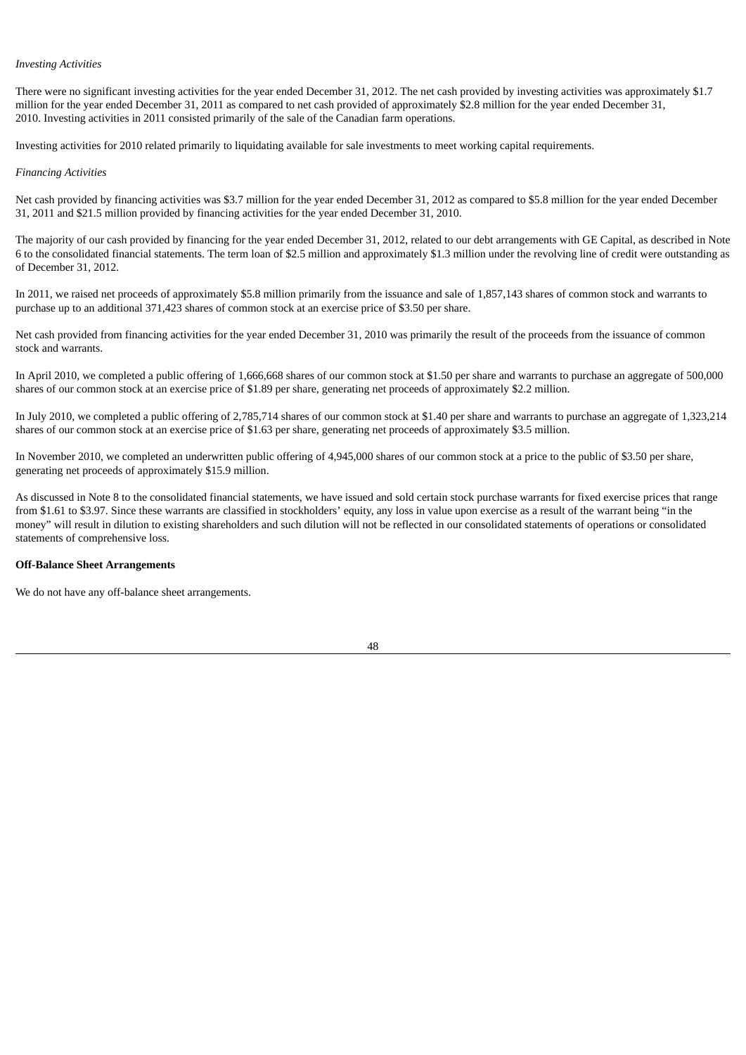#### *Investing Activities*

There were no significant investing activities for the year ended December 31, 2012. The net cash provided by investing activities was approximately \$1.7 million for the year ended December 31, 2011 as compared to net cash provided of approximately \$2.8 million for the year ended December 31, 2010. Investing activities in 2011 consisted primarily of the sale of the Canadian farm operations.

Investing activities for 2010 related primarily to liquidating available for sale investments to meet working capital requirements.

*Financing Activities*

Net cash provided by financing activities was \$3.7 million for the year ended December 31, 2012 as compared to \$5.8 million for the year ended December 31, 2011 and \$21.5 million provided by financing activities for the year ended December 31, 2010.

The majority of our cash provided by financing for the year ended December 31, 2012, related to our debt arrangements with GE Capital, as described in Note 6 to the consolidated financial statements. The term loan of \$2.5 million and approximately \$1.3 million under the revolving line of credit were outstanding as of December 31, 2012.

In 2011, we raised net proceeds of approximately \$5.8 million primarily from the issuance and sale of 1,857,143 shares of common stock and warrants to purchase up to an additional 371,423 shares of common stock at an exercise price of \$3.50 per share.

Net cash provided from financing activities for the year ended December 31, 2010 was primarily the result of the proceeds from the issuance of common stock and warrants.

In April 2010, we completed a public offering of 1,666,668 shares of our common stock at \$1.50 per share and warrants to purchase an aggregate of 500,000 shares of our common stock at an exercise price of \$1.89 per share, generating net proceeds of approximately \$2.2 million.

In July 2010, we completed a public offering of 2,785,714 shares of our common stock at \$1.40 per share and warrants to purchase an aggregate of 1,323,214 shares of our common stock at an exercise price of \$1.63 per share, generating net proceeds of approximately \$3.5 million.

In November 2010, we completed an underwritten public offering of 4,945,000 shares of our common stock at a price to the public of \$3.50 per share, generating net proceeds of approximately \$15.9 million.

As discussed in Note 8 to the consolidated financial statements, we have issued and sold certain stock purchase warrants for fixed exercise prices that range from \$1.61 to \$3.97. Since these warrants are classified in stockholders' equity, any loss in value upon exercise as a result of the warrant being "in the money" will result in dilution to existing shareholders and such dilution will not be reflected in our consolidated statements of operations or consolidated statements of comprehensive loss.

#### **Off-Balance Sheet Arrangements**

We do not have any off-balance sheet arrangements.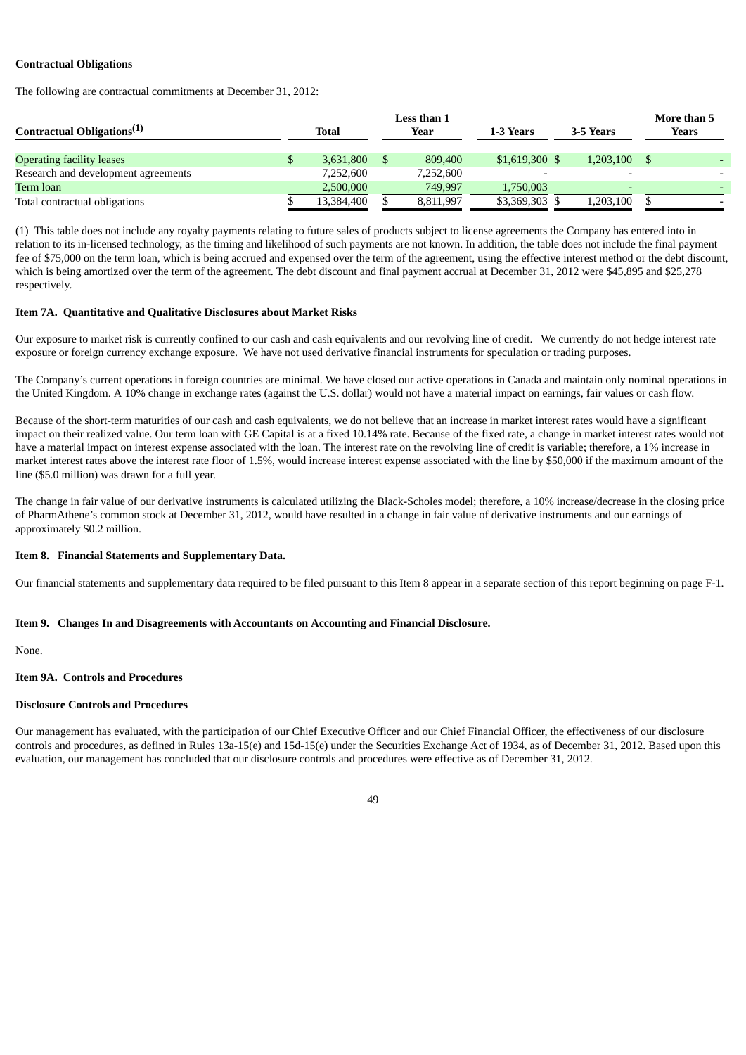## **Contractual Obligations**

The following are contractual commitments at December 31, 2012:

|                                        |            | Less than 1 |                 |                          | More than 5  |
|----------------------------------------|------------|-------------|-----------------|--------------------------|--------------|
| Contractual Obligations <sup>(1)</sup> | Total      | Year        | 1-3 Years       | 3-5 Years                | <b>Years</b> |
| <b>Operating facility leases</b>       | 3.631.800  | 809,400     | $$1,619,300$ \$ | 1.203.100                |              |
| Research and development agreements    | 7.252.600  | 7.252,600   |                 | $\overline{\phantom{0}}$ |              |
| Term loan                              | 2.500,000  | 749.997     | 1,750,003       | $\overline{\phantom{0}}$ |              |
| Total contractual obligations          | 13,384,400 | 8,811,997   | \$3,369,303 \$  | 1,203,100                |              |

(1) This table does not include any royalty payments relating to future sales of products subject to license agreements the Company has entered into in relation to its in-licensed technology, as the timing and likelihood of such payments are not known. In addition, the table does not include the final payment fee of \$75,000 on the term loan, which is being accrued and expensed over the term of the agreement, using the effective interest method or the debt discount, which is being amortized over the term of the agreement. The debt discount and final payment accrual at December 31, 2012 were \$45,895 and \$25,278 respectively.

#### **Item 7A. Quantitative and Qualitative Disclosures about Market Risks**

Our exposure to market risk is currently confined to our cash and cash equivalents and our revolving line of credit. We currently do not hedge interest rate exposure or foreign currency exchange exposure. We have not used derivative financial instruments for speculation or trading purposes.

The Company's current operations in foreign countries are minimal. We have closed our active operations in Canada and maintain only nominal operations in the United Kingdom. A 10% change in exchange rates (against the U.S. dollar) would not have a material impact on earnings, fair values or cash flow.

Because of the short-term maturities of our cash and cash equivalents, we do not believe that an increase in market interest rates would have a significant impact on their realized value. Our term loan with GE Capital is at a fixed 10.14% rate. Because of the fixed rate, a change in market interest rates would not have a material impact on interest expense associated with the loan. The interest rate on the revolving line of credit is variable; therefore, a 1% increase in market interest rates above the interest rate floor of 1.5%, would increase interest expense associated with the line by \$50,000 if the maximum amount of the line (\$5.0 million) was drawn for a full year.

The change in fair value of our derivative instruments is calculated utilizing the Black-Scholes model; therefore, a 10% increase/decrease in the closing price of PharmAthene's common stock at December 31, 2012, would have resulted in a change in fair value of derivative instruments and our earnings of approximately \$0.2 million.

### **Item 8. Financial Statements and Supplementary Data.**

Our financial statements and supplementary data required to be filed pursuant to this Item 8 appear in a separate section of this report beginning on page F-1.

# **Item 9. Changes In and Disagreements with Accountants on Accounting and Financial Disclosure.**

None.

# **Item 9A. Controls and Procedures**

# **Disclosure Controls and Procedures**

Our management has evaluated, with the participation of our Chief Executive Officer and our Chief Financial Officer, the effectiveness of our disclosure controls and procedures, as defined in Rules 13a-15(e) and 15d-15(e) under the Securities Exchange Act of 1934, as of December 31, 2012. Based upon this evaluation, our management has concluded that our disclosure controls and procedures were effective as of December 31, 2012.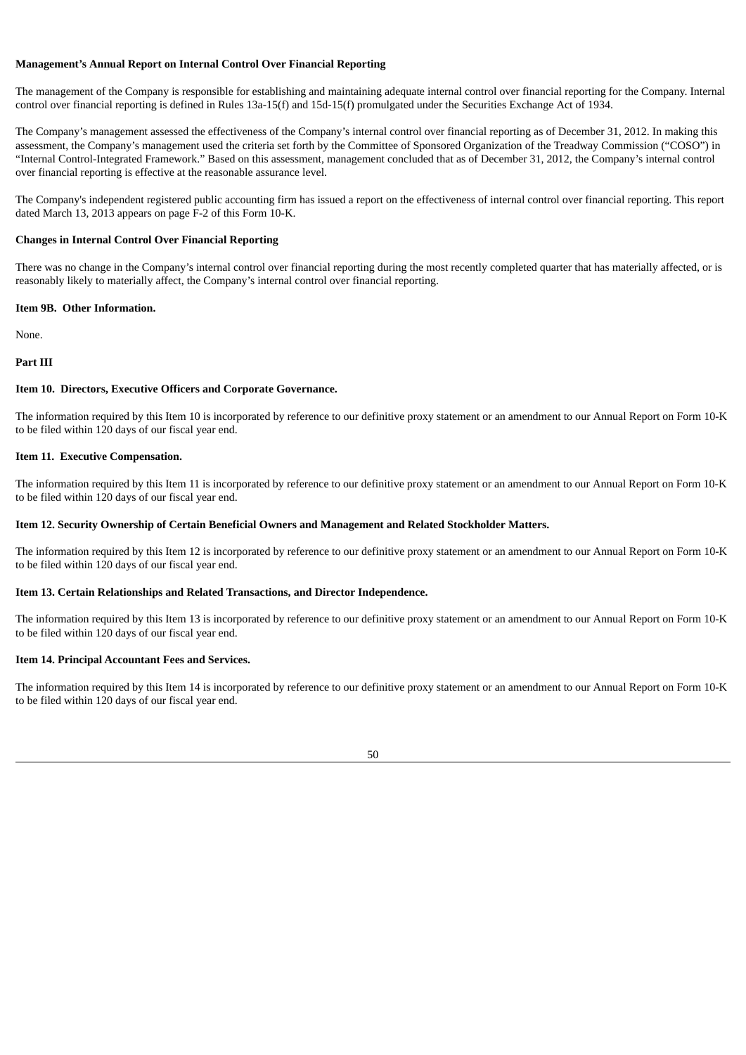## **Management's Annual Report on Internal Control Over Financial Reporting**

The management of the Company is responsible for establishing and maintaining adequate internal control over financial reporting for the Company. Internal control over financial reporting is defined in Rules 13a-15(f) and 15d-15(f) promulgated under the Securities Exchange Act of 1934.

The Company's management assessed the effectiveness of the Company's internal control over financial reporting as of December 31, 2012. In making this assessment, the Company's management used the criteria set forth by the Committee of Sponsored Organization of the Treadway Commission ("COSO") in "Internal Control-Integrated Framework." Based on this assessment, management concluded that as of December 31, 2012, the Company's internal control over financial reporting is effective at the reasonable assurance level.

The Company's independent registered public accounting firm has issued a report on the effectiveness of internal control over financial reporting. This report dated March 13, 2013 appears on page F-2 of this Form 10-K.

## **Changes in Internal Control Over Financial Reporting**

There was no change in the Company's internal control over financial reporting during the most recently completed quarter that has materially affected, or is reasonably likely to materially affect, the Company's internal control over financial reporting.

#### **Item 9B. Other Information.**

None.

# **Part III**

#### **Item 10. Directors, Executive Officers and Corporate Governance.**

The information required by this Item 10 is incorporated by reference to our definitive proxy statement or an amendment to our Annual Report on Form 10-K to be filed within 120 days of our fiscal year end.

#### **Item 11. Executive Compensation.**

The information required by this Item 11 is incorporated by reference to our definitive proxy statement or an amendment to our Annual Report on Form 10-K to be filed within 120 days of our fiscal year end.

#### **Item 12. Security Ownership of Certain Beneficial Owners and Management and Related Stockholder Matters.**

The information required by this Item 12 is incorporated by reference to our definitive proxy statement or an amendment to our Annual Report on Form 10-K to be filed within 120 days of our fiscal year end.

# **Item 13. Certain Relationships and Related Transactions, and Director Independence.**

The information required by this Item 13 is incorporated by reference to our definitive proxy statement or an amendment to our Annual Report on Form 10-K to be filed within 120 days of our fiscal year end.

# **Item 14. Principal Accountant Fees and Services.**

The information required by this Item 14 is incorporated by reference to our definitive proxy statement or an amendment to our Annual Report on Form 10-K to be filed within 120 days of our fiscal year end.

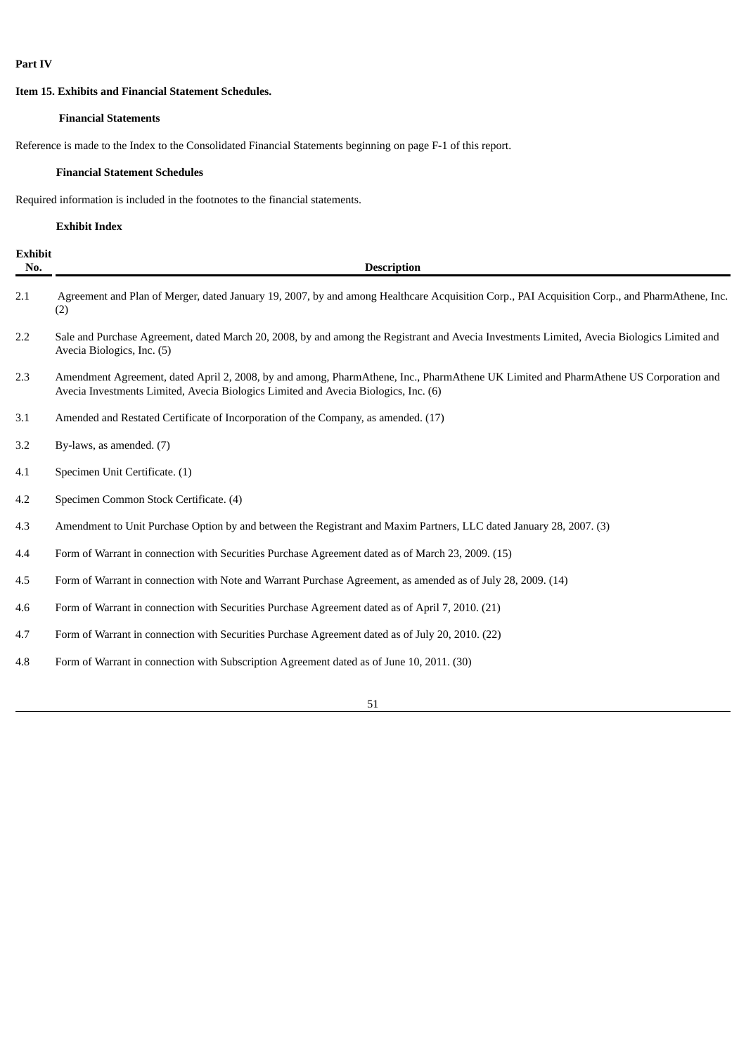# **Part IV**

# **Item 15. Exhibits and Financial Statement Schedules.**

# **Financial Statements**

Reference is made to the Index to the Consolidated Financial Statements beginning on page F-1 of this report.

# **Financial Statement Schedules**

Required information is included in the footnotes to the financial statements.

# **Exhibit Index**

| <b>Exhibit</b><br>No. | <b>Description</b>                                                                                                                                                                                                          |
|-----------------------|-----------------------------------------------------------------------------------------------------------------------------------------------------------------------------------------------------------------------------|
| 2.1                   | Agreement and Plan of Merger, dated January 19, 2007, by and among Healthcare Acquisition Corp., PAI Acquisition Corp., and PharmAthene, Inc.<br>(2)                                                                        |
| 2.2                   | Sale and Purchase Agreement, dated March 20, 2008, by and among the Registrant and Avecia Investments Limited, Avecia Biologics Limited and<br>Avecia Biologics, Inc. (5)                                                   |
| 2.3                   | Amendment Agreement, dated April 2, 2008, by and among, PharmAthene, Inc., PharmAthene UK Limited and PharmAthene US Corporation and<br>Avecia Investments Limited, Avecia Biologics Limited and Avecia Biologics, Inc. (6) |
| 3.1                   | Amended and Restated Certificate of Incorporation of the Company, as amended. (17)                                                                                                                                          |
| 3.2                   | By-laws, as amended. (7)                                                                                                                                                                                                    |
| 4.1                   | Specimen Unit Certificate. (1)                                                                                                                                                                                              |
| 4.2                   | Specimen Common Stock Certificate. (4)                                                                                                                                                                                      |
| 4.3                   | Amendment to Unit Purchase Option by and between the Registrant and Maxim Partners, LLC dated January 28, 2007. (3)                                                                                                         |
| 4.4                   | Form of Warrant in connection with Securities Purchase Agreement dated as of March 23, 2009. (15)                                                                                                                           |
| 4.5                   | Form of Warrant in connection with Note and Warrant Purchase Agreement, as amended as of July 28, 2009. (14)                                                                                                                |
| 4.6                   | Form of Warrant in connection with Securities Purchase Agreement dated as of April 7, 2010. (21)                                                                                                                            |
| 4.7                   | Form of Warrant in connection with Securities Purchase Agreement dated as of July 20, 2010. (22)                                                                                                                            |
| 4.8                   | Form of Warrant in connection with Subscription Agreement dated as of June 10, 2011. (30)                                                                                                                                   |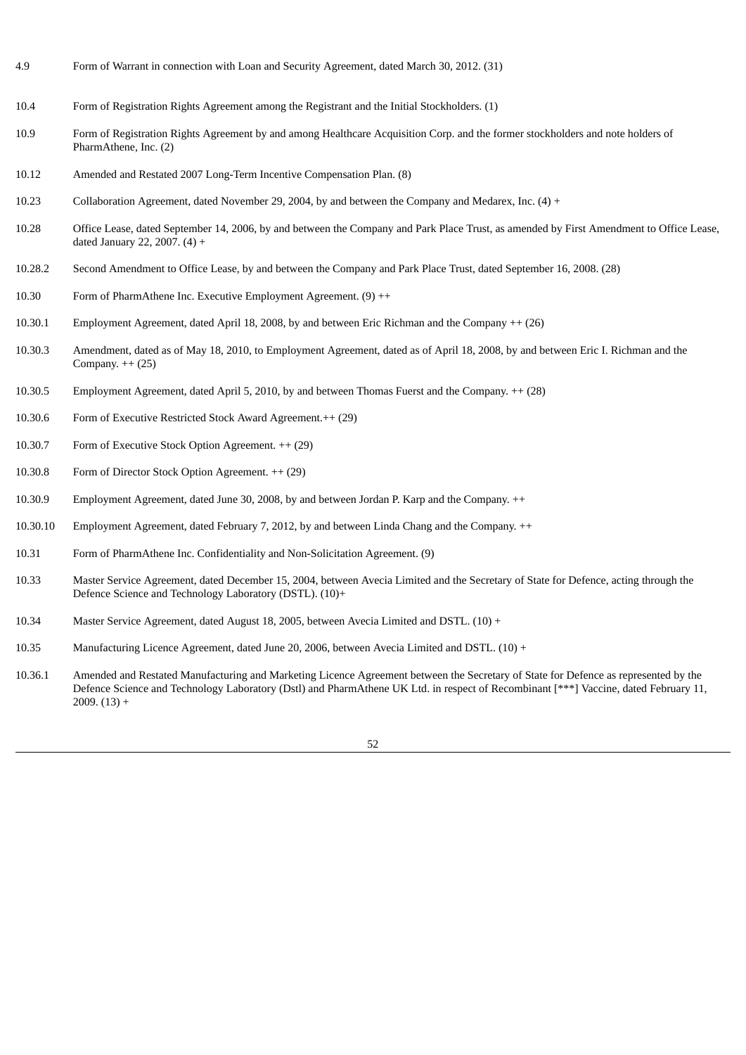- 4.9 Form of Warrant in connection with Loan and Security Agreement, dated March 30, 2012. (31)
- 10.4 Form of Registration Rights Agreement among the Registrant and the Initial Stockholders. (1)
- 10.9 Form of Registration Rights Agreement by and among Healthcare Acquisition Corp. and the former stockholders and note holders of PharmAthene, Inc. (2)
- 10.12 Amended and Restated 2007 Long-Term Incentive Compensation Plan. (8)
- 10.23 Collaboration Agreement, dated November 29, 2004, by and between the Company and Medarex, Inc. (4) +
- 10.28 Office Lease, dated September 14, 2006, by and between the Company and Park Place Trust, as amended by First Amendment to Office Lease, dated January 22, 2007. (4) +
- 10.28.2 Second Amendment to Office Lease, by and between the Company and Park Place Trust, dated September 16, 2008. (28)
- 10.30 Form of PharmAthene Inc. Executive Employment Agreement. (9) ++
- 10.30.1 Employment Agreement, dated April 18, 2008, by and between Eric Richman and the Company ++ (26)
- 10.30.3 Amendment, dated as of May 18, 2010, to Employment Agreement, dated as of April 18, 2008, by and between Eric I. Richman and the Company.  $++$  (25)
- 10.30.5 Employment Agreement, dated April 5, 2010, by and between Thomas Fuerst and the Company. ++ (28)
- 10.30.6 Form of Executive Restricted Stock Award Agreement.++ (29)
- 10.30.7 Form of Executive Stock Option Agreement. ++ (29)
- 10.30.8 Form of Director Stock Option Agreement. ++ (29)
- 10.30.9 Employment Agreement, dated June 30, 2008, by and between Jordan P. Karp and the Company. ++
- 10.30.10 Employment Agreement, dated February 7, 2012, by and between Linda Chang and the Company. ++
- 10.31 Form of PharmAthene Inc. Confidentiality and Non-Solicitation Agreement. (9)
- 10.33 Master Service Agreement, dated December 15, 2004, between Avecia Limited and the Secretary of State for Defence, acting through the Defence Science and Technology Laboratory (DSTL). (10)+
- 10.34 Master Service Agreement, dated August 18, 2005, between Avecia Limited and DSTL. (10) +
- 10.35 Manufacturing Licence Agreement, dated June 20, 2006, between Avecia Limited and DSTL. (10) +
- 10.36.1 Amended and Restated Manufacturing and Marketing Licence Agreement between the Secretary of State for Defence as represented by the Defence Science and Technology Laboratory (Dstl) and PharmAthene UK Ltd. in respect of Recombinant [\*\*\*] Vaccine, dated February 11,  $2009. (13) +$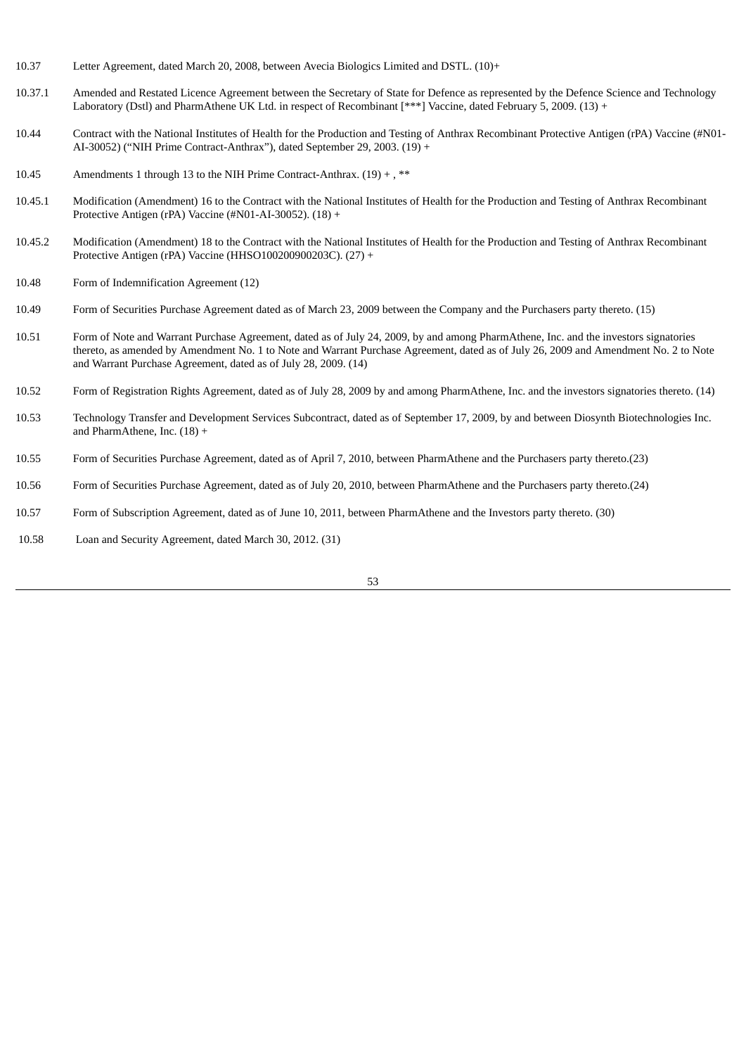- 10.37 Letter Agreement, dated March 20, 2008, between Avecia Biologics Limited and DSTL. (10)+
- 10.37.1 Amended and Restated Licence Agreement between the Secretary of State for Defence as represented by the Defence Science and Technology Laboratory (Dstl) and PharmAthene UK Ltd. in respect of Recombinant [\*\*\*] Vaccine, dated February 5, 2009. (13) +
- 10.44 Contract with the National Institutes of Health for the Production and Testing of Anthrax Recombinant Protective Antigen (rPA) Vaccine (#N01- AI-30052) ("NIH Prime Contract-Anthrax"), dated September 29, 2003. (19) +
- 10.45 Amendments 1 through 13 to the NIH Prime Contract-Anthrax. (19) + , \*\*
- 10.45.1 Modification (Amendment) 16 to the Contract with the National Institutes of Health for the Production and Testing of Anthrax Recombinant Protective Antigen (rPA) Vaccine (#N01-AI-30052). (18) +
- 10.45.2 Modification (Amendment) 18 to the Contract with the National Institutes of Health for the Production and Testing of Anthrax Recombinant Protective Antigen (rPA) Vaccine (HHSO100200900203C). (27) +
- 10.48 Form of Indemnification Agreement (12)
- 10.49 Form of Securities Purchase Agreement dated as of March 23, 2009 between the Company and the Purchasers party thereto. (15)
- 10.51 Form of Note and Warrant Purchase Agreement, dated as of July 24, 2009, by and among PharmAthene, Inc. and the investors signatories thereto, as amended by Amendment No. 1 to Note and Warrant Purchase Agreement, dated as of July 26, 2009 and Amendment No. 2 to Note and Warrant Purchase Agreement, dated as of July 28, 2009. (14)
- 10.52 Form of Registration Rights Agreement, dated as of July 28, 2009 by and among PharmAthene, Inc. and the investors signatories thereto. (14)
- 10.53 Technology Transfer and Development Services Subcontract, dated as of September 17, 2009, by and between Diosynth Biotechnologies Inc. and PharmAthene, Inc. (18) +
- 10.55 Form of Securities Purchase Agreement, dated as of April 7, 2010, between PharmAthene and the Purchasers party thereto.(23)
- 10.56 Form of Securities Purchase Agreement, dated as of July 20, 2010, between PharmAthene and the Purchasers party thereto.(24)
- 10.57 Form of Subscription Agreement, dated as of June 10, 2011, between PharmAthene and the Investors party thereto. (30)
- 10.58 Loan and Security Agreement, dated March 30, 2012. (31)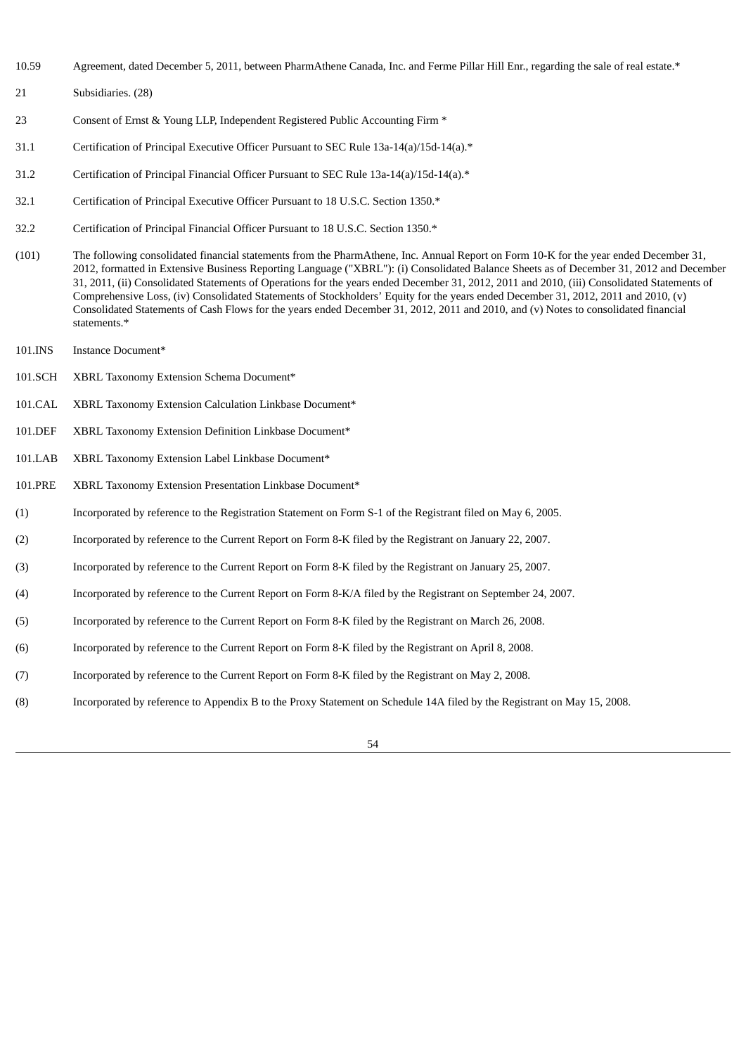- 10.59 Agreement, dated December 5, 2011, between PharmAthene Canada, Inc. and Ferme Pillar Hill Enr., regarding the sale of real estate.\*
- 21 Subsidiaries. (28)
- 23 Consent of Ernst & Young LLP, Independent Registered Public Accounting Firm \*
- 31.1 Certification of Principal Executive Officer Pursuant to SEC Rule 13a-14(a)/15d-14(a).\*
- 31.2 Certification of Principal Financial Officer Pursuant to SEC Rule 13a-14(a)/15d-14(a).\*
- 32.1 Certification of Principal Executive Officer Pursuant to 18 U.S.C. Section 1350.\*
- 32.2 Certification of Principal Financial Officer Pursuant to 18 U.S.C. Section 1350.\*
- (101) The following consolidated financial statements from the PharmAthene, Inc. Annual Report on Form 10-K for the year ended December 31, 2012, formatted in Extensive Business Reporting Language ("XBRL"): (i) Consolidated Balance Sheets as of December 31, 2012 and December 31, 2011, (ii) Consolidated Statements of Operations for the years ended December 31, 2012, 2011 and 2010, (iii) Consolidated Statements of Comprehensive Loss, (iv) Consolidated Statements of Stockholders' Equity for the years ended December 31, 2012, 2011 and 2010, (v) Consolidated Statements of Cash Flows for the years ended December 31, 2012, 2011 and 2010, and (v) Notes to consolidated financial statements.\*
- 101.INS Instance Document\*
- 101.SCH XBRL Taxonomy Extension Schema Document\*
- 101.CAL XBRL Taxonomy Extension Calculation Linkbase Document\*
- 101.DEF XBRL Taxonomy Extension Definition Linkbase Document\*
- 101.LAB XBRL Taxonomy Extension Label Linkbase Document\*
- 101.PRE XBRL Taxonomy Extension Presentation Linkbase Document\*
- (1) Incorporated by reference to the Registration Statement on Form S-1 of the Registrant filed on May 6, 2005.
- (2) Incorporated by reference to the Current Report on Form 8-K filed by the Registrant on January 22, 2007.
- (3) Incorporated by reference to the Current Report on Form 8-K filed by the Registrant on January 25, 2007.
- (4) Incorporated by reference to the Current Report on Form 8-K/A filed by the Registrant on September 24, 2007.
- (5) Incorporated by reference to the Current Report on Form 8-K filed by the Registrant on March 26, 2008.
- (6) Incorporated by reference to the Current Report on Form 8-K filed by the Registrant on April 8, 2008.
- (7) Incorporated by reference to the Current Report on Form 8-K filed by the Registrant on May 2, 2008.
- (8) Incorporated by reference to Appendix B to the Proxy Statement on Schedule 14A filed by the Registrant on May 15, 2008.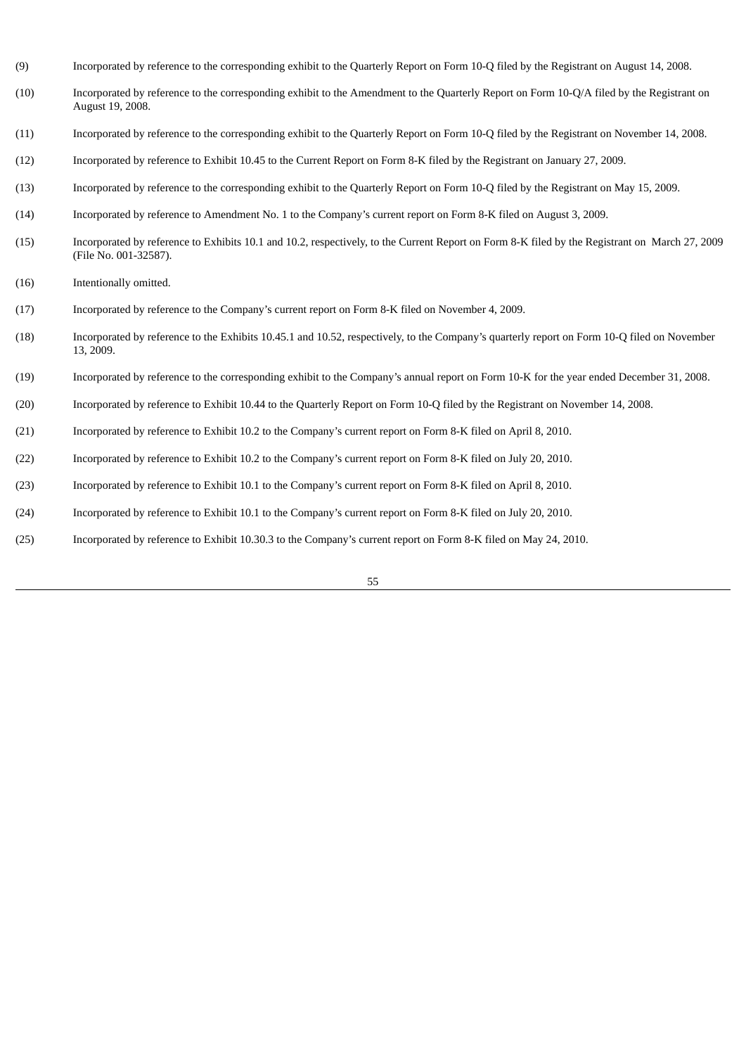- (9) Incorporated by reference to the corresponding exhibit to the Quarterly Report on Form 10-Q filed by the Registrant on August 14, 2008.
- (10) Incorporated by reference to the corresponding exhibit to the Amendment to the Quarterly Report on Form 10-Q/A filed by the Registrant on August 19, 2008.
- (11) Incorporated by reference to the corresponding exhibit to the Quarterly Report on Form 10-Q filed by the Registrant on November 14, 2008.
- (12) Incorporated by reference to Exhibit 10.45 to the Current Report on Form 8-K filed by the Registrant on January 27, 2009.
- (13) Incorporated by reference to the corresponding exhibit to the Quarterly Report on Form 10-Q filed by the Registrant on May 15, 2009.
- (14) Incorporated by reference to Amendment No. 1 to the Company's current report on Form 8-K filed on August 3, 2009.
- (15) Incorporated by reference to Exhibits 10.1 and 10.2, respectively, to the Current Report on Form 8-K filed by the Registrant on March 27, 2009 (File No. 001-32587).
- (16) Intentionally omitted.
- (17) Incorporated by reference to the Company's current report on Form 8-K filed on November 4, 2009.
- (18) Incorporated by reference to the Exhibits 10.45.1 and 10.52, respectively, to the Company's quarterly report on Form 10-Q filed on November 13, 2009.
- (19) Incorporated by reference to the corresponding exhibit to the Company's annual report on Form 10-K for the year ended December 31, 2008.
- (20) Incorporated by reference to Exhibit 10.44 to the Quarterly Report on Form 10-Q filed by the Registrant on November 14, 2008.
- (21) Incorporated by reference to Exhibit 10.2 to the Company's current report on Form 8-K filed on April 8, 2010.
- (22) Incorporated by reference to Exhibit 10.2 to the Company's current report on Form 8-K filed on July 20, 2010.
- (23) Incorporated by reference to Exhibit 10.1 to the Company's current report on Form 8-K filed on April 8, 2010.
- (24) Incorporated by reference to Exhibit 10.1 to the Company's current report on Form 8-K filed on July 20, 2010.
- (25) Incorporated by reference to Exhibit 10.30.3 to the Company's current report on Form 8-K filed on May 24, 2010.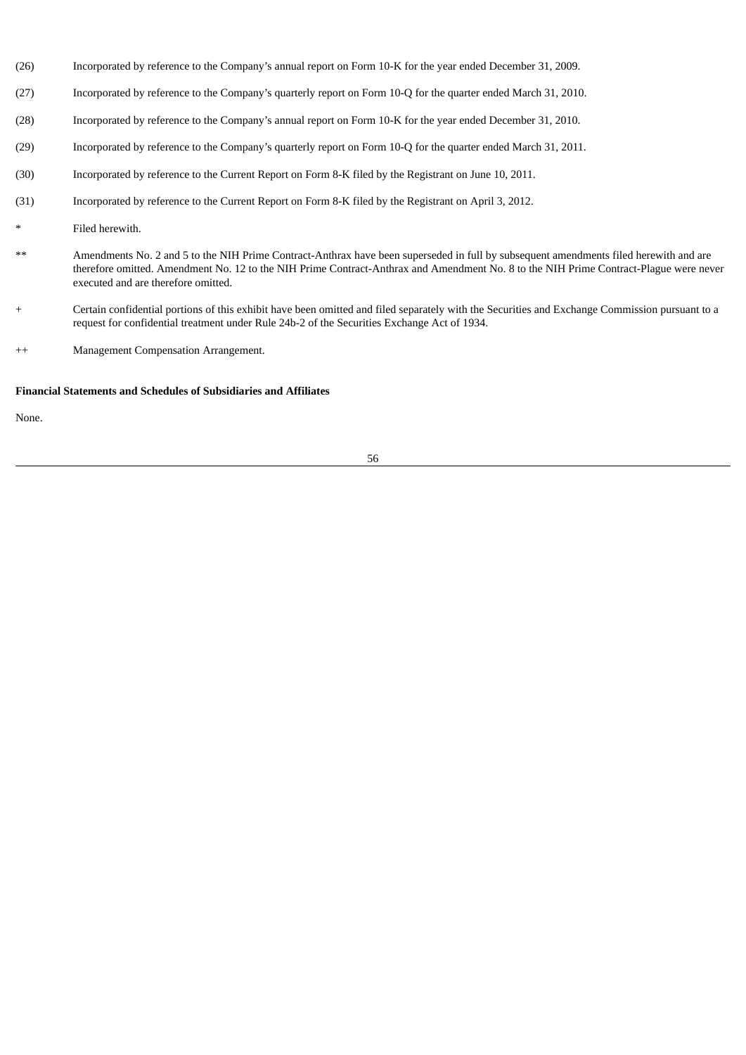- (26) Incorporated by reference to the Company's annual report on Form 10-K for the year ended December 31, 2009.
- (27) Incorporated by reference to the Company's quarterly report on Form 10-Q for the quarter ended March 31, 2010.
- (28) Incorporated by reference to the Company's annual report on Form 10-K for the year ended December 31, 2010.
- (29) Incorporated by reference to the Company's quarterly report on Form 10-Q for the quarter ended March 31, 2011.
- (30) Incorporated by reference to the Current Report on Form 8-K filed by the Registrant on June 10, 2011.
- (31) Incorporated by reference to the Current Report on Form 8-K filed by the Registrant on April 3, 2012.
- Filed herewith.
- \*\* Amendments No. 2 and 5 to the NIH Prime Contract-Anthrax have been superseded in full by subsequent amendments filed herewith and are therefore omitted. Amendment No. 12 to the NIH Prime Contract-Anthrax and Amendment No. 8 to the NIH Prime Contract-Plague were never executed and are therefore omitted.
- + Certain confidential portions of this exhibit have been omitted and filed separately with the Securities and Exchange Commission pursuant to a request for confidential treatment under Rule 24b-2 of the Securities Exchange Act of 1934.
- ++ Management Compensation Arrangement.

# **Financial Statements and Schedules of Subsidiaries and Affiliates**

None.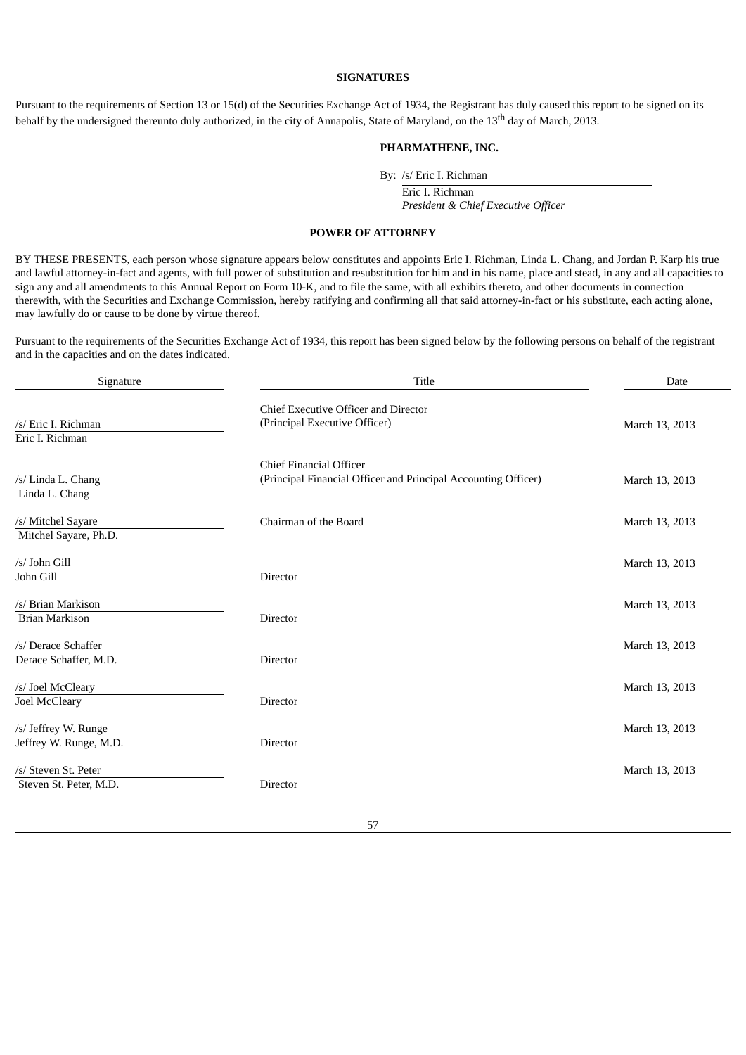# **SIGNATURES**

Pursuant to the requirements of Section 13 or 15(d) of the Securities Exchange Act of 1934, the Registrant has duly caused this report to be signed on its behalf by the undersigned thereunto duly authorized, in the city of Annapolis, State of Maryland, on the 13<sup>th</sup> day of March, 2013.

# **PHARMATHENE, INC.**

By: /s/ Eric I. Richman

Eric I. Richman *President & Chief Executive Officer*

# **POWER OF ATTORNEY**

BY THESE PRESENTS, each person whose signature appears below constitutes and appoints Eric I. Richman, Linda L. Chang, and Jordan P. Karp his true and lawful attorney-in-fact and agents, with full power of substitution and resubstitution for him and in his name, place and stead, in any and all capacities to sign any and all amendments to this Annual Report on Form 10-K, and to file the same, with all exhibits thereto, and other documents in connection therewith, with the Securities and Exchange Commission, hereby ratifying and confirming all that said attorney-in-fact or his substitute, each acting alone, may lawfully do or cause to be done by virtue thereof.

Pursuant to the requirements of the Securities Exchange Act of 1934, this report has been signed below by the following persons on behalf of the registrant and in the capacities and on the dates indicated.

| Signature                                      | Date                                                                                             |                |
|------------------------------------------------|--------------------------------------------------------------------------------------------------|----------------|
| /s/ Eric I. Richman<br>Eric I. Richman         | Chief Executive Officer and Director<br>(Principal Executive Officer)                            | March 13, 2013 |
| /s/ Linda L. Chang<br>Linda L. Chang           | <b>Chief Financial Officer</b><br>(Principal Financial Officer and Principal Accounting Officer) | March 13, 2013 |
| /s/ Mitchel Sayare<br>Mitchel Sayare, Ph.D.    | Chairman of the Board                                                                            | March 13, 2013 |
| /s/ John Gill<br>John Gill                     | <b>Director</b>                                                                                  | March 13, 2013 |
| /s/ Brian Markison<br><b>Brian Markison</b>    | Director                                                                                         | March 13, 2013 |
| /s/ Derace Schaffer<br>Derace Schaffer, M.D.   | Director                                                                                         | March 13, 2013 |
| /s/ Joel McCleary<br><b>Joel McCleary</b>      | <b>Director</b>                                                                                  | March 13, 2013 |
| /s/ Jeffrey W. Runge<br>Jeffrey W. Runge, M.D. | Director                                                                                         | March 13, 2013 |
| /s/ Steven St. Peter<br>Steven St. Peter, M.D. | Director                                                                                         | March 13, 2013 |

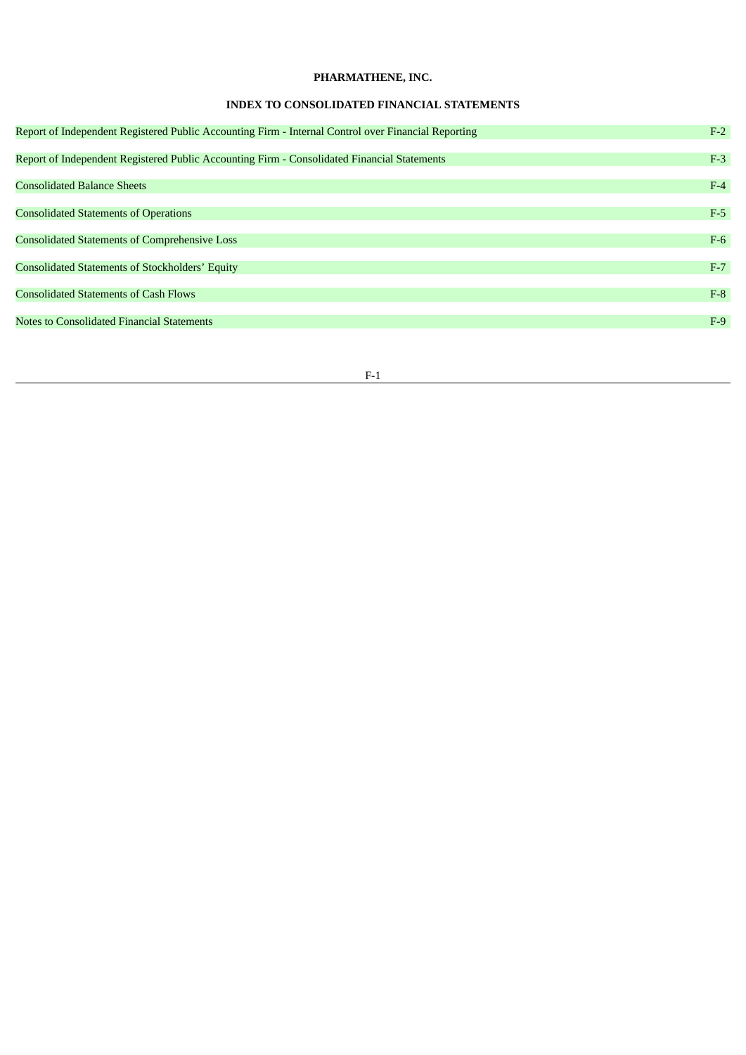# **PHARMATHENE, INC.**

# **INDEX TO CONSOLIDATED FINANCIAL STATEMENTS**

| Report of Independent Registered Public Accounting Firm - Internal Control over Financial Reporting | $F-2$ |
|-----------------------------------------------------------------------------------------------------|-------|
|                                                                                                     |       |
| Report of Independent Registered Public Accounting Firm - Consolidated Financial Statements         | $F-3$ |
|                                                                                                     |       |
| <b>Consolidated Balance Sheets</b>                                                                  | $F-4$ |
|                                                                                                     |       |
| <b>Consolidated Statements of Operations</b>                                                        | $F-5$ |
|                                                                                                     |       |
| <b>Consolidated Statements of Comprehensive Loss</b>                                                | $F-6$ |
|                                                                                                     |       |
| <b>Consolidated Statements of Stockholders' Equity</b>                                              | $F-7$ |
|                                                                                                     |       |
| <b>Consolidated Statements of Cash Flows</b>                                                        | $F-8$ |
|                                                                                                     |       |
| <b>Notes to Consolidated Financial Statements</b>                                                   | $F-9$ |
|                                                                                                     |       |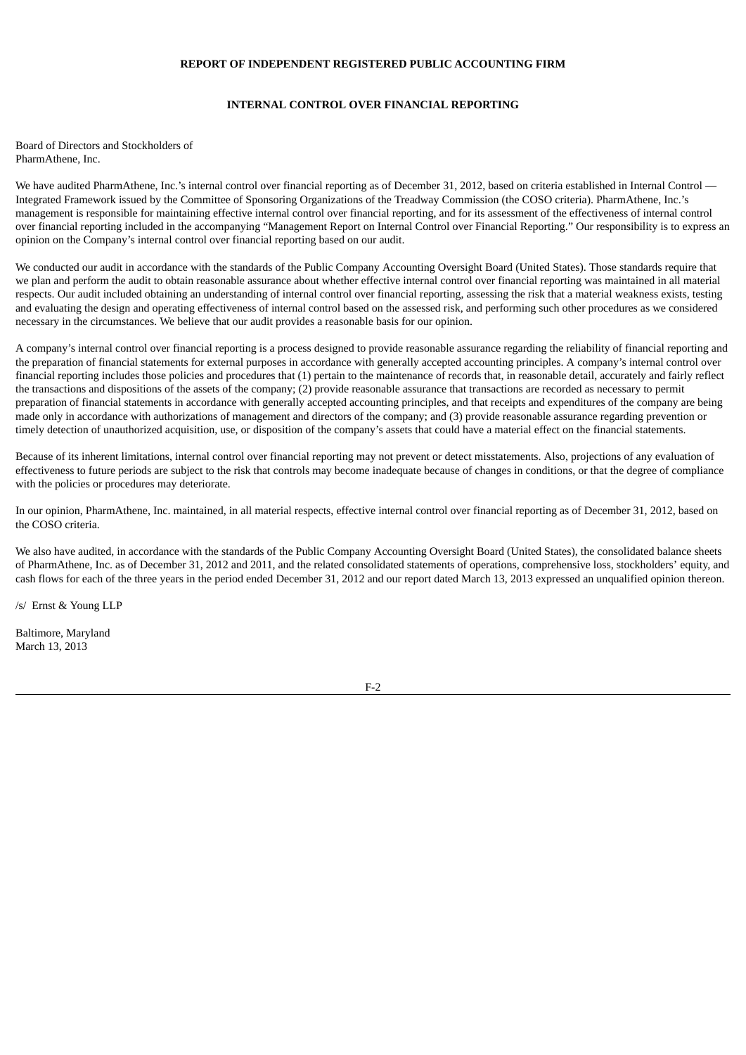# **REPORT OF INDEPENDENT REGISTERED PUBLIC ACCOUNTING FIRM**

#### **INTERNAL CONTROL OVER FINANCIAL REPORTING**

Board of Directors and Stockholders of PharmAthene, Inc.

We have audited PharmAthene, Inc.'s internal control over financial reporting as of December 31, 2012, based on criteria established in Internal Control — Integrated Framework issued by the Committee of Sponsoring Organizations of the Treadway Commission (the COSO criteria). PharmAthene, Inc.'s management is responsible for maintaining effective internal control over financial reporting, and for its assessment of the effectiveness of internal control over financial reporting included in the accompanying "Management Report on Internal Control over Financial Reporting." Our responsibility is to express an opinion on the Company's internal control over financial reporting based on our audit.

We conducted our audit in accordance with the standards of the Public Company Accounting Oversight Board (United States). Those standards require that we plan and perform the audit to obtain reasonable assurance about whether effective internal control over financial reporting was maintained in all material respects. Our audit included obtaining an understanding of internal control over financial reporting, assessing the risk that a material weakness exists, testing and evaluating the design and operating effectiveness of internal control based on the assessed risk, and performing such other procedures as we considered necessary in the circumstances. We believe that our audit provides a reasonable basis for our opinion.

A company's internal control over financial reporting is a process designed to provide reasonable assurance regarding the reliability of financial reporting and the preparation of financial statements for external purposes in accordance with generally accepted accounting principles. A company's internal control over financial reporting includes those policies and procedures that (1) pertain to the maintenance of records that, in reasonable detail, accurately and fairly reflect the transactions and dispositions of the assets of the company; (2) provide reasonable assurance that transactions are recorded as necessary to permit preparation of financial statements in accordance with generally accepted accounting principles, and that receipts and expenditures of the company are being made only in accordance with authorizations of management and directors of the company; and (3) provide reasonable assurance regarding prevention or timely detection of unauthorized acquisition, use, or disposition of the company's assets that could have a material effect on the financial statements.

Because of its inherent limitations, internal control over financial reporting may not prevent or detect misstatements. Also, projections of any evaluation of effectiveness to future periods are subject to the risk that controls may become inadequate because of changes in conditions, or that the degree of compliance with the policies or procedures may deteriorate.

In our opinion, PharmAthene, Inc. maintained, in all material respects, effective internal control over financial reporting as of December 31, 2012, based on the COSO criteria.

We also have audited, in accordance with the standards of the Public Company Accounting Oversight Board (United States), the consolidated balance sheets of PharmAthene, Inc. as of December 31, 2012 and 2011, and the related consolidated statements of operations, comprehensive loss, stockholders' equity, and cash flows for each of the three years in the period ended December 31, 2012 and our report dated March 13, 2013 expressed an unqualified opinion thereon.

/s/ Ernst & Young LLP

Baltimore, Maryland March 13, 2013

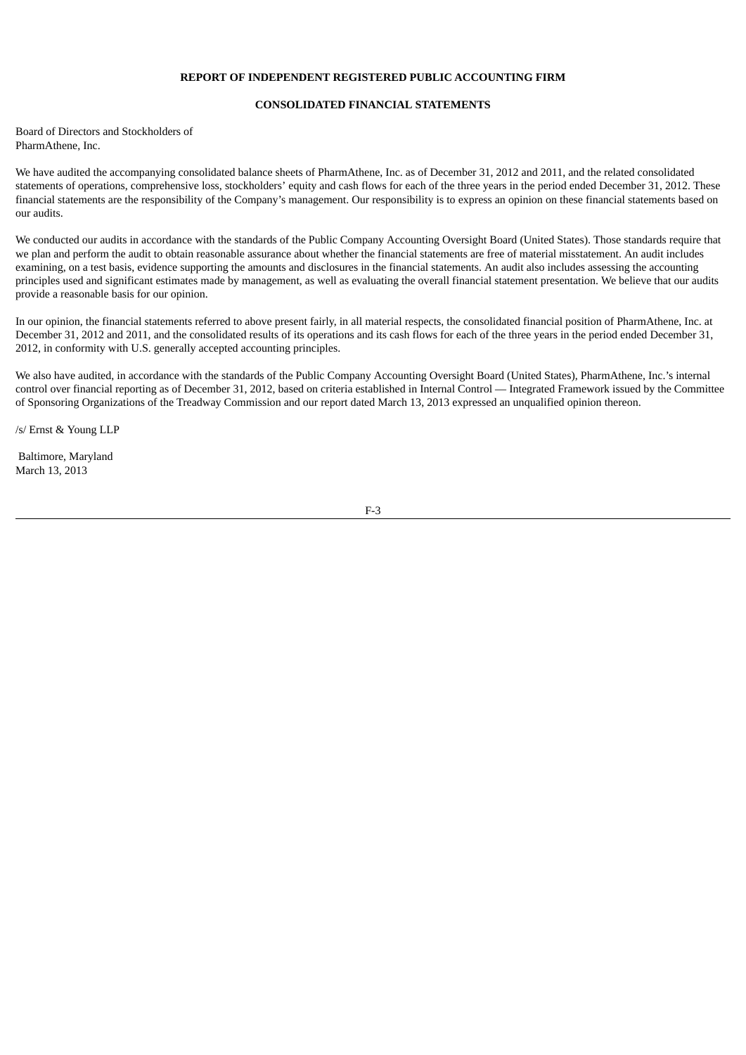# **REPORT OF INDEPENDENT REGISTERED PUBLIC ACCOUNTING FIRM**

#### **CONSOLIDATED FINANCIAL STATEMENTS**

Board of Directors and Stockholders of PharmAthene, Inc.

We have audited the accompanying consolidated balance sheets of PharmAthene, Inc. as of December 31, 2012 and 2011, and the related consolidated statements of operations, comprehensive loss, stockholders' equity and cash flows for each of the three years in the period ended December 31, 2012. These financial statements are the responsibility of the Company's management. Our responsibility is to express an opinion on these financial statements based on our audits.

We conducted our audits in accordance with the standards of the Public Company Accounting Oversight Board (United States). Those standards require that we plan and perform the audit to obtain reasonable assurance about whether the financial statements are free of material misstatement. An audit includes examining, on a test basis, evidence supporting the amounts and disclosures in the financial statements. An audit also includes assessing the accounting principles used and significant estimates made by management, as well as evaluating the overall financial statement presentation. We believe that our audits provide a reasonable basis for our opinion.

In our opinion, the financial statements referred to above present fairly, in all material respects, the consolidated financial position of PharmAthene, Inc. at December 31, 2012 and 2011, and the consolidated results of its operations and its cash flows for each of the three years in the period ended December 31, 2012, in conformity with U.S. generally accepted accounting principles.

We also have audited, in accordance with the standards of the Public Company Accounting Oversight Board (United States), PharmAthene, Inc.'s internal control over financial reporting as of December 31, 2012, based on criteria established in Internal Control — Integrated Framework issued by the Committee of Sponsoring Organizations of the Treadway Commission and our report dated March 13, 2013 expressed an unqualified opinion thereon.

/s/ Ernst & Young LLP

Baltimore, Maryland March 13, 2013

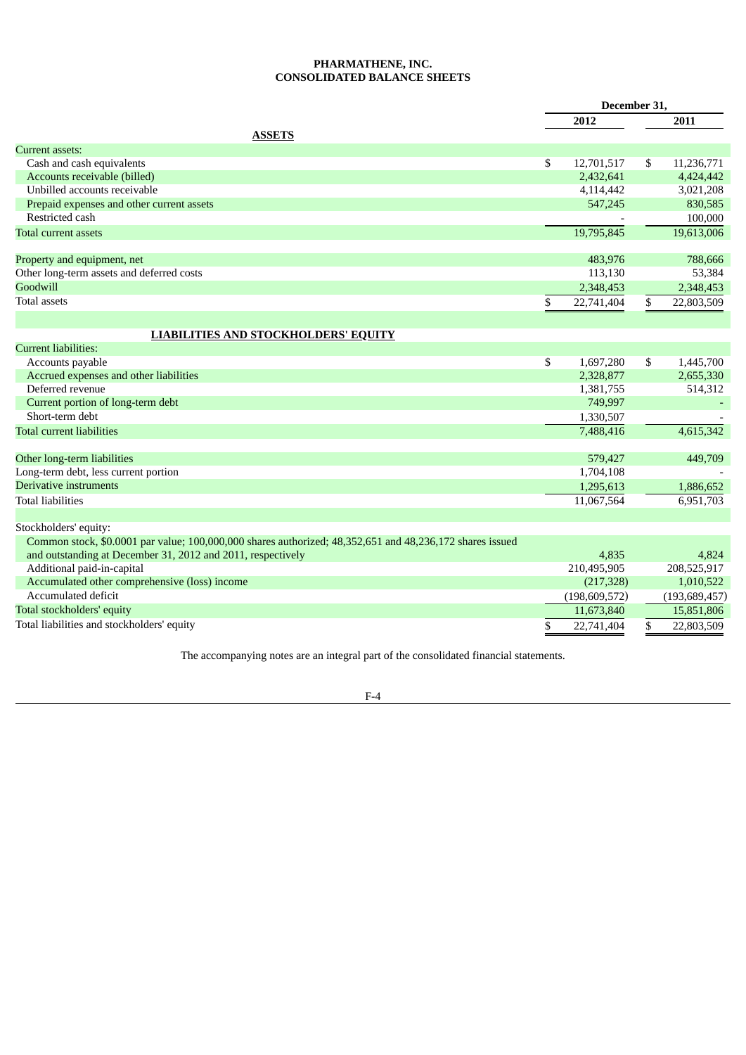# **PHARMATHENE, INC. CONSOLIDATED BALANCE SHEETS**

|                                                                                                          | December 31, |                 |    |                 |
|----------------------------------------------------------------------------------------------------------|--------------|-----------------|----|-----------------|
|                                                                                                          |              | 2012            |    | 2011            |
| <b>ASSETS</b>                                                                                            |              |                 |    |                 |
| Current assets:                                                                                          |              |                 |    |                 |
| Cash and cash equivalents                                                                                | \$           | 12,701,517      | \$ | 11,236,771      |
| Accounts receivable (billed)                                                                             |              | 2,432,641       |    | 4,424,442       |
| Unbilled accounts receivable                                                                             |              | 4,114,442       |    | 3,021,208       |
| Prepaid expenses and other current assets                                                                |              | 547,245         |    | 830,585         |
| Restricted cash                                                                                          |              |                 |    | 100,000         |
| <b>Total current assets</b>                                                                              |              | 19,795,845      |    | 19,613,006      |
| Property and equipment, net                                                                              |              | 483,976         |    | 788,666         |
| Other long-term assets and deferred costs                                                                |              | 113,130         |    | 53,384          |
| Goodwill                                                                                                 |              | 2,348,453       |    | 2,348,453       |
| <b>Total assets</b>                                                                                      | \$           | 22,741,404      | \$ | 22,803,509      |
|                                                                                                          |              |                 |    |                 |
| <b>LIABILITIES AND STOCKHOLDERS' EQUITY</b><br><b>Current liabilities:</b>                               |              |                 |    |                 |
| Accounts payable                                                                                         | \$           | 1,697,280       | \$ | 1,445,700       |
| Accrued expenses and other liabilities                                                                   |              | 2,328,877       |    | 2,655,330       |
| Deferred revenue                                                                                         |              | 1,381,755       |    | 514,312         |
| Current portion of long-term debt                                                                        |              | 749,997         |    |                 |
| Short-term debt                                                                                          |              | 1,330,507       |    |                 |
| <b>Total current liabilities</b>                                                                         |              | 7,488,416       |    | 4,615,342       |
| Other long-term liabilities                                                                              |              | 579,427         |    | 449,709         |
| Long-term debt, less current portion                                                                     |              | 1,704,108       |    |                 |
| Derivative instruments                                                                                   |              | 1,295,613       |    | 1,886,652       |
| <b>Total liabilities</b>                                                                                 |              | 11,067,564      |    | 6,951,703       |
|                                                                                                          |              |                 |    |                 |
| Stockholders' equity:                                                                                    |              |                 |    |                 |
| Common stock, \$0.0001 par value; 100,000,000 shares authorized; 48,352,651 and 48,236,172 shares issued |              |                 |    |                 |
| and outstanding at December 31, 2012 and 2011, respectively                                              |              | 4,835           |    | 4,824           |
| Additional paid-in-capital                                                                               |              | 210,495,905     |    | 208,525,917     |
| Accumulated other comprehensive (loss) income<br>Accumulated deficit                                     |              | (217, 328)      |    | 1,010,522       |
|                                                                                                          |              | (198, 609, 572) |    | (193, 689, 457) |
| Total stockholders' equity                                                                               |              | 11,673,840      |    | 15,851,806      |
| Total liabilities and stockholders' equity                                                               | \$           | 22,741,404      | \$ | 22,803,509      |

The accompanying notes are an integral part of the consolidated financial statements.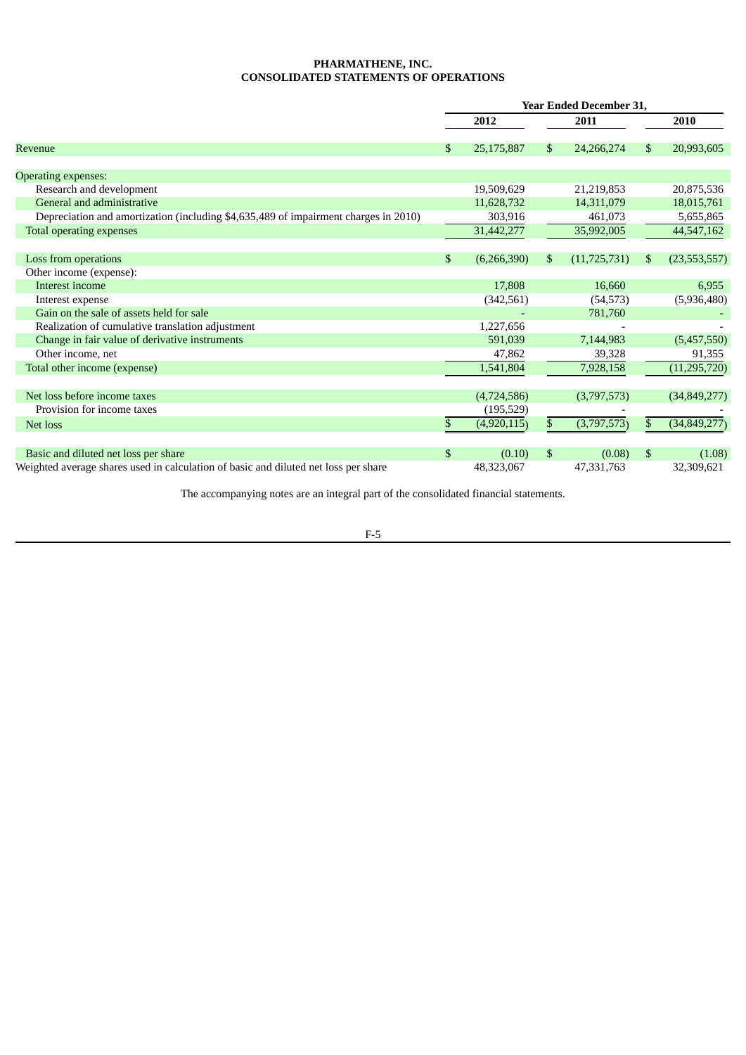# **PHARMATHENE, INC. CONSOLIDATED STATEMENTS OF OPERATIONS**

|                                                                                     | <b>Year Ended December 31,</b> |               |    |                |     |                |  |
|-------------------------------------------------------------------------------------|--------------------------------|---------------|----|----------------|-----|----------------|--|
|                                                                                     |                                | 2012          |    | 2011           |     | 2010           |  |
| Revenue                                                                             | \$                             | 25,175,887    | \$ | 24,266,274     | \$. | 20,993,605     |  |
| <b>Operating expenses:</b>                                                          |                                |               |    |                |     |                |  |
| Research and development                                                            |                                | 19,509,629    |    | 21,219,853     |     | 20,875,536     |  |
| General and administrative                                                          |                                | 11,628,732    |    | 14,311,079     |     | 18,015,761     |  |
| Depreciation and amortization (including \$4,635,489 of impairment charges in 2010) |                                | 303,916       |    | 461,073        |     | 5,655,865      |  |
| Total operating expenses                                                            |                                | 31,442,277    |    | 35,992,005     |     | 44,547,162     |  |
| Loss from operations                                                                | \$                             | (6, 266, 390) | \$ | (11, 725, 731) | \$  | (23, 553, 557) |  |
| Other income (expense):                                                             |                                |               |    |                |     |                |  |
| Interest income                                                                     |                                | 17,808        |    | 16.660         |     | 6,955          |  |
| Interest expense                                                                    |                                | (342, 561)    |    | (54, 573)      |     | (5,936,480)    |  |
| Gain on the sale of assets held for sale                                            |                                |               |    | 781,760        |     |                |  |
| Realization of cumulative translation adjustment                                    |                                | 1,227,656     |    |                |     |                |  |
| Change in fair value of derivative instruments                                      |                                | 591,039       |    | 7,144,983      |     | (5,457,550)    |  |
| Other income, net                                                                   |                                | 47,862        |    | 39,328         |     | 91,355         |  |
| Total other income (expense)                                                        |                                | 1,541,804     |    | 7,928,158      |     | (11, 295, 720) |  |
| Net loss before income taxes                                                        |                                | (4,724,586)   |    | (3,797,573)    |     | (34, 849, 277) |  |
| Provision for income taxes                                                          |                                | (195, 529)    |    |                |     |                |  |
| Net loss                                                                            | \$                             | (4,920,115)   | \$ | (3,797,573)    | \$  | (34, 849, 277) |  |
|                                                                                     |                                |               |    |                |     |                |  |
| Basic and diluted net loss per share                                                | \$                             | (0.10)        | \$ | (0.08)         | \$  | (1.08)         |  |
| Weighted average shares used in calculation of basic and diluted net loss per share |                                | 48,323,067    |    | 47,331,763     |     | 32,309,621     |  |

The accompanying notes are an integral part of the consolidated financial statements.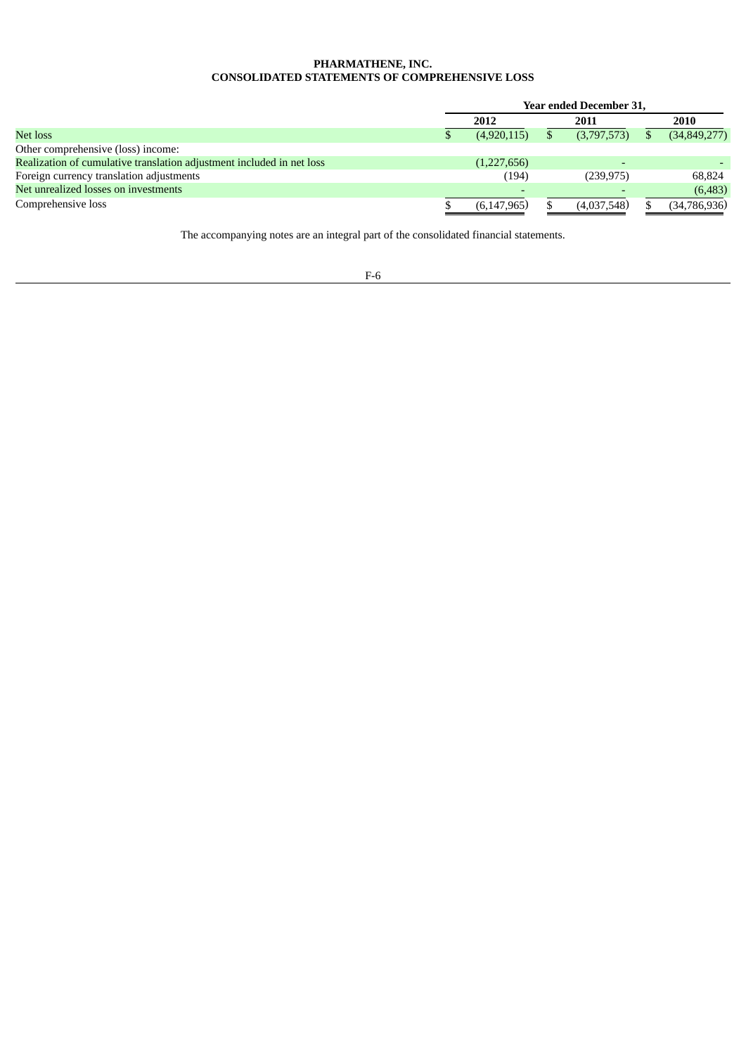# **PHARMATHENE, INC. CONSOLIDATED STATEMENTS OF COMPREHENSIVE LOSS**

|                                                                       | <b>Year ended December 31,</b> |               |  |             |  |                |  |
|-----------------------------------------------------------------------|--------------------------------|---------------|--|-------------|--|----------------|--|
|                                                                       |                                | 2012          |  | 2011        |  | 2010           |  |
| Net loss                                                              |                                | (4,920,115)   |  | (3,797,573) |  | (34, 849, 277) |  |
| Other comprehensive (loss) income:                                    |                                |               |  |             |  |                |  |
| Realization of cumulative translation adjustment included in net loss |                                | (1,227,656)   |  |             |  |                |  |
| Foreign currency translation adjustments                              |                                | (194)         |  | (239, 975)  |  | 68,824         |  |
| Net unrealized losses on investments                                  |                                |               |  |             |  | (6,483)        |  |
| Comprehensive loss                                                    |                                | (6, 147, 965) |  | (4,037,548) |  | (34,786,936)   |  |

The accompanying notes are an integral part of the consolidated financial statements.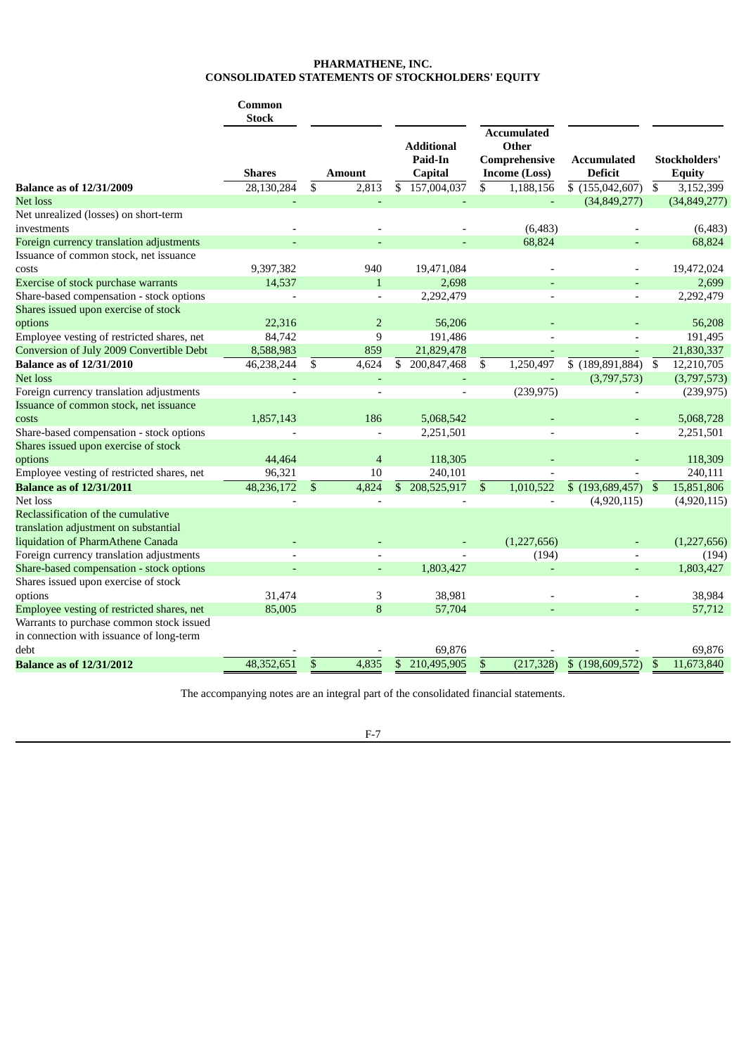# **PHARMATHENE, INC. CONSOLIDATED STATEMENTS OF STOCKHOLDERS' EQUITY**

## **Common Stock**

|                                            |               |                           |                          |              | <b>Additional</b>         |              | <b>Accumulated</b><br>Other           |                                      |                |                                |
|--------------------------------------------|---------------|---------------------------|--------------------------|--------------|---------------------------|--------------|---------------------------------------|--------------------------------------|----------------|--------------------------------|
|                                            | <b>Shares</b> |                           | Amount                   |              | Paid-In<br><b>Capital</b> |              | Comprehensive<br><b>Income (Loss)</b> | <b>Accumulated</b><br><b>Deficit</b> |                | Stockholders'<br><b>Equity</b> |
| <b>Balance as of 12/31/2009</b>            | 28,130,284    | \$                        | 2,813                    | \$           | 157,004,037               | \$           | 1,188,156                             | \$(155,042,607)                      | S.             | 3,152,399                      |
| <b>Net loss</b>                            |               |                           |                          |              |                           |              |                                       | (34, 849, 277)                       |                | (34, 849, 277)                 |
| Net unrealized (losses) on short-term      |               |                           |                          |              |                           |              |                                       |                                      |                |                                |
| investments                                |               |                           |                          |              |                           |              | (6,483)                               |                                      |                | (6,483)                        |
| Foreign currency translation adjustments   |               |                           |                          |              |                           |              | 68,824                                |                                      |                | 68,824                         |
| Issuance of common stock, net issuance     |               |                           |                          |              |                           |              |                                       |                                      |                |                                |
| costs                                      | 9,397,382     |                           | 940                      |              | 19,471,084                |              |                                       |                                      |                | 19,472,024                     |
| Exercise of stock purchase warrants        | 14,537        |                           | $\mathbf{1}$             |              | 2,698                     |              |                                       |                                      |                | 2,699                          |
| Share-based compensation - stock options   |               |                           |                          |              | 2,292,479                 |              |                                       |                                      |                | 2,292,479                      |
| Shares issued upon exercise of stock       |               |                           |                          |              |                           |              |                                       |                                      |                |                                |
| options                                    | 22,316        |                           | $\overline{2}$           |              | 56,206                    |              |                                       |                                      |                | 56,208                         |
| Employee vesting of restricted shares, net | 84,742        |                           | 9                        |              | 191,486                   |              |                                       |                                      |                | 191,495                        |
| Conversion of July 2009 Convertible Debt   | 8,588,983     |                           | 859                      |              | 21,829,478                |              |                                       |                                      |                | 21,830,337                     |
| <b>Balance as of 12/31/2010</b>            | 46,238,244    | $\overline{\$}$           | 4,624                    | \$           | 200,847,468               | \$           | 1,250,497                             | $\overline{189,891,884}$             | $\mathbb{S}$   | 12,210,705                     |
| <b>Net loss</b>                            |               |                           | $\overline{\phantom{a}}$ |              | $\overline{a}$            |              |                                       | (3,797,573)                          |                | (3,797,573)                    |
| Foreign currency translation adjustments   |               |                           |                          |              |                           |              | (239, 975)                            | $\overline{\phantom{a}}$             |                | (239, 975)                     |
| Issuance of common stock, net issuance     |               |                           |                          |              |                           |              |                                       |                                      |                |                                |
| <b>COStS</b>                               | 1,857,143     |                           | 186                      |              | 5,068,542                 |              |                                       |                                      |                | 5,068,728                      |
| Share-based compensation - stock options   |               |                           | $\overline{a}$           |              | 2,251,501                 |              |                                       | $\overline{\phantom{a}}$             |                | 2,251,501                      |
| Shares issued upon exercise of stock       |               |                           |                          |              |                           |              |                                       |                                      |                |                                |
| options                                    | 44,464        |                           | $\overline{4}$           |              | 118,305                   |              |                                       |                                      |                | 118,309                        |
| Employee vesting of restricted shares, net | 96.321        |                           | 10                       |              | 240.101                   |              |                                       |                                      |                | 240.111                        |
| <b>Balance as of 12/31/2011</b>            | 48,236,172    | $\boldsymbol{\mathsf{S}}$ | 4,824                    | $\mathbb{S}$ | 208,525,917               | $\mathbb{S}$ | 1,010,522                             | $\overline{\$$ (193,689,457)         | $\mathfrak{S}$ | 15,851,806                     |
| Net loss                                   |               |                           |                          |              |                           |              |                                       | (4,920,115)                          |                | (4,920,115)                    |
| Reclassification of the cumulative         |               |                           |                          |              |                           |              |                                       |                                      |                |                                |
| translation adjustment on substantial      |               |                           |                          |              |                           |              |                                       |                                      |                |                                |
| liquidation of PharmAthene Canada          |               |                           |                          |              |                           |              | (1,227,656)                           |                                      |                | (1,227,656)                    |
| Foreign currency translation adjustments   |               |                           |                          |              |                           |              | (194)                                 |                                      |                | (194)                          |
| Share-based compensation - stock options   |               |                           |                          |              | 1,803,427                 |              |                                       |                                      |                | 1,803,427                      |
| Shares issued upon exercise of stock       |               |                           |                          |              |                           |              |                                       |                                      |                |                                |
| options                                    | 31,474        |                           | 3                        |              | 38,981                    |              |                                       |                                      |                | 38,984                         |
| Employee vesting of restricted shares, net | 85,005        |                           | 8                        |              | 57,704                    |              |                                       |                                      |                | 57,712                         |
| Warrants to purchase common stock issued   |               |                           |                          |              |                           |              |                                       |                                      |                |                                |
| in connection with issuance of long-term   |               |                           |                          |              |                           |              |                                       |                                      |                |                                |
| debt                                       |               |                           |                          |              | 69,876                    |              |                                       |                                      |                | 69,876                         |
| <b>Balance as of 12/31/2012</b>            | 48,352,651    | \$                        | 4,835                    | \$           | 210,495,905               | \$           | (217, 328)                            | \$(198,609,572)                      | \$             | 11,673,840                     |

The accompanying notes are an integral part of the consolidated financial statements.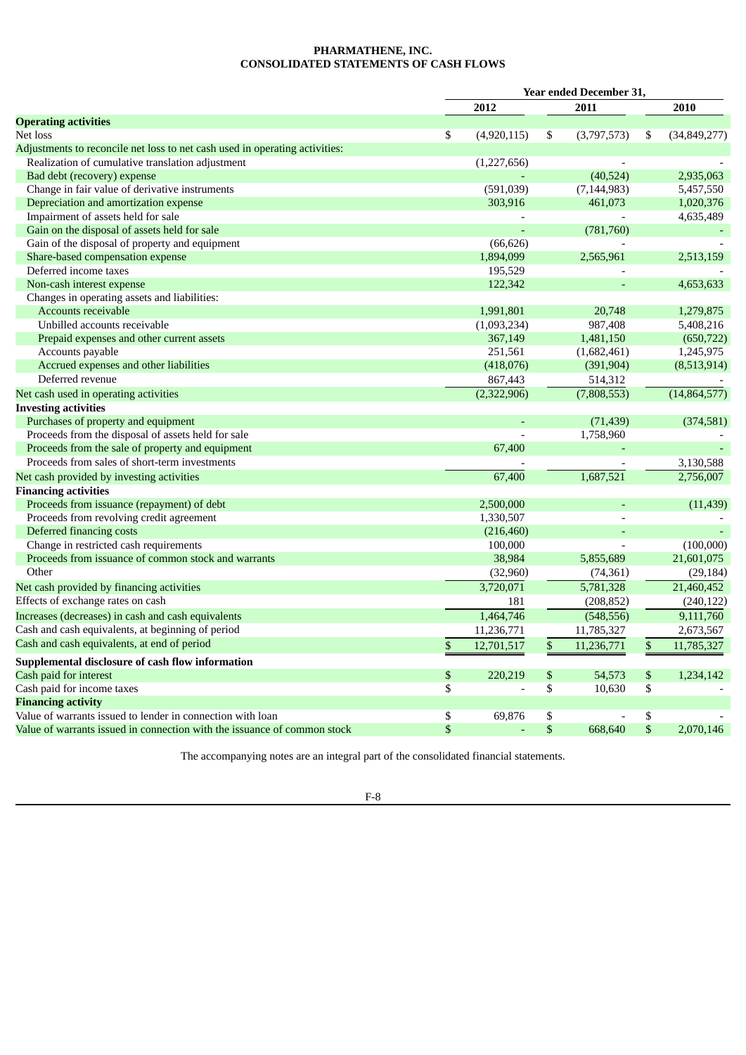# **PHARMATHENE, INC. CONSOLIDATED STATEMENTS OF CASH FLOWS**

|                                                                             | <b>Year ended December 31,</b> |             |    |               |    |                |
|-----------------------------------------------------------------------------|--------------------------------|-------------|----|---------------|----|----------------|
|                                                                             |                                | 2012        |    | 2011          |    | 2010           |
| <b>Operating activities</b>                                                 |                                |             |    |               |    |                |
| Net loss                                                                    | \$                             | (4,920,115) | \$ | (3,797,573)   | \$ | (34, 849, 277) |
| Adjustments to reconcile net loss to net cash used in operating activities: |                                |             |    |               |    |                |
| Realization of cumulative translation adjustment                            |                                | (1,227,656) |    |               |    |                |
| Bad debt (recovery) expense                                                 |                                |             |    | (40, 524)     |    | 2,935,063      |
| Change in fair value of derivative instruments                              |                                | (591,039)   |    | (7, 144, 983) |    | 5,457,550      |
| Depreciation and amortization expense                                       |                                | 303,916     |    | 461,073       |    | 1,020,376      |
| Impairment of assets held for sale                                          |                                |             |    |               |    | 4,635,489      |
| Gain on the disposal of assets held for sale                                |                                |             |    | (781,760)     |    |                |
| Gain of the disposal of property and equipment                              |                                | (66, 626)   |    |               |    |                |
| Share-based compensation expense                                            |                                | 1,894,099   |    | 2,565,961     |    | 2,513,159      |
| Deferred income taxes                                                       |                                | 195,529     |    |               |    |                |
| Non-cash interest expense                                                   |                                | 122,342     |    |               |    | 4,653,633      |
| Changes in operating assets and liabilities:                                |                                |             |    |               |    |                |
| Accounts receivable                                                         |                                | 1,991,801   |    | 20,748        |    | 1,279,875      |
| Unbilled accounts receivable                                                |                                | (1,093,234) |    | 987,408       |    | 5,408,216      |
| Prepaid expenses and other current assets                                   |                                | 367,149     |    | 1,481,150     |    | (650, 722)     |
| Accounts payable                                                            |                                | 251,561     |    | (1,682,461)   |    | 1,245,975      |
| Accrued expenses and other liabilities                                      |                                | (418,076)   |    | (391, 904)    |    | (8,513,914)    |
| Deferred revenue                                                            |                                | 867,443     |    | 514,312       |    |                |
| Net cash used in operating activities                                       |                                | (2,322,906) |    | (7,808,553)   |    | (14, 864, 577) |
| <b>Investing activities</b>                                                 |                                |             |    |               |    |                |
| Purchases of property and equipment                                         |                                |             |    | (71, 439)     |    | (374, 581)     |
| Proceeds from the disposal of assets held for sale                          |                                |             |    | 1,758,960     |    |                |
| Proceeds from the sale of property and equipment                            |                                | 67,400      |    |               |    |                |
| Proceeds from sales of short-term investments                               |                                |             |    |               |    | 3,130,588      |
| Net cash provided by investing activities                                   |                                | 67,400      |    | 1,687,521     |    | 2,756,007      |
| <b>Financing activities</b>                                                 |                                |             |    |               |    |                |
| Proceeds from issuance (repayment) of debt                                  |                                | 2,500,000   |    |               |    | (11, 439)      |
| Proceeds from revolving credit agreement                                    |                                | 1,330,507   |    |               |    |                |
| Deferred financing costs                                                    |                                | (216, 460)  |    |               |    |                |
| Change in restricted cash requirements                                      |                                | 100,000     |    |               |    | (100,000)      |
| Proceeds from issuance of common stock and warrants                         |                                | 38,984      |    | 5,855,689     |    | 21,601,075     |
| Other                                                                       |                                | (32,960)    |    |               |    | (29, 184)      |
|                                                                             |                                | 3,720,071   |    | (74, 361)     |    |                |
| Net cash provided by financing activities                                   |                                |             |    | 5,781,328     |    | 21,460,452     |
| Effects of exchange rates on cash                                           |                                | 181         |    | (208, 852)    |    | (240, 122)     |
| Increases (decreases) in cash and cash equivalents                          |                                | 1,464,746   |    | (548, 556)    |    | 9,111,760      |
| Cash and cash equivalents, at beginning of period                           |                                | 11,236,771  |    | 11,785,327    |    | 2,673,567      |
| Cash and cash equivalents, at end of period                                 | \$                             | 12,701,517  | \$ | 11,236,771    | \$ | 11,785,327     |
| Supplemental disclosure of cash flow information                            |                                |             |    |               |    |                |
| Cash paid for interest                                                      | \$                             | 220,219     | \$ | 54,573        | \$ | 1,234,142      |
| Cash paid for income taxes                                                  | \$                             |             | \$ | 10,630        | \$ |                |
| <b>Financing activity</b>                                                   |                                |             |    |               |    |                |
| Value of warrants issued to lender in connection with loan                  | \$                             | 69,876      | \$ |               | \$ |                |
| Value of warrants issued in connection with the issuance of common stock    | \$                             |             | \$ | 668,640       | \$ | 2,070,146      |
|                                                                             |                                |             |    |               |    |                |

The accompanying notes are an integral part of the consolidated financial statements.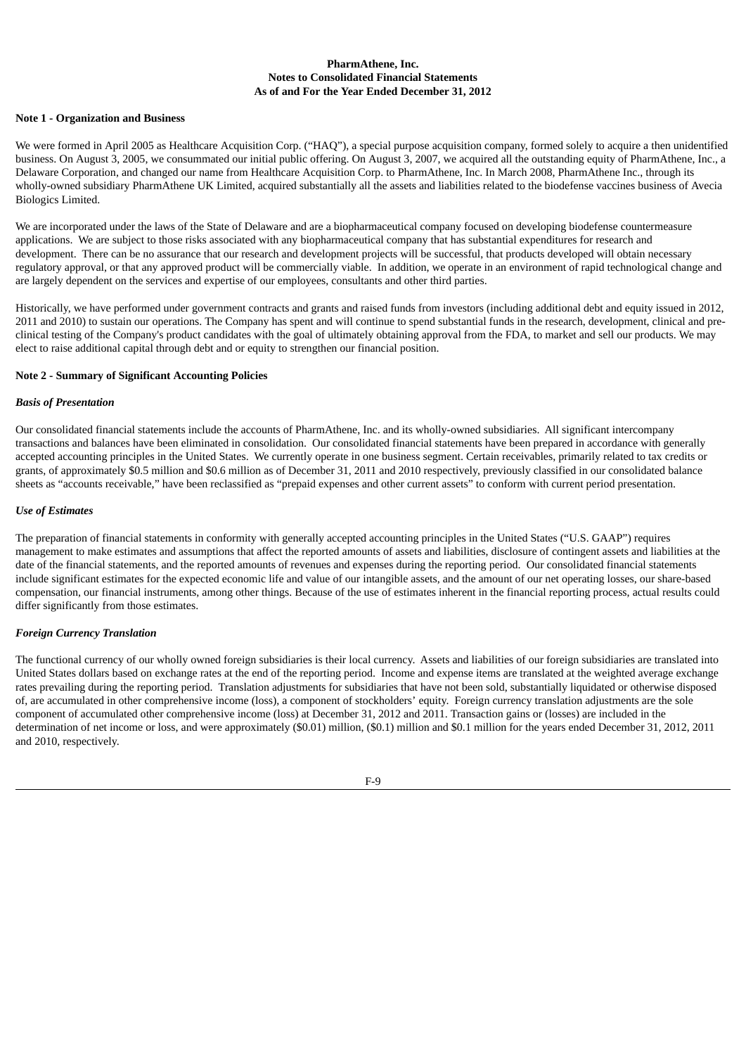# **PharmAthene, Inc. Notes to Consolidated Financial Statements As of and For the Year Ended December 31, 2012**

#### **Note 1 - Organization and Business**

We were formed in April 2005 as Healthcare Acquisition Corp. ("HAQ"), a special purpose acquisition company, formed solely to acquire a then unidentified business. On August 3, 2005, we consummated our initial public offering. On August 3, 2007, we acquired all the outstanding equity of PharmAthene, Inc., a Delaware Corporation, and changed our name from Healthcare Acquisition Corp. to PharmAthene, Inc. In March 2008, PharmAthene Inc., through its wholly-owned subsidiary PharmAthene UK Limited, acquired substantially all the assets and liabilities related to the biodefense vaccines business of Avecia Biologics Limited.

We are incorporated under the laws of the State of Delaware and are a biopharmaceutical company focused on developing biodefense countermeasure applications. We are subject to those risks associated with any biopharmaceutical company that has substantial expenditures for research and development. There can be no assurance that our research and development projects will be successful, that products developed will obtain necessary regulatory approval, or that any approved product will be commercially viable. In addition, we operate in an environment of rapid technological change and are largely dependent on the services and expertise of our employees, consultants and other third parties.

Historically, we have performed under government contracts and grants and raised funds from investors (including additional debt and equity issued in 2012, 2011 and 2010) to sustain our operations. The Company has spent and will continue to spend substantial funds in the research, development, clinical and preclinical testing of the Company's product candidates with the goal of ultimately obtaining approval from the FDA, to market and sell our products. We may elect to raise additional capital through debt and or equity to strengthen our financial position.

### **Note 2 - Summary of Significant Accounting Policies**

#### *Basis of Presentation*

Our consolidated financial statements include the accounts of PharmAthene, Inc. and its wholly-owned subsidiaries. All significant intercompany transactions and balances have been eliminated in consolidation. Our consolidated financial statements have been prepared in accordance with generally accepted accounting principles in the United States. We currently operate in one business segment. Certain receivables, primarily related to tax credits or grants, of approximately \$0.5 million and \$0.6 million as of December 31, 2011 and 2010 respectively, previously classified in our consolidated balance sheets as "accounts receivable," have been reclassified as "prepaid expenses and other current assets" to conform with current period presentation.

#### *Use of Estimates*

The preparation of financial statements in conformity with generally accepted accounting principles in the United States ("U.S. GAAP") requires management to make estimates and assumptions that affect the reported amounts of assets and liabilities, disclosure of contingent assets and liabilities at the date of the financial statements, and the reported amounts of revenues and expenses during the reporting period. Our consolidated financial statements include significant estimates for the expected economic life and value of our intangible assets, and the amount of our net operating losses, our share-based compensation, our financial instruments, among other things. Because of the use of estimates inherent in the financial reporting process, actual results could differ significantly from those estimates.

# *Foreign Currency Translation*

The functional currency of our wholly owned foreign subsidiaries is their local currency. Assets and liabilities of our foreign subsidiaries are translated into United States dollars based on exchange rates at the end of the reporting period. Income and expense items are translated at the weighted average exchange rates prevailing during the reporting period. Translation adjustments for subsidiaries that have not been sold, substantially liquidated or otherwise disposed of, are accumulated in other comprehensive income (loss), a component of stockholders' equity. Foreign currency translation adjustments are the sole component of accumulated other comprehensive income (loss) at December 31, 2012 and 2011. Transaction gains or (losses) are included in the determination of net income or loss, and were approximately (\$0.01) million, (\$0.1) million and \$0.1 million for the years ended December 31, 2012, 2011 and 2010, respectively.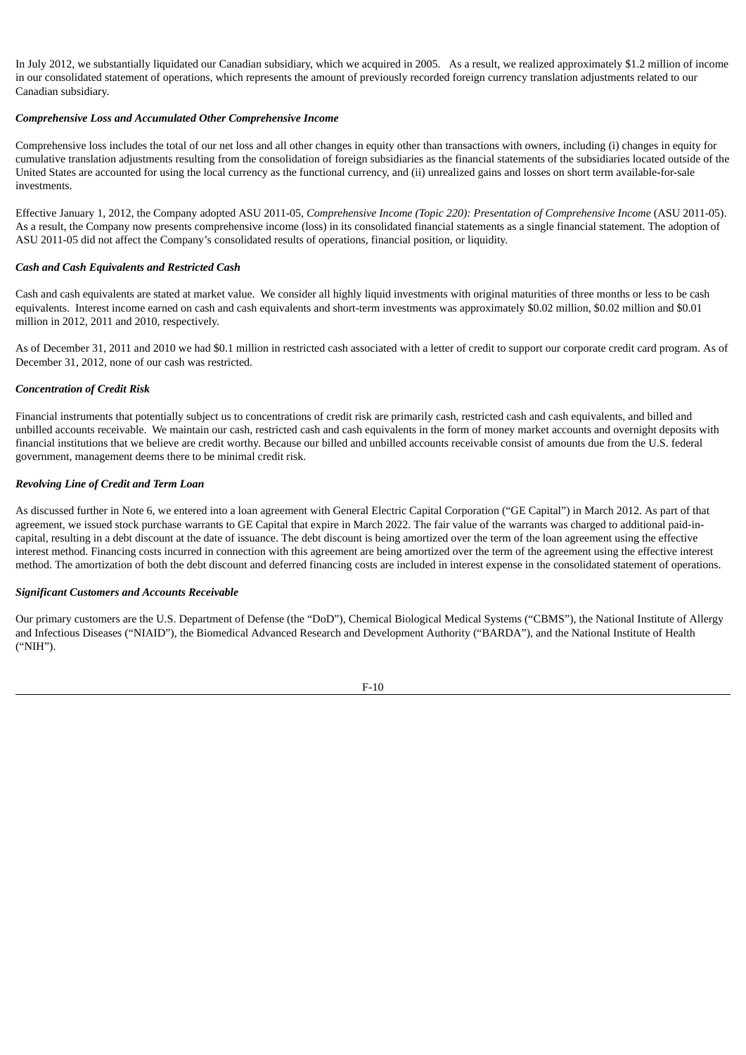In July 2012, we substantially liquidated our Canadian subsidiary, which we acquired in 2005. As a result, we realized approximately \$1.2 million of income in our consolidated statement of operations, which represents the amount of previously recorded foreign currency translation adjustments related to our Canadian subsidiary.

# *Comprehensive Loss and Accumulated Other Comprehensive Income*

Comprehensive loss includes the total of our net loss and all other changes in equity other than transactions with owners, including (i) changes in equity for cumulative translation adjustments resulting from the consolidation of foreign subsidiaries as the financial statements of the subsidiaries located outside of the United States are accounted for using the local currency as the functional currency, and (ii) unrealized gains and losses on short term available-for-sale investments.

Effective January 1, 2012, the Company adopted ASU 2011-05, *Comprehensive Income (Topic 220): Presentation of Comprehensive Income* (ASU 2011-05). As a result, the Company now presents comprehensive income (loss) in its consolidated financial statements as a single financial statement. The adoption of ASU 2011-05 did not affect the Company's consolidated results of operations, financial position, or liquidity.

# *Cash and Cash Equivalents and Restricted Cash*

Cash and cash equivalents are stated at market value. We consider all highly liquid investments with original maturities of three months or less to be cash equivalents. Interest income earned on cash and cash equivalents and short-term investments was approximately \$0.02 million, \$0.02 million and \$0.01 million in 2012, 2011 and 2010, respectively.

As of December 31, 2011 and 2010 we had \$0.1 million in restricted cash associated with a letter of credit to support our corporate credit card program. As of December 31, 2012, none of our cash was restricted.

# *Concentration of Credit Risk*

Financial instruments that potentially subject us to concentrations of credit risk are primarily cash, restricted cash and cash equivalents, and billed and unbilled accounts receivable. We maintain our cash, restricted cash and cash equivalents in the form of money market accounts and overnight deposits with financial institutions that we believe are credit worthy. Because our billed and unbilled accounts receivable consist of amounts due from the U.S. federal government, management deems there to be minimal credit risk.

# *Revolving Line of Credit and Term Loan*

As discussed further in Note 6, we entered into a loan agreement with General Electric Capital Corporation ("GE Capital") in March 2012. As part of that agreement, we issued stock purchase warrants to GE Capital that expire in March 2022. The fair value of the warrants was charged to additional paid-incapital, resulting in a debt discount at the date of issuance. The debt discount is being amortized over the term of the loan agreement using the effective interest method. Financing costs incurred in connection with this agreement are being amortized over the term of the agreement using the effective interest method. The amortization of both the debt discount and deferred financing costs are included in interest expense in the consolidated statement of operations.

# *Significant Customers and Accounts Receivable*

Our primary customers are the U.S. Department of Defense (the "DoD"), Chemical Biological Medical Systems ("CBMS"), the National Institute of Allergy and Infectious Diseases ("NIAID"), the Biomedical Advanced Research and Development Authority ("BARDA"), and the National Institute of Health ("NIH").

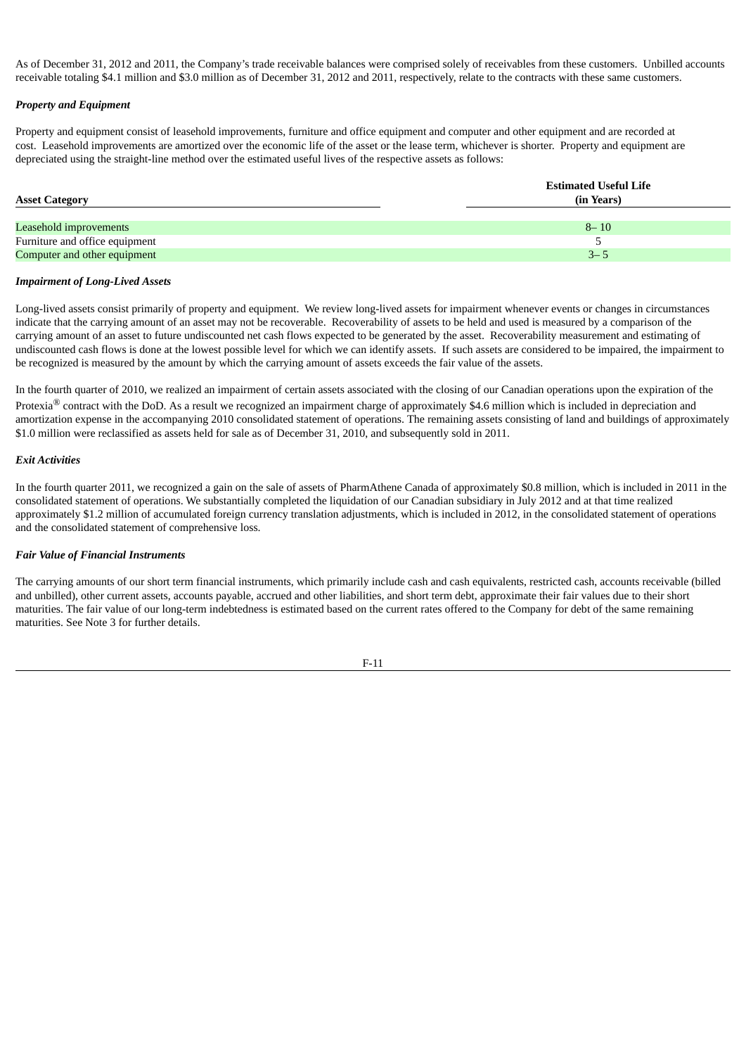As of December 31, 2012 and 2011, the Company's trade receivable balances were comprised solely of receivables from these customers. Unbilled accounts receivable totaling \$4.1 million and \$3.0 million as of December 31, 2012 and 2011, respectively, relate to the contracts with these same customers.

# *Property and Equipment*

Property and equipment consist of leasehold improvements, furniture and office equipment and computer and other equipment and are recorded at cost. Leasehold improvements are amortized over the economic life of the asset or the lease term, whichever is shorter. Property and equipment are depreciated using the straight-line method over the estimated useful lives of the respective assets as follows:

| <b>Asset Category</b>          | <b>Estimated Useful Life</b><br>(in Years) |
|--------------------------------|--------------------------------------------|
|                                |                                            |
| Leasehold improvements         | $8 - 10$                                   |
| Furniture and office equipment |                                            |
| Computer and other equipment   | $3 - 5$                                    |

#### *Impairment of Long-Lived Assets*

Long-lived assets consist primarily of property and equipment. We review long-lived assets for impairment whenever events or changes in circumstances indicate that the carrying amount of an asset may not be recoverable. Recoverability of assets to be held and used is measured by a comparison of the carrying amount of an asset to future undiscounted net cash flows expected to be generated by the asset. Recoverability measurement and estimating of undiscounted cash flows is done at the lowest possible level for which we can identify assets. If such assets are considered to be impaired, the impairment to be recognized is measured by the amount by which the carrying amount of assets exceeds the fair value of the assets.

In the fourth quarter of 2010, we realized an impairment of certain assets associated with the closing of our Canadian operations upon the expiration of the Protexia<sup>®</sup> contract with the DoD. As a result we recognized an impairment charge of approximately \$4.6 million which is included in depreciation and amortization expense in the accompanying 2010 consolidated statement of operations. The remaining assets consisting of land and buildings of approximately \$1.0 million were reclassified as assets held for sale as of December 31, 2010, and subsequently sold in 2011.

## *Exit Activities*

In the fourth quarter 2011, we recognized a gain on the sale of assets of PharmAthene Canada of approximately \$0.8 million, which is included in 2011 in the consolidated statement of operations. We substantially completed the liquidation of our Canadian subsidiary in July 2012 and at that time realized approximately \$1.2 million of accumulated foreign currency translation adjustments, which is included in 2012, in the consolidated statement of operations and the consolidated statement of comprehensive loss.

#### *Fair Value of Financial Instruments*

The carrying amounts of our short term financial instruments, which primarily include cash and cash equivalents, restricted cash, accounts receivable (billed and unbilled), other current assets, accounts payable, accrued and other liabilities, and short term debt, approximate their fair values due to their short maturities. The fair value of our long-term indebtedness is estimated based on the current rates offered to the Company for debt of the same remaining maturities. See Note 3 for further details.

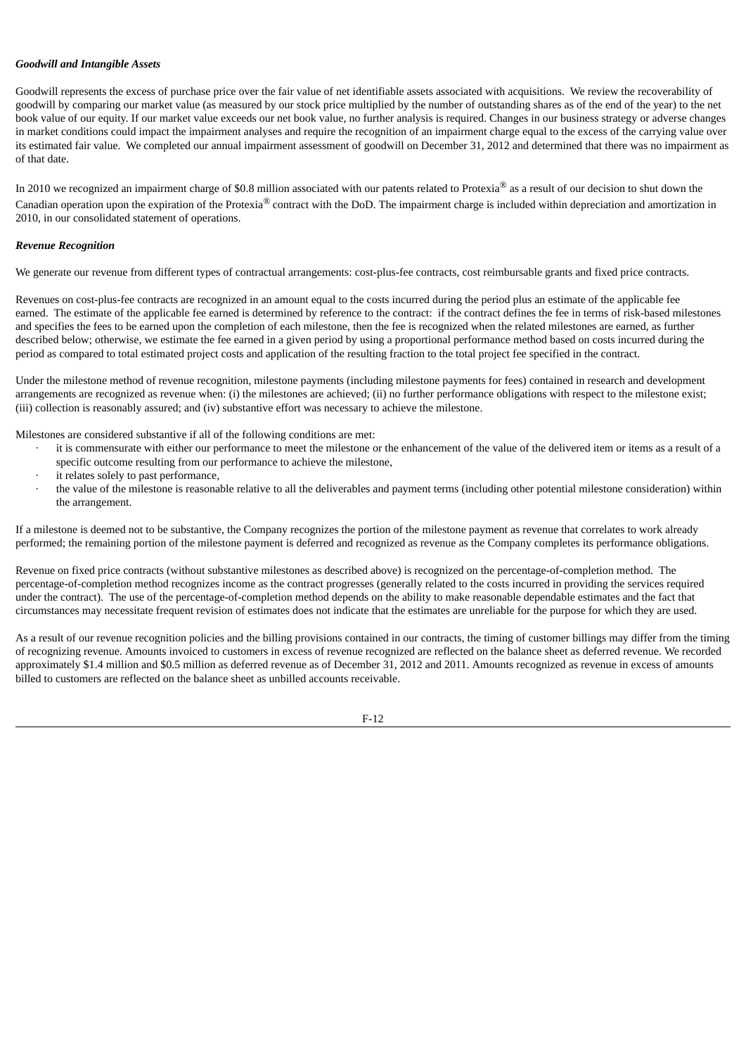## *Goodwill and Intangible Assets*

Goodwill represents the excess of purchase price over the fair value of net identifiable assets associated with acquisitions. We review the recoverability of goodwill by comparing our market value (as measured by our stock price multiplied by the number of outstanding shares as of the end of the year) to the net book value of our equity. If our market value exceeds our net book value, no further analysis is required. Changes in our business strategy or adverse changes in market conditions could impact the impairment analyses and require the recognition of an impairment charge equal to the excess of the carrying value over its estimated fair value. We completed our annual impairment assessment of goodwill on December 31, 2012 and determined that there was no impairment as of that date.

In 2010 we recognized an impairment charge of \$0.8 million associated with our patents related to Protexia<sup>®</sup> as a result of our decision to shut down the Canadian operation upon the expiration of the Protexia® contract with the DoD. The impairment charge is included within depreciation and amortization in 2010, in our consolidated statement of operations.

#### *Revenue Recognition*

We generate our revenue from different types of contractual arrangements: cost-plus-fee contracts, cost reimbursable grants and fixed price contracts.

Revenues on cost-plus-fee contracts are recognized in an amount equal to the costs incurred during the period plus an estimate of the applicable fee earned. The estimate of the applicable fee earned is determined by reference to the contract: if the contract defines the fee in terms of risk-based milestones and specifies the fees to be earned upon the completion of each milestone, then the fee is recognized when the related milestones are earned, as further described below; otherwise, we estimate the fee earned in a given period by using a proportional performance method based on costs incurred during the period as compared to total estimated project costs and application of the resulting fraction to the total project fee specified in the contract.

Under the milestone method of revenue recognition, milestone payments (including milestone payments for fees) contained in research and development arrangements are recognized as revenue when: (i) the milestones are achieved; (ii) no further performance obligations with respect to the milestone exist; (iii) collection is reasonably assured; and (iv) substantive effort was necessary to achieve the milestone.

Milestones are considered substantive if all of the following conditions are met:

- it is commensurate with either our performance to meet the milestone or the enhancement of the value of the delivered item or items as a result of a specific outcome resulting from our performance to achieve the milestone,
- · it relates solely to past performance,
- the value of the milestone is reasonable relative to all the deliverables and payment terms (including other potential milestone consideration) within the arrangement.

If a milestone is deemed not to be substantive, the Company recognizes the portion of the milestone payment as revenue that correlates to work already performed; the remaining portion of the milestone payment is deferred and recognized as revenue as the Company completes its performance obligations.

Revenue on fixed price contracts (without substantive milestones as described above) is recognized on the percentage-of-completion method. The percentage-of-completion method recognizes income as the contract progresses (generally related to the costs incurred in providing the services required under the contract). The use of the percentage-of-completion method depends on the ability to make reasonable dependable estimates and the fact that circumstances may necessitate frequent revision of estimates does not indicate that the estimates are unreliable for the purpose for which they are used.

As a result of our revenue recognition policies and the billing provisions contained in our contracts, the timing of customer billings may differ from the timing of recognizing revenue. Amounts invoiced to customers in excess of revenue recognized are reflected on the balance sheet as deferred revenue. We recorded approximately \$1.4 million and \$0.5 million as deferred revenue as of December 31, 2012 and 2011. Amounts recognized as revenue in excess of amounts billed to customers are reflected on the balance sheet as unbilled accounts receivable.

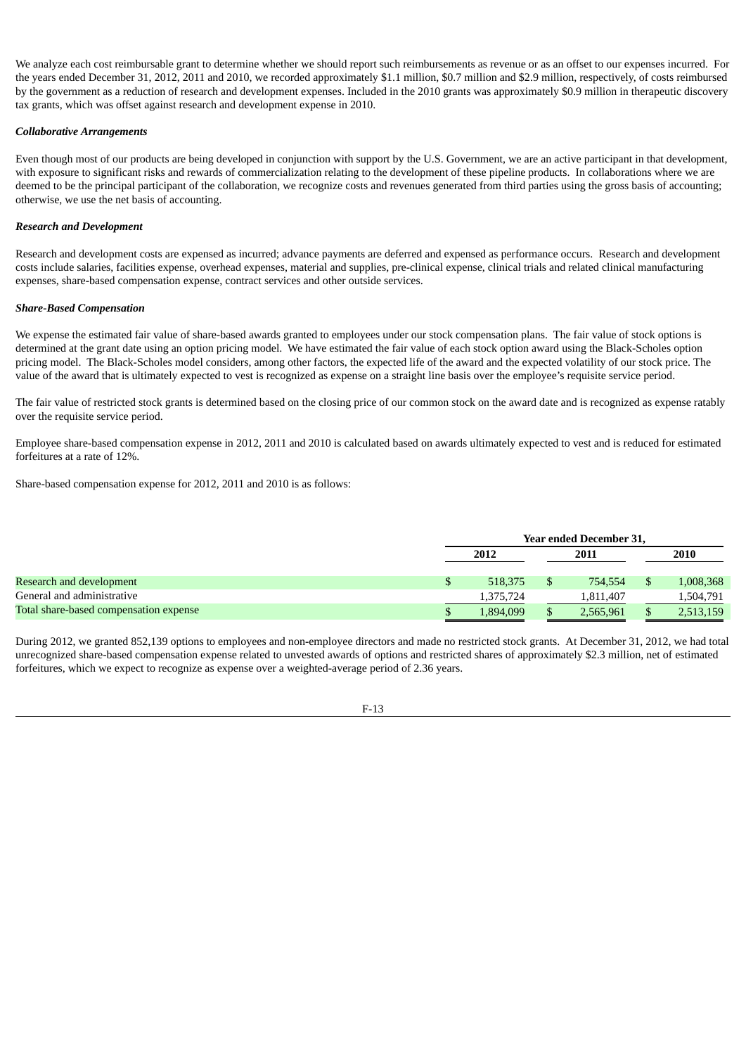We analyze each cost reimbursable grant to determine whether we should report such reimbursements as revenue or as an offset to our expenses incurred. For the years ended December 31, 2012, 2011 and 2010, we recorded approximately \$1.1 million, \$0.7 million and \$2.9 million, respectively, of costs reimbursed by the government as a reduction of research and development expenses. Included in the 2010 grants was approximately \$0.9 million in therapeutic discovery tax grants, which was offset against research and development expense in 2010.

# *Collaborative Arrangements*

Even though most of our products are being developed in conjunction with support by the U.S. Government, we are an active participant in that development, with exposure to significant risks and rewards of commercialization relating to the development of these pipeline products. In collaborations where we are deemed to be the principal participant of the collaboration, we recognize costs and revenues generated from third parties using the gross basis of accounting; otherwise, we use the net basis of accounting.

#### *Research and Development*

Research and development costs are expensed as incurred; advance payments are deferred and expensed as performance occurs. Research and development costs include salaries, facilities expense, overhead expenses, material and supplies, pre-clinical expense, clinical trials and related clinical manufacturing expenses, share-based compensation expense, contract services and other outside services.

#### *Share-Based Compensation*

We expense the estimated fair value of share-based awards granted to employees under our stock compensation plans. The fair value of stock options is determined at the grant date using an option pricing model. We have estimated the fair value of each stock option award using the Black-Scholes option pricing model. The Black-Scholes model considers, among other factors, the expected life of the award and the expected volatility of our stock price. The value of the award that is ultimately expected to vest is recognized as expense on a straight line basis over the employee's requisite service period.

The fair value of restricted stock grants is determined based on the closing price of our common stock on the award date and is recognized as expense ratably over the requisite service period.

Employee share-based compensation expense in 2012, 2011 and 2010 is calculated based on awards ultimately expected to vest and is reduced for estimated forfeitures at a rate of 12%.

Share-based compensation expense for 2012, 2011 and 2010 is as follows:

|                                        | Year ended December 31, |  |           |  |           |  |  |  |
|----------------------------------------|-------------------------|--|-----------|--|-----------|--|--|--|
|                                        | 2012                    |  | 2011      |  | 2010      |  |  |  |
| Research and development               | 518,375                 |  | 754.554   |  | 1,008,368 |  |  |  |
| General and administrative             | 1.375.724               |  | 1,811,407 |  | 1,504,791 |  |  |  |
| Total share-based compensation expense | 1,894,099               |  | 2,565,961 |  | 2,513,159 |  |  |  |

During 2012, we granted 852,139 options to employees and non-employee directors and made no restricted stock grants. At December 31, 2012, we had total unrecognized share-based compensation expense related to unvested awards of options and restricted shares of approximately \$2.3 million, net of estimated forfeitures, which we expect to recognize as expense over a weighted-average period of 2.36 years.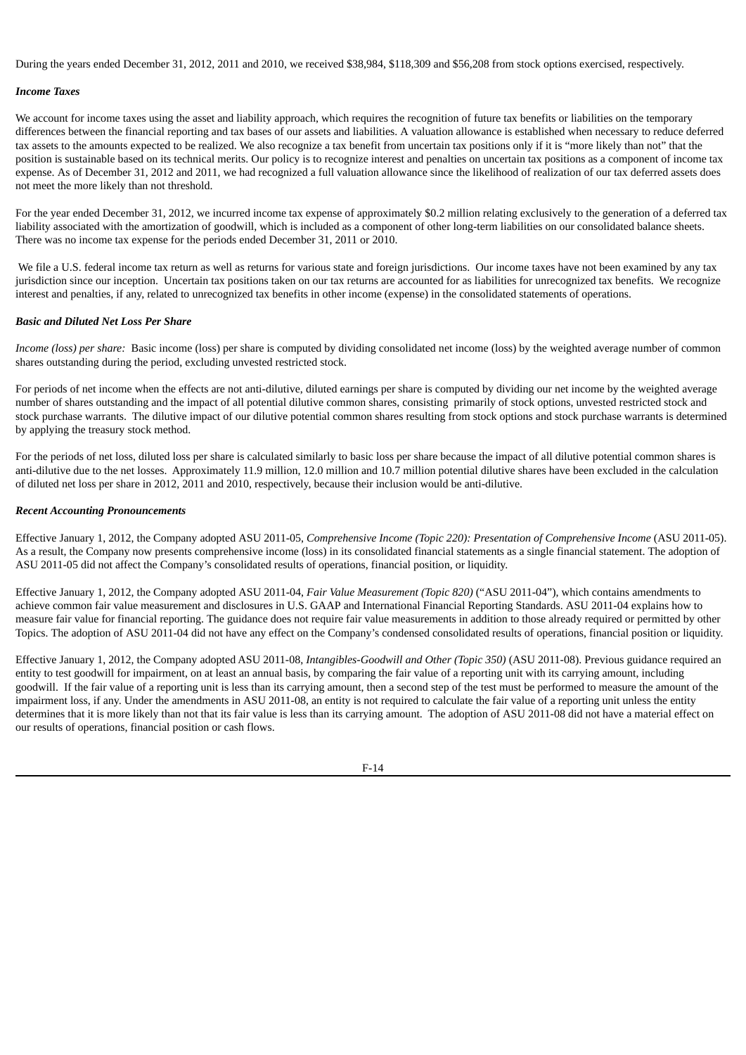During the years ended December 31, 2012, 2011 and 2010, we received \$38,984, \$118,309 and \$56,208 from stock options exercised, respectively.

# *Income Taxes*

We account for income taxes using the asset and liability approach, which requires the recognition of future tax benefits or liabilities on the temporary differences between the financial reporting and tax bases of our assets and liabilities. A valuation allowance is established when necessary to reduce deferred tax assets to the amounts expected to be realized. We also recognize a tax benefit from uncertain tax positions only if it is "more likely than not" that the position is sustainable based on its technical merits. Our policy is to recognize interest and penalties on uncertain tax positions as a component of income tax expense. As of December 31, 2012 and 2011, we had recognized a full valuation allowance since the likelihood of realization of our tax deferred assets does not meet the more likely than not threshold.

For the year ended December 31, 2012, we incurred income tax expense of approximately \$0.2 million relating exclusively to the generation of a deferred tax liability associated with the amortization of goodwill, which is included as a component of other long-term liabilities on our consolidated balance sheets. There was no income tax expense for the periods ended December 31, 2011 or 2010.

We file a U.S. federal income tax return as well as returns for various state and foreign jurisdictions. Our income taxes have not been examined by any tax jurisdiction since our inception. Uncertain tax positions taken on our tax returns are accounted for as liabilities for unrecognized tax benefits. We recognize interest and penalties, if any, related to unrecognized tax benefits in other income (expense) in the consolidated statements of operations.

# *Basic and Diluted Net Loss Per Share*

*Income (loss) per share:* Basic income (loss) per share is computed by dividing consolidated net income (loss) by the weighted average number of common shares outstanding during the period, excluding unvested restricted stock.

For periods of net income when the effects are not anti-dilutive, diluted earnings per share is computed by dividing our net income by the weighted average number of shares outstanding and the impact of all potential dilutive common shares, consisting primarily of stock options, unvested restricted stock and stock purchase warrants. The dilutive impact of our dilutive potential common shares resulting from stock options and stock purchase warrants is determined by applying the treasury stock method.

For the periods of net loss, diluted loss per share is calculated similarly to basic loss per share because the impact of all dilutive potential common shares is anti-dilutive due to the net losses. Approximately 11.9 million, 12.0 million and 10.7 million potential dilutive shares have been excluded in the calculation of diluted net loss per share in 2012, 2011 and 2010, respectively, because their inclusion would be anti-dilutive.

# *Recent Accounting Pronouncements*

Effective January 1, 2012, the Company adopted ASU 2011-05, *Comprehensive Income (Topic 220): Presentation of Comprehensive Income* (ASU 2011-05). As a result, the Company now presents comprehensive income (loss) in its consolidated financial statements as a single financial statement. The adoption of ASU 2011-05 did not affect the Company's consolidated results of operations, financial position, or liquidity.

Effective January 1, 2012, the Company adopted ASU 2011-04, *Fair Value Measurement (Topic 820)* ("ASU 2011-04"), which contains amendments to achieve common fair value measurement and disclosures in U.S. GAAP and International Financial Reporting Standards. ASU 2011-04 explains how to measure fair value for financial reporting. The guidance does not require fair value measurements in addition to those already required or permitted by other Topics. The adoption of ASU 2011-04 did not have any effect on the Company's condensed consolidated results of operations, financial position or liquidity.

Effective January 1, 2012, the Company adopted ASU 2011-08, *Intangibles-Goodwill and Other (Topic 350)* (ASU 2011-08). Previous guidance required an entity to test goodwill for impairment, on at least an annual basis, by comparing the fair value of a reporting unit with its carrying amount, including goodwill. If the fair value of a reporting unit is less than its carrying amount, then a second step of the test must be performed to measure the amount of the impairment loss, if any. Under the amendments in ASU 2011-08, an entity is not required to calculate the fair value of a reporting unit unless the entity determines that it is more likely than not that its fair value is less than its carrying amount. The adoption of ASU 2011-08 did not have a material effect on our results of operations, financial position or cash flows.

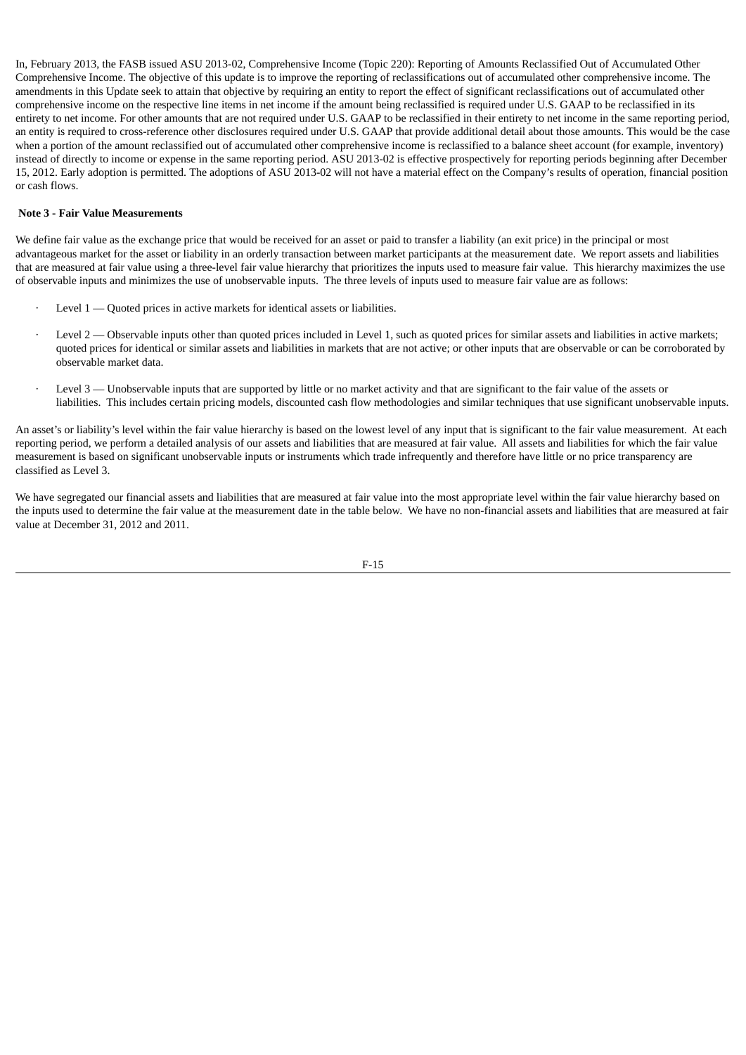In, February 2013, the FASB issued ASU 2013-02, Comprehensive Income (Topic 220): Reporting of Amounts Reclassified Out of Accumulated Other Comprehensive Income. The objective of this update is to improve the reporting of reclassifications out of accumulated other comprehensive income. The amendments in this Update seek to attain that objective by requiring an entity to report the effect of significant reclassifications out of accumulated other comprehensive income on the respective line items in net income if the amount being reclassified is required under U.S. GAAP to be reclassified in its entirety to net income. For other amounts that are not required under U.S. GAAP to be reclassified in their entirety to net income in the same reporting period, an entity is required to cross-reference other disclosures required under U.S. GAAP that provide additional detail about those amounts. This would be the case when a portion of the amount reclassified out of accumulated other comprehensive income is reclassified to a balance sheet account (for example, inventory) instead of directly to income or expense in the same reporting period. ASU 2013-02 is effective prospectively for reporting periods beginning after December 15, 2012. Early adoption is permitted. The adoptions of ASU 2013-02 will not have a material effect on the Company's results of operation, financial position or cash flows.

#### **Note 3 - Fair Value Measurements**

We define fair value as the exchange price that would be received for an asset or paid to transfer a liability (an exit price) in the principal or most advantageous market for the asset or liability in an orderly transaction between market participants at the measurement date. We report assets and liabilities that are measured at fair value using a three-level fair value hierarchy that prioritizes the inputs used to measure fair value. This hierarchy maximizes the use of observable inputs and minimizes the use of unobservable inputs. The three levels of inputs used to measure fair value are as follows:

- Level  $1$  Quoted prices in active markets for identical assets or liabilities.
- Level 2 Observable inputs other than quoted prices included in Level 1, such as quoted prices for similar assets and liabilities in active markets; quoted prices for identical or similar assets and liabilities in markets that are not active; or other inputs that are observable or can be corroborated by observable market data.
- Level 3 Unobservable inputs that are supported by little or no market activity and that are significant to the fair value of the assets or liabilities. This includes certain pricing models, discounted cash flow methodologies and similar techniques that use significant unobservable inputs.

An asset's or liability's level within the fair value hierarchy is based on the lowest level of any input that is significant to the fair value measurement. At each reporting period, we perform a detailed analysis of our assets and liabilities that are measured at fair value. All assets and liabilities for which the fair value measurement is based on significant unobservable inputs or instruments which trade infrequently and therefore have little or no price transparency are classified as Level 3.

We have segregated our financial assets and liabilities that are measured at fair value into the most appropriate level within the fair value hierarchy based on the inputs used to determine the fair value at the measurement date in the table below. We have no non-financial assets and liabilities that are measured at fair value at December 31, 2012 and 2011.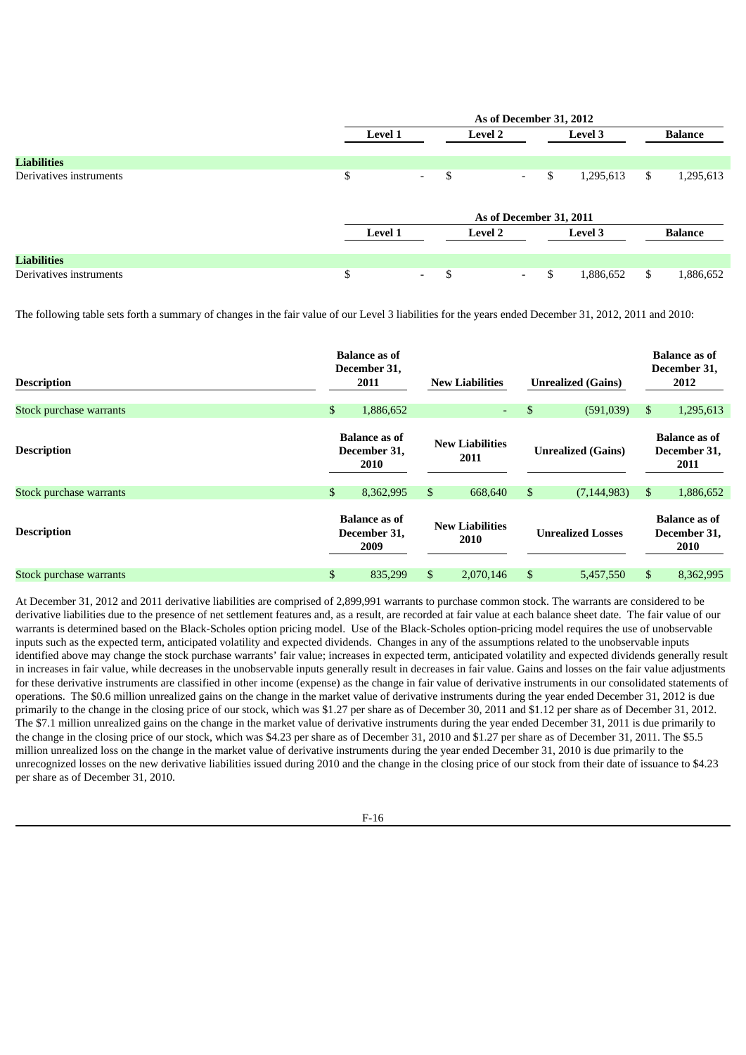|                         | As of December 31, 2012 |                          |                 |    |                |  |  |
|-------------------------|-------------------------|--------------------------|-----------------|----|----------------|--|--|
|                         | <b>Level 1</b>          | <b>Level 2</b>           | <b>Level 3</b>  |    | <b>Balance</b> |  |  |
| <b>Liabilities</b>      |                         |                          |                 |    |                |  |  |
| Derivatives instruments | \$<br>\$<br>$\sim$      | $\overline{\phantom{a}}$ | \$<br>1,295,613 | \$ | 1,295,613      |  |  |
|                         |                         | As of December 31, 2011  |                 |    |                |  |  |
|                         | <b>Level 1</b>          | <b>Level 2</b>           | <b>Level 3</b>  |    | <b>Balance</b> |  |  |
| <b>Liabilities</b>      |                         |                          |                 |    |                |  |  |
| Derivatives instruments | \$<br>\$<br>$\sim$      | $\sim$                   | \$<br>1,886,652 | \$ | 1,886,652      |  |  |

The following table sets forth a summary of changes in the fair value of our Level 3 liabilities for the years ended December 31, 2012, 2011 and 2010:

| <b>Description</b>      | <b>Balance as of</b><br>December 31,<br>2011 |     | <b>New Liabilities</b>         | <b>Unrealized (Gains)</b> | <b>Balance as of</b><br>December 31,<br>2012 |
|-------------------------|----------------------------------------------|-----|--------------------------------|---------------------------|----------------------------------------------|
| Stock purchase warrants | \$<br>1,886,652                              |     | $\sim$                         | \$<br>(591,039)           | \$<br>1,295,613                              |
| <b>Description</b>      | <b>Balance as of</b><br>December 31,<br>2010 |     | <b>New Liabilities</b><br>2011 | <b>Unrealized (Gains)</b> | <b>Balance as of</b><br>December 31,<br>2011 |
| Stock purchase warrants | \$<br>8,362,995                              | \$  | 668,640                        | \$<br>(7, 144, 983)       | \$<br>1,886,652                              |
| <b>Description</b>      | <b>Balance as of</b><br>December 31,<br>2009 |     | <b>New Liabilities</b><br>2010 | <b>Unrealized Losses</b>  | <b>Balance as of</b><br>December 31,<br>2010 |
| Stock purchase warrants | \$<br>835,299                                | \$. | 2,070,146                      | \$<br>5,457,550           | \$<br>8,362,995                              |

At December 31, 2012 and 2011 derivative liabilities are comprised of 2,899,991 warrants to purchase common stock. The warrants are considered to be derivative liabilities due to the presence of net settlement features and, as a result, are recorded at fair value at each balance sheet date. The fair value of our warrants is determined based on the Black-Scholes option pricing model. Use of the Black-Scholes option-pricing model requires the use of unobservable inputs such as the expected term, anticipated volatility and expected dividends. Changes in any of the assumptions related to the unobservable inputs identified above may change the stock purchase warrants' fair value; increases in expected term, anticipated volatility and expected dividends generally result in increases in fair value, while decreases in the unobservable inputs generally result in decreases in fair value. Gains and losses on the fair value adjustments for these derivative instruments are classified in other income (expense) as the change in fair value of derivative instruments in our consolidated statements of operations. The \$0.6 million unrealized gains on the change in the market value of derivative instruments during the year ended December 31, 2012 is due primarily to the change in the closing price of our stock, which was \$1.27 per share as of December 30, 2011 and \$1.12 per share as of December 31, 2012. The \$7.1 million unrealized gains on the change in the market value of derivative instruments during the year ended December 31, 2011 is due primarily to the change in the closing price of our stock, which was \$4.23 per share as of December 31, 2010 and \$1.27 per share as of December 31, 2011. The \$5.5 million unrealized loss on the change in the market value of derivative instruments during the year ended December 31, 2010 is due primarily to the unrecognized losses on the new derivative liabilities issued during 2010 and the change in the closing price of our stock from their date of issuance to \$4.23 per share as of December 31, 2010.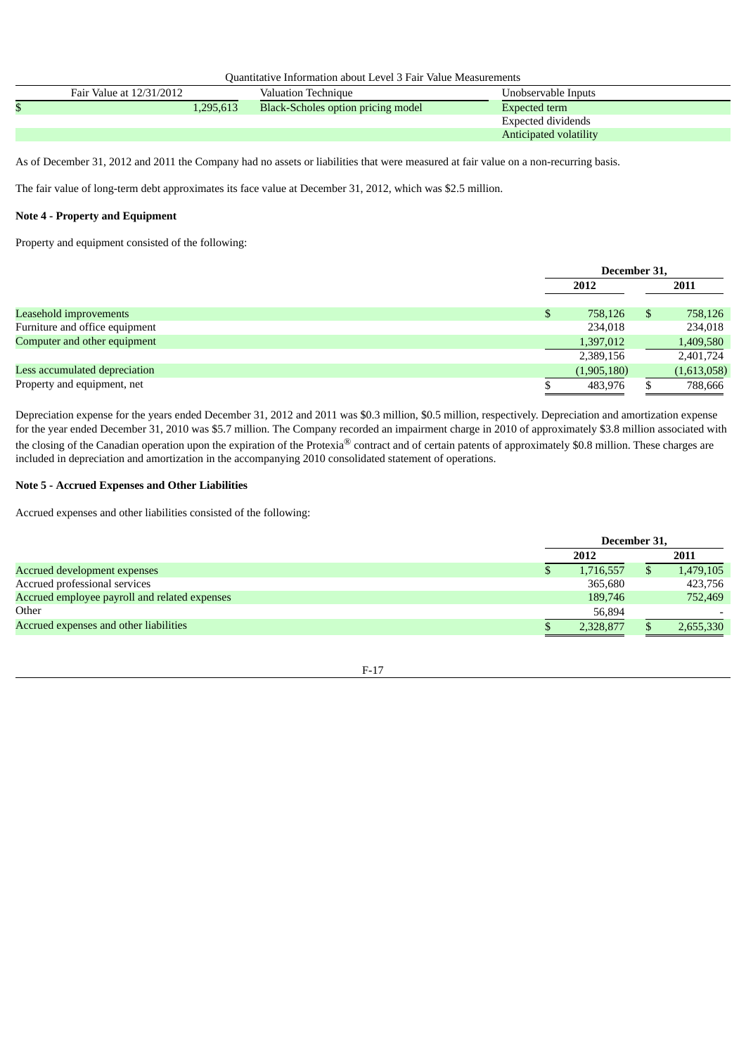| Quantitative Information about Level 3 Fair Value Measurements |
|----------------------------------------------------------------|
|----------------------------------------------------------------|

| Fair Value at 12/31/2012 |          | Valuation Technique                | Unobservable Inputs    |
|--------------------------|----------|------------------------------------|------------------------|
|                          | .295.613 | Black-Scholes option pricing model | Expected term          |
|                          |          |                                    | Expected dividends     |
|                          |          |                                    | Anticipated volatility |

As of December 31, 2012 and 2011 the Company had no assets or liabilities that were measured at fair value on a non-recurring basis.

The fair value of long-term debt approximates its face value at December 31, 2012, which was \$2.5 million.

# **Note 4 - Property and Equipment**

Property and equipment consisted of the following:

|                                |      | December 31, |      |             |  |
|--------------------------------|------|--------------|------|-------------|--|
|                                | 2012 |              | 2011 |             |  |
| Leasehold improvements         | \$   | 758,126      | -S   | 758,126     |  |
| Furniture and office equipment |      | 234,018      |      | 234,018     |  |
| Computer and other equipment   |      | 1,397,012    |      | 1,409,580   |  |
|                                |      | 2,389,156    |      | 2,401,724   |  |
| Less accumulated depreciation  |      | (1,905,180)  |      | (1,613,058) |  |
| Property and equipment, net    |      | 483,976      |      | 788,666     |  |

Depreciation expense for the years ended December 31, 2012 and 2011 was \$0.3 million, \$0.5 million, respectively. Depreciation and amortization expense for the year ended December 31, 2010 was \$5.7 million. The Company recorded an impairment charge in 2010 of approximately \$3.8 million associated with the closing of the Canadian operation upon the expiration of the Protexia® contract and of certain patents of approximately \$0.8 million. These charges are included in depreciation and amortization in the accompanying 2010 consolidated statement of operations.

# **Note 5 - Accrued Expenses and Other Liabilities**

Accrued expenses and other liabilities consisted of the following:

|                                               | December 31, |           |  |           |
|-----------------------------------------------|--------------|-----------|--|-----------|
|                                               |              | 2012      |  | 2011      |
| Accrued development expenses                  |              | 1,716,557 |  | 1,479,105 |
| Accrued professional services                 |              | 365,680   |  | 423,756   |
| Accrued employee payroll and related expenses |              | 189,746   |  | 752,469   |
| Other                                         |              | 56,894    |  |           |
| Accrued expenses and other liabilities        |              | 2,328,877 |  | 2,655,330 |

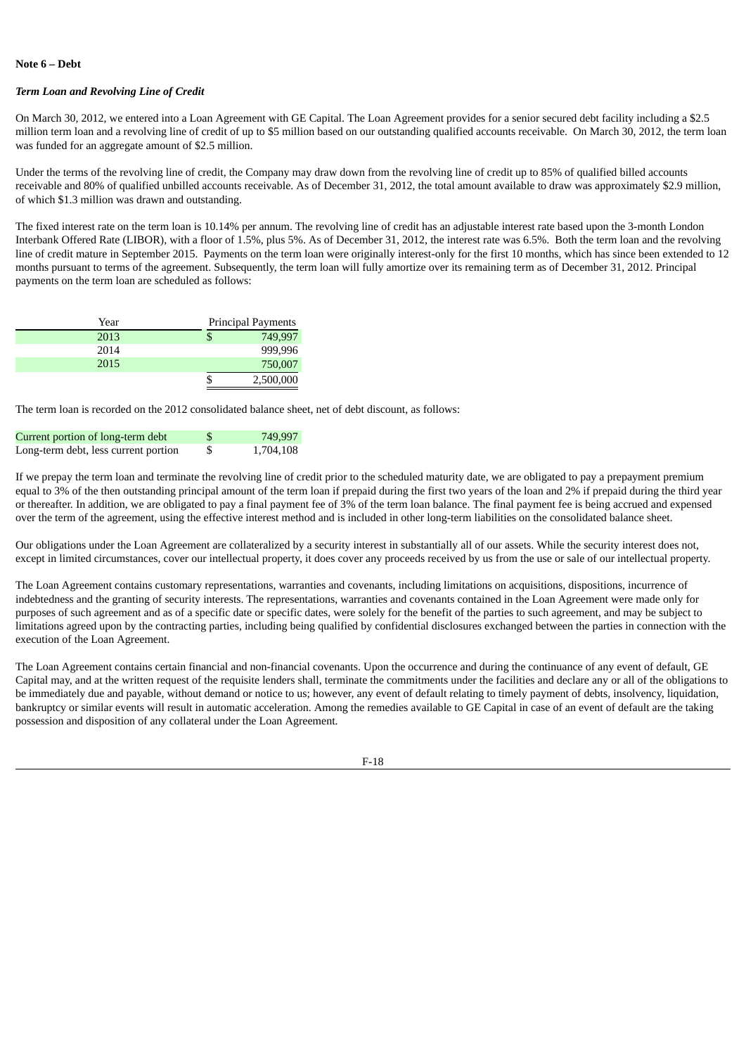# *Term Loan and Revolving Line of Credit*

On March 30, 2012, we entered into a Loan Agreement with GE Capital. The Loan Agreement provides for a senior secured debt facility including a \$2.5 million term loan and a revolving line of credit of up to \$5 million based on our outstanding qualified accounts receivable. On March 30, 2012, the term loan was funded for an aggregate amount of \$2.5 million.

Under the terms of the revolving line of credit, the Company may draw down from the revolving line of credit up to 85% of qualified billed accounts receivable and 80% of qualified unbilled accounts receivable. As of December 31, 2012, the total amount available to draw was approximately \$2.9 million, of which \$1.3 million was drawn and outstanding.

The fixed interest rate on the term loan is 10.14% per annum. The revolving line of credit has an adjustable interest rate based upon the 3-month London Interbank Offered Rate (LIBOR), with a floor of 1.5%, plus 5%. As of December 31, 2012, the interest rate was 6.5%. Both the term loan and the revolving line of credit mature in September 2015. Payments on the term loan were originally interest-only for the first 10 months, which has since been extended to 12 months pursuant to terms of the agreement. Subsequently, the term loan will fully amortize over its remaining term as of December 31, 2012. Principal payments on the term loan are scheduled as follows:

| Year | <b>Principal Payments</b> |
|------|---------------------------|
| 2013 | 749,997                   |
| 2014 | 999,996                   |
| 2015 | 750,007                   |
|      | 2,500,000                 |

The term loan is recorded on the 2012 consolidated balance sheet, net of debt discount, as follows:

| Current portion of long-term debt    | -S | 749.997   |
|--------------------------------------|----|-----------|
| Long-term debt, less current portion |    | 1,704,108 |

If we prepay the term loan and terminate the revolving line of credit prior to the scheduled maturity date, we are obligated to pay a prepayment premium equal to 3% of the then outstanding principal amount of the term loan if prepaid during the first two years of the loan and 2% if prepaid during the third year or thereafter. In addition, we are obligated to pay a final payment fee of 3% of the term loan balance. The final payment fee is being accrued and expensed over the term of the agreement, using the effective interest method and is included in other long-term liabilities on the consolidated balance sheet.

Our obligations under the Loan Agreement are collateralized by a security interest in substantially all of our assets. While the security interest does not, except in limited circumstances, cover our intellectual property, it does cover any proceeds received by us from the use or sale of our intellectual property.

The Loan Agreement contains customary representations, warranties and covenants, including limitations on acquisitions, dispositions, incurrence of indebtedness and the granting of security interests. The representations, warranties and covenants contained in the Loan Agreement were made only for purposes of such agreement and as of a specific date or specific dates, were solely for the benefit of the parties to such agreement, and may be subject to limitations agreed upon by the contracting parties, including being qualified by confidential disclosures exchanged between the parties in connection with the execution of the Loan Agreement.

The Loan Agreement contains certain financial and non-financial covenants. Upon the occurrence and during the continuance of any event of default, GE Capital may, and at the written request of the requisite lenders shall, terminate the commitments under the facilities and declare any or all of the obligations to be immediately due and payable, without demand or notice to us; however, any event of default relating to timely payment of debts, insolvency, liquidation, bankruptcy or similar events will result in automatic acceleration. Among the remedies available to GE Capital in case of an event of default are the taking possession and disposition of any collateral under the Loan Agreement.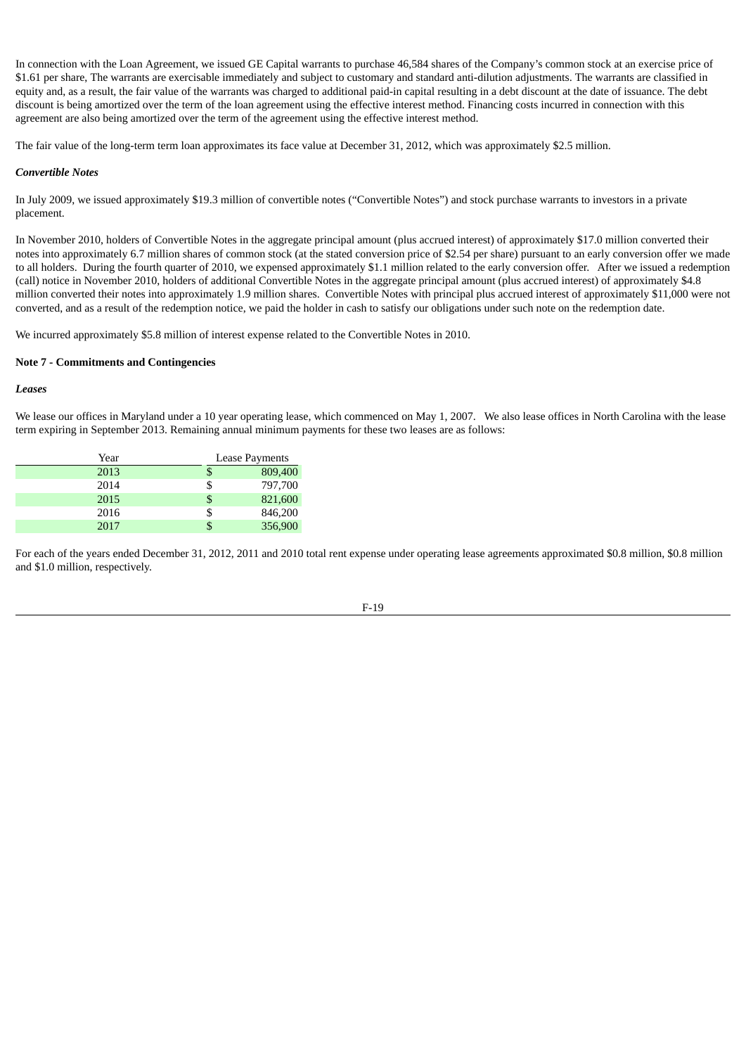In connection with the Loan Agreement, we issued GE Capital warrants to purchase 46,584 shares of the Company's common stock at an exercise price of \$1.61 per share, The warrants are exercisable immediately and subject to customary and standard anti-dilution adjustments. The warrants are classified in equity and, as a result, the fair value of the warrants was charged to additional paid-in capital resulting in a debt discount at the date of issuance. The debt discount is being amortized over the term of the loan agreement using the effective interest method. Financing costs incurred in connection with this agreement are also being amortized over the term of the agreement using the effective interest method.

The fair value of the long-term term loan approximates its face value at December 31, 2012, which was approximately \$2.5 million.

### *Convertible Notes*

In July 2009, we issued approximately \$19.3 million of convertible notes ("Convertible Notes") and stock purchase warrants to investors in a private placement.

In November 2010, holders of Convertible Notes in the aggregate principal amount (plus accrued interest) of approximately \$17.0 million converted their notes into approximately 6.7 million shares of common stock (at the stated conversion price of \$2.54 per share) pursuant to an early conversion offer we made to all holders. During the fourth quarter of 2010, we expensed approximately \$1.1 million related to the early conversion offer. After we issued a redemption (call) notice in November 2010, holders of additional Convertible Notes in the aggregate principal amount (plus accrued interest) of approximately \$4.8 million converted their notes into approximately 1.9 million shares. Convertible Notes with principal plus accrued interest of approximately \$11,000 were not converted, and as a result of the redemption notice, we paid the holder in cash to satisfy our obligations under such note on the redemption date.

We incurred approximately \$5.8 million of interest expense related to the Convertible Notes in 2010.

#### **Note 7 - Commitments and Contingencies**

#### *Leases*

We lease our offices in Maryland under a 10 year operating lease, which commenced on May 1, 2007. We also lease offices in North Carolina with the lease term expiring in September 2013. Remaining annual minimum payments for these two leases are as follows:

| Year | <b>Lease Payments</b> |
|------|-----------------------|
| 2013 | 809,400               |
| 2014 | 797,700               |
| 2015 | 821,600               |
| 2016 | 846,200               |
| 2017 | 356,900               |

For each of the years ended December 31, 2012, 2011 and 2010 total rent expense under operating lease agreements approximated \$0.8 million, \$0.8 million and \$1.0 million, respectively.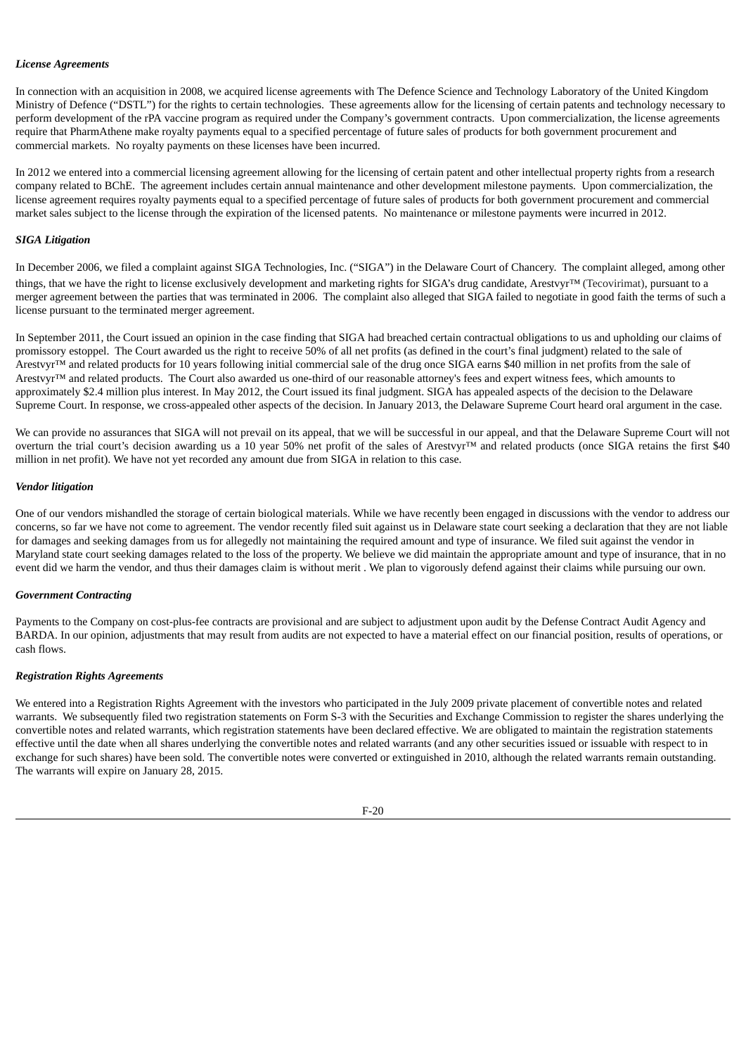### *License Agreements*

In connection with an acquisition in 2008, we acquired license agreements with The Defence Science and Technology Laboratory of the United Kingdom Ministry of Defence ("DSTL") for the rights to certain technologies. These agreements allow for the licensing of certain patents and technology necessary to perform development of the rPA vaccine program as required under the Company's government contracts. Upon commercialization, the license agreements require that PharmAthene make royalty payments equal to a specified percentage of future sales of products for both government procurement and commercial markets. No royalty payments on these licenses have been incurred.

In 2012 we entered into a commercial licensing agreement allowing for the licensing of certain patent and other intellectual property rights from a research company related to BChE. The agreement includes certain annual maintenance and other development milestone payments. Upon commercialization, the license agreement requires royalty payments equal to a specified percentage of future sales of products for both government procurement and commercial market sales subject to the license through the expiration of the licensed patents. No maintenance or milestone payments were incurred in 2012.

#### *SIGA Litigation*

In December 2006, we filed a complaint against SIGA Technologies, Inc. ("SIGA") in the Delaware Court of Chancery. The complaint alleged, among other things, that we have the right to license exclusively development and marketing rights for SIGA's drug candidate, Arestvyr™ (Tecovirimat), pursuant to a merger agreement between the parties that was terminated in 2006. The complaint also alleged that SIGA failed to negotiate in good faith the terms of such a license pursuant to the terminated merger agreement.

In September 2011, the Court issued an opinion in the case finding that SIGA had breached certain contractual obligations to us and upholding our claims of promissory estoppel. The Court awarded us the right to receive 50% of all net profits (as defined in the court's final judgment) related to the sale of Arestvyr™ and related products for 10 years following initial commercial sale of the drug once SIGA earns \$40 million in net profits from the sale of Arestvyr™ and related products. The Court also awarded us one-third of our reasonable attorney's fees and expert witness fees, which amounts to approximately \$2.4 million plus interest. In May 2012, the Court issued its final judgment. SIGA has appealed aspects of the decision to the Delaware Supreme Court. In response, we cross-appealed other aspects of the decision. In January 2013, the Delaware Supreme Court heard oral argument in the case.

We can provide no assurances that SIGA will not prevail on its appeal, that we will be successful in our appeal, and that the Delaware Supreme Court will not overturn the trial court's decision awarding us a 10 year 50% net profit of the sales of Arestvyr™ and related products (once SIGA retains the first \$40 million in net profit). We have not yet recorded any amount due from SIGA in relation to this case.

### *Vendor litigation*

One of our vendors mishandled the storage of certain biological materials. While we have recently been engaged in discussions with the vendor to address our concerns, so far we have not come to agreement. The vendor recently filed suit against us in Delaware state court seeking a declaration that they are not liable for damages and seeking damages from us for allegedly not maintaining the required amount and type of insurance. We filed suit against the vendor in Maryland state court seeking damages related to the loss of the property. We believe we did maintain the appropriate amount and type of insurance, that in no event did we harm the vendor, and thus their damages claim is without merit . We plan to vigorously defend against their claims while pursuing our own.

### *Government Contracting*

Payments to the Company on cost-plus-fee contracts are provisional and are subject to adjustment upon audit by the Defense Contract Audit Agency and BARDA. In our opinion, adjustments that may result from audits are not expected to have a material effect on our financial position, results of operations, or cash flows.

#### *Registration Rights Agreements*

We entered into a Registration Rights Agreement with the investors who participated in the July 2009 private placement of convertible notes and related warrants. We subsequently filed two registration statements on Form S-3 with the Securities and Exchange Commission to register the shares underlying the convertible notes and related warrants, which registration statements have been declared effective. We are obligated to maintain the registration statements effective until the date when all shares underlying the convertible notes and related warrants (and any other securities issued or issuable with respect to in exchange for such shares) have been sold. The convertible notes were converted or extinguished in 2010, although the related warrants remain outstanding. The warrants will expire on January 28, 2015.

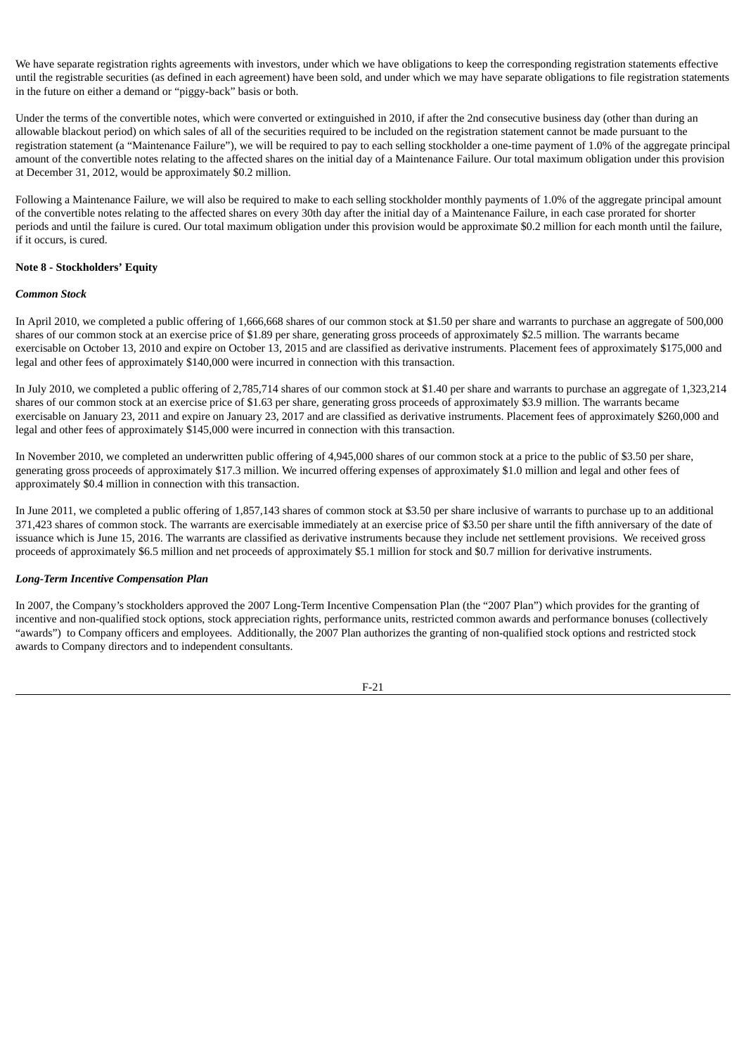We have separate registration rights agreements with investors, under which we have obligations to keep the corresponding registration statements effective until the registrable securities (as defined in each agreement) have been sold, and under which we may have separate obligations to file registration statements in the future on either a demand or "piggy-back" basis or both.

Under the terms of the convertible notes, which were converted or extinguished in 2010, if after the 2nd consecutive business day (other than during an allowable blackout period) on which sales of all of the securities required to be included on the registration statement cannot be made pursuant to the registration statement (a "Maintenance Failure"), we will be required to pay to each selling stockholder a one-time payment of 1.0% of the aggregate principal amount of the convertible notes relating to the affected shares on the initial day of a Maintenance Failure. Our total maximum obligation under this provision at December 31, 2012, would be approximately \$0.2 million.

Following a Maintenance Failure, we will also be required to make to each selling stockholder monthly payments of 1.0% of the aggregate principal amount of the convertible notes relating to the affected shares on every 30th day after the initial day of a Maintenance Failure, in each case prorated for shorter periods and until the failure is cured. Our total maximum obligation under this provision would be approximate \$0.2 million for each month until the failure, if it occurs, is cured.

### **Note 8 - Stockholders' Equity**

### *Common Stock*

In April 2010, we completed a public offering of 1,666,668 shares of our common stock at \$1.50 per share and warrants to purchase an aggregate of 500,000 shares of our common stock at an exercise price of \$1.89 per share, generating gross proceeds of approximately \$2.5 million. The warrants became exercisable on October 13, 2010 and expire on October 13, 2015 and are classified as derivative instruments. Placement fees of approximately \$175,000 and legal and other fees of approximately \$140,000 were incurred in connection with this transaction.

In July 2010, we completed a public offering of 2,785,714 shares of our common stock at \$1.40 per share and warrants to purchase an aggregate of 1,323,214 shares of our common stock at an exercise price of \$1.63 per share, generating gross proceeds of approximately \$3.9 million. The warrants became exercisable on January 23, 2011 and expire on January 23, 2017 and are classified as derivative instruments. Placement fees of approximately \$260,000 and legal and other fees of approximately \$145,000 were incurred in connection with this transaction.

In November 2010, we completed an underwritten public offering of 4,945,000 shares of our common stock at a price to the public of \$3.50 per share, generating gross proceeds of approximately \$17.3 million. We incurred offering expenses of approximately \$1.0 million and legal and other fees of approximately \$0.4 million in connection with this transaction.

In June 2011, we completed a public offering of 1,857,143 shares of common stock at \$3.50 per share inclusive of warrants to purchase up to an additional 371,423 shares of common stock. The warrants are exercisable immediately at an exercise price of \$3.50 per share until the fifth anniversary of the date of issuance which is June 15, 2016. The warrants are classified as derivative instruments because they include net settlement provisions. We received gross proceeds of approximately \$6.5 million and net proceeds of approximately \$5.1 million for stock and \$0.7 million for derivative instruments.

### *Long-Term Incentive Compensation Plan*

In 2007, the Company's stockholders approved the 2007 Long-Term Incentive Compensation Plan (the "2007 Plan") which provides for the granting of incentive and non-qualified stock options, stock appreciation rights, performance units, restricted common awards and performance bonuses (collectively "awards") to Company officers and employees. Additionally, the 2007 Plan authorizes the granting of non-qualified stock options and restricted stock awards to Company directors and to independent consultants.

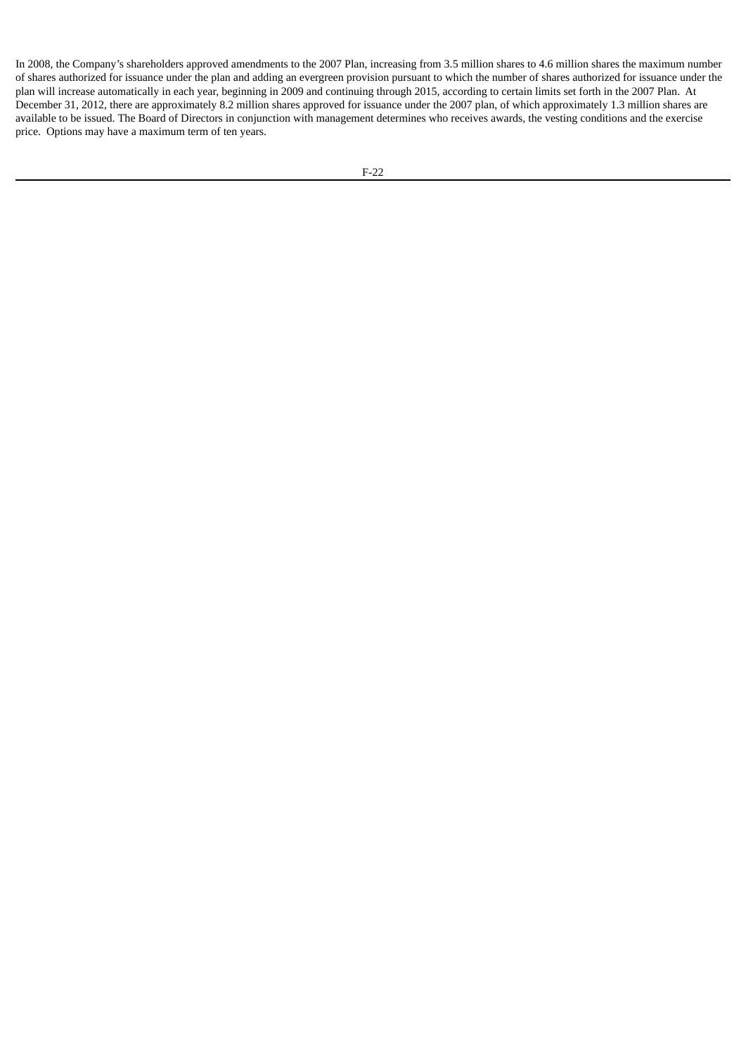In 2008, the Company's shareholders approved amendments to the 2007 Plan, increasing from 3.5 million shares to 4.6 million shares the maximum number of shares authorized for issuance under the plan and adding an evergreen provision pursuant to which the number of shares authorized for issuance under the plan will increase automatically in each year, beginning in 2009 and continuing through 2015, according to certain limits set forth in the 2007 Plan. At December 31, 2012, there are approximately 8.2 million shares approved for issuance under the 2007 plan, of which approximately 1.3 million shares are available to be issued. The Board of Directors in conjunction with management determines who receives awards, the vesting conditions and the exercise price. Options may have a maximum term of ten years.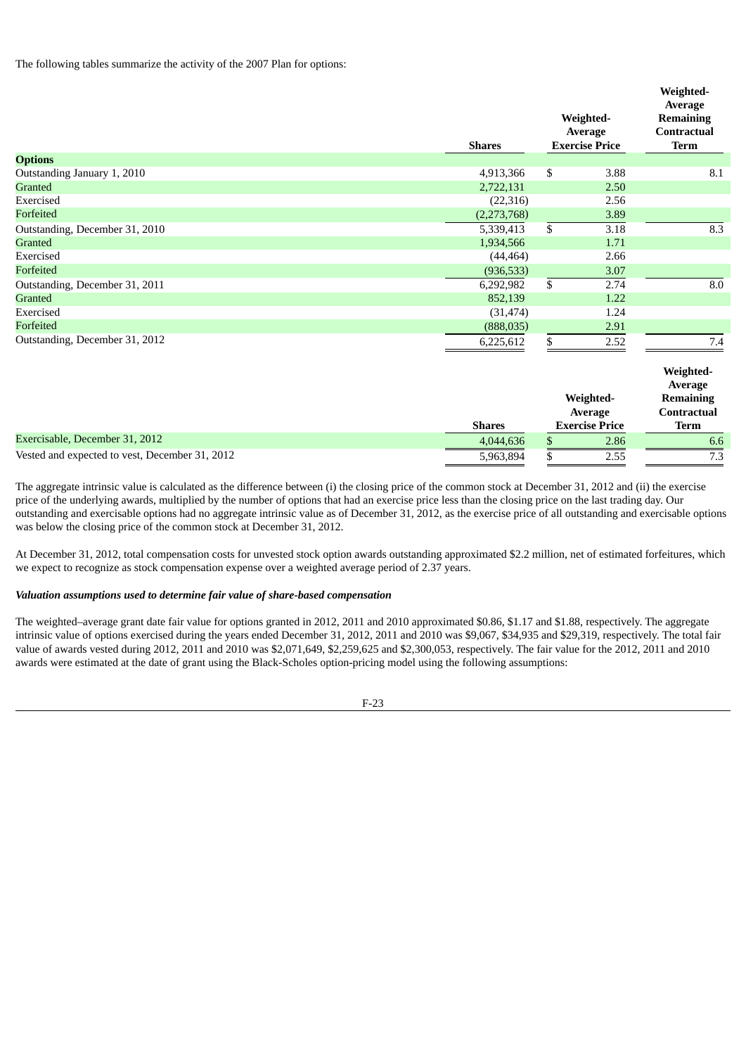The following tables summarize the activity of the 2007 Plan for options:

|                                | <b>Shares</b> | Weighted-<br>Average<br><b>Exercise Price</b> |                | Weighted-<br>Average<br><b>Remaining</b><br><b>Contractual</b><br><b>Term</b> |  |
|--------------------------------|---------------|-----------------------------------------------|----------------|-------------------------------------------------------------------------------|--|
| <b>Options</b>                 |               |                                               |                |                                                                               |  |
| Outstanding January 1, 2010    | 4,913,366     | \$                                            | 3.88           | 8.1                                                                           |  |
| <b>Granted</b>                 | 2,722,131     |                                               | 2.50           |                                                                               |  |
| Exercised                      | (22, 316)     |                                               | 2.56           |                                                                               |  |
| Forfeited                      | (2,273,768)   |                                               | 3.89           |                                                                               |  |
| Outstanding, December 31, 2010 | 5,339,413     | \$                                            | 3.18           | 8.3                                                                           |  |
| Granted                        | 1,934,566     |                                               | 1.71           |                                                                               |  |
| Exercised                      | (44, 464)     |                                               | 2.66           |                                                                               |  |
| Forfeited                      | (936, 533)    |                                               | 3.07           |                                                                               |  |
| Outstanding, December 31, 2011 | 6,292,982     | \$                                            | 2.74           | 8.0                                                                           |  |
| <b>Granted</b>                 | 852,139       |                                               | 1.22           |                                                                               |  |
| Exercised                      | (31, 474)     |                                               | 1.24           |                                                                               |  |
| Forfeited                      | (888, 035)    |                                               | 2.91           |                                                                               |  |
| Outstanding, December 31, 2012 | 6,225,612     | \$                                            | 2.52           | 7.4                                                                           |  |
|                                |               |                                               | Weighted-<br>A | Weighted-<br>Average<br><b>Remaining</b><br>$Contrachial$                     |  |

|                                                |           | Average               | C <b>ontractual</b> |
|------------------------------------------------|-----------|-----------------------|---------------------|
|                                                | Shares    | <b>Exercise Price</b> | Term                |
| Exercisable, December 31, 2012                 | 4.044.636 | 2.86                  | 6.6                 |
| Vested and expected to vest, December 31, 2012 | 5.963.894 | 4.55                  | בי                  |

The aggregate intrinsic value is calculated as the difference between (i) the closing price of the common stock at December 31, 2012 and (ii) the exercise price of the underlying awards, multiplied by the number of options that had an exercise price less than the closing price on the last trading day. Our outstanding and exercisable options had no aggregate intrinsic value as of December 31, 2012, as the exercise price of all outstanding and exercisable options was below the closing price of the common stock at December 31, 2012.

At December 31, 2012, total compensation costs for unvested stock option awards outstanding approximated \$2.2 million, net of estimated forfeitures, which we expect to recognize as stock compensation expense over a weighted average period of 2.37 years.

### *Valuation assumptions used to determine fair value of share-based compensation*

The weighted–average grant date fair value for options granted in 2012, 2011 and 2010 approximated \$0.86, \$1.17 and \$1.88, respectively. The aggregate intrinsic value of options exercised during the years ended December 31, 2012, 2011 and 2010 was \$9,067, \$34,935 and \$29,319, respectively. The total fair value of awards vested during 2012, 2011 and 2010 was \$2,071,649, \$2,259,625 and \$2,300,053, respectively. The fair value for the 2012, 2011 and 2010 awards were estimated at the date of grant using the Black-Scholes option-pricing model using the following assumptions: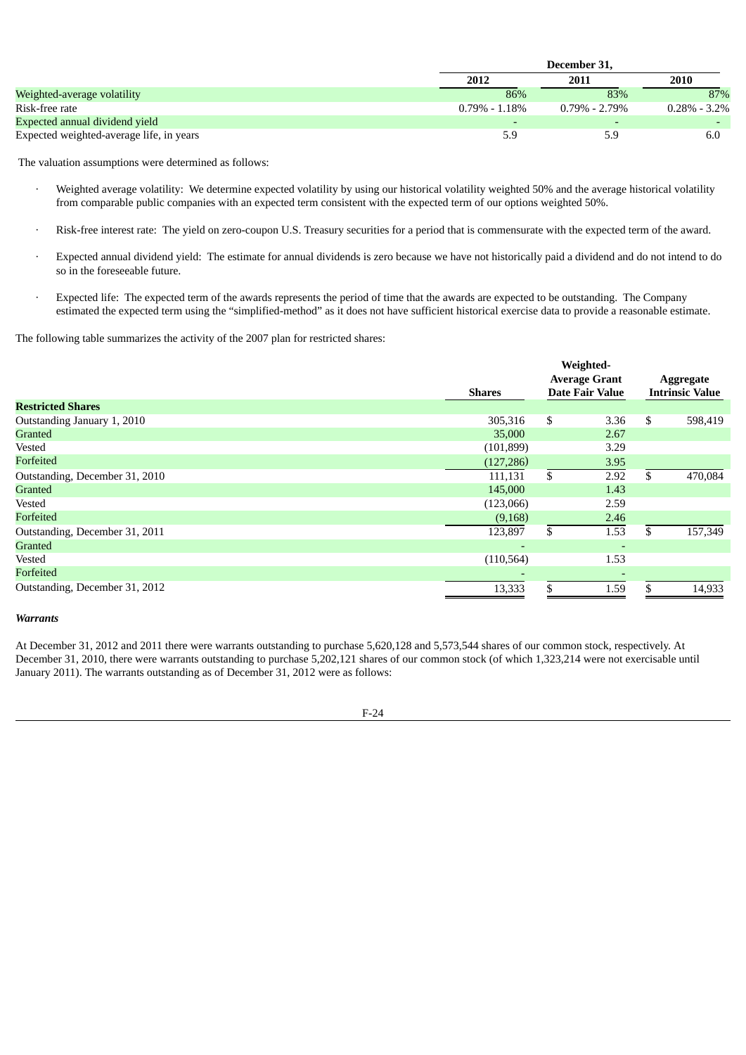|                                          |                     | December 31.     |                 |  |  |
|------------------------------------------|---------------------|------------------|-----------------|--|--|
|                                          | 2012                | 2011             | 2010            |  |  |
| Weighted-average volatility              | 86%                 | 83%              | 87%             |  |  |
| Risk-free rate                           | $0.79\%$ - $1.18\%$ | $0.79\%$ - 2.79% | $0.28\%$ - 3.2% |  |  |
| Expected annual dividend yield           |                     | -                |                 |  |  |
| Expected weighted-average life, in years | 5.9                 | 5.9              | 6.0             |  |  |

The valuation assumptions were determined as follows:

- · Weighted average volatility: We determine expected volatility by using our historical volatility weighted 50% and the average historical volatility from comparable public companies with an expected term consistent with the expected term of our options weighted 50%.
- · Risk-free interest rate: The yield on zero-coupon U.S. Treasury securities for a period that is commensurate with the expected term of the award.
- · Expected annual dividend yield: The estimate for annual dividends is zero because we have not historically paid a dividend and do not intend to do so in the foreseeable future.
- · Expected life: The expected term of the awards represents the period of time that the awards are expected to be outstanding. The Company estimated the expected term using the "simplified-method" as it does not have sufficient historical exercise data to provide a reasonable estimate.

The following table summarizes the activity of the 2007 plan for restricted shares:

|                                |                          | Weighted-                                      |      |                                            |         |  |
|--------------------------------|--------------------------|------------------------------------------------|------|--------------------------------------------|---------|--|
|                                |                          | <b>Average Grant</b><br><b>Date Fair Value</b> |      | <b>Aggregate</b><br><b>Intrinsic Value</b> |         |  |
|                                | <b>Shares</b>            |                                                |      |                                            |         |  |
| <b>Restricted Shares</b>       |                          |                                                |      |                                            |         |  |
| Outstanding January 1, 2010    | 305,316                  | \$                                             | 3.36 | \$                                         | 598,419 |  |
| <b>Granted</b>                 | 35,000                   |                                                | 2.67 |                                            |         |  |
| Vested                         | (101, 899)               |                                                | 3.29 |                                            |         |  |
| Forfeited                      | (127, 286)               |                                                | 3.95 |                                            |         |  |
| Outstanding, December 31, 2010 | 111,131                  | \$                                             | 2.92 | \$                                         | 470,084 |  |
| <b>Granted</b>                 | 145,000                  |                                                | 1.43 |                                            |         |  |
| Vested                         | (123,066)                |                                                | 2.59 |                                            |         |  |
| Forfeited                      | (9,168)                  |                                                | 2.46 |                                            |         |  |
| Outstanding, December 31, 2011 | 123,897                  | \$                                             | 1.53 | \$                                         | 157,349 |  |
| <b>Granted</b>                 | $\overline{\phantom{0}}$ |                                                |      |                                            |         |  |
| Vested                         | (110, 564)               |                                                | 1.53 |                                            |         |  |
| Forfeited                      |                          |                                                |      |                                            |         |  |
| Outstanding, December 31, 2012 | 13,333                   | \$                                             | 1.59 | \$                                         | 14,933  |  |

#### *Warrants*

At December 31, 2012 and 2011 there were warrants outstanding to purchase 5,620,128 and 5,573,544 shares of our common stock, respectively. At December 31, 2010, there were warrants outstanding to purchase 5,202,121 shares of our common stock (of which 1,323,214 were not exercisable until January 2011). The warrants outstanding as of December 31, 2012 were as follows: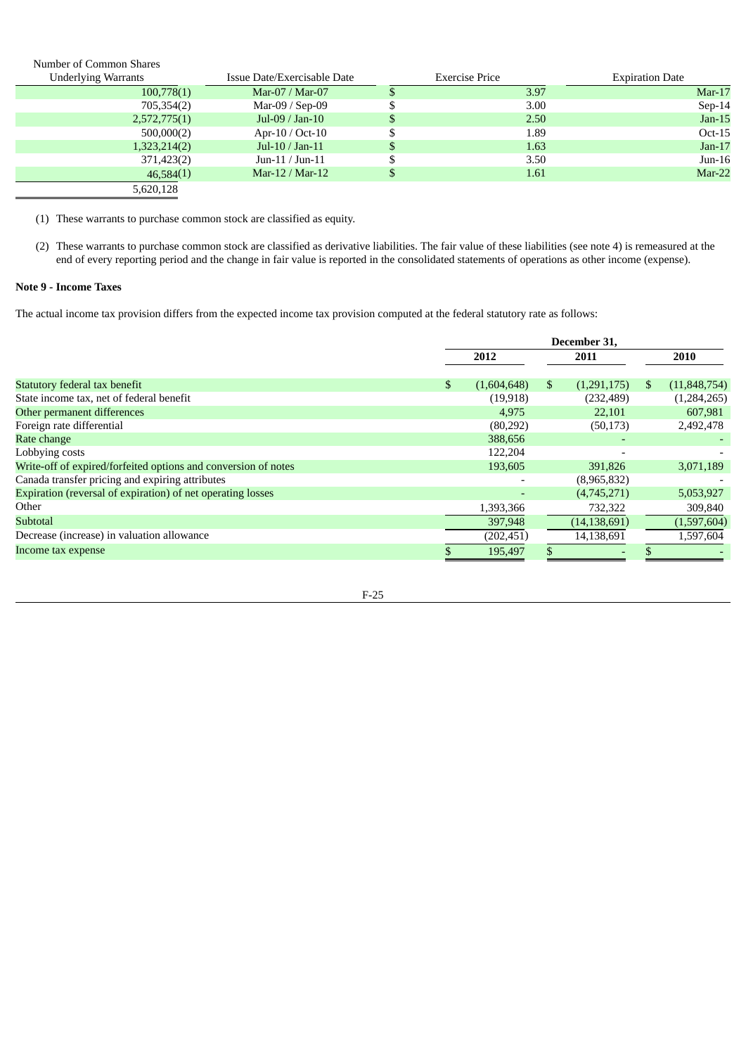| Number of Common Shares    |                             |                |      |                        |
|----------------------------|-----------------------------|----------------|------|------------------------|
| <b>Underlying Warrants</b> | Issue Date/Exercisable Date | Exercise Price |      | <b>Expiration Date</b> |
| 100,778(1)                 | Mar-07 / Mar-07             |                | 3.97 | $Mar-17$               |
| 705,354(2)                 | Mar-09 / Sep-09             |                | 3.00 | $Sep-14$               |
| 2,572,775(1)               | Jul-09 / Jan-10             |                | 2.50 | $Jan-15$               |
| 500,000(2)                 | Apr-10 / Oct-10             |                | 1.89 | $Oct-15$               |
| 1,323,214(2)               | Jul-10 / Jan-11             |                | 1.63 | $Jan-17$               |
| 371,423(2)                 | Jun-11 / Jun-11             |                | 3.50 | $Jun-16$               |
| 46,584(1)                  | Mar-12 / Mar-12             |                | 1.61 | $Mar-22$               |
| 5,620,128                  |                             |                |      |                        |

(1) These warrants to purchase common stock are classified as equity.

(2) These warrants to purchase common stock are classified as derivative liabilities. The fair value of these liabilities (see note 4) is remeasured at the end of every reporting period and the change in fair value is reported in the consolidated statements of operations as other income (expense).

# **Note 9 - Income Taxes**

The actual income tax provision differs from the expected income tax provision computed at the federal statutory rate as follows:

|                                                                |     | December 31. |    |                |     |              |  |
|----------------------------------------------------------------|-----|--------------|----|----------------|-----|--------------|--|
|                                                                |     | 2012         |    | 2011           |     | 2010         |  |
|                                                                |     |              |    |                |     |              |  |
| Statutory federal tax benefit                                  | \$. | (1,604,648)  | \$ | (1,291,175)    | \$. | (11,848,754) |  |
| State income tax, net of federal benefit                       |     | (19,918)     |    | (232, 489)     |     | (1,284,265)  |  |
| Other permanent differences                                    |     | 4,975        |    | 22,101         |     | 607,981      |  |
| Foreign rate differential                                      |     | (80,292)     |    | (50, 173)      |     | 2,492,478    |  |
| Rate change                                                    |     | 388,656      |    |                |     |              |  |
| Lobbying costs                                                 |     | 122,204      |    |                |     |              |  |
| Write-off of expired/forfeited options and conversion of notes |     | 193,605      |    | 391,826        |     | 3,071,189    |  |
| Canada transfer pricing and expiring attributes                |     |              |    | (8,965,832)    |     |              |  |
| Expiration (reversal of expiration) of net operating losses    |     |              |    | (4,745,271)    |     | 5,053,927    |  |
| Other                                                          |     | 1,393,366    |    | 732,322        |     | 309,840      |  |
| <b>Subtotal</b>                                                |     | 397,948      |    | (14, 138, 691) |     | (1,597,604)  |  |
| Decrease (increase) in valuation allowance                     |     | (202, 451)   |    | 14,138,691     |     | 1,597,604    |  |
| Income tax expense                                             |     | 195,497      | \$ |                |     |              |  |
|                                                                |     |              |    |                |     |              |  |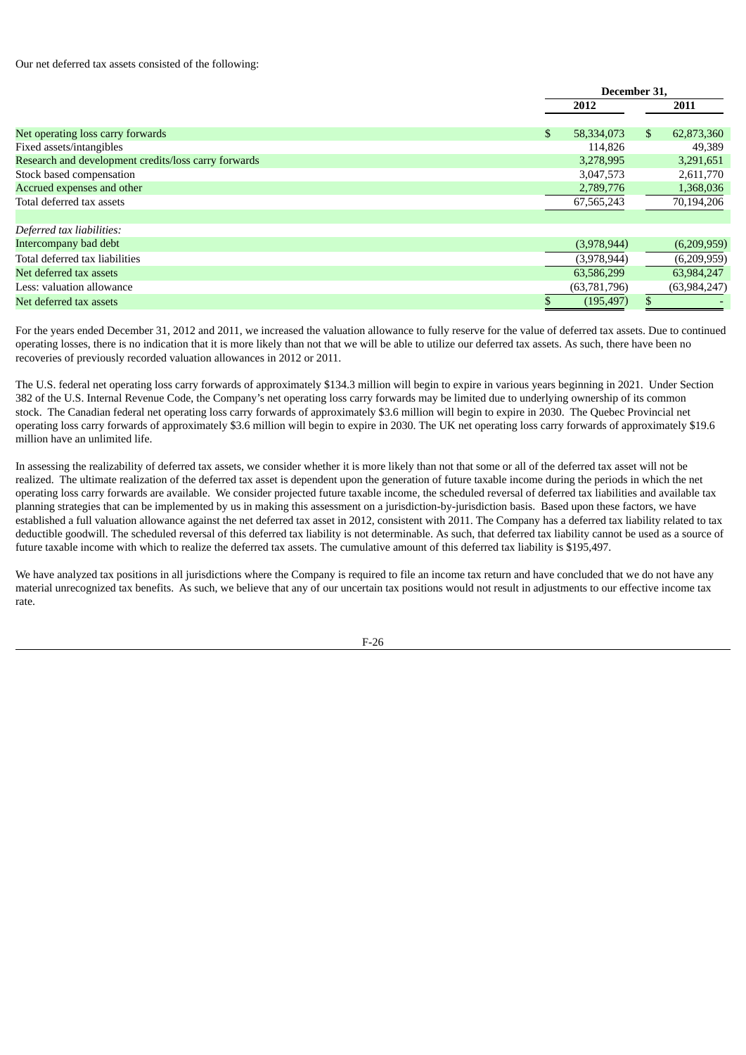#### Our net deferred tax assets consisted of the following:

|                                                      | December 31, |              |              |              |  |
|------------------------------------------------------|--------------|--------------|--------------|--------------|--|
|                                                      | 2012         |              |              | 2011         |  |
| Net operating loss carry forwards                    | \$           | 58,334,073   | $\mathbb{S}$ | 62,873,360   |  |
| Fixed assets/intangibles                             |              | 114,826      |              | 49,389       |  |
| Research and development credits/loss carry forwards |              | 3,278,995    |              | 3,291,651    |  |
| Stock based compensation                             |              | 3,047,573    |              | 2,611,770    |  |
| Accrued expenses and other                           |              | 2,789,776    |              | 1,368,036    |  |
| Total deferred tax assets                            |              | 67,565,243   |              | 70,194,206   |  |
|                                                      |              |              |              |              |  |
| Deferred tax liabilities:                            |              |              |              |              |  |
| Intercompany bad debt                                |              | (3,978,944)  |              | (6,209,959)  |  |
| Total deferred tax liabilities                       |              | (3,978,944)  |              | (6,209,959)  |  |
| Net deferred tax assets                              |              | 63,586,299   |              | 63,984,247   |  |
| Less: valuation allowance                            |              | (63,781,796) |              | (63,984,247) |  |
| Net deferred tax assets                              |              | (195, 497)   |              |              |  |

For the years ended December 31, 2012 and 2011, we increased the valuation allowance to fully reserve for the value of deferred tax assets. Due to continued operating losses, there is no indication that it is more likely than not that we will be able to utilize our deferred tax assets. As such, there have been no recoveries of previously recorded valuation allowances in 2012 or 2011.

The U.S. federal net operating loss carry forwards of approximately \$134.3 million will begin to expire in various years beginning in 2021. Under Section 382 of the U.S. Internal Revenue Code, the Company's net operating loss carry forwards may be limited due to underlying ownership of its common stock. The Canadian federal net operating loss carry forwards of approximately \$3.6 million will begin to expire in 2030. The Quebec Provincial net operating loss carry forwards of approximately \$3.6 million will begin to expire in 2030. The UK net operating loss carry forwards of approximately \$19.6 million have an unlimited life.

In assessing the realizability of deferred tax assets, we consider whether it is more likely than not that some or all of the deferred tax asset will not be realized. The ultimate realization of the deferred tax asset is dependent upon the generation of future taxable income during the periods in which the net operating loss carry forwards are available. We consider projected future taxable income, the scheduled reversal of deferred tax liabilities and available tax planning strategies that can be implemented by us in making this assessment on a jurisdiction-by-jurisdiction basis. Based upon these factors, we have established a full valuation allowance against the net deferred tax asset in 2012, consistent with 2011. The Company has a deferred tax liability related to tax deductible goodwill. The scheduled reversal of this deferred tax liability is not determinable. As such, that deferred tax liability cannot be used as a source of future taxable income with which to realize the deferred tax assets. The cumulative amount of this deferred tax liability is \$195,497.

We have analyzed tax positions in all jurisdictions where the Company is required to file an income tax return and have concluded that we do not have any material unrecognized tax benefits. As such, we believe that any of our uncertain tax positions would not result in adjustments to our effective income tax rate.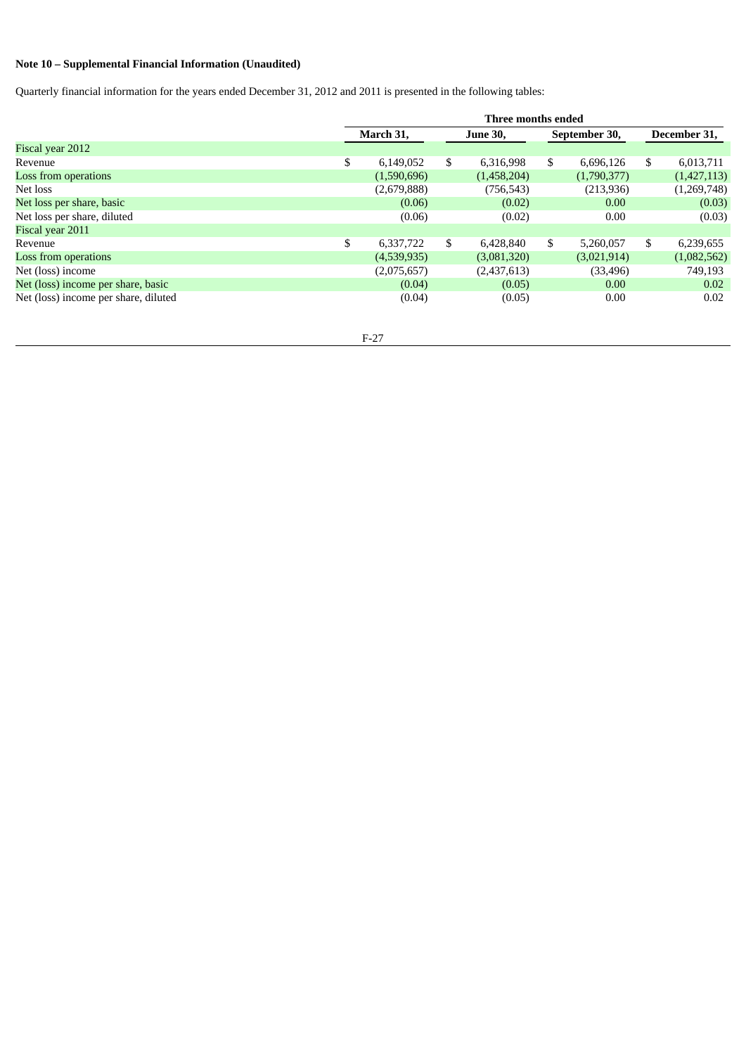# **Note 10 – Supplemental Financial Information (Unaudited)**

Quarterly financial information for the years ended December 31, 2012 and 2011 is presented in the following tables:

|                                      | Three months ended |    |                 |    |               |    |              |  |
|--------------------------------------|--------------------|----|-----------------|----|---------------|----|--------------|--|
|                                      | March 31,          |    | <b>June 30,</b> |    | September 30, |    | December 31, |  |
| Fiscal year 2012                     |                    |    |                 |    |               |    |              |  |
| Revenue                              | \$<br>6.149.052    | \$ | 6,316,998       | \$ | 6,696,126     | \$ | 6,013,711    |  |
| Loss from operations                 | (1,590,696)        |    | (1,458,204)     |    | (1,790,377)   |    | (1,427,113)  |  |
| Net loss                             | (2,679,888)        |    | (756, 543)      |    | (213, 936)    |    | (1,269,748)  |  |
| Net loss per share, basic            | (0.06)             |    | (0.02)          |    | 0.00          |    | (0.03)       |  |
| Net loss per share, diluted          | (0.06)             |    | (0.02)          |    | 0.00          |    | (0.03)       |  |
| Fiscal year 2011                     |                    |    |                 |    |               |    |              |  |
| Revenue                              | \$<br>6,337,722    | \$ | 6,428,840       | \$ | 5,260,057     | \$ | 6,239,655    |  |
| Loss from operations                 | (4,539,935)        |    | (3,081,320)     |    | (3,021,914)   |    | (1,082,562)  |  |
| Net (loss) income                    | (2,075,657)        |    | (2,437,613)     |    | (33, 496)     |    | 749,193      |  |
| Net (loss) income per share, basic   | (0.04)             |    | (0.05)          |    | 0.00          |    | 0.02         |  |
| Net (loss) income per share, diluted | (0.04)             |    | (0.05)          |    | 0.00          |    | 0.02         |  |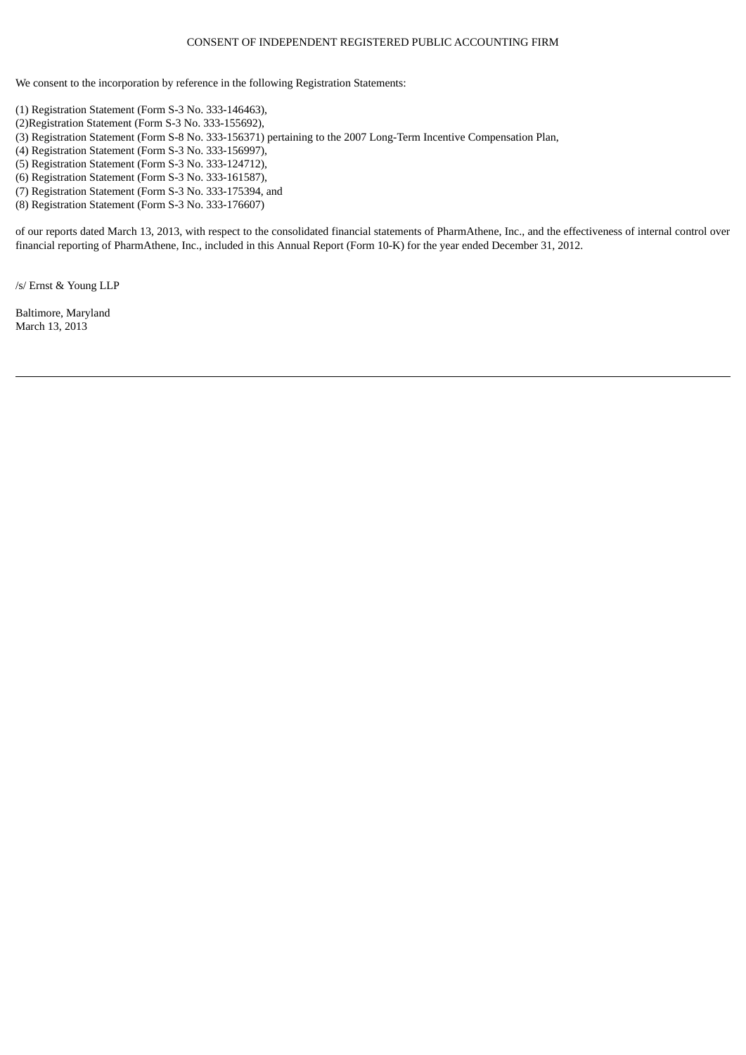### CONSENT OF INDEPENDENT REGISTERED PUBLIC ACCOUNTING FIRM

We consent to the incorporation by reference in the following Registration Statements:

- (1) Registration Statement (Form S-3 No. 333-146463),
- (2)Registration Statement (Form S-3 No. 333-155692),
- (3) Registration Statement (Form S-8 No. 333-156371) pertaining to the 2007 Long-Term Incentive Compensation Plan,
- (4) Registration Statement (Form S-3 No. 333-156997),
- (5) Registration Statement (Form S-3 No. 333-124712),
- (6) Registration Statement (Form S-3 No. 333-161587),
- (7) Registration Statement (Form S-3 No. 333-175394, and
- (8) Registration Statement (Form S-3 No. 333-176607)

of our reports dated March 13, 2013, with respect to the consolidated financial statements of PharmAthene, Inc., and the effectiveness of internal control over financial reporting of PharmAthene, Inc., included in this Annual Report (Form 10-K) for the year ended December 31, 2012.

/s/ Ernst & Young LLP

Baltimore, Maryland March 13, 2013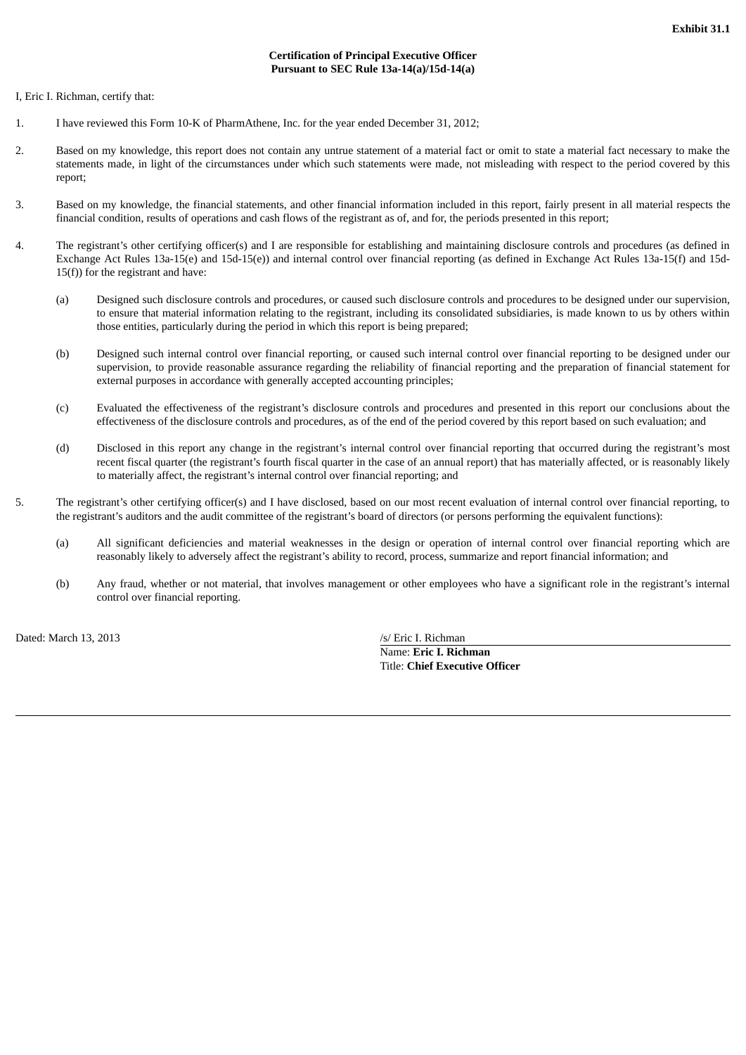# **Certification of Principal Executive Officer Pursuant to SEC Rule 13a-14(a)/15d-14(a)**

I, Eric I. Richman, certify that:

- 1. I have reviewed this Form 10-K of PharmAthene, Inc. for the year ended December 31, 2012;
- 2. Based on my knowledge, this report does not contain any untrue statement of a material fact or omit to state a material fact necessary to make the statements made, in light of the circumstances under which such statements were made, not misleading with respect to the period covered by this report;
- 3. Based on my knowledge, the financial statements, and other financial information included in this report, fairly present in all material respects the financial condition, results of operations and cash flows of the registrant as of, and for, the periods presented in this report;
- 4. The registrant's other certifying officer(s) and I are responsible for establishing and maintaining disclosure controls and procedures (as defined in Exchange Act Rules 13a-15(e) and 15d-15(e)) and internal control over financial reporting (as defined in Exchange Act Rules 13a-15(f) and 15d-15(f)) for the registrant and have:
	- (a) Designed such disclosure controls and procedures, or caused such disclosure controls and procedures to be designed under our supervision, to ensure that material information relating to the registrant, including its consolidated subsidiaries, is made known to us by others within those entities, particularly during the period in which this report is being prepared;
	- (b) Designed such internal control over financial reporting, or caused such internal control over financial reporting to be designed under our supervision, to provide reasonable assurance regarding the reliability of financial reporting and the preparation of financial statement for external purposes in accordance with generally accepted accounting principles;
	- (c) Evaluated the effectiveness of the registrant's disclosure controls and procedures and presented in this report our conclusions about the effectiveness of the disclosure controls and procedures, as of the end of the period covered by this report based on such evaluation; and
	- (d) Disclosed in this report any change in the registrant's internal control over financial reporting that occurred during the registrant's most recent fiscal quarter (the registrant's fourth fiscal quarter in the case of an annual report) that has materially affected, or is reasonably likely to materially affect, the registrant's internal control over financial reporting; and
- 5. The registrant's other certifying officer(s) and I have disclosed, based on our most recent evaluation of internal control over financial reporting, to the registrant's auditors and the audit committee of the registrant's board of directors (or persons performing the equivalent functions):
	- (a) All significant deficiencies and material weaknesses in the design or operation of internal control over financial reporting which are reasonably likely to adversely affect the registrant's ability to record, process, summarize and report financial information; and
	- (b) Any fraud, whether or not material, that involves management or other employees who have a significant role in the registrant's internal control over financial reporting.

Dated: March 13, 2013 /s/ Eric I. Richman

Name: **Eric I. Richman** Title: **Chief Executive Officer**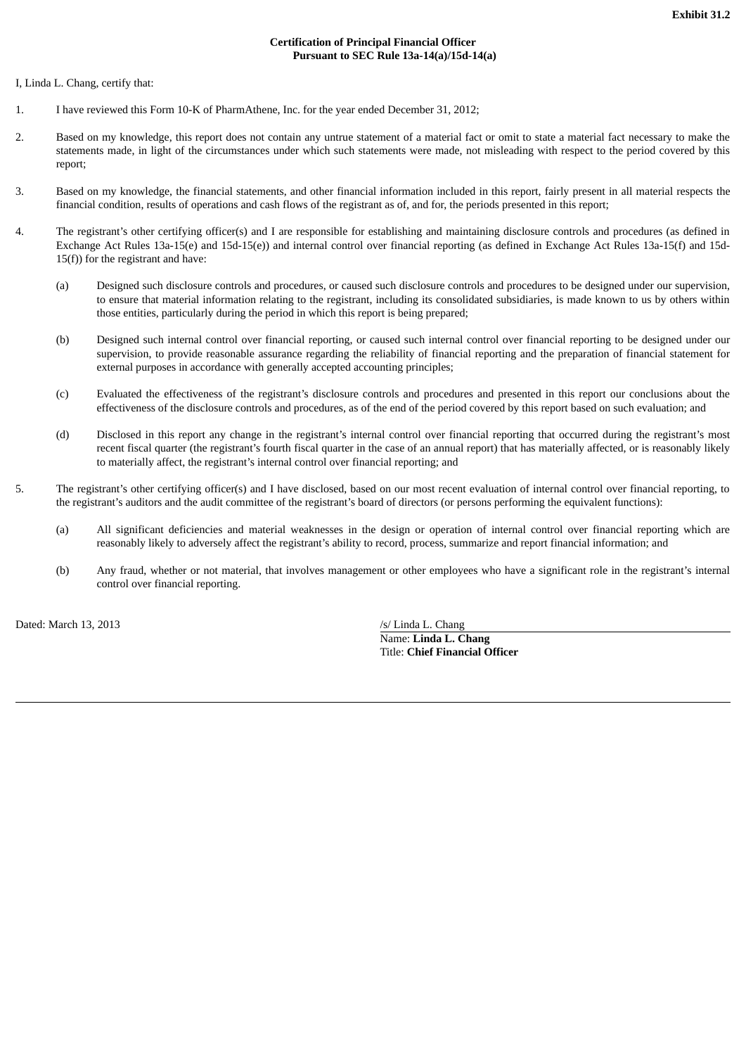# **Certification of Principal Financial Officer Pursuant to SEC Rule 13a-14(a)/15d-14(a)**

I, Linda L. Chang, certify that:

- 1. I have reviewed this Form 10-K of PharmAthene, Inc. for the year ended December 31, 2012;
- 2. Based on my knowledge, this report does not contain any untrue statement of a material fact or omit to state a material fact necessary to make the statements made, in light of the circumstances under which such statements were made, not misleading with respect to the period covered by this report;
- 3. Based on my knowledge, the financial statements, and other financial information included in this report, fairly present in all material respects the financial condition, results of operations and cash flows of the registrant as of, and for, the periods presented in this report;
- 4. The registrant's other certifying officer(s) and I are responsible for establishing and maintaining disclosure controls and procedures (as defined in Exchange Act Rules 13a-15(e) and 15d-15(e)) and internal control over financial reporting (as defined in Exchange Act Rules 13a-15(f) and 15d- $15(f)$ ) for the registrant and have:
	- (a) Designed such disclosure controls and procedures, or caused such disclosure controls and procedures to be designed under our supervision, to ensure that material information relating to the registrant, including its consolidated subsidiaries, is made known to us by others within those entities, particularly during the period in which this report is being prepared;
	- (b) Designed such internal control over financial reporting, or caused such internal control over financial reporting to be designed under our supervision, to provide reasonable assurance regarding the reliability of financial reporting and the preparation of financial statement for external purposes in accordance with generally accepted accounting principles;
	- (c) Evaluated the effectiveness of the registrant's disclosure controls and procedures and presented in this report our conclusions about the effectiveness of the disclosure controls and procedures, as of the end of the period covered by this report based on such evaluation; and
	- (d) Disclosed in this report any change in the registrant's internal control over financial reporting that occurred during the registrant's most recent fiscal quarter (the registrant's fourth fiscal quarter in the case of an annual report) that has materially affected, or is reasonably likely to materially affect, the registrant's internal control over financial reporting; and
- 5. The registrant's other certifying officer(s) and I have disclosed, based on our most recent evaluation of internal control over financial reporting, to the registrant's auditors and the audit committee of the registrant's board of directors (or persons performing the equivalent functions):
	- (a) All significant deficiencies and material weaknesses in the design or operation of internal control over financial reporting which are reasonably likely to adversely affect the registrant's ability to record, process, summarize and report financial information; and
	- (b) Any fraud, whether or not material, that involves management or other employees who have a significant role in the registrant's internal control over financial reporting.

Dated: March 13, 2013 /s/ Linda L. Chang

Name: **Linda L. Chang** Title: **Chief Financial Officer**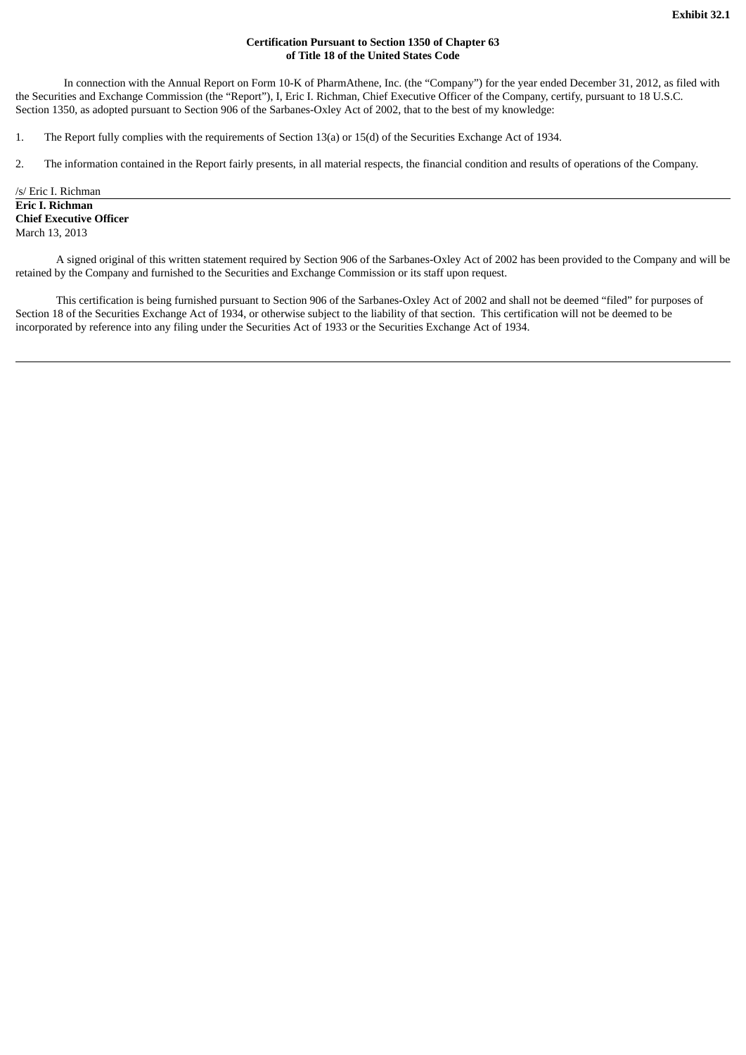# **Certification Pursuant to Section 1350 of Chapter 63 of Title 18 of the United States Code**

In connection with the Annual Report on Form 10-K of PharmAthene, Inc. (the "Company") for the year ended December 31, 2012, as filed with the Securities and Exchange Commission (the "Report"), I, Eric I. Richman, Chief Executive Officer of the Company, certify, pursuant to 18 U.S.C. Section 1350, as adopted pursuant to Section 906 of the Sarbanes-Oxley Act of 2002, that to the best of my knowledge:

1. The Report fully complies with the requirements of Section 13(a) or 15(d) of the Securities Exchange Act of 1934.

2. The information contained in the Report fairly presents, in all material respects, the financial condition and results of operations of the Company.

/s/ Eric I. Richman **Eric I. Richman Chief Executive Officer** March 13, 2013

A signed original of this written statement required by Section 906 of the Sarbanes-Oxley Act of 2002 has been provided to the Company and will be retained by the Company and furnished to the Securities and Exchange Commission or its staff upon request.

This certification is being furnished pursuant to Section 906 of the Sarbanes-Oxley Act of 2002 and shall not be deemed "filed" for purposes of Section 18 of the Securities Exchange Act of 1934, or otherwise subject to the liability of that section. This certification will not be deemed to be incorporated by reference into any filing under the Securities Act of 1933 or the Securities Exchange Act of 1934.